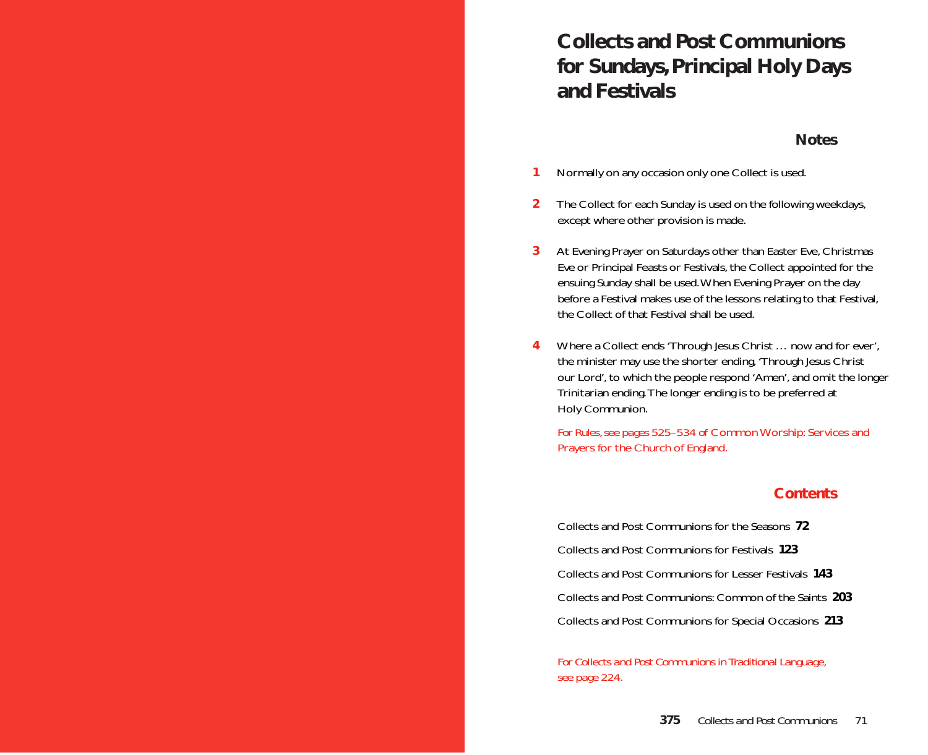# **Collects and Post Communions for Sundays, Principal Holy Days and Festivals**

#### **Notes**

- **1** Normally on any occasion only one Collect is used.
- **2** The Collect for each Sunday is used on the following weekdays, except where other provision is made.
- **3** At Evening Prayer on Saturdays other than Easter Eve, Christmas Eve or Principal Feasts or Festivals, the Collect appointed for the ensuing Sunday shall be used.When Evening Prayer on the day before a Festival makes use of the lessons relating to that Festival, the Collect of that Festival shall be used.
- **4** Where a Collect ends 'Through Jesus Christ … now and for ever', the minister may use the shorter ending, 'Through Jesus Christ our Lord', to which the people respond 'Amen', and omit the longer Trinitarian ending. The longer ending is to be preferred at Holy Communion.

*For Rules, see pages 525–534 of* Common Worship: Services and Prayers for the Church of England.

#### **Contents**

Collects and Post Communions for the Seasons **72** Collects and Post Communions for Festivals **123** Collects and Post Communions for Lesser Festivals **143** Collects and Post Communions: Common of the Saints **203** Collects and Post Communions for Special Occasions **213**

*For Collects and Post Communions in Traditional Language, see page 224.*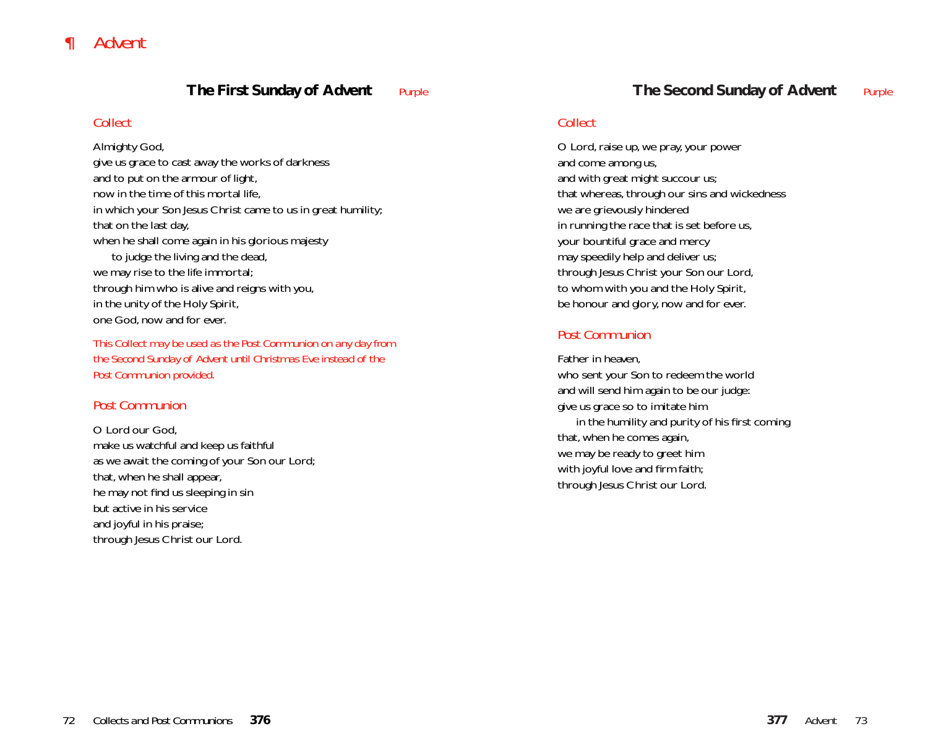## **The First Sunday of Advent** *Purple*

#### *Collect*

Almighty God, give us grace to cast away the works of darkness and to put on the armour of light, now in the time of this mortal life, in which your Son Jesus Christ came to us in great humility; that on the last day, when he shall come again in his glorious majesty to judge the living and the dead, we may rise to the life immortal; through him who is alive and reigns with you, in the unity of the Holy Spirit, one God, now and for ever.

*This Collect may be used as the Post Communion on any day from the Second Sunday of Advent until Christmas Eve instead of the Post Communion provided.*

#### *Post Communion*

O Lord our God, make us watchful and keep us faithful as we await the coming of your Son our Lord; that, when he shall appear, he may not find us sleeping in sin but active in his service and joyful in his praise; through Jesus Christ our Lord.

#### *Collect*

O Lord, raise up, we pray, your power and come among us, and with great might succour us; that whereas, through our sins and wickedness we are grievously hindered in running the race that is set before us, your bountiful grace and mercy may speedily help and deliver us; through Jesus Christ your Son our Lord, to whom with you and the Holy Spirit, be honour and glory, now and for ever.

#### *Post Communion*

Father in heaven, who sent your Son to redeem the world and will send him again to be our judge: give us grace so to imitate him in the humility and purity of his first coming that, when he comes again, we may be ready to greet him with joyful love and firm faith; through Jesus Christ our Lord.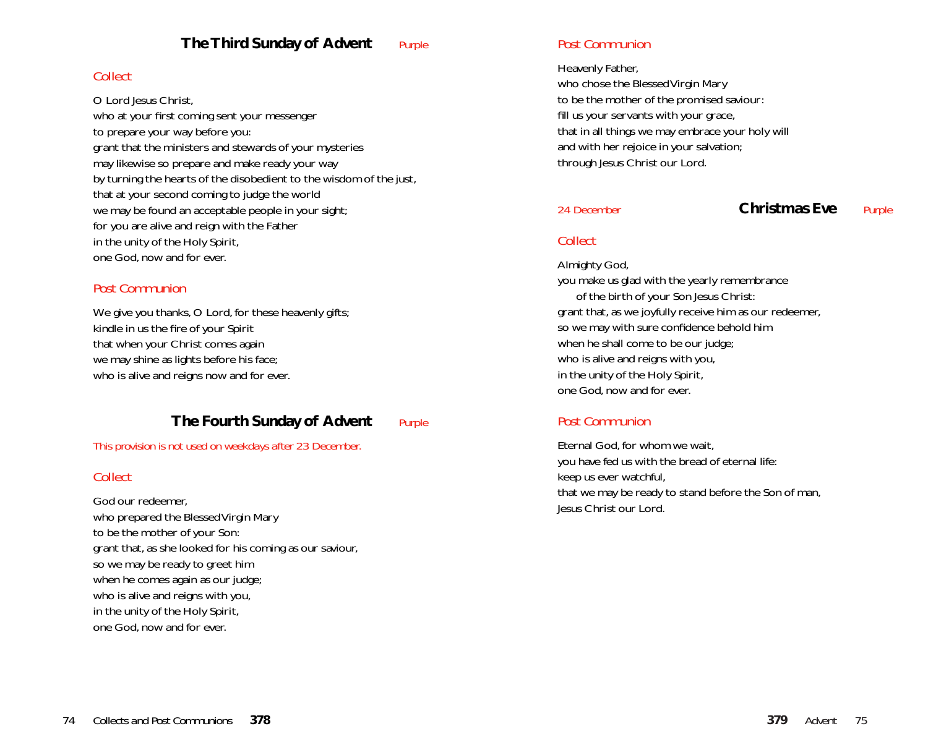O Lord Jesus Christ, who at your first coming sent your messenger to prepare your way before you: grant that the ministers and stewards of your mysteries may likewise so prepare and make ready your way by turning the hearts of the disobedient to the wisdom of the just, that at your second coming to judge the world we may be found an acceptable people in your sight; for you are alive and reign with the Father in the unity of the Holy Spirit, one God, now and for ever.

## *Post Communion*

We give you thanks, O Lord, for these heavenly gifts; kindle in us the fire of your Spirit that when your Christ comes again we may shine as lights before his face; who is alive and reigns now and for ever.

## **The Fourth Sunday of Advent** *Purple*

*This provision is not used on weekdays after 23 December.*

## *Collect*

God our redeemer, who prepared the Blessed Virgin Mary to be the mother of your Son: grant that, as she looked for his coming as our saviour, so we may be ready to greet him when he comes again as our judge; who is alive and reigns with you, in the unity of the Holy Spirit, one God, now and for ever.

## *Post Communion*

Heavenly Father, who chose the Blessed Virgin Mary to be the mother of the promised saviour: fill us your servants with your grace, that in all things we may embrace your holy will and with her rejoice in your salvation; through Jesus Christ our Lord.

#### *24 December* **Christmas Eve** *Purple*

*Collect*

Almighty God, you make us glad with the yearly remembrance of the birth of your Son Jesus Christ: grant that, as we joyfully receive him as our redeemer, so we may with sure confidence behold him when he shall come to be our judge; who is alive and reigns with you, in the unity of the Holy Spirit, one God, now and for ever.

## *Post Communion*

Eternal God, for whom we wait, you have fed us with the bread of eternal life: keep us ever watchful, that we may be ready to stand before the Son of man, Jesus Christ our Lord.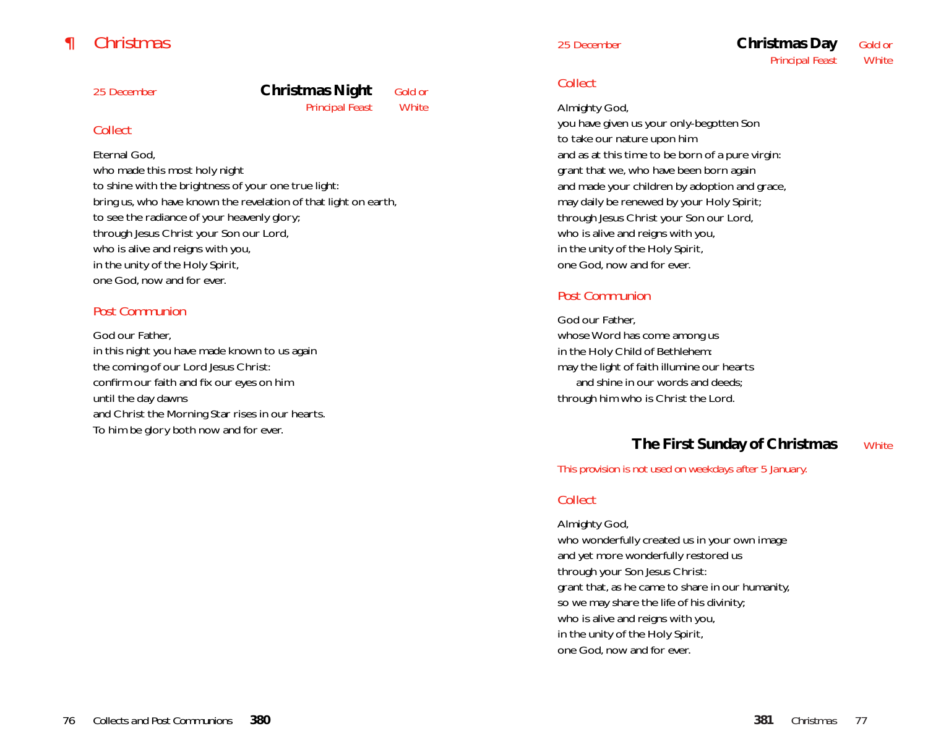# *¶ Christmas*

## *25 December* **Christmas Night** *Gold or*

*Principal Feast White*

#### *Collect*

Eternal God, who made this most holy night to shine with the brightness of your one true light: bring us, who have known the revelation of that light on earth, to see the radiance of your heavenly glory; through Jesus Christ your Son our Lord, who is alive and reigns with you, in the unity of the Holy Spirit, one God, now and for ever.

#### *Post Communion*

God our Father, in this night you have made known to us again the coming of our Lord Jesus Christ: confirm our faith and fix our eyes on him until the day dawns and Christ the Morning Star rises in our hearts. To him be glory both now and for ever.

### *Collect*

Almighty God, you have given us your only-begotten Son to take our nature upon him and as at this time to be born of a pure virgin: grant that we, who have been born again and made your children by adoption and grace, may daily be renewed by your Holy Spirit; through Jesus Christ your Son our Lord, who is alive and reigns with you, in the unity of the Holy Spirit, one God, now and for ever.

## *Post Communion*

God our Father, whose Word has come among us in the Holy Child of Bethlehem: may the light of faith illumine our hearts and shine in our words and deeds; through him who is Christ the Lord.

## **The First Sunday of Christmas** *White*

*This provision is not used on weekdays after 5 January.*

#### *Collect*

Almighty God, who wonderfully created us in your own image and yet more wonderfully restored us through your Son Jesus Christ: grant that, as he came to share in our humanity, so we may share the life of his divinity; who is alive and reigns with you, in the unity of the Holy Spirit, one God, now and for ever.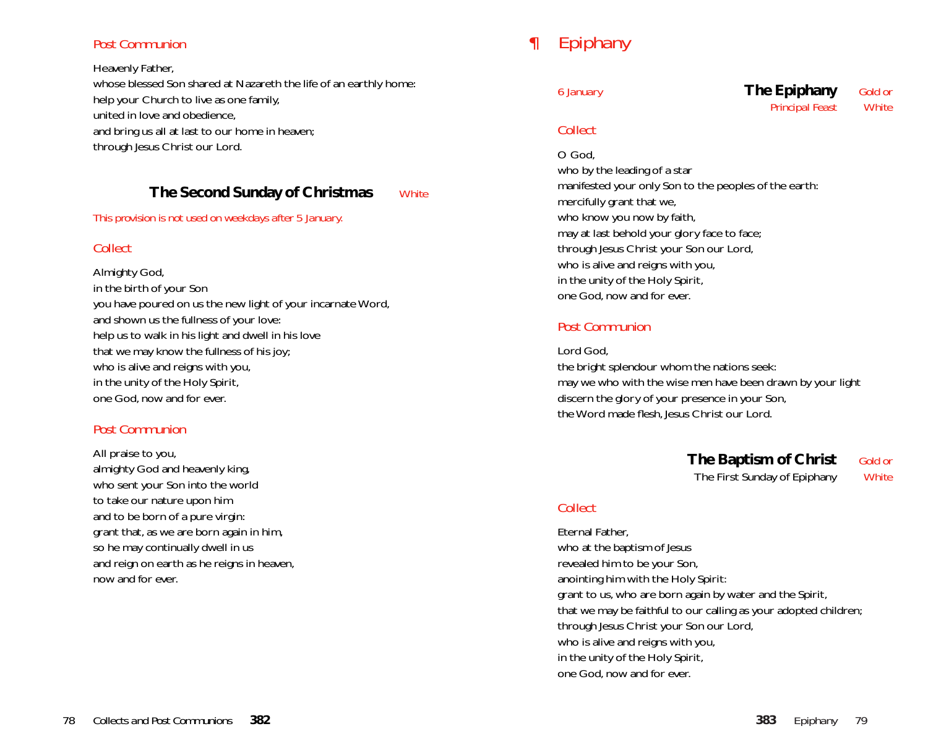Heavenly Father, whose blessed Son shared at Nazareth the life of an earthly home: help your Church to live as one family, united in love and obedience, and bring us all at last to our home in heaven; through Jesus Christ our Lord.

## **The Second Sunday of Christmas** *White*

## *This provision is not used on weekdays after 5 January.*

#### *Collect*

Almighty God, in the birth of your Son you have poured on us the new light of your incarnate Word, and shown us the fullness of your love: help us to walk in his light and dwell in his love that we may know the fullness of his joy; who is alive and reigns with you, in the unity of the Holy Spirit, one God, now and for ever.

#### *Post Communion*

All praise to you, almighty God and heavenly king, who sent your Son into the world to take our nature upon him and to be born of a pure virgin: grant that, as we are born again in him, so he may continually dwell in us and reign on earth as he reigns in heaven, now and for ever.

# *¶ Epiphany*

#### *6 January* **The Epiphany** *Gold or Principal Feast White*

#### *Collect*

O God, who by the leading of a star manifested your only Son to the peoples of the earth: mercifully grant that we, who know you now by faith, may at last behold your glory face to face; through Jesus Christ your Son our Lord, who is alive and reigns with you, in the unity of the Holy Spirit, one God, now and for ever.

#### *Post Communion*

Lord God, the bright splendour whom the nations seek: may we who with the wise men have been drawn by your light discern the glory of your presence in your Son, the Word made flesh, Jesus Christ our Lord.

> **The Baptism of Christ** *Gold or* The First Sunday of Epiphany *White*

#### *Collect*

Eternal Father, who at the baptism of Jesus revealed him to be your Son, anointing him with the Holy Spirit: grant to us, who are born again by water and the Spirit, that we may be faithful to our calling as your adopted children; through Jesus Christ your Son our Lord, who is alive and reigns with you, in the unity of the Holy Spirit, one God, now and for ever.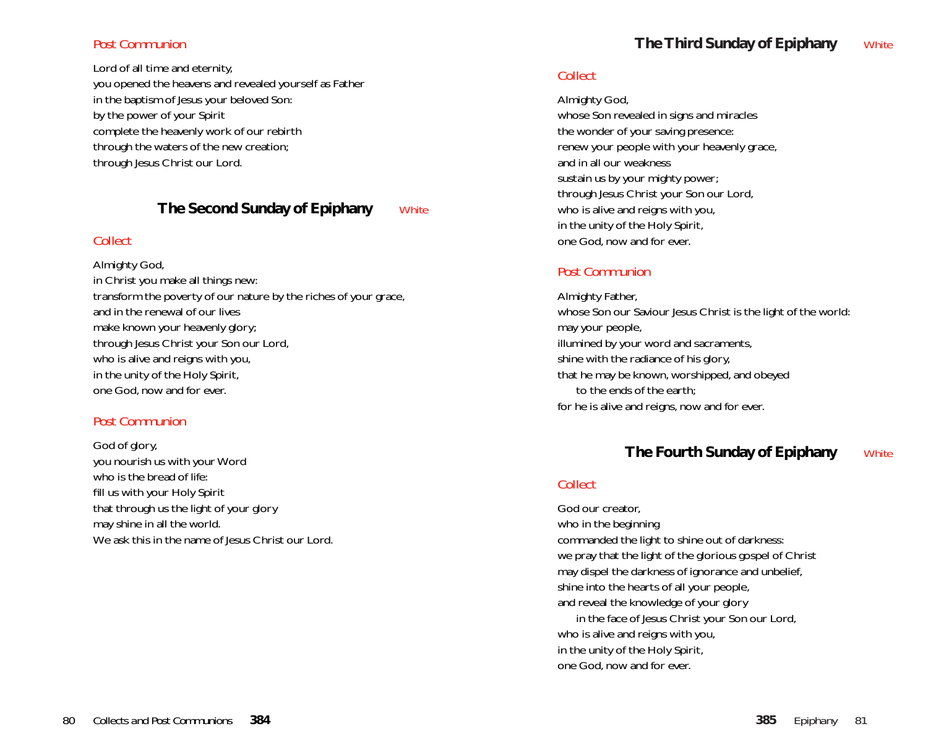Lord of all time and eternity, you opened the heavens and revealed yourself as Father in the baptism of Jesus your beloved Son: by the power of your Spirit complete the heavenly work of our rebirth through the waters of the new creation; through Jesus Christ our Lord.

## **The Second Sunday of Epiphany** *White*

#### *Collect*

Almighty God, in Christ you make all things new: transform the poverty of our nature by the riches of your grace, and in the renewal of our lives make known your heavenly glory; through Jesus Christ your Son our Lord, who is alive and reigns with you, in the unity of the Holy Spirit, one God, now and for ever.

#### *Post Communion*

God of glory, you nourish us with your Word who is the bread of life: fill us with your Holy Spirit that through us the light of your glory may shine in all the world. We ask this in the name of lesus Christ our Lord.

#### *Collect*

Almighty God, whose Son revealed in signs and miracles the wonder of your saving presence: renew your people with your heavenly grace, and in all our weakness sustain us by your mighty power; through Jesus Christ your Son our Lord, who is alive and reigns with you, in the unity of the Holy Spirit, one God, now and for ever.

## *Post Communion*

Almighty Father, whose Son our Saviour Jesus Christ is the light of the world: may your people, illumined by your word and sacraments, shine with the radiance of his glory, that he may be known, worshipped, and obeyed to the ends of the earth; for he is alive and reigns, now and for ever.

## **The Fourth Sunday of Epiphany** *White*

#### *Collect*

God our creator, who in the beginning commanded the light to shine out of darkness: we pray that the light of the glorious gospel of Christ may dispel the darkness of ignorance and unbelief, shine into the hearts of all your people, and reveal the knowledge of your glory in the face of Jesus Christ your Son our Lord, who is alive and reigns with you, in the unity of the Holy Spirit, one God, now and for ever.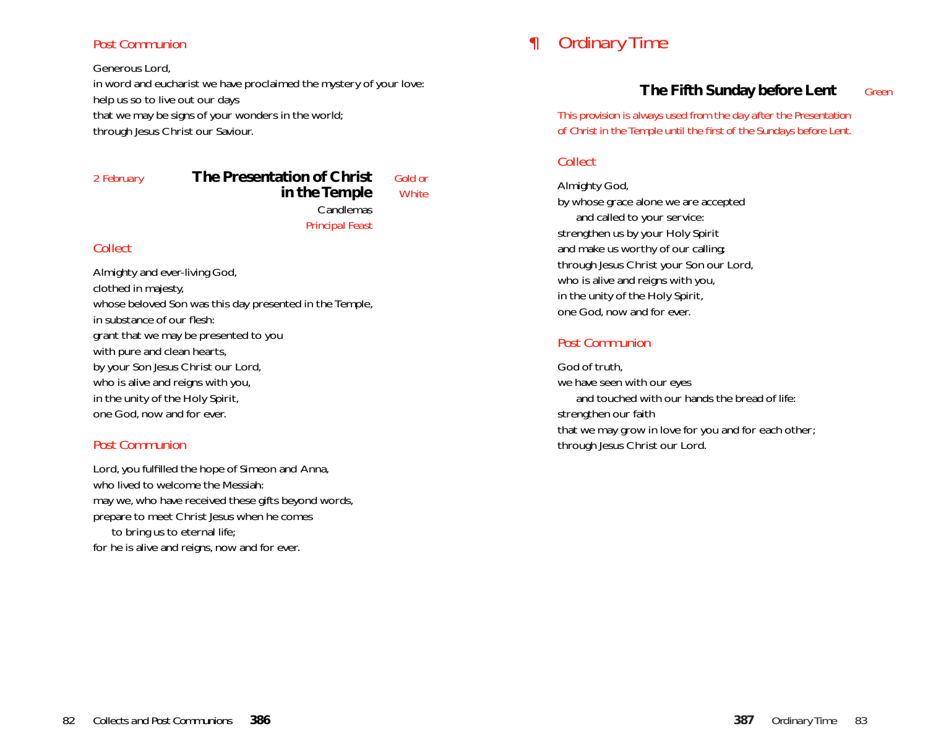Generous Lord, in word and eucharist we have proclaimed the mystery of your love: help us so to live out our days that we may be signs of your wonders in the world; through Jesus Christ our Saviour.

#### *2 February* **The Presentation of Christ** *Gold or* **in the Temple** *White* Candlemas *Principal Feast*

#### *Collect*

Almighty and ever-living God, clothed in majesty, whose beloved Son was this day presented in the Temple, in substance of our flesh: grant that we may be presented to you with pure and clean hearts, by your Son Jesus Christ our Lord, who is alive and reigns with you, in the unity of the Holy Spirit, one God, now and for ever.

#### *Post Communion*

Lord, you fulfilled the hope of Simeon and Anna, who lived to welcome the Messiah: may we, who have received these gifts beyond words, prepare to meet Christ Jesus when he comes to bring us to eternal life; for he is alive and reigns, now and for ever.

# *¶ Ordinary Time*

## **The Fifth Sunday before Lent** *Green*

*This provision is always used from the day after the Presentation of Christ in the Temple until the first of the Sundays before Lent.*

#### *Collect*

Almighty God, by whose grace alone we are accepted and called to your service: strengthen us by your Holy Spirit and make us worthy of our calling; through Jesus Christ your Son our Lord, who is alive and reigns with you, in the unity of the Holy Spirit, one God, now and for ever.

#### *Post Communion*

God of truth, we have seen with our eyes and touched with our hands the bread of life: strengthen our faith that we may grow in love for you and for each other; through Jesus Christ our Lord.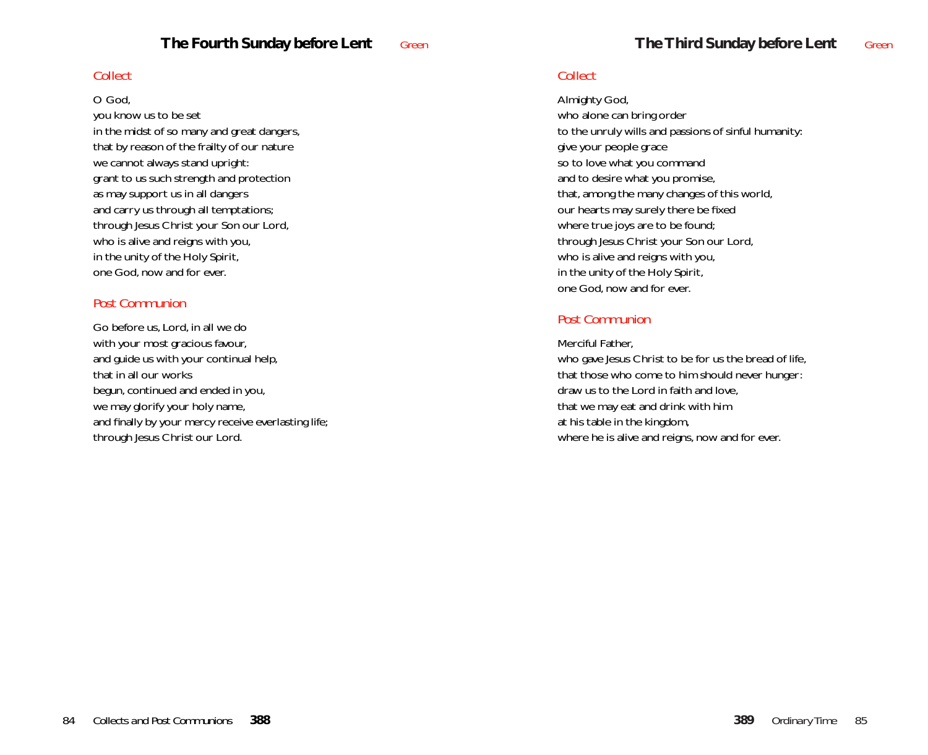**The Third Sunday before Lent** *Green*

#### *Collect*

#### O God,

you know us to be set in the midst of so many and great dangers, that by reason of the frailty of our nature we cannot always stand upright: grant to us such strength and protection as may support us in all dangers and carry us through all temptations; through Jesus Christ your Son our Lord, who is alive and reigns with you, in the unity of the Holy Spirit, one God, now and for ever.

#### *Post Communion*

Go before us, Lord, in all we do with your most gracious favour, and guide us with your continual help, that in all our works begun, continued and ended in you, we may glorify your holy name, and finally by your mercy receive everlasting life; through Jesus Christ our Lord.

## *Collect*

Almighty God, who alone can bring order to the unruly wills and passions of sinful humanity: give your people grace so to love what you command and to desire what you promise, that, among the many changes of this world, our hearts may surely there be fixed where true joys are to be found; through Jesus Christ your Son our Lord, who is alive and reigns with you, in the unity of the Holy Spirit, one God, now and for ever.

## *Post Communion*

Merciful Father,

who gave Jesus Christ to be for us the bread of life, that those who come to him should never hunger: draw us to the Lord in faith and love, that we may eat and drink with him at his table in the kingdom, where he is alive and reigns, now and for ever.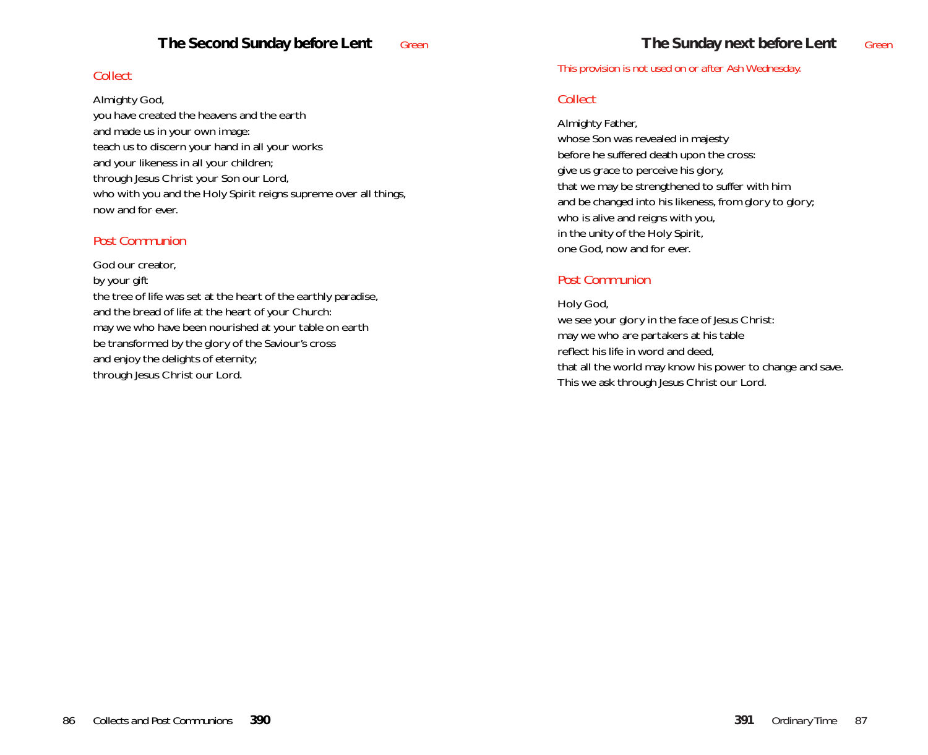Almighty God, you have created the heavens and the earth and made us in your own image: teach us to discern your hand in all your works and your likeness in all your children; through Jesus Christ your Son our Lord, who with you and the Holy Spirit reigns supreme over all things, now and for ever.

## *Post Communion*

God our creator, by your gift the tree of life was set at the heart of the earthly paradise, and the bread of life at the heart of your Church: may we who have been nourished at your table on earth be transformed by the glory of the Saviour's cross and enjoy the delights of eternity; through Jesus Christ our Lord.

# *This provision is not used on or after Ash Wednesday.*

## *Collect*

Almighty Father, whose Son was revealed in majesty before he suffered death upon the cross: give us grace to perceive his glory, that we may be strengthened to suffer with him and be changed into his likeness, from glory to glory; who is alive and reigns with you, in the unity of the Holy Spirit, one God, now and for ever.

## *Post Communion*

Holy God, we see your glory in the face of Jesus Christ: may we who are partakers at his table reflect his life in word and deed, that all the world may know his power to change and save. This we ask through Jesus Christ our Lord.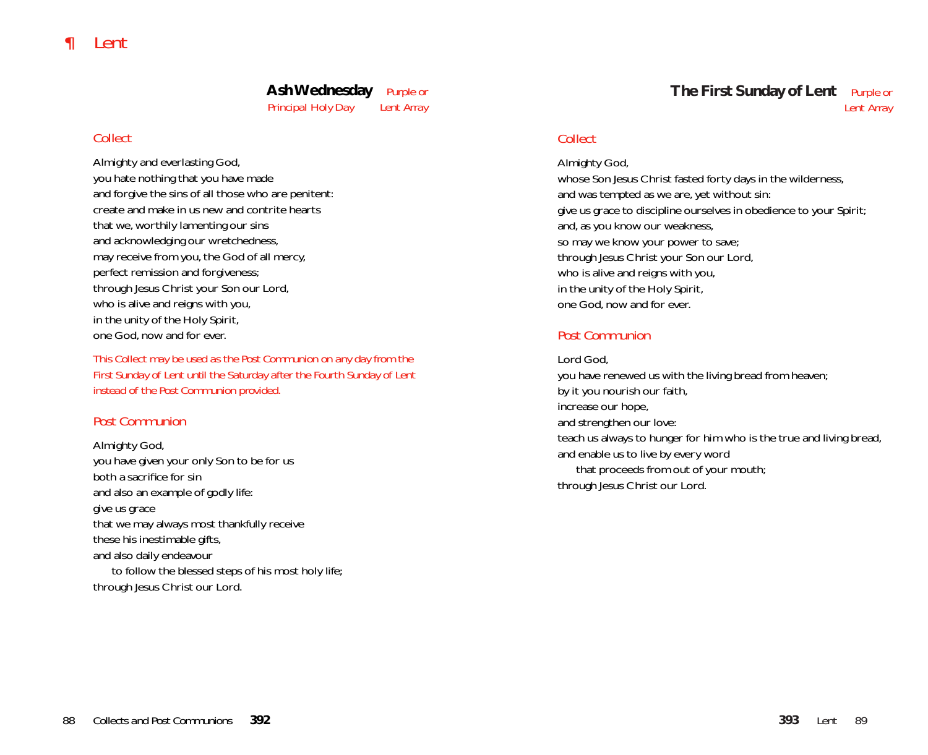## **Ash Wednesday** *Purple or*

*Principal Holy Day Lent Array*

#### *Collect*

Almighty and everlasting God, you hate nothing that you have made and forgive the sins of all those who are penitent: create and make in us new and contrite hearts that we, worthily lamenting our sins and acknowledging our wretchedness, may receive from you, the God of all mercy, perfect remission and forgiveness; through Jesus Christ your Son our Lord, who is alive and reigns with you, in the unity of the Holy Spirit, one God, now and for ever.

*This Collect may be used as the Post Communion on any day from the First Sunday of Lent until the Saturday after the Fourth Sunday of Lent instead of the Post Communion provided.*

#### *Post Communion*

Almighty God, you have given your only Son to be for us both a sacrifice for sin and also an example of godly life: give us grace that we may always most thankfully receive these his inestimable gifts, and also daily endeavour to follow the blessed steps of his most holy life; through Jesus Christ our Lord.

### **The First Sunday of Lent** *Purple or Lent Array*

#### *Collect*

Almighty God, whose Son Jesus Christ fasted forty days in the wilderness, and was tempted as we are, yet without sin: give us grace to discipline ourselves in obedience to your Spirit; and, as you know our weakness, so may we know your power to save; through Jesus Christ your Son our Lord, who is alive and reigns with you, in the unity of the Holy Spirit, one God, now and for ever.

## *Post Communion*

Lord God, you have renewed us with the living bread from heaven; by it you nourish our faith, increase our hope, and strengthen our love: teach us always to hunger for him who is the true and living bread, and enable us to live by every word that proceeds from out of your mouth; through Jesus Christ our Lord.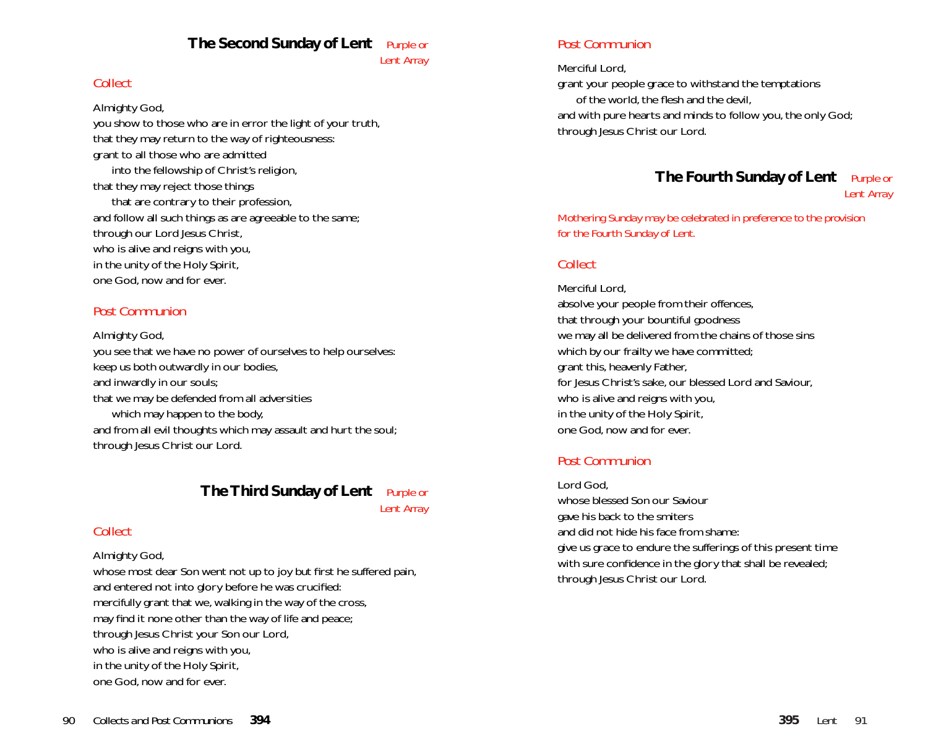## **The Second Sunday of Lent** *Purple or*

*Lent Array*

### *Collect*

#### Almighty God,

you show to those who are in error the light of your truth, that they may return to the way of righteousness: grant to all those who are admitted into the fellowship of Christ's religion, that they may reject those things that are contrary to their profession, and follow all such things as are agreeable to the same; through our Lord Jesus Christ, who is alive and reigns with you, in the unity of the Holy Spirit, one God, now and for ever.

#### *Post Communion*

Almighty God, you see that we have no power of ourselves to help ourselves: keep us both outwardly in our bodies, and inwardly in our souls; that we may be defended from all adversities which may happen to the body, and from all evil thoughts which may assault and hurt the soul; through Jesus Christ our Lord.

> **The Third Sunday of Lent** *Purple or Lent Array*

## *Collect*

#### Almighty God,

whose most dear Son went not up to joy but first he suffered pain, and entered not into glory before he was crucified: mercifully grant that we, walking in the way of the cross, may find it none other than the way of life and peace; through Jesus Christ your Son our Lord, who is alive and reigns with you, in the unity of the Holy Spirit, one God, now and for ever.

#### *Post Communion*

Merciful Lord,

grant your people grace to withstand the temptations of the world, the flesh and the devil, and with pure hearts and minds to follow you, the only God; through Jesus Christ our Lord.

## **The Fourth Sunday of Lent** *Purple or*

*Lent Array*

*Mothering Sunday may be celebrated in preference to the provision for the Fourth Sunday of Lent.*

## *Collect*

Merciful Lord, absolve your people from their offences, that through your bountiful goodness we may all be delivered from the chains of those sins which by our frailty we have committed; grant this, heavenly Father, for Jesus Christ's sake, our blessed Lord and Saviour, who is alive and reigns with you, in the unity of the Holy Spirit, one God, now and for ever.

## *Post Communion*

Lord God, whose blessed Son our Saviour gave his back to the smiters and did not hide his face from shame: give us grace to endure the sufferings of this present time with sure confidence in the glory that shall be revealed; through Jesus Christ our Lord.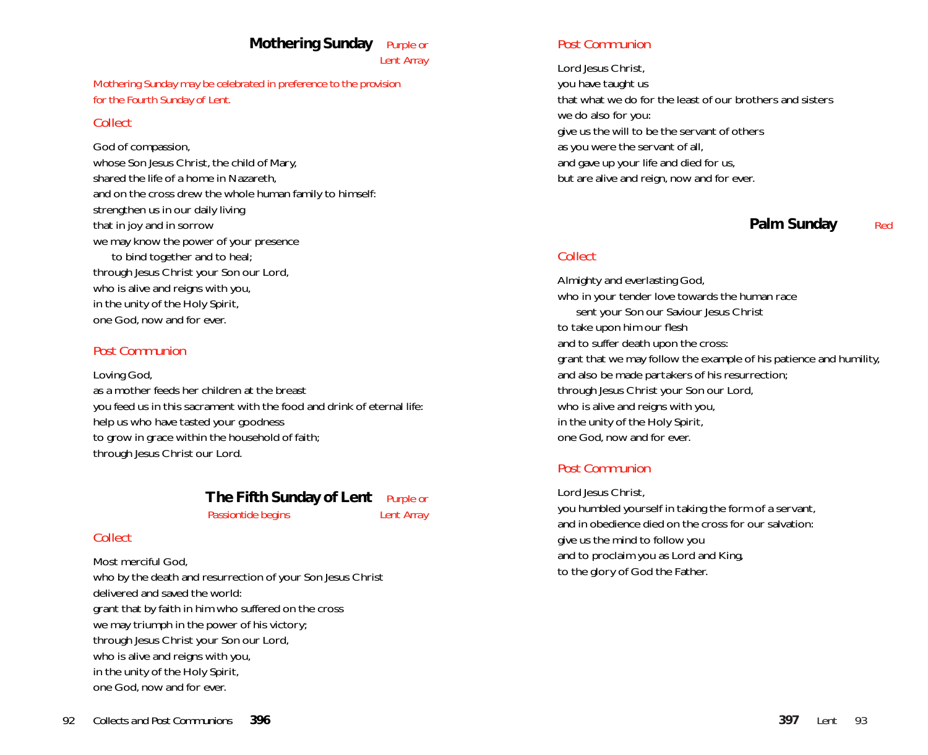## **Mothering Sunday** *Purple or*

*Lent Array*

#### *Mothering Sunday may be celebrated in preference to the provision for the Fourth Sunday of Lent.*

## *Collect*

God of compassion, whose Son Jesus Christ, the child of Mary, shared the life of a home in Nazareth, and on the cross drew the whole human family to himself: strengthen us in our daily living that in joy and in sorrow we may know the power of your presence to bind together and to heal; through Jesus Christ your Son our Lord, who is alive and reigns with you, in the unity of the Holy Spirit, one God, now and for ever.

## *Post Communion*

Loving God, as a mother feeds her children at the breast you feed us in this sacrament with the food and drink of eternal life: help us who have tasted your goodness to grow in grace within the household of faith; through Jesus Christ our Lord.

> **The Fifth Sunday of Lent** *Purple or Passiontide begins Lent Array*

## *Collect*

Most merciful God, who by the death and resurrection of your Son Jesus Christ delivered and saved the world: grant that by faith in him who suffered on the cross we may triumph in the power of his victory; through Jesus Christ your Son our Lord, who is alive and reigns with you, in the unity of the Holy Spirit, one God, now and for ever.

## *Post Communion*

Lord Jesus Christ, you have taught us that what we do for the least of our brothers and sisters we do also for you: give us the will to be the servant of others as you were the servant of all, and gave up your life and died for us, but are alive and reign, now and for ever.

## **Palm Sunday** *Red*

#### *Collect*

Almighty and everlasting God, who in your tender love towards the human race sent your Son our Saviour Jesus Christ to take upon him our flesh and to suffer death upon the cross: grant that we may follow the example of his patience and humility, and also be made partakers of his resurrection; through Jesus Christ your Son our Lord, who is alive and reigns with you, in the unity of the Holy Spirit, one God, now and for ever.

## *Post Communion*

Lord Jesus Christ, you humbled yourself in taking the form of a servant, and in obedience died on the cross for our salvation: give us the mind to follow you and to proclaim you as Lord and King, to the glory of God the Father.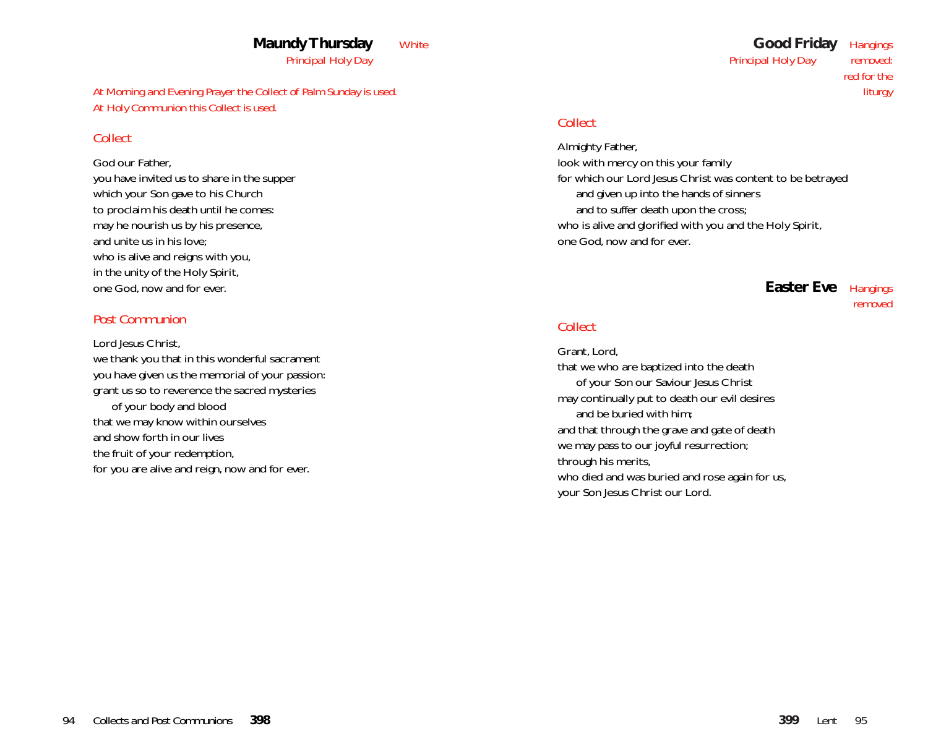# **Maundy Thursday** *White*

*Principal Holy Day*

*At Morning and Evening Prayer the Collect of Palm Sunday is used. At Holy Communion this Collect is used.*

#### *Collect*

God our Father, you have invited us to share in the supper which your Son gave to his Church to proclaim his death until he comes: may he nourish us by his presence, and unite us in his love; who is alive and reigns with you, in the unity of the Holy Spirit, one God, now and for ever.

## *Post Communion*

Lord Jesus Christ, we thank you that in this wonderful sacrament you have given us the memorial of your passion: grant us so to reverence the sacred mysteries of your body and blood that we may know within ourselves and show forth in our lives the fruit of your redemption, for you are alive and reign, now and for ever.

## *Collect*

Almighty Father, look with mercy on this your family for which our Lord Jesus Christ was content to be betrayed and given up into the hands of sinners and to suffer death upon the cross; who is alive and glorified with you and the Holy Spirit, one God, now and for ever.

#### **Easter Eve** *Hangings removed*

#### *Collect*

Grant, Lord, that we who are baptized into the death of your Son our Saviour Jesus Christ may continually put to death our evil desires and be buried with him; and that through the grave and gate of death we may pass to our joyful resurrection; through his merits, who died and was buried and rose again for us, your Son Jesus Christ our Lord.

**Good Friday** *Hangings Principal Holy Day removed: red for the liturgy*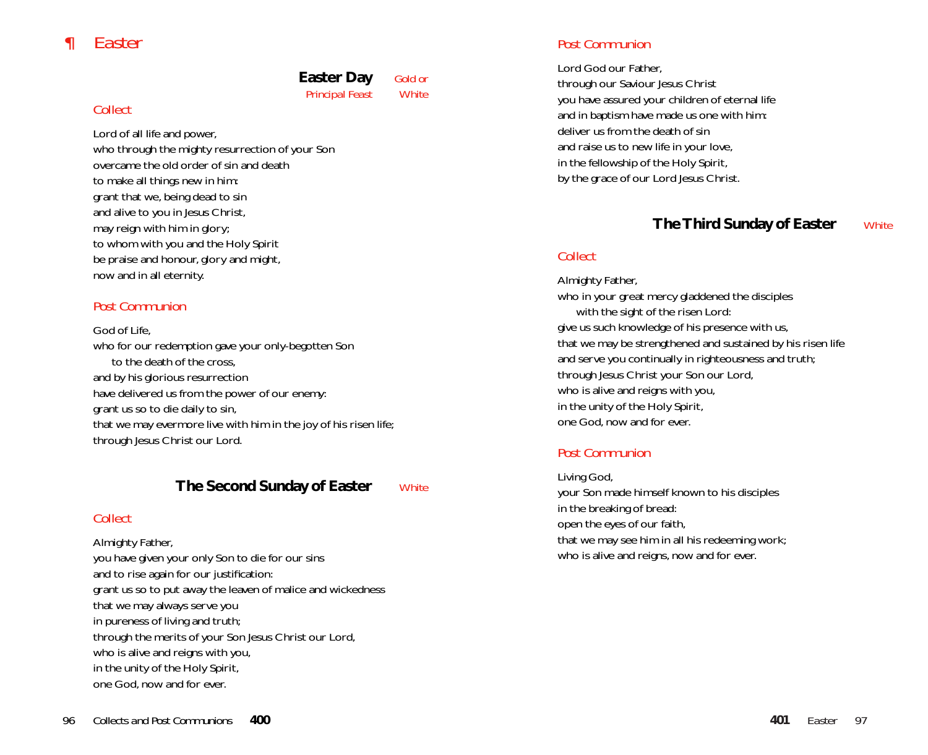# *¶ Easter*

## **Easter Day** *Gold or*

*Principal Feast White*

#### *Collect*

Lord of all life and power, who through the mighty resurrection of your Son overcame the old order of sin and death to make all things new in him: grant that we, being dead to sin and alive to you in Jesus Christ, may reign with him in glory; to whom with you and the Holy Spirit be praise and honour, glory and might, now and in all eternity.

#### *Post Communion*

God of Life, who for our redemption gave your only-begotten Son to the death of the cross, and by his glorious resurrection have delivered us from the power of our enemy: grant us so to die daily to sin, that we may evermore live with him in the joy of his risen life; through Jesus Christ our Lord.

## **The Second Sunday of Easter** *White*

## *Collect*

Almighty Father, you have given your only Son to die for our sins and to rise again for our justification: grant us so to put away the leaven of malice and wickedness that we may always serve you in pureness of living and truth; through the merits of your Son Jesus Christ our Lord, who is alive and reigns with you, in the unity of the Holy Spirit, one God, now and for ever.

## *Post Communion*

Lord God our Father, through our Saviour Jesus Christ you have assured your children of eternal life and in baptism have made us one with him: deliver us from the death of sin and raise us to new life in your love, in the fellowship of the Holy Spirit, by the grace of our Lord Jesus Christ.

## **The Third Sunday of Easter** *White*

#### *Collect*

Almighty Father, who in your great mercy gladdened the disciples with the sight of the risen Lord: give us such knowledge of his presence with us, that we may be strengthened and sustained by his risen life and serve you continually in righteousness and truth; through Jesus Christ your Son our Lord, who is alive and reigns with you, in the unity of the Holy Spirit, one God, now and for ever.

#### *Post Communion*

Living God, your Son made himself known to his disciples in the breaking of bread: open the eyes of our faith, that we may see him in all his redeeming work; who is alive and reigns, now and for ever.

#### **401** *Easter* 97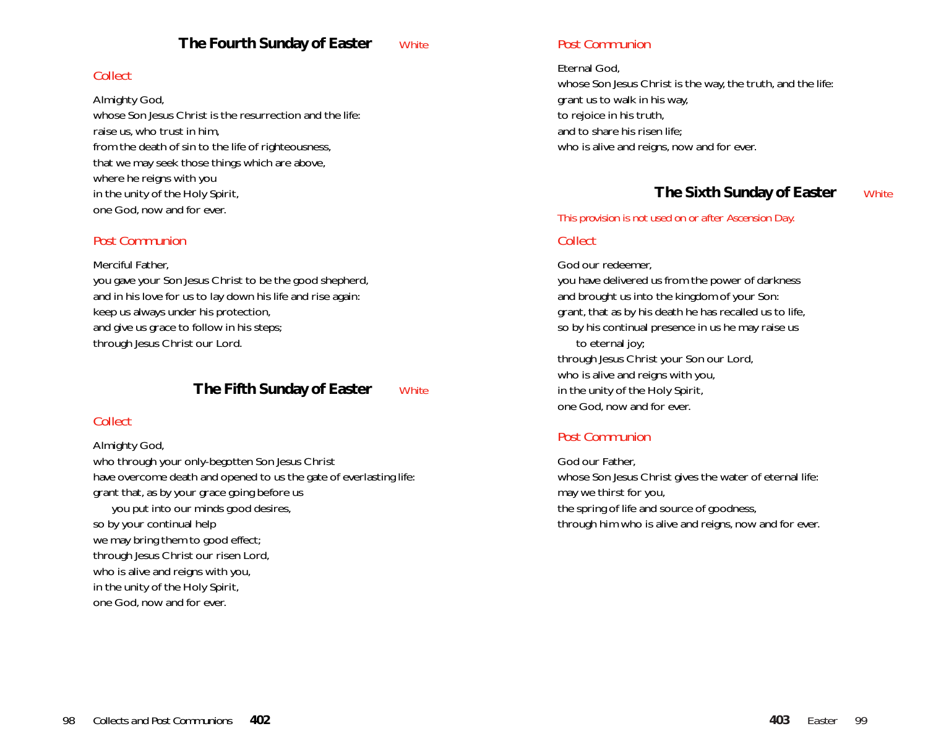Almighty God, whose Son Jesus Christ is the resurrection and the life: raise us, who trust in him, from the death of sin to the life of righteousness, that we may seek those things which are above, where he reigns with you in the unity of the Holy Spirit, one God, now and for ever.

## *Post Communion*

Merciful Father,

you gave your Son Jesus Christ to be the good shepherd, and in his love for us to lay down his life and rise again: keep us always under his protection, and give us grace to follow in his steps; through Jesus Christ our Lord.

## **The Fifth Sunday of Easter** *White*

## *Collect*

Almighty God,

who through your only-begotten Son Jesus Christ have overcome death and opened to us the gate of everlasting life: grant that, as by your grace going before us you put into our minds good desires, so by your continual help we may bring them to good effect; through Jesus Christ our risen Lord, who is alive and reigns with you, in the unity of the Holy Spirit, one God, now and for ever.

## *Post Communion*

Eternal God, whose Son Jesus Christ is the way, the truth, and the life: grant us to walk in his way, to rejoice in his truth, and to share his risen life; who is alive and reigns, now and for ever.

## **The Sixth Sunday of Easter** *White*

#### *This provision is not used on or after Ascension Day.*

#### *Collect*

God our redeemer, you have delivered us from the power of darkness and brought us into the kingdom of your Son: grant, that as by his death he has recalled us to life, so by his continual presence in us he may raise us to eternal joy; through Jesus Christ your Son our Lord, who is alive and reigns with you, in the unity of the Holy Spirit, one God, now and for ever.

## *Post Communion*

God our Father, whose Son Jesus Christ gives the water of eternal life: may we thirst for you, the spring of life and source of goodness, through him who is alive and reigns, now and for ever.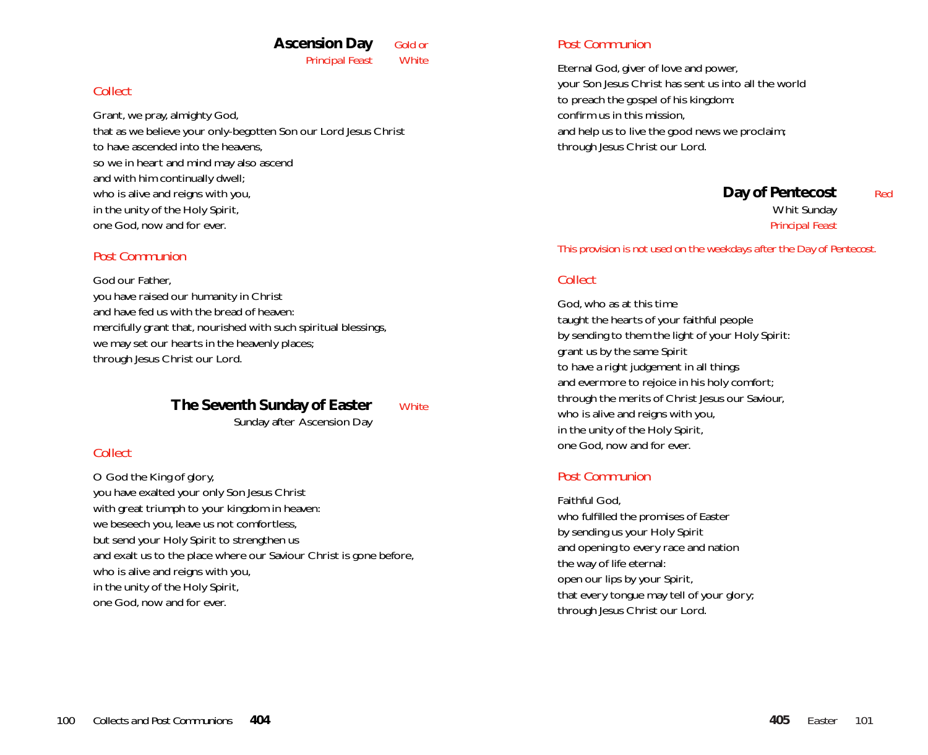# **Ascension Day** *Gold or*

*Principal Feast White*

## *Collect*

Grant, we pray, almighty God, that as we believe your only-begotten Son our Lord Jesus Christ to have ascended into the heavens, so we in heart and mind may also ascend and with him continually dwell; who is alive and reigns with you, in the unity of the Holy Spirit, one God, now and for ever.

#### *Post Communion*

God our Father, you have raised our humanity in Christ and have fed us with the bread of heaven: mercifully grant that, nourished with such spiritual blessings, we may set our hearts in the heavenly places; through Jesus Christ our Lord.

## **The Seventh Sunday of Easter** *White*

Sunday after Ascension Day

#### *Collect*

O God the King of glory, you have exalted your only Son Jesus Christ with great triumph to your kingdom in heaven: we beseech you, leave us not comfortless, but send your Holy Spirit to strengthen us and exalt us to the place where our Saviour Christ is gone before, who is alive and reigns with you, in the unity of the Holy Spirit, one God, now and for ever.

### *Post Communion*

Eternal God, giver of love and power, your Son Jesus Christ has sent us into all the world to preach the gospel of his kingdom: confirm us in this mission, and help us to live the good news we proclaim; through Jesus Christ our Lord.

**Day of Pentecost** *Red*

Whit Sunday *Principal Feast*

#### *This provision is not used on the weekdays after the Day of Pentecost.*

#### *Collect*

God, who as at this time taught the hearts of your faithful people by sending to them the light of your Holy Spirit: grant us by the same Spirit to have a right judgement in all things and evermore to rejoice in his holy comfort; through the merits of Christ Jesus our Saviour, who is alive and reigns with you, in the unity of the Holy Spirit, one God, now and for ever.

#### *Post Communion*

Faithful God, who fulfilled the promises of Easter by sending us your Holy Spirit and opening to every race and nation the way of life eternal: open our lips by your Spirit, that every tongue may tell of your glory; through Jesus Christ our Lord.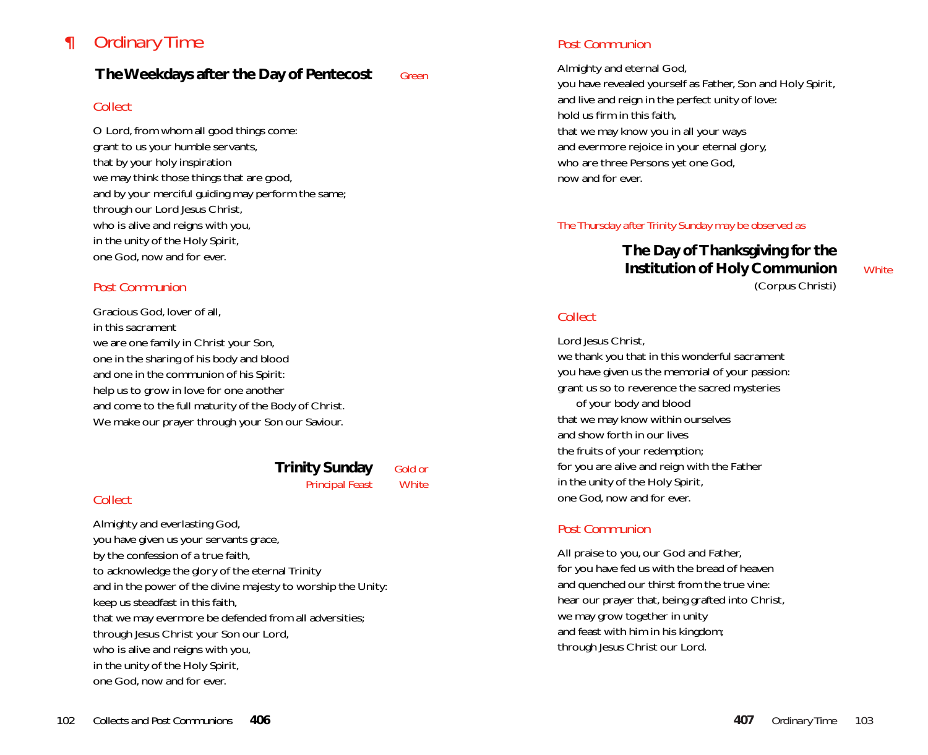# *¶ Ordinary Time*

## **The Weekdays after the Day of Pentecost** *Green*

#### *Collect*

O Lord, from whom all good things come: grant to us your humble servants, that by your holy inspiration we may think those things that are good, and by your merciful guiding may perform the same; through our Lord Jesus Christ, who is alive and reigns with you, in the unity of the Holy Spirit, one God, now and for ever.

#### *Post Communion*

Gracious God, lover of all, in this sacrament we are one family in Christ your Son, one in the sharing of his body and blood and one in the communion of his Spirit: help us to grow in love for one another and come to the full maturity of the Body of Christ. We make our prayer through your Son our Saviour.

## **Trinity Sunday** *Gold or*

*Principal Feast White*

## *Collect*

Almighty and everlasting God, you have given us your servants grace, by the confession of a true faith, to acknowledge the glory of the eternal Trinity and in the power of the divine majesty to worship the Unity: keep us steadfast in this faith, that we may evermore be defended from all adversities; through Jesus Christ your Son our Lord, who is alive and reigns with you, in the unity of the Holy Spirit, one God, now and for ever.

## *Post Communion*

Almighty and eternal God, you have revealed yourself as Father, Son and Holy Spirit, and live and reign in the perfect unity of love: hold us firm in this faith, that we may know you in all your ways and evermore rejoice in your eternal glory, who are three Persons yet one God, now and for ever.

## *The Thursday after Trinity Sunday may be observed as*

**The Day of Thanksgiving for the Institution of Holy Communion** *White* (Corpus Christi)

## *Collect*

Lord Jesus Christ, we thank you that in this wonderful sacrament you have given us the memorial of your passion: grant us so to reverence the sacred mysteries of your body and blood that we may know within ourselves and show forth in our lives the fruits of your redemption; for you are alive and reign with the Father in the unity of the Holy Spirit, one God, now and for ever.

## *Post Communion*

All praise to you, our God and Father, for you have fed us with the bread of heaven and quenched our thirst from the true vine: hear our prayer that, being grafted into Christ, we may grow together in unity and feast with him in his kingdom; through Jesus Christ our Lord.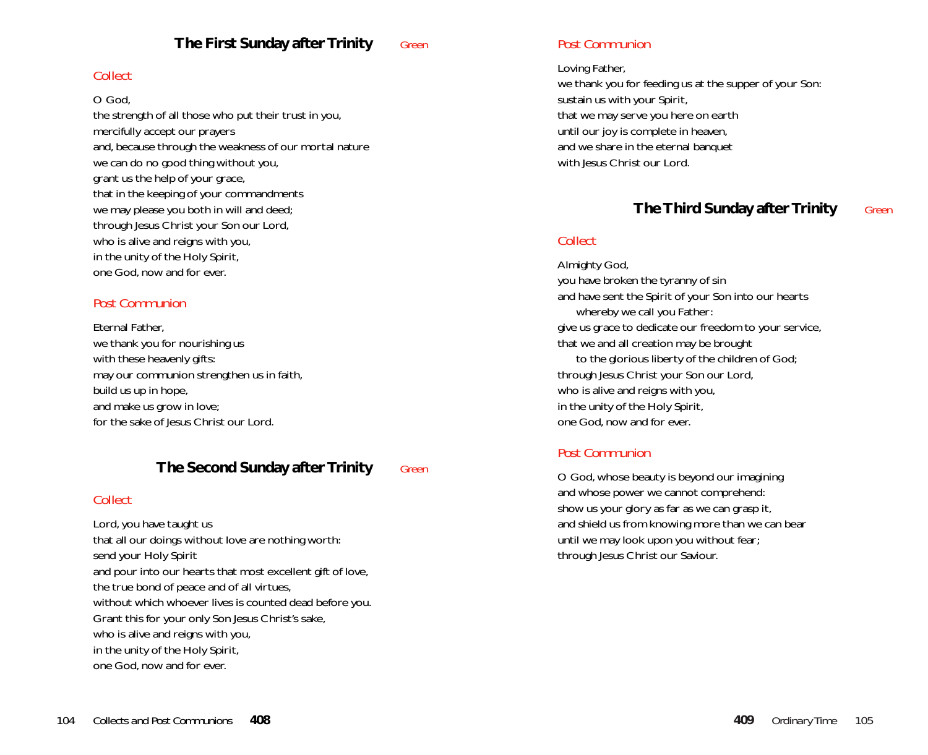#### O God,

the strength of all those who put their trust in you, mercifully accept our prayers and, because through the weakness of our mortal nature we can do no good thing without you, grant us the help of your grace, that in the keeping of your commandments we may please you both in will and deed; through Jesus Christ your Son our Lord, who is alive and reigns with you, in the unity of the Holy Spirit, one God, now and for ever.

## *Post Communion*

Eternal Father, we thank you for nourishing us with these heavenly gifts: may our communion strengthen us in faith, build us up in hope, and make us grow in love; for the sake of Jesus Christ our Lord.

## **The Second Sunday after Trinity** *Green*

## *Collect*

Lord, you have taught us that all our doings without love are nothing worth: send your Holy Spirit and pour into our hearts that most excellent gift of love, the true bond of peace and of all virtues, without which whoever lives is counted dead before you. Grant this for your only Son Jesus Christ's sake, who is alive and reigns with you, in the unity of the Holy Spirit, one God, now and for ever.

## *Post Communion*

#### Loving Father,

we thank you for feeding us at the supper of your Son: sustain us with your Spirit, that we may serve you here on earth until our joy is complete in heaven, and we share in the eternal banquet with Jesus Christ our Lord.

## **The Third Sunday after Trinity** *Green*

## *Collect*

Almighty God, you have broken the tyranny of sin and have sent the Spirit of your Son into our hearts whereby we call you Father: give us grace to dedicate our freedom to your service, that we and all creation may be brought to the glorious liberty of the children of God; through Jesus Christ your Son our Lord, who is alive and reigns with you, in the unity of the Holy Spirit, one God, now and for ever.

## *Post Communion*

O God, whose beauty is beyond our imagining and whose power we cannot comprehend: show us your glory as far as we can grasp it, and shield us from knowing more than we can bear until we may look upon you without fear; through Jesus Christ our Saviour.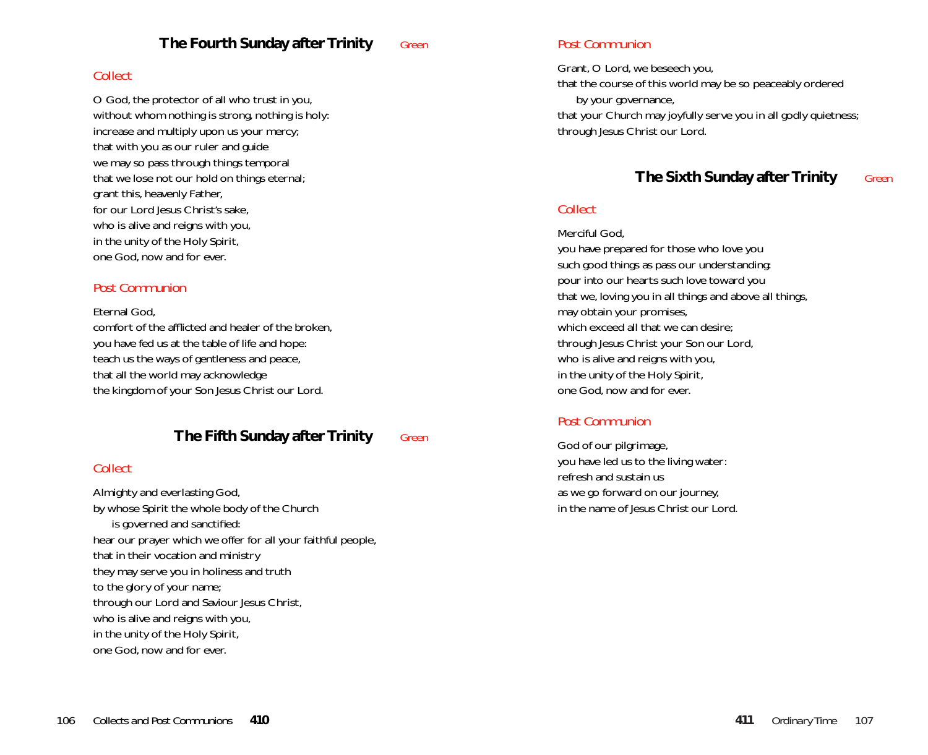O God, the protector of all who trust in you, without whom nothing is strong, nothing is holy: increase and multiply upon us your mercy; that with you as our ruler and guide we may so pass through things temporal that we lose not our hold on things eternal; grant this, heavenly Father, for our Lord Jesus Christ's sake, who is alive and reigns with you, in the unity of the Holy Spirit, one God, now and for ever.

#### *Post Communion*

Eternal God, comfort of the afflicted and healer of the broken, you have fed us at the table of life and hope: teach us the ways of gentleness and peace, that all the world may acknowledge the kingdom of your Son Jesus Christ our Lord.

## **The Fifth Sunday after Trinity** *Green*

#### *Collect*

Almighty and everlasting God, by whose Spirit the whole body of the Church is governed and sanctified: hear our prayer which we offer for all your faithful people, that in their vocation and ministry they may serve you in holiness and truth to the glory of your name; through our Lord and Saviour Jesus Christ, who is alive and reigns with you, in the unity of the Holy Spirit, one God, now and for ever.

Grant, O Lord, we beseech you, that the course of this world may be so peaceably ordered by your governance, that your Church may joyfully serve you in all godly quietness; through Jesus Christ our Lord.

## **The Sixth Sunday after Trinity** *Green*

## *Collect*

Merciful God, you have prepared for those who love you such good things as pass our understanding: pour into our hearts such love toward you that we, loving you in all things and above all things, may obtain your promises, which exceed all that we can desire; through Jesus Christ your Son our Lord, who is alive and reigns with you, in the unity of the Holy Spirit, one God, now and for ever.

## *Post Communion*

God of our pilgrimage, you have led us to the living water: refresh and sustain us as we go forward on our journey, in the name of Jesus Christ our Lord.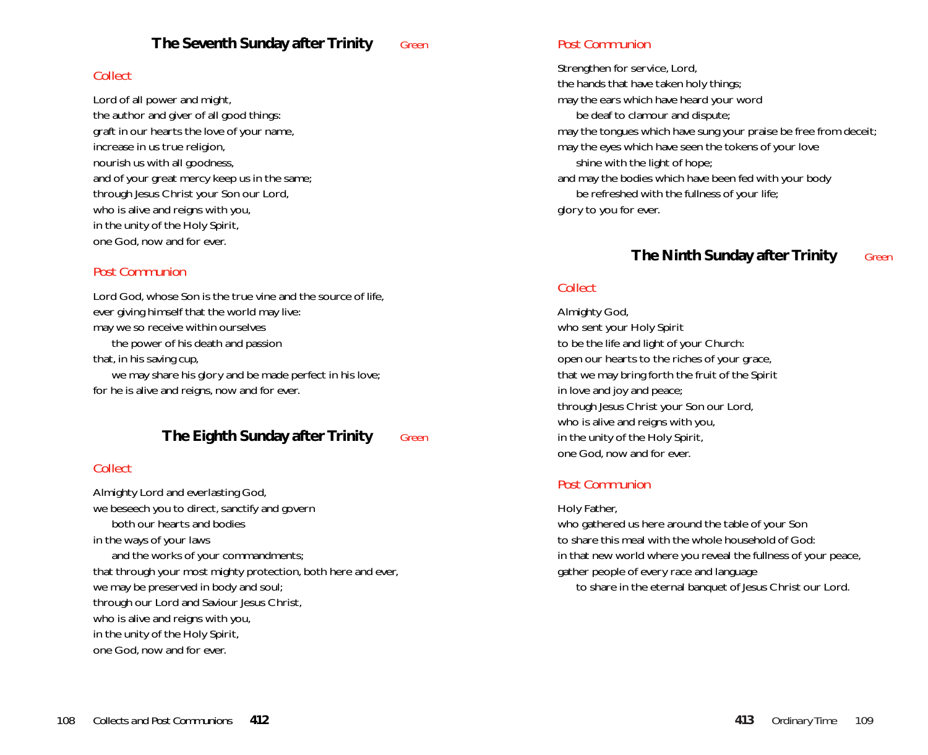Lord of all power and might, the author and giver of all good things: graft in our hearts the love of your name, increase in us true religion, nourish us with all goodness, and of your great mercy keep us in the same; through Jesus Christ your Son our Lord, who is alive and reigns with you, in the unity of the Holy Spirit, one God, now and for ever.

#### *Post Communion*

Lord God, whose Son is the true vine and the source of life, ever giving himself that the world may live: may we so receive within ourselves the power of his death and passion that, in his saving cup,

we may share his glory and be made perfect in his love; for he is alive and reigns, now and for ever.

## **The Eighth Sunday after Trinity** *Green*

#### *Collect*

Almighty Lord and everlasting God, we beseech you to direct, sanctify and govern both our hearts and bodies in the ways of your laws and the works of your commandments; that through your most mighty protection, both here and ever, we may be preserved in body and soul; through our Lord and Saviour Jesus Christ, who is alive and reigns with you, in the unity of the Holy Spirit, one God, now and for ever.

Strengthen for service, Lord, the hands that have taken holy things; may the ears which have heard your word be deaf to clamour and dispute; may the tongues which have sung your praise be free from deceit; may the eyes which have seen the tokens of your love shine with the light of hope; and may the bodies which have been fed with your body be refreshed with the fullness of your life; glory to you for ever.

## **The Ninth Sunday after Trinity** *Green*

#### *Collect*

Almighty God, who sent your Holy Spirit to be the life and light of your Church: open our hearts to the riches of your grace, that we may bring forth the fruit of the Spirit in love and joy and peace; through Jesus Christ your Son our Lord, who is alive and reigns with you, in the unity of the Holy Spirit, one God, now and for ever.

#### *Post Communion*

Holy Father,

who gathered us here around the table of your Son to share this meal with the whole household of God: in that new world where you reveal the fullness of your peace, gather people of every race and language

to share in the eternal banquet of Jesus Christ our Lord.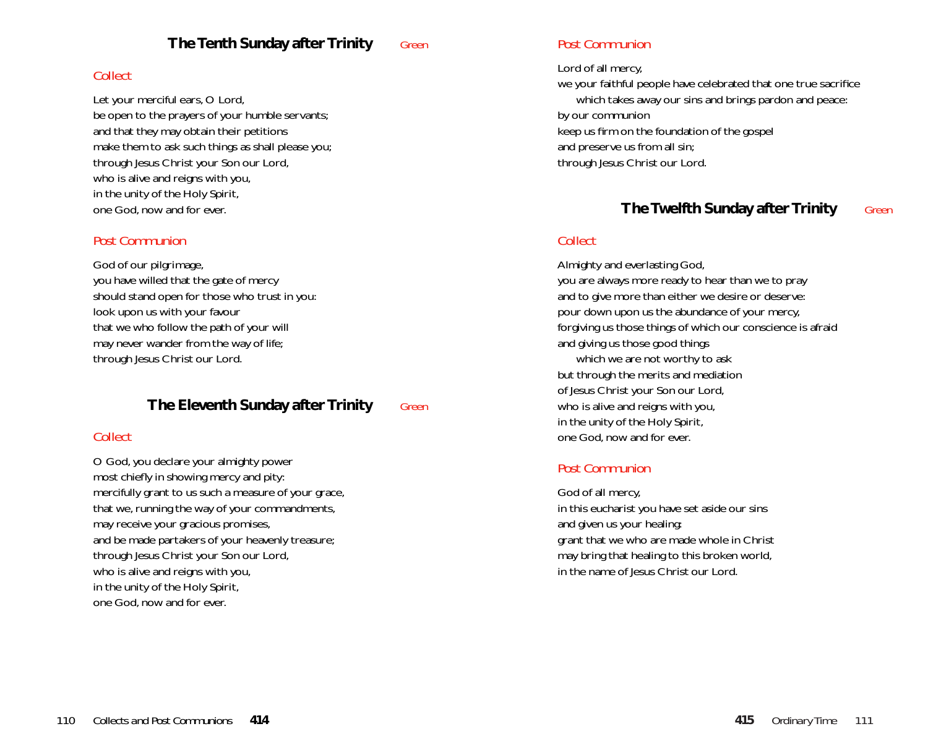Let your merciful ears, O Lord, be open to the prayers of your humble servants; and that they may obtain their petitions make them to ask such things as shall please you; through Jesus Christ your Son our Lord, who is alive and reigns with you, in the unity of the Holy Spirit, one God, now and for ever.

## *Post Communion*

God of our pilgrimage, you have willed that the gate of mercy should stand open for those who trust in you: look upon us with your favour that we who follow the path of your will may never wander from the way of life; through Jesus Christ our Lord.

## **The Eleventh Sunday after Trinity** *Green*

#### *Collect*

O God, you declare your almighty power most chiefly in showing mercy and pity: mercifully grant to us such a measure of your grace, that we, running the way of your commandments, may receive your gracious promises, and be made partakers of your heavenly treasure; through Jesus Christ your Son our Lord, who is alive and reigns with you, in the unity of the Holy Spirit, one God, now and for ever.

## *Post Communion*

#### Lord of all mercy,

we your faithful people have celebrated that one true sacrifice which takes away our sins and brings pardon and peace: by our communion keep us firm on the foundation of the gospel and preserve us from all sin; through Jesus Christ our Lord.

## **The Twelfth Sunday after Trinity** *Green*

#### *Collect*

Almighty and everlasting God, you are always more ready to hear than we to pray and to give more than either we desire or deserve: pour down upon us the abundance of your mercy, forgiving us those things of which our conscience is afraid and giving us those good things which we are not worthy to ask but through the merits and mediation of Jesus Christ your Son our Lord, who is alive and reigns with you, in the unity of the Holy Spirit, one God, now and for ever.

## *Post Communion*

God of all mercy, in this eucharist you have set aside our sins and given us your healing: grant that we who are made whole in Christ may bring that healing to this broken world, in the name of Jesus Christ our Lord.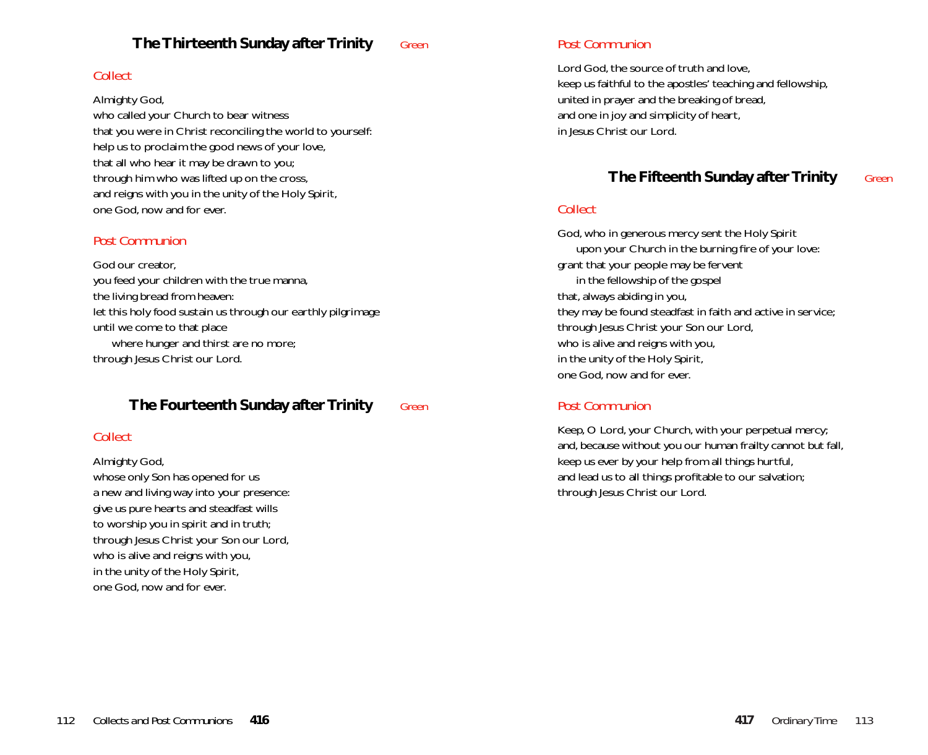## **The Thirteenth Sunday after Trinity** *Green*

#### *Collect*

Almighty God, who called your Church to bear witness that you were in Christ reconciling the world to yourself: help us to proclaim the good news of your love, that all who hear it may be drawn to you; through him who was lifted up on the cross, and reigns with you in the unity of the Holy Spirit, one God, now and for ever.

#### *Post Communion*

God our creator, you feed your children with the true manna, the living bread from heaven: let this holy food sustain us through our earthly pilgrimage until we come to that place where hunger and thirst are no more; through Jesus Christ our Lord.

## **The Fourteenth Sunday after Trinity** *Green*

#### *Collect*

Almighty God, whose only Son has opened for us a new and living way into your presence: give us pure hearts and steadfast wills to worship you in spirit and in truth; through Jesus Christ your Son our Lord, who is alive and reigns with you, in the unity of the Holy Spirit, one God, now and for ever.

#### *Post Communion*

Lord God, the source of truth and love, keep us faithful to the apostles' teaching and fellowship, united in prayer and the breaking of bread, and one in joy and simplicity of heart, in Jesus Christ our Lord.

## **The Fifteenth Sunday after Trinity** *Green*

#### *Collect*

God, who in generous mercy sent the Holy Spirit upon your Church in the burning fire of your love: grant that your people may be fervent in the fellowship of the gospel that, always abiding in you, they may be found steadfast in faith and active in service; through Jesus Christ your Son our Lord, who is alive and reigns with you, in the unity of the Holy Spirit, one God, now and for ever.

#### *Post Communion*

Keep, O Lord, your Church, with your perpetual mercy; and, because without you our human frailty cannot but fall, keep us ever by your help from all things hurtful, and lead us to all things profitable to our salvation; through Jesus Christ our Lord.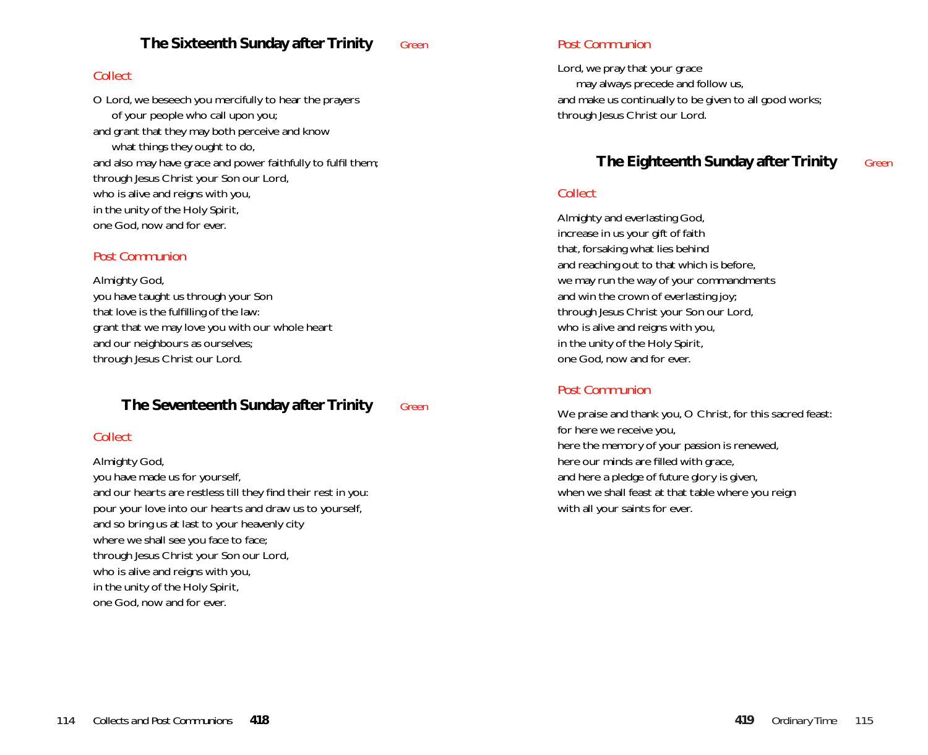O Lord, we beseech you mercifully to hear the prayers of your people who call upon you; and grant that they may both perceive and know what things they ought to do, and also may have grace and power faithfully to fulfil them; through Jesus Christ your Son our Lord, who is alive and reigns with you, in the unity of the Holy Spirit, one God, now and for ever.

#### *Post Communion*

Almighty God, you have taught us through your Son that love is the fulfilling of the law: grant that we may love you with our whole heart and our neighbours as ourselves; through Jesus Christ our Lord.

## **The Seventeenth Sunday after Trinity** *Green*

#### *Collect*

Almighty God, you have made us for yourself, and our hearts are restless till they find their rest in you: pour your love into our hearts and draw us to yourself, and so bring us at last to your heavenly city where we shall see you face to face; through Jesus Christ your Son our Lord, who is alive and reigns with you, in the unity of the Holy Spirit, one God, now and for ever.

#### *Post Communion*

Lord, we pray that your grace may always precede and follow us, and make us continually to be given to all good works; through Jesus Christ our Lord.

## **The Eighteenth Sunday after Trinity** *Green*

#### *Collect*

Almighty and everlasting God, increase in us your gift of faith that, forsaking what lies behind and reaching out to that which is before, we may run the way of your commandments and win the crown of everlasting joy; through Jesus Christ your Son our Lord, who is alive and reigns with you, in the unity of the Holy Spirit, one God, now and for ever.

#### *Post Communion*

We praise and thank you, O Christ, for this sacred feast: for here we receive you, here the memory of your passion is renewed, here our minds are filled with grace, and here a pledge of future glory is given, when we shall feast at that table where you reign with all your saints for ever.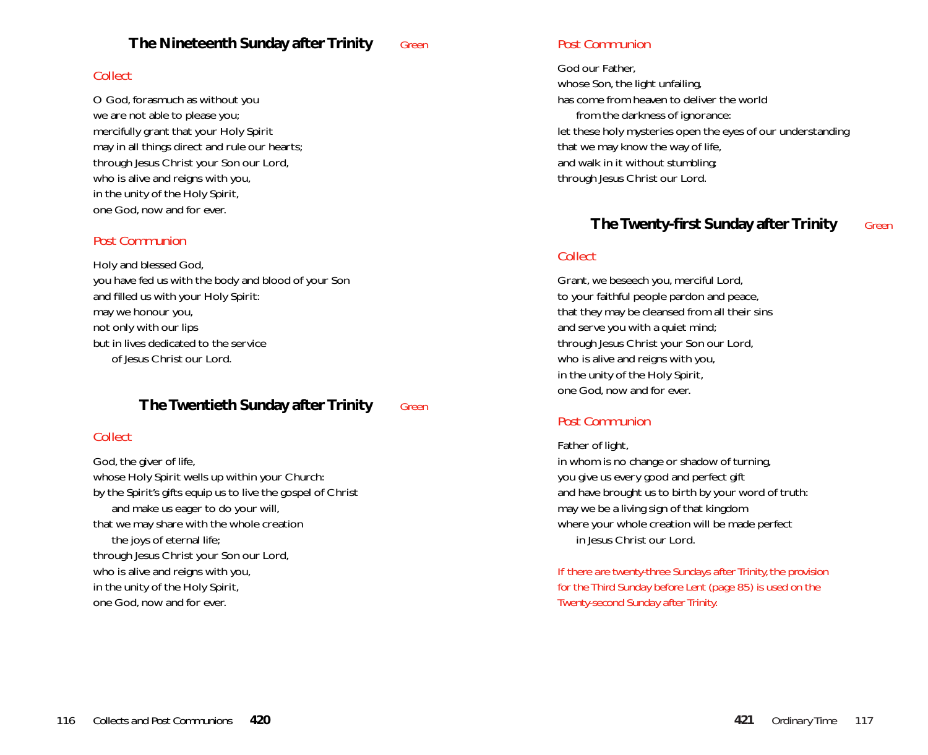O God, forasmuch as without you we are not able to please you; mercifully grant that your Holy Spirit may in all things direct and rule our hearts; through Jesus Christ your Son our Lord, who is alive and reigns with you, in the unity of the Holy Spirit, one God, now and for ever.

#### *Post Communion*

Holy and blessed God, you have fed us with the body and blood of your Son and filled us with your Holy Spirit: may we honour you, not only with our lips but in lives dedicated to the service of Jesus Christ our Lord.

## **The Twentieth Sunday after Trinity** *Green*

#### *Collect*

God, the giver of life, whose Holy Spirit wells up within your Church: by the Spirit's gifts equip us to live the gospel of Christ and make us eager to do your will, that we may share with the whole creation the joys of eternal life; through Jesus Christ your Son our Lord, who is alive and reigns with you, in the unity of the Holy Spirit, one God, now and for ever.

#### *Post Communion*

God our Father, whose Son, the light unfailing, has come from heaven to deliver the world from the darkness of ignorance: let these holy mysteries open the eyes of our understanding that we may know the way of life, and walk in it without stumbling; through Jesus Christ our Lord.

#### **The Twenty-first Sunday after Trinity** *Green*

#### *Collect*

Grant, we beseech you, merciful Lord, to your faithful people pardon and peace, that they may be cleansed from all their sins and serve you with a quiet mind; through Jesus Christ your Son our Lord, who is alive and reigns with you, in the unity of the Holy Spirit, one God, now and for ever.

#### *Post Communion*

#### Father of light,

in whom is no change or shadow of turning, you give us every good and perfect gift and have brought us to birth by your word of truth: may we be a living sign of that kingdom where your whole creation will be made perfect in Jesus Christ our Lord.

*If there are twenty-three Sundays after Trinity, the provision for the Third Sunday before Lent (page 85) is used on the Twenty-second Sunday after Trinity.*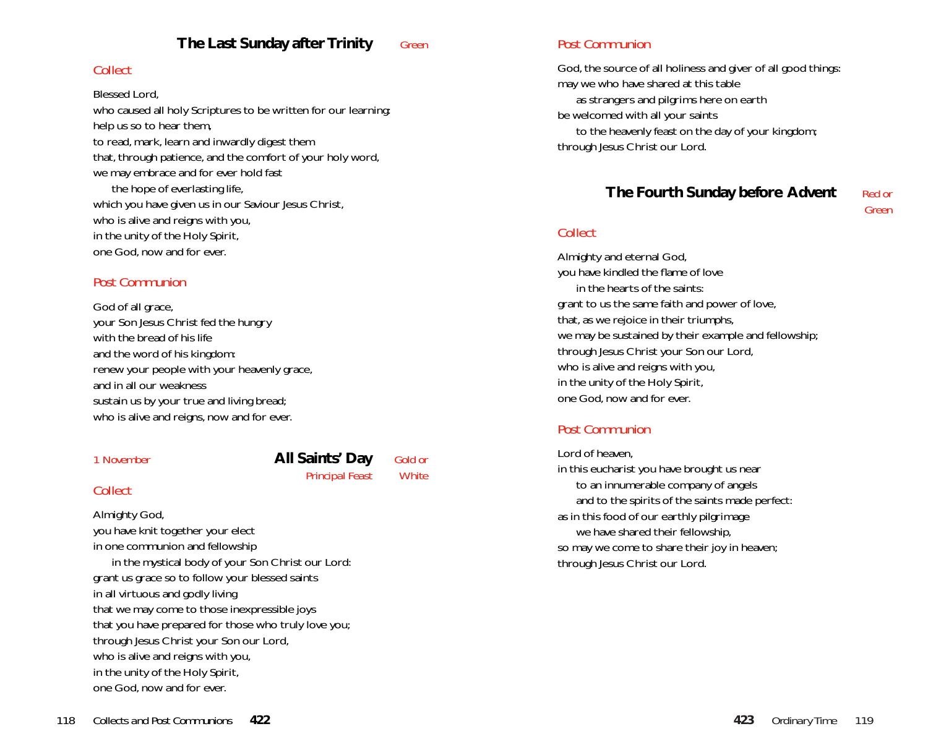Blessed Lord, who caused all holy Scriptures to be written for our learning: help us so to hear them, to read, mark, learn and inwardly digest them that, through patience, and the comfort of your holy word, we may embrace and for ever hold fast the hope of everlasting life, which you have given us in our Saviour Jesus Christ, who is alive and reigns with you, in the unity of the Holy Spirit, one God, now and for ever.

#### *Post Communion*

God of all grace, your Son Jesus Christ fed the hungry with the bread of his life and the word of his kingdom: renew your people with your heavenly grace, and in all our weakness sustain us by your true and living bread; who is alive and reigns, now and for ever.

#### *1 November* **All Saints' Day** *Gold or*

*Principal Feast White*

*Collect* Almighty God, you have knit together your elect in one communion and fellowship in the mystical body of your Son Christ our Lord: grant us grace so to follow your blessed saints in all virtuous and godly living that we may come to those inexpressible joys that you have prepared for those who truly love you; through Jesus Christ your Son our Lord, who is alive and reigns with you, in the unity of the Holy Spirit, one God, now and for ever.

## *Post Communion*

God, the source of all holiness and giver of all good things: may we who have shared at this table as strangers and pilgrims here on earth be welcomed with all your saints to the heavenly feast on the day of your kingdom; through Jesus Christ our Lord.

## **The Fourth Sunday before Advent** *Red or*

*Green*

#### *Collect*

Almighty and eternal God, you have kindled the flame of love in the hearts of the saints: grant to us the same faith and power of love, that, as we rejoice in their triumphs, we may be sustained by their example and fellowship; through Jesus Christ your Son our Lord, who is alive and reigns with you, in the unity of the Holy Spirit, one God, now and for ever.

## *Post Communion*

Lord of heaven, in this eucharist you have brought us near to an innumerable company of angels and to the spirits of the saints made perfect: as in this food of our earthly pilgrimage we have shared their fellowship, so may we come to share their joy in heaven; through Jesus Christ our Lord.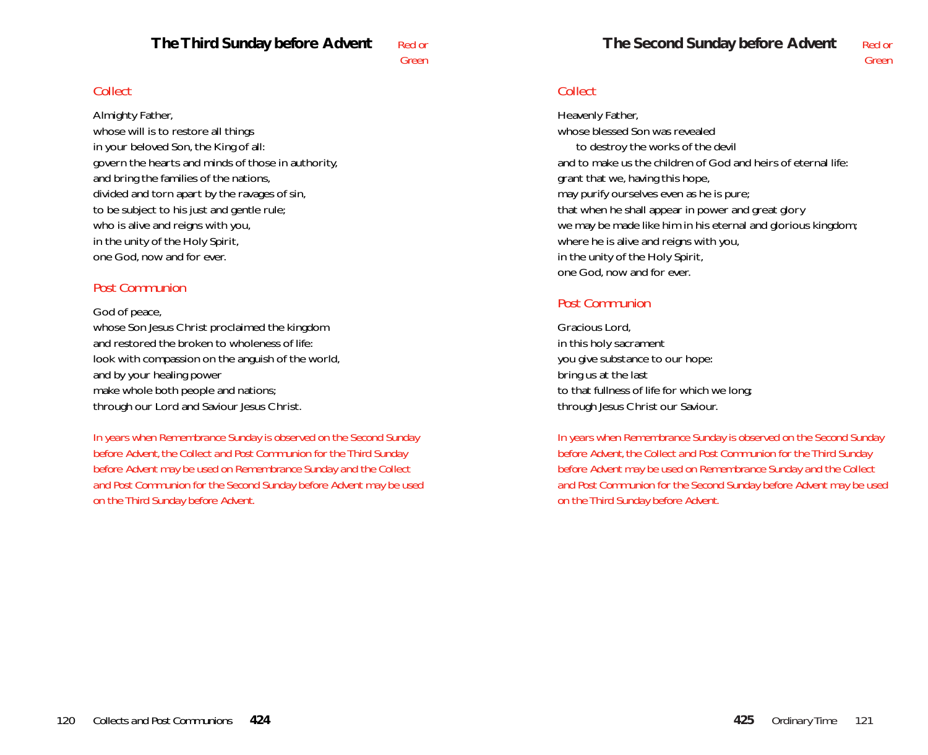*Green*

*Collect*

Almighty Father,

whose will is to restore all things in your beloved Son, the King of all: govern the hearts and minds of those in authority, and bring the families of the nations, divided and torn apart by the ravages of sin, to be subject to his just and gentle rule; who is alive and reigns with you, in the unity of the Holy Spirit, one God, now and for ever.

#### *Post Communion*

God of peace, whose Son Jesus Christ proclaimed the kingdom and restored the broken to wholeness of life: look with compassion on the anguish of the world, and by your healing power make whole both people and nations; through our Lord and Saviour Jesus Christ.

*In years when Remembrance Sunday is observed on the Second Sunday before Advent, the Collect and Post Communion for the Third Sunday before Advent may be used on Remembrance Sunday and the Collect and Post Communion for the Second Sunday before Advent may be used on the Third Sunday before Advent.*

## *Collect*

Heavenly Father, whose blessed Son was revealed to destroy the works of the devil and to make us the children of God and heirs of eternal life: grant that we, having this hope, may purify ourselves even as he is pure; that when he shall appear in power and great glory we may be made like him in his eternal and glorious kingdom; where he is alive and reigns with you, in the unity of the Holy Spirit, one God, now and for ever.

## *Post Communion*

Gracious Lord, in this holy sacrament you give substance to our hope: bring us at the last to that fullness of life for which we long; through Jesus Christ our Saviour.

*In years when Remembrance Sunday is observed on the Second Sunday before Advent, the Collect and Post Communion for the Third Sunday before Advent may be used on Remembrance Sunday and the Collect and Post Communion for the Second Sunday before Advent may be used on the Third Sunday before Advent.*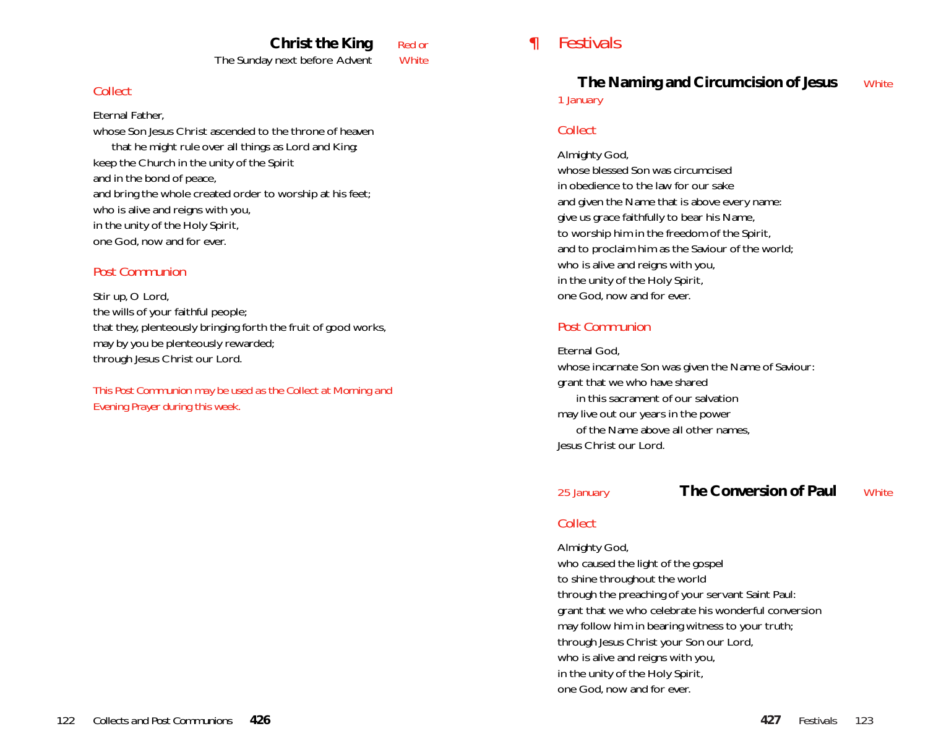#### **Christ the King** *Red or* The Sunday next before Advent *White*

## *Collect*

#### Eternal Father,

whose Son Jesus Christ ascended to the throne of heaven that he might rule over all things as Lord and King: keep the Church in the unity of the Spirit and in the bond of peace, and bring the whole created order to worship at his feet; who is alive and reigns with you, in the unity of the Holy Spirit, one God, now and for ever.

#### *Post Communion*

Stir up, O Lord, the wills of your faithful people; that they, plenteously bringing forth the fruit of good works, may by you be plenteously rewarded; through Jesus Christ our Lord.

*This Post Communion may be used as the Collect at Morning and Evening Prayer during this week.*

# *¶ Festivals*

**The Naming and Circumcision of Jesus** *White 1 January*

#### *Collect*

Almighty God, whose blessed Son was circumcised in obedience to the law for our sake and given the Name that is above every name: give us grace faithfully to bear his Name, to worship him in the freedom of the Spirit, and to proclaim him as the Saviour of the world; who is alive and reigns with you, in the unity of the Holy Spirit, one God, now and for ever.

## *Post Communion*

Eternal God, whose incarnate Son was given the Name of Saviour: grant that we who have shared in this sacrament of our salvation may live out our years in the power of the Name above all other names, Jesus Christ our Lord.

#### *25 January* **The Conversion of Paul** *White*

#### *Collect*

Almighty God, who caused the light of the gospel to shine throughout the world through the preaching of your servant Saint Paul: grant that we who celebrate his wonderful conversion may follow him in bearing witness to your truth; through Jesus Christ your Son our Lord, who is alive and reigns with you, in the unity of the Holy Spirit, one God, now and for ever.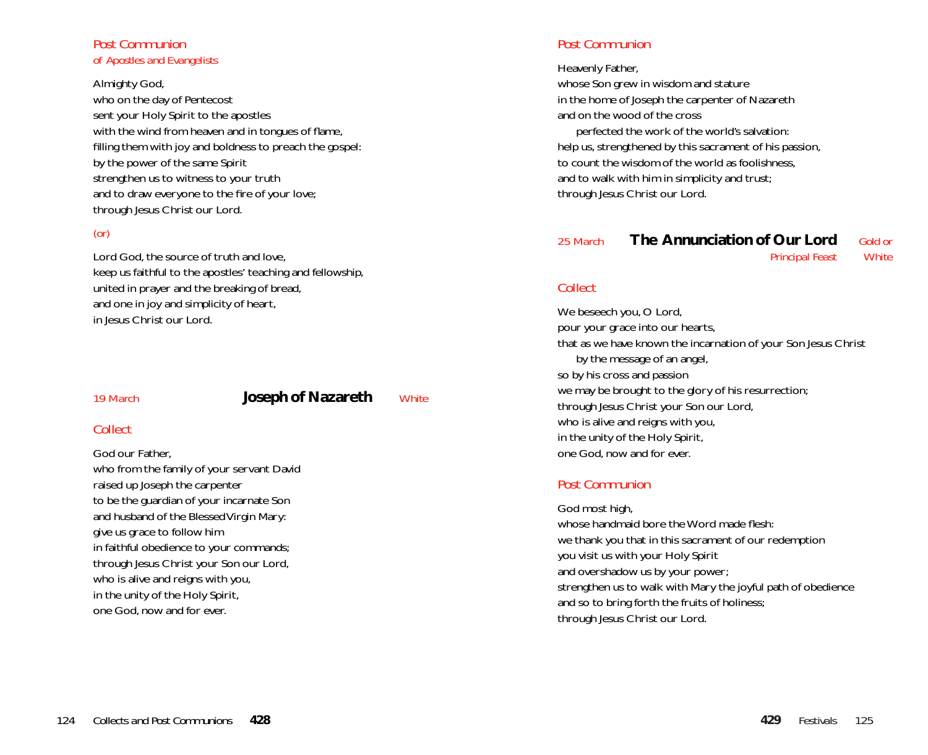*Post Communion of Apostles and Evangelists*

Almighty God, who on the day of Pentecost sent your Holy Spirit to the apostles with the wind from heaven and in tongues of flame, filling them with joy and boldness to preach the gospel: by the power of the same Spirit strengthen us to witness to your truth and to draw everyone to the fire of your love; through Jesus Christ our Lord.

#### *(or)*

Lord God, the source of truth and love, keep us faithful to the apostles' teaching and fellowship, united in prayer and the breaking of bread, and one in joy and simplicity of heart, in Jesus Christ our Lord.

#### *19 March* **Joseph of Nazareth** *White*

#### *Collect*

God our Father, who from the family of your servant David raised up Joseph the carpenter to be the guardian of your incarnate Son and husband of the Blessed Virgin Mary: give us grace to follow him in faithful obedience to your commands; through Jesus Christ your Son our Lord, who is alive and reigns with you, in the unity of the Holy Spirit, one God, now and for ever.

## *Post Communion*

Heavenly Father, whose Son grew in wisdom and stature in the home of Joseph the carpenter of Nazareth and on the wood of the cross perfected the work of the world's salvation: help us, strengthened by this sacrament of his passion, to count the wisdom of the world as foolishness, and to walk with him in simplicity and trust; through Jesus Christ our Lord.

| 25 March | The Annunciation of Our Lord | Gold or |
|----------|------------------------------|---------|
|          | <b>Principal Feast</b>       | White   |

## *Collect*

We beseech you, O Lord, pour your grace into our hearts, that as we have known the incarnation of your Son Jesus Christ by the message of an angel, so by his cross and passion we may be brought to the glory of his resurrection; through Jesus Christ your Son our Lord, who is alive and reigns with you, in the unity of the Holy Spirit, one God, now and for ever.

## *Post Communion*

God most high, whose handmaid bore the Word made flesh: we thank you that in this sacrament of our redemption you visit us with your Holy Spirit and overshadow us by your power; strengthen us to walk with Mary the joyful path of obedience and so to bring forth the fruits of holiness; through Jesus Christ our Lord.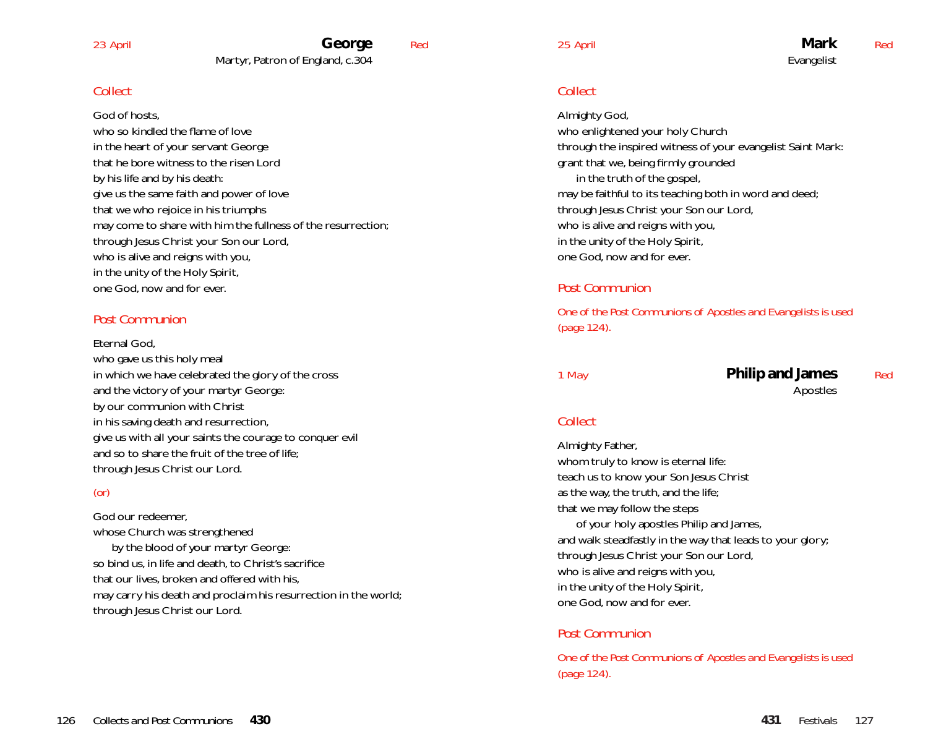### *23 April* **George** *Red* Martyr, Patron of England, c.304

*25 April* **Mark** *Red* Evangelist

## *Collect*

God of hosts,

who so kindled the flame of love in the heart of your servant George that he bore witness to the risen Lord by his life and by his death: give us the same faith and power of love that we who rejoice in his triumphs may come to share with him the fullness of the resurrection; through Jesus Christ your Son our Lord, who is alive and reigns with you, in the unity of the Holy Spirit, one God, now and for ever.

#### *Post Communion*

Eternal God, who gave us this holy meal in which we have celebrated the glory of the cross and the victory of your martyr George: by our communion with Christ in his saving death and resurrection, give us with all your saints the courage to conquer evil and so to share the fruit of the tree of life; through Jesus Christ our Lord.

#### *(or)*

God our redeemer, whose Church was strengthened by the blood of your martyr George: so bind us, in life and death, to Christ's sacrifice that our lives, broken and offered with his, may carry his death and proclaim his resurrection in the world; through Jesus Christ our Lord.

## *Collect*

Almighty God, who enlightened your holy Church through the inspired witness of your evangelist Saint Mark: grant that we, being firmly grounded in the truth of the gospel, may be faithful to its teaching both in word and deed; through Jesus Christ your Son our Lord, who is alive and reigns with you, in the unity of the Holy Spirit, one God, now and for ever.

## *Post Communion*

*One of the Post Communions of Apostles and Evangelists is used (page 124).*

#### *1 May* **Philip and James** *Red* Apostles

#### *Collect*

Almighty Father, whom truly to know is eternal life: teach us to know your Son Jesus Christ as the way, the truth, and the life; that we may follow the steps of your holy apostles Philip and James, and walk steadfastly in the way that leads to your glory; through Jesus Christ your Son our Lord, who is alive and reigns with you, in the unity of the Holy Spirit, one God, now and for ever.

## *Post Communion*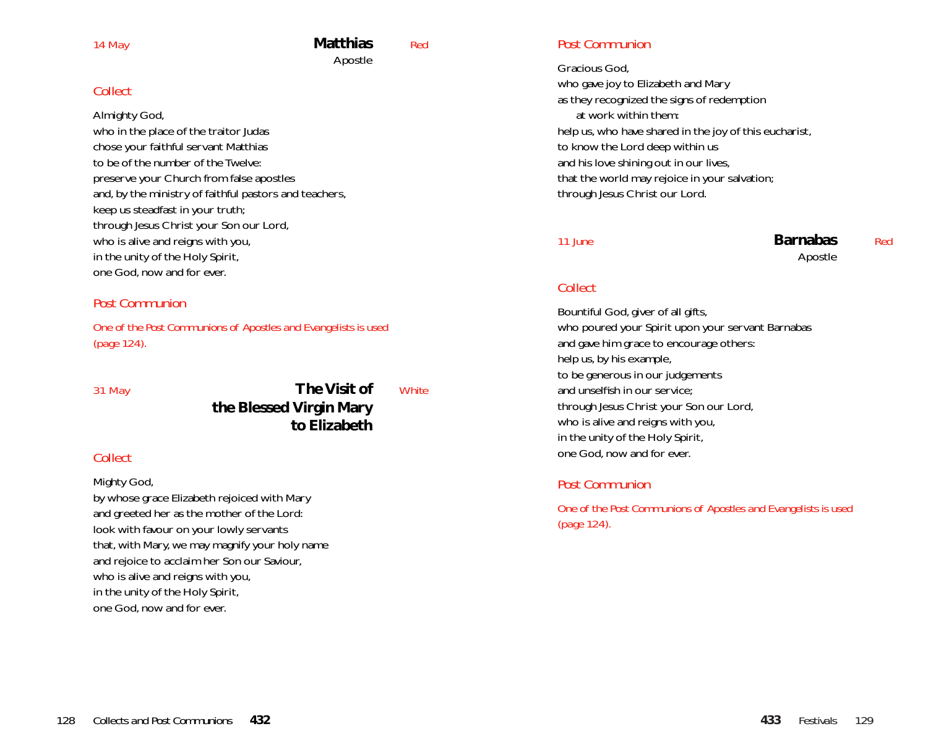#### *14 May* **Matthias** *Red*

Apostle

## *Collect*

Almighty God,

who in the place of the traitor Judas chose your faithful servant Matthias to be of the number of the Twelve: preserve your Church from false apostles and, by the ministry of faithful pastors and teachers, keep us steadfast in your truth; through Jesus Christ your Son our Lord, who is alive and reigns with you, in the unity of the Holy Spirit, one God, now and for ever.

## *Post Communion*

*One of the Post Communions of Apostles and Evangelists is used (page 124).*

*31 May* **The Visit of** *White* **the Blessed Virgin Mary to Elizabeth**

## *Collect*

Mighty God,

by whose grace Elizabeth rejoiced with Mary and greeted her as the mother of the Lord: look with favour on your lowly servants that, with Mary, we may magnify your holy name and rejoice to acclaim her Son our Saviour, who is alive and reigns with you, in the unity of the Holy Spirit, one God, now and for ever.

## *Post Communion*

Gracious God, who gave joy to Elizabeth and Mary as they recognized the signs of redemption at work within them: help us, who have shared in the joy of this eucharist, to know the Lord deep within us and his love shining out in our lives, that the world may rejoice in your salvation; through Jesus Christ our Lord.

*11 June* **Barnabas** *Red* Apostle

## *Collect*

Bountiful God, giver of all gifts, who poured your Spirit upon your servant Barnabas and gave him grace to encourage others: help us, by his example, to be generous in our judgements and unselfish in our service; through Jesus Christ your Son our Lord, who is alive and reigns with you, in the unity of the Holy Spirit, one God, now and for ever.

#### *Post Communion*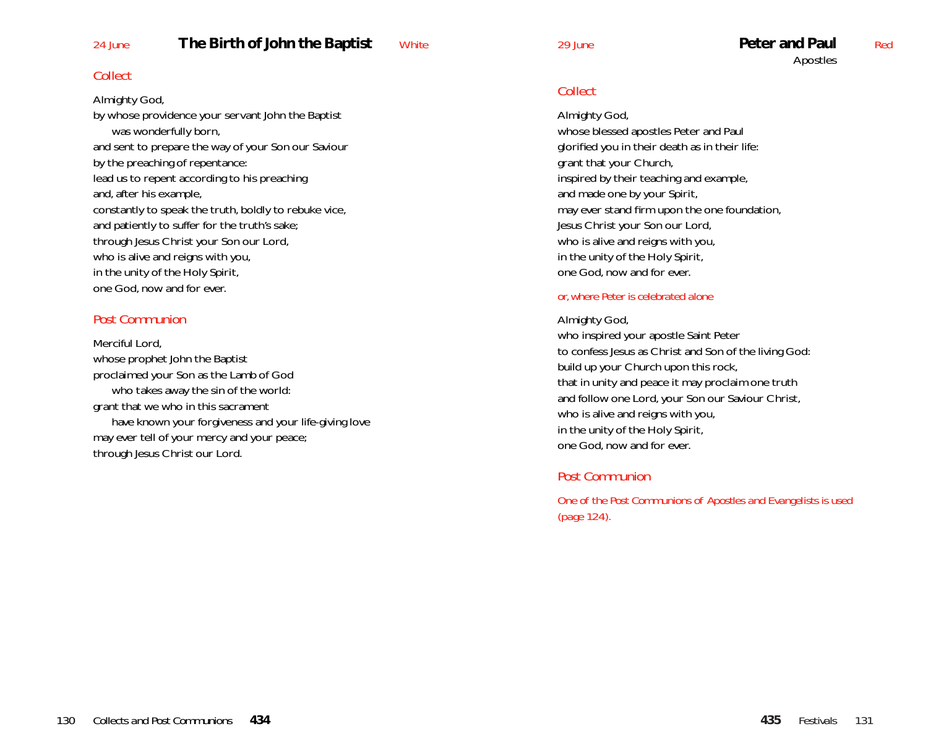Almighty God, by whose providence your servant John the Baptist was wonderfully born, and sent to prepare the way of your Son our Saviour by the preaching of repentance: lead us to repent according to his preaching and, after his example, constantly to speak the truth, boldly to rebuke vice, and patiently to suffer for the truth's sake; through Jesus Christ your Son our Lord, who is alive and reigns with you, in the unity of the Holy Spirit, one God, now and for ever.

## *Post Communion*

Merciful Lord, whose prophet John the Baptist proclaimed your Son as the Lamb of God who takes away the sin of the world: grant that we who in this sacrament have known your forgiveness and your life-giving love may ever tell of your mercy and your peace; through Jesus Christ our Lord.

## *Collect*

Almighty God, whose blessed apostles Peter and Paul glorified you in their death as in their life: grant that your Church, inspired by their teaching and example, and made one by your Spirit, may ever stand firm upon the one foundation, Jesus Christ your Son our Lord, who is alive and reigns with you, in the unity of the Holy Spirit, one God, now and for ever.

#### *or, where Peter is celebrated alone*

#### Almighty God,

who inspired your apostle Saint Peter to confess Jesus as Christ and Son of the living God: build up your Church upon this rock, that in unity and peace it may proclaim one truth and follow one Lord, your Son our Saviour Christ, who is alive and reigns with you, in the unity of the Holy Spirit, one God, now and for ever.

## *Post Communion*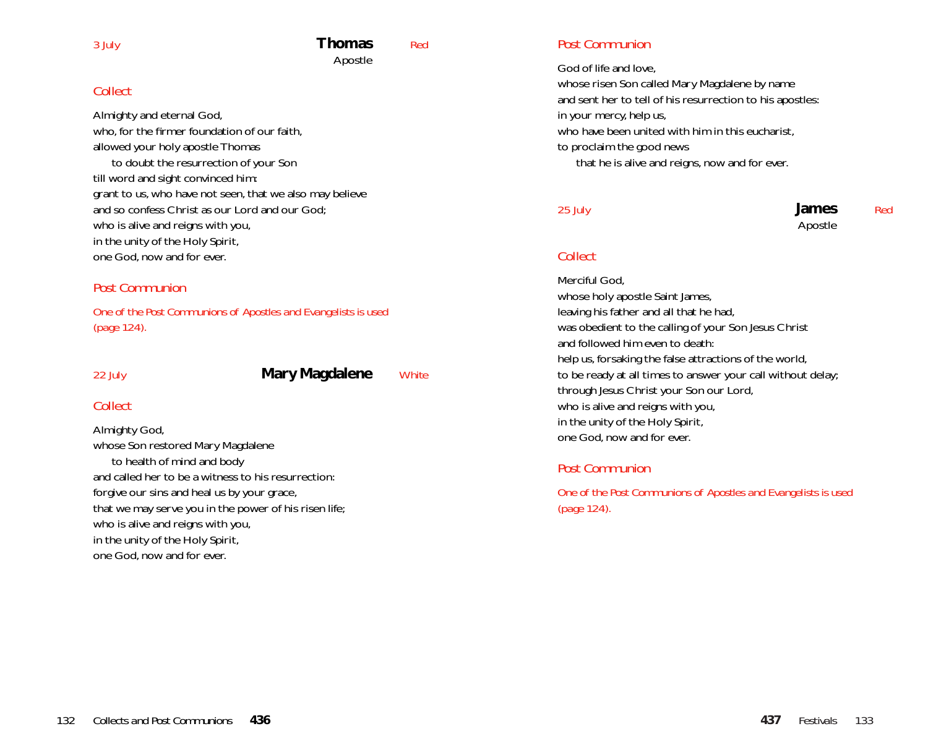#### *3 July* **Thomas** *Red*

Apostle

## *Collect*

Almighty and eternal God, who, for the firmer foundation of our faith, allowed your holy apostle Thomas to doubt the resurrection of your Son till word and sight convinced him: grant to us, who have not seen, that we also may believe and so confess Christ as our Lord and our God; who is alive and reigns with you, in the unity of the Holy Spirit, one God, now and for ever.

## *Post Communion*

*One of the Post Communions of Apostles and Evangelists is used (page 124).*

*22 July* **Mary Magdalene** *White*

## *Collect*

Almighty God, whose Son restored Mary Magdalene to health of mind and body and called her to be a witness to his resurrection: forgive our sins and heal us by your grace, that we may serve you in the power of his risen life; who is alive and reigns with you, in the unity of the Holy Spirit, one God, now and for ever.

## *Post Communion*

God of life and love, whose risen Son called Mary Magdalene by name and sent her to tell of his resurrection to his apostles: in your mercy, help us, who have been united with him in this eucharist, to proclaim the good news that he is alive and reigns, now and for ever.

*25 July* **James** *Red* Apostle

## *Collect*

Merciful God, whose holy apostle Saint James, leaving his father and all that he had, was obedient to the calling of your Son Jesus Christ and followed him even to death: help us, forsaking the false attractions of the world, to be ready at all times to answer your call without delay; through Jesus Christ your Son our Lord, who is alive and reigns with you, in the unity of the Holy Spirit, one God, now and for ever.

## *Post Communion*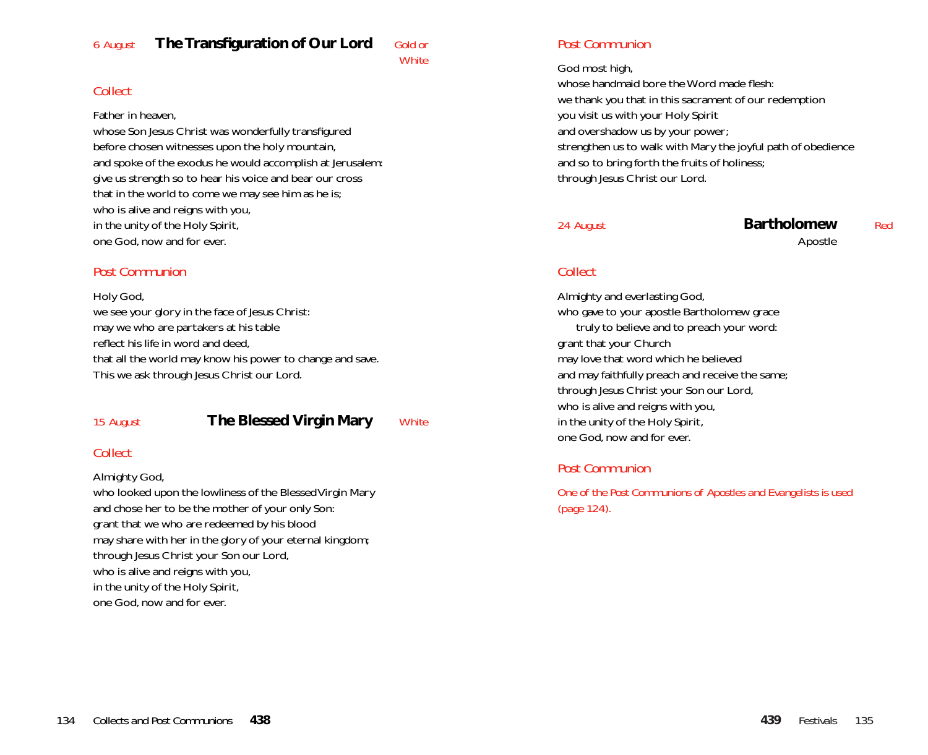## *6 August* **The Transfiguration of Our Lord** *Gold or*

*White*

## *Collect*

Father in heaven,

whose Son Jesus Christ was wonderfully transfigured before chosen witnesses upon the holy mountain, and spoke of the exodus he would accomplish at Jerusalem: give us strength so to hear his voice and bear our cross that in the world to come we may see him as he is; who is alive and reigns with you, in the unity of the Holy Spirit, one God, now and for ever.

## *Post Communion*

Holy God, we see your glory in the face of Jesus Christ: may we who are partakers at his table reflect his life in word and deed, that all the world may know his power to change and save. This we ask through Jesus Christ our Lord.

## *15 August* **The Blessed Virgin Mary** *White*

## *Collect*

Almighty God,

who looked upon the lowliness of the Blessed Virgin Mary and chose her to be the mother of your only Son: grant that we who are redeemed by his blood may share with her in the glory of your eternal kingdom; through Jesus Christ your Son our Lord, who is alive and reigns with you, in the unity of the Holy Spirit, one God, now and for ever.

## *Post Communion*

God most high,

whose handmaid bore the Word made flesh: we thank you that in this sacrament of our redemption you visit us with your Holy Spirit and overshadow us by your power; strengthen us to walk with Mary the joyful path of obedience and so to bring forth the fruits of holiness; through Jesus Christ our Lord.

*24 August* **Bartholomew** *Red* Apostle

## *Collect*

Almighty and everlasting God, who gave to your apostle Bartholomew grace truly to believe and to preach your word: grant that your Church may love that word which he believed and may faithfully preach and receive the same; through Jesus Christ your Son our Lord, who is alive and reigns with you, in the unity of the Holy Spirit, one God, now and for ever.

## *Post Communion*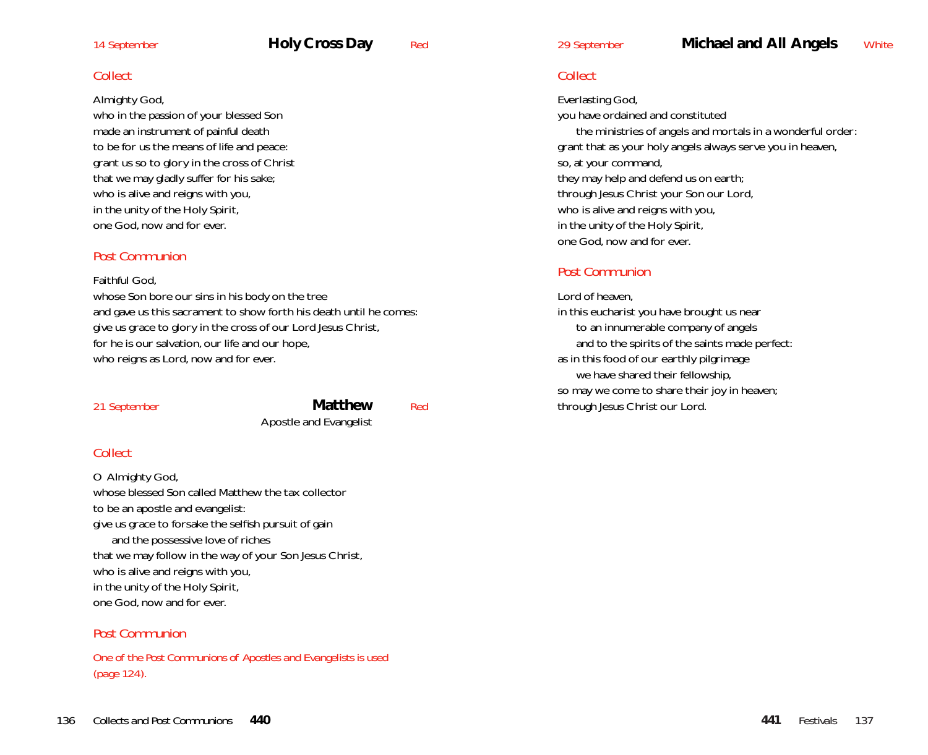#### *14 September* **Holy Cross Day** *Red*

### *Collect*

#### Almighty God,

who in the passion of your blessed Son made an instrument of painful death to be for us the means of life and peace: grant us so to glory in the cross of Christ that we may gladly suffer for his sake; who is alive and reigns with you, in the unity of the Holy Spirit, one God, now and for ever.

#### *Post Communion*

#### Faithful God,

whose Son bore our sins in his body on the tree and gave us this sacrament to show forth his death until he comes: give us grace to glory in the cross of our Lord Jesus Christ, for he is our salvation, our life and our hope, who reigns as Lord, now and for ever.

*21 September* **Matthew** *Red* Apostle and Evangelist

## *Collect*

O Almighty God, whose blessed Son called Matthew the tax collector to be an apostle and evangelist: give us grace to forsake the selfish pursuit of gain and the possessive love of riches that we may follow in the way of your Son Jesus Christ, who is alive and reigns with you, in the unity of the Holy Spirit, one God, now and for ever.

## *Post Communion*

*One of the Post Communions of Apostles and Evangelists is used (page 124).*

### *Collect*

Everlasting God, you have ordained and constituted

the ministries of angels and mortals in a wonderful order: grant that as your holy angels always serve you in heaven, so, at your command, they may help and defend us on earth; through Jesus Christ your Son our Lord, who is alive and reigns with you, in the unity of the Holy Spirit, one God, now and for ever.

## *Post Communion*

#### Lord of heaven,

in this eucharist you have brought us near to an innumerable company of angels and to the spirits of the saints made perfect: as in this food of our earthly pilgrimage we have shared their fellowship, so may we come to share their joy in heaven; through Jesus Christ our Lord.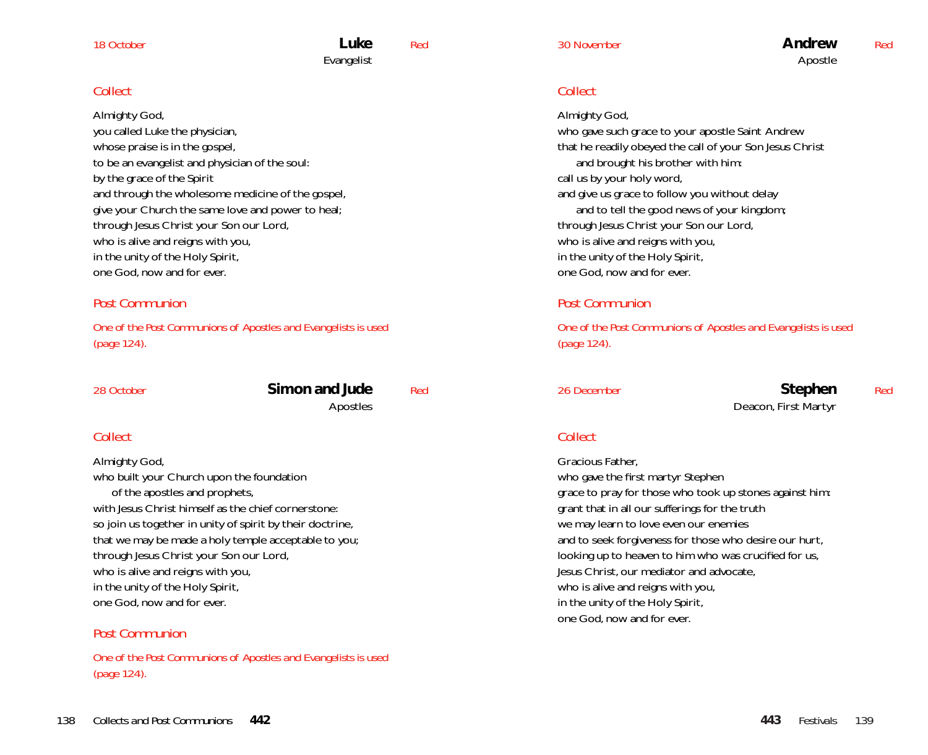## *18 October* **Luke** *Red*

Evangelist

## *Collect*

Almighty God, you called Luke the physician, whose praise is in the gospel, to be an evangelist and physician of the soul: by the grace of the Spirit and through the wholesome medicine of the gospel, give your Church the same love and power to heal; through Jesus Christ your Son our Lord, who is alive and reigns with you, in the unity of the Holy Spirit, one God, now and for ever.

#### *Post Communion*

*One of the Post Communions of Apostles and Evangelists is used (page 124).*

*Collect*

*28 October* **Simon and Jude** *Red* Apostles

Almighty God, who built your Church upon the foundation of the apostles and prophets, with Jesus Christ himself as the chief cornerstone: so join us together in unity of spirit by their doctrine, that we may be made a holy temple acceptable to you; through Jesus Christ your Son our Lord, who is alive and reigns with you, in the unity of the Holy Spirit, one God, now and for ever.

## *Post Communion*

*One of the Post Communions of Apostles and Evangelists is used (page 124).*

## *Collect*

Almighty God, who gave such grace to your apostle Saint Andrew that he readily obeyed the call of your Son Jesus Christ and brought his brother with him: call us by your holy word, and give us grace to follow you without delay and to tell the good news of your kingdom; through Jesus Christ your Son our Lord, who is alive and reigns with you, in the unity of the Holy Spirit, one God, now and for ever.

## *Post Communion*

*One of the Post Communions of Apostles and Evangelists is used (page 124).*

*26 December* **Stephen** *Red* Deacon, First Martyr

*Collect*

Gracious Father, who gave the first martyr Stephen grace to pray for those who took up stones against him: grant that in all our sufferings for the truth we may learn to love even our enemies and to seek forgiveness for those who desire our hurt, looking up to heaven to him who was crucified for us, Jesus Christ, our mediator and advocate, who is alive and reigns with you, in the unity of the Holy Spirit, one God, now and for ever.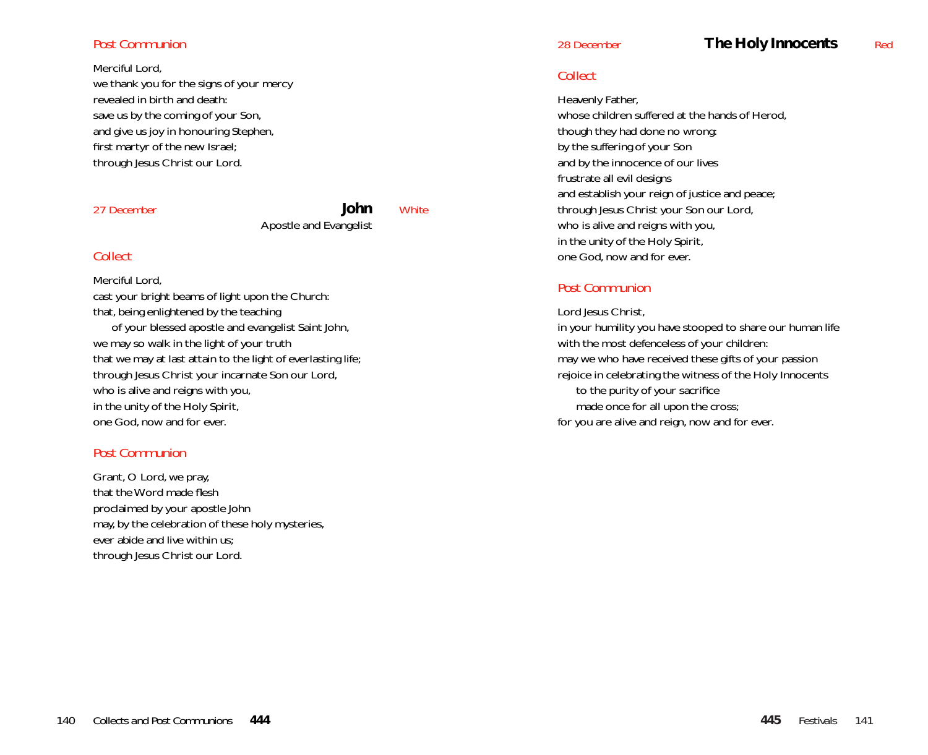Merciful Lord, we thank you for the signs of your mercy revealed in birth and death: save us by the coming of your Son, and give us joy in honouring Stephen, first martyr of the new Israel; through Jesus Christ our Lord.

#### *27 December* **John** *White*

Apostle and Evangelist

#### *Collect*

Merciful Lord, cast your bright beams of light upon the Church: that, being enlightened by the teaching of your blessed apostle and evangelist Saint John, we may so walk in the light of your truth that we may at last attain to the light of everlasting life; through Jesus Christ your incarnate Son our Lord, who is alive and reigns with you, in the unity of the Holy Spirit, one God, now and for ever.

#### *Post Communion*

Grant, O Lord, we pray, that the Word made flesh proclaimed by your apostle John may, by the celebration of these holy mysteries, ever abide and live within us; through Jesus Christ our Lord.

*28 December* **The Holy Innocents** *Red*

#### *Collect*

Heavenly Father, whose children suffered at the hands of Herod, though they had done no wrong: by the suffering of your Son and by the innocence of our lives frustrate all evil designs and establish your reign of justice and peace; through Jesus Christ your Son our Lord, who is alive and reigns with you, in the unity of the Holy Spirit, one God, now and for ever.

## *Post Communion*

#### Lord Jesus Christ,

in your humility you have stooped to share our human life with the most defenceless of your children: may we who have received these gifts of your passion rejoice in celebrating the witness of the Holy Innocents to the purity of your sacrifice made once for all upon the cross; for you are alive and reign, now and for ever.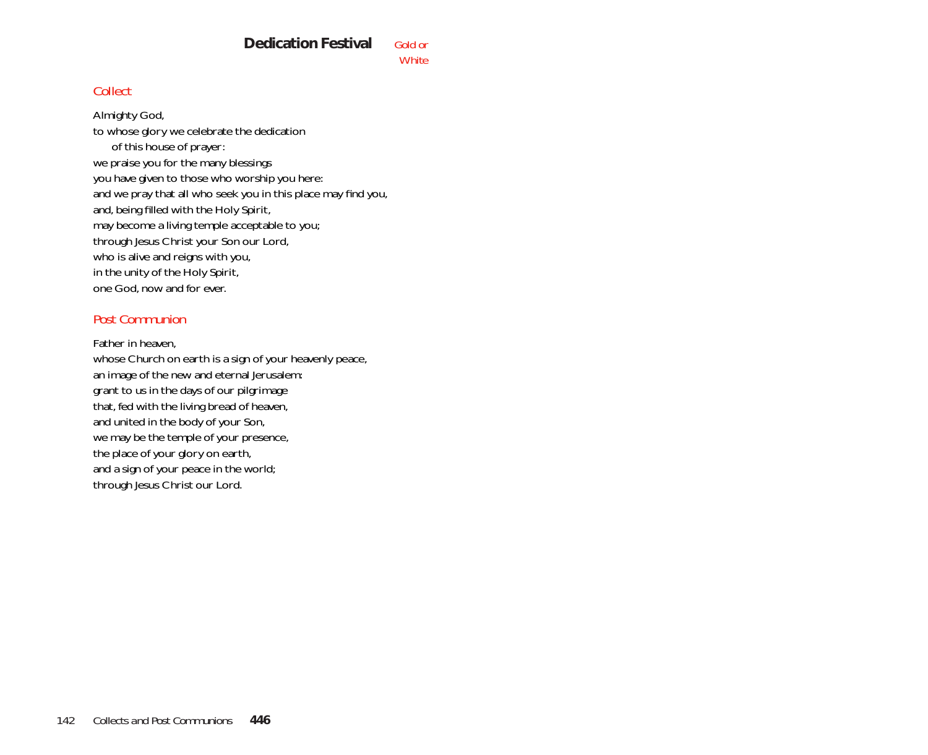#### **Dedication Festival** *Gold or*

#### *Collect*

Almighty God, to whose glory we celebrate the dedication of this house of prayer: we praise you for the many blessings you have given to those who worship you here: and we pray that all who seek you in this place may find you, and, being filled with the Holy Spirit, may become a living temple acceptable to you; through Jesus Christ your Son our Lord, who is alive and reigns with you, in the unity of the Holy Spirit, one God, now and for ever.

#### *Post Communion*

Father in heaven, whose Church on earth is a sign of your heavenly peace, an image of the new and eternal Jerusalem: grant to us in the days of our pilgrimage that, fed with the living bread of heaven, and united in the body of your Son, we may be the temple of your presence, the place of your glory on earth, and a sign of your peace in the world; through Jesus Christ our Lord.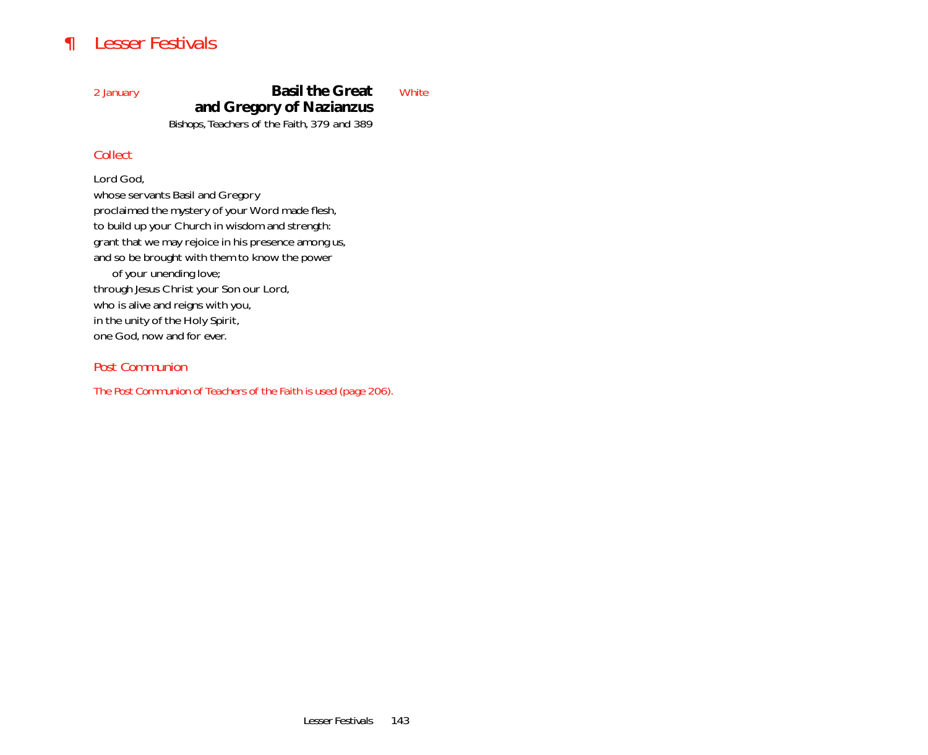# *¶ Lesser Festivals*

*2 January* **Basil the Great** *White* **and Gregory of Nazianzus** *Bishops, Teachers of the Faith, 379 and 389* 

# *Collect*

Lord God, whose servants Basil and Gregory proclaimed the mystery of your Word made flesh, to build up your Church in wisdom and strength: grant that we may rejoice in his presence among us, and so be brought with them to know the power of your unending love; through Jesus Christ your Son our Lord, who is alive and reigns with you, in the unity of the Holy Spirit, one God, now and for ever.

#### *Post Communion*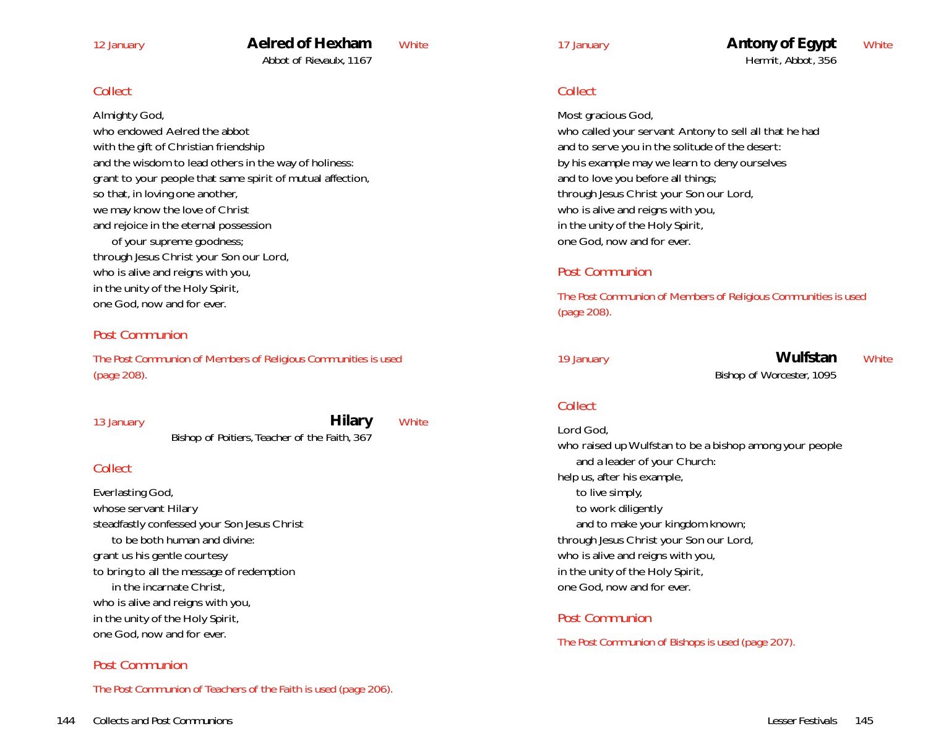#### *Collect*

Almighty God, who endowed Aelred the abbot with the gift of Christian friendship and the wisdom to lead others in the way of holiness: grant to your people that same spirit of mutual affection, so that, in loving one another, we may know the love of Christ and rejoice in the eternal possession of your supreme goodness; through Jesus Christ your Son our Lord, who is alive and reigns with you, in the unity of the Holy Spirit, one God, now and for ever.

#### *Post Communion*

*The Post Communion of Members of Religious Communities is used (page 208).*

*13 January* **Hilary** *White*

*Bishop of Poitiers, Teacher of the Faith, 367*

## *Collect*

Everlasting God, whose servant Hilary steadfastly confessed your Son Jesus Christ to be both human and divine: grant us his gentle courtesy to bring to all the message of redemption in the incarnate Christ, who is alive and reigns with you, in the unity of the Holy Spirit, one God, now and for ever.

## *Post Communion*

*The Post Communion of Teachers of the Faith is used (page 206).*

Most gracious God, who called your servant Antony to sell all that he had and to serve you in the solitude of the desert: by his example may we learn to deny ourselves and to love you before all things; through Jesus Christ your Son our Lord, who is alive and reigns with you, in the unity of the Holy Spirit, one God, now and for ever.

# *Post Communion*

*The Post Communion of Members of Religious Communities is used (page 208).*

*19 January* **Wulfstan** *White Bishop of Worcester, 1095*

*Collect*

Lord God, who raised up Wulfstan to be a bishop among your people and a leader of your Church: help us, after his example, to live simply, to work diligently and to make your kingdom known; through Jesus Christ your Son our Lord, who is alive and reigns with you, in the unity of the Holy Spirit, one God, now and for ever.

## *Post Communion*

*The Post Communion of Bishops is used (page 207).*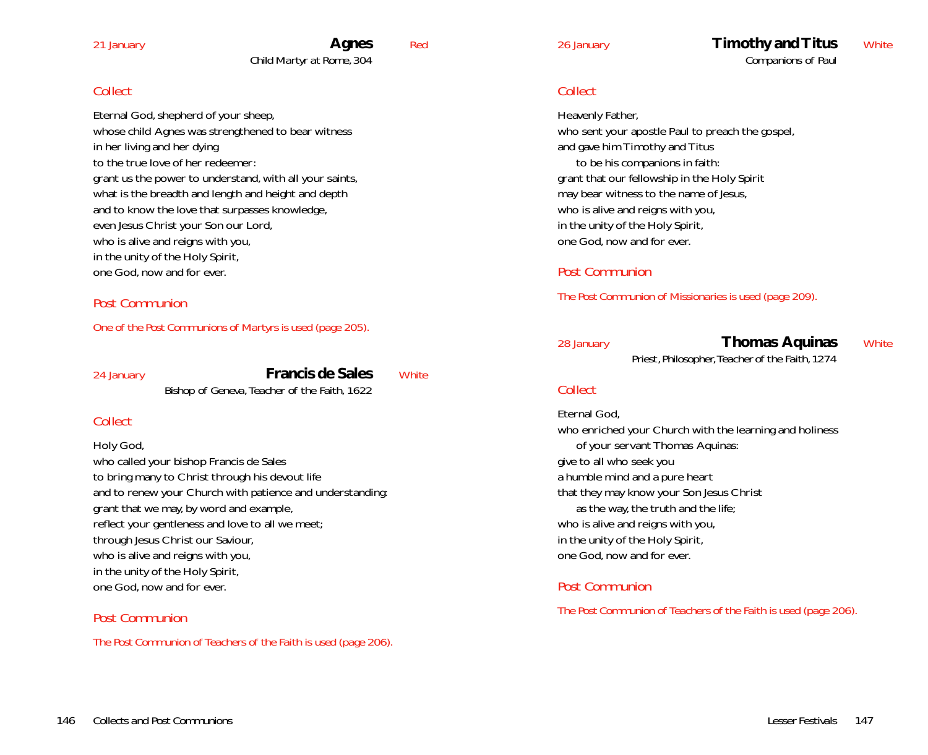#### *21 January* **Agnes** *Red Child Martyr at Rome, 304*

#### *Collect*

Eternal God, shepherd of your sheep, whose child Agnes was strengthened to bear witness in her living and her dying to the true love of her redeemer: grant us the power to understand, with all your saints, what is the breadth and length and height and depth and to know the love that surpasses knowledge, even Jesus Christ your Son our Lord, who is alive and reigns with you, in the unity of the Holy Spirit, one God, now and for ever.

#### *Post Communion*

*One of the Post Communions of Martyrs is used (page 205).*

| 24 January | <b>Francis de Sales</b>                      |  |
|------------|----------------------------------------------|--|
|            | Bishop of Geneva, Teacher of the Faith, 1622 |  |

## *Collect*

Holy God, who called your bishop Francis de Sales to bring many to Christ through his devout life and to renew your Church with patience and understanding: grant that we may, by word and example, reflect your gentleness and love to all we meet; through Jesus Christ our Saviour, who is alive and reigns with you, in the unity of the Holy Spirit, one God, now and for ever.

#### *Post Communion*

*The Post Communion of Teachers of the Faith is used (page 206).*

# *Collect*

Heavenly Father, who sent your apostle Paul to preach the gospel, and gave him Timothy and Titus to be his companions in faith: grant that our fellowship in the Holy Spirit may bear witness to the name of Jesus, who is alive and reigns with you, in the unity of the Holy Spirit, one God, now and for ever.

#### *Post Communion*

*The Post Communion of Missionaries is used (page 209).*

*28 January* **Thomas Aquinas** *White*

*Priest, Philosopher, Teacher of the Faith, 1274*

#### *Collect*

Eternal God, who enriched your Church with the learning and holiness of your servant Thomas Aquinas: give to all who seek you a humble mind and a pure heart that they may know your Son Jesus Christ as the way, the truth and the life; who is alive and reigns with you, in the unity of the Holy Spirit, one God, now and for ever.

## *Post Communion*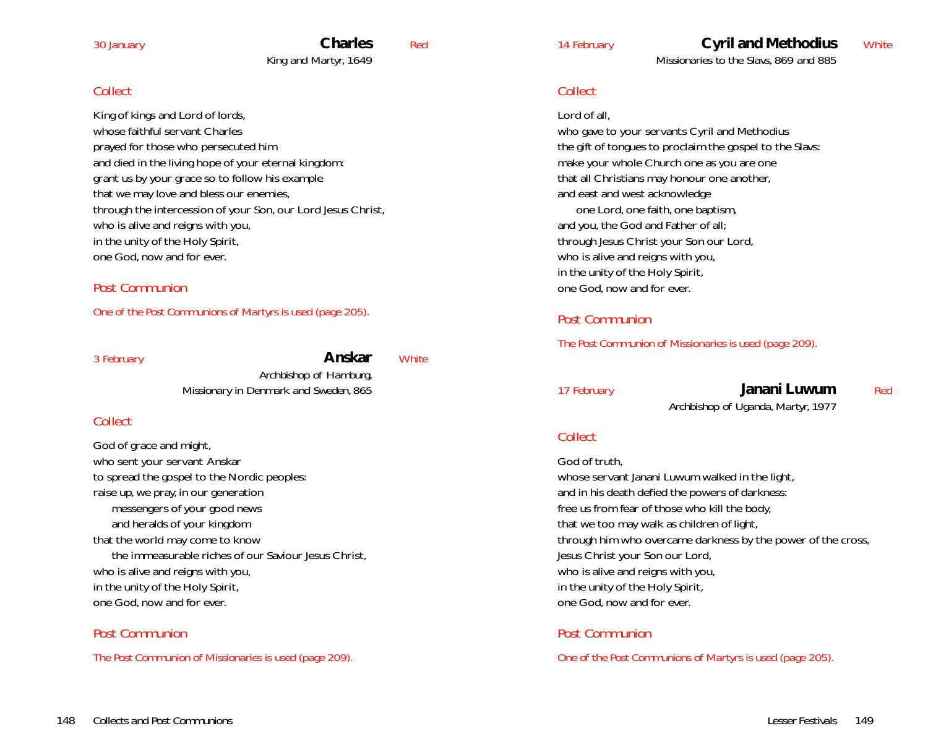# *30 January* **Charles** *Red*

*King and Martyr, 1649*

## *Collect*

King of kings and Lord of lords, whose faithful servant Charles prayed for those who persecuted him and died in the living hope of your eternal kingdom: grant us by your grace so to follow his example that we may love and bless our enemies, through the intercession of your Son, our Lord Jesus Christ, who is alive and reigns with you, in the unity of the Holy Spirit, one God, now and for ever.

#### *Post Communion*

*One of the Post Communions of Martyrs is used (page 205).*

# *3 February* **Anskar** *White*

*Archbishop of Hamburg, Missionary in Denmark and Sweden, 865*

# *Collect*

God of grace and might, who sent your servant Anskar to spread the gospel to the Nordic peoples: raise up, we pray, in our generation messengers of your good news and heralds of your kingdom that the world may come to know the immeasurable riches of our Saviour Jesus Christ, who is alive and reigns with you, in the unity of the Holy Spirit, one God, now and for ever.

*Post Communion*

*The Post Communion of Missionaries is used (page 209).*

# *Collect*

#### Lord of all,

who gave to your servants Cyril and Methodius the gift of tongues to proclaim the gospel to the Slavs: make your whole Church one as you are one that all Christians may honour one another, and east and west acknowledge one Lord, one faith, one baptism, and you, the God and Father of all; through Jesus Christ your Son our Lord, who is alive and reigns with you,

in the unity of the Holy Spirit, one God, now and for ever.

# *Post Communion*

*The Post Communion of Missionaries is used (page 209).*

*17 February* **Janani Luwum** *Red Archbishop of Uganda, Martyr, 1977*

# *Collect*

God of truth, whose servant Janani Luwum walked in the light, and in his death defied the powers of darkness: free us from fear of those who kill the body, that we too may walk as children of light, through him who overcame darkness by the power of the cross, Jesus Christ your Son our Lord, who is alive and reigns with you, in the unity of the Holy Spirit, one God, now and for ever.

# *Post Communion*

*One of the Post Communions of Martyrs is used (page 205).*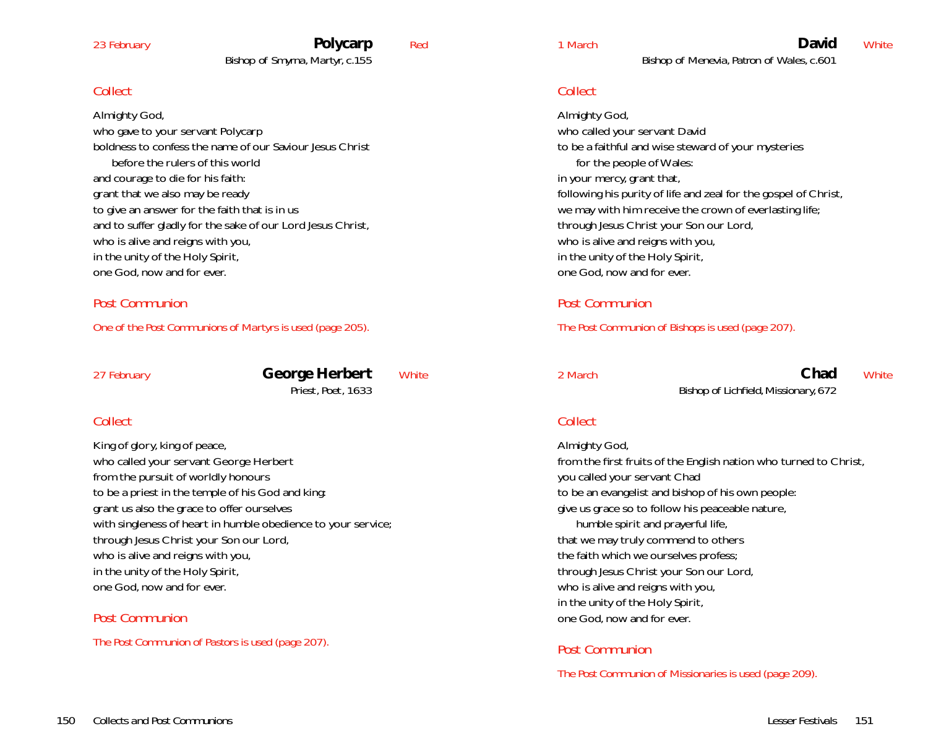#### *23 February* **Polycarp** *Red Bishop of Smyrna, Martyr, c.155*

*Collect*

Almighty God, who gave to your servant Polycarp boldness to confess the name of our Saviour Jesus Christ before the rulers of this world and courage to die for his faith: grant that we also may be ready to give an answer for the faith that is in us and to suffer gladly for the sake of our Lord Jesus Christ, who is alive and reigns with you, in the unity of the Holy Spirit, one God, now and for ever.

#### *Post Communion*

*One of the Post Communions of Martyrs is used (page 205).*

*27 February* **George Herbert** *White Priest, Poet, 1633*

## *Collect*

King of glory, king of peace, who called your servant George Herbert from the pursuit of worldly honours to be a priest in the temple of his God and king: grant us also the grace to offer ourselves with singleness of heart in humble obedience to your service; through Jesus Christ your Son our Lord, who is alive and reigns with you, in the unity of the Holy Spirit, one God, now and for ever.

#### *Post Communion*

*The Post Communion of Pastors is used (page 207).*

# *1 March* **David** *White*

#### *Bishop of Menevia, Patron of Wales, c.601*

#### *Collect*

Almighty God, who called your servant David to be a faithful and wise steward of your mysteries for the people of Wales: in your mercy, grant that, following his purity of life and zeal for the gospel of Christ, we may with him receive the crown of everlasting life; through Jesus Christ your Son our Lord, who is alive and reigns with you, in the unity of the Holy Spirit, one God, now and for ever.

#### *Post Communion*

*The Post Communion of Bishops is used (page 207).*

*2 March* **Chad** *White Bishop of Lichfield, Missionary, 672*

#### *Collect*

Almighty God, from the first fruits of the English nation who turned to Christ, you called your servant Chad to be an evangelist and bishop of his own people: give us grace so to follow his peaceable nature, humble spirit and prayerful life, that we may truly commend to others the faith which we ourselves profess; through Jesus Christ your Son our Lord, who is alive and reigns with you, in the unity of the Holy Spirit, one God, now and for ever.

## *Post Communion*

*The Post Communion of Missionaries is used (page 209).*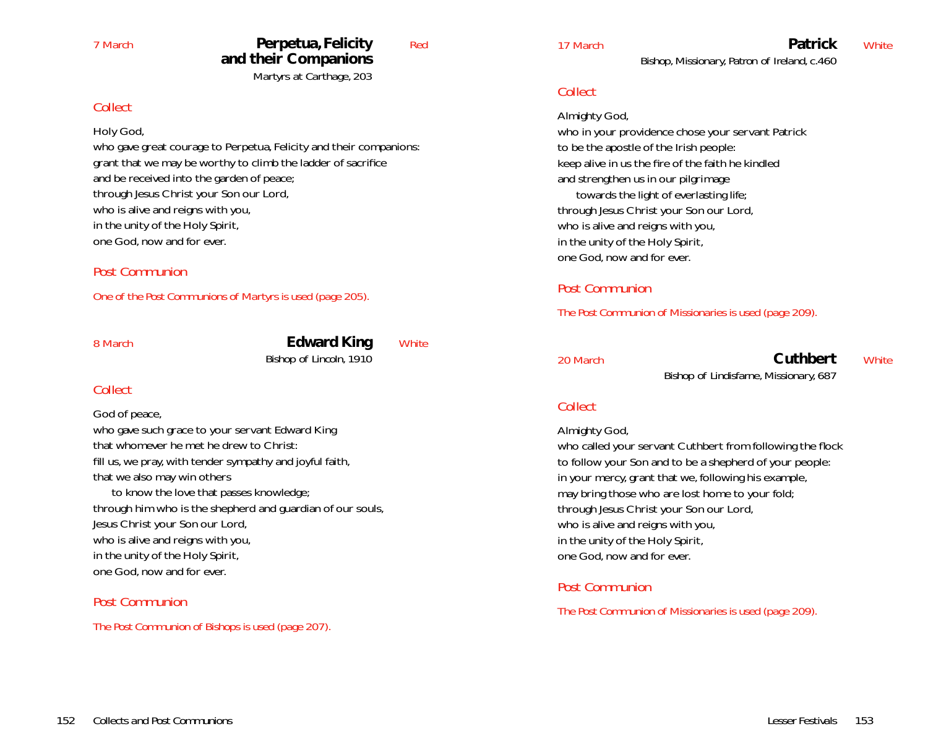## *Collect*

#### Holy God,

who gave great courage to Perpetua, Felicity and their companions: grant that we may be worthy to climb the ladder of sacrifice and be received into the garden of peace; through Jesus Christ your Son our Lord, who is alive and reigns with you, in the unity of the Holy Spirit, one God, now and for ever.

#### *Post Communion*

*One of the Post Communions of Martyrs is used (page 205).*

*8 March* **Edward King** *White Bishop of Lincoln, 1910*

## *Collect*

God of peace, who gave such grace to your servant Edward King that whomever he met he drew to Christ: fill us, we pray, with tender sympathy and joyful faith, that we also may win others to know the love that passes knowledge; through him who is the shepherd and guardian of our souls, Jesus Christ your Son our Lord, who is alive and reigns with you, in the unity of the Holy Spirit, one God, now and for ever.

*Post Communion*

*The Post Communion of Bishops is used (page 207).*

# *17 March* **Patrick** *White*

*Bishop, Missionary, Patron of Ireland, c.460*

# *Collect*

Almighty God, who in your providence chose your servant Patrick to be the apostle of the Irish people: keep alive in us the fire of the faith he kindled and strengthen us in our pilgrimage towards the light of everlasting life; through Jesus Christ your Son our Lord, who is alive and reigns with you, in the unity of the Holy Spirit, one God, now and for ever.

# *Post Communion*

*The Post Communion of Missionaries is used (page 209).*

*20 March* **Cuthbert** *White Bishop of Lindisfarne, Missionary, 687*

# *Collect*

#### Almighty God,

who called your servant Cuthbert from following the flock to follow your Son and to be a shepherd of your people: in your mercy, grant that we, following his example, may bring those who are lost home to your fold; through Jesus Christ your Son our Lord, who is alive and reigns with you, in the unity of the Holy Spirit, one God, now and for ever.

# *Post Communion*

*The Post Communion of Missionaries is used (page 209).*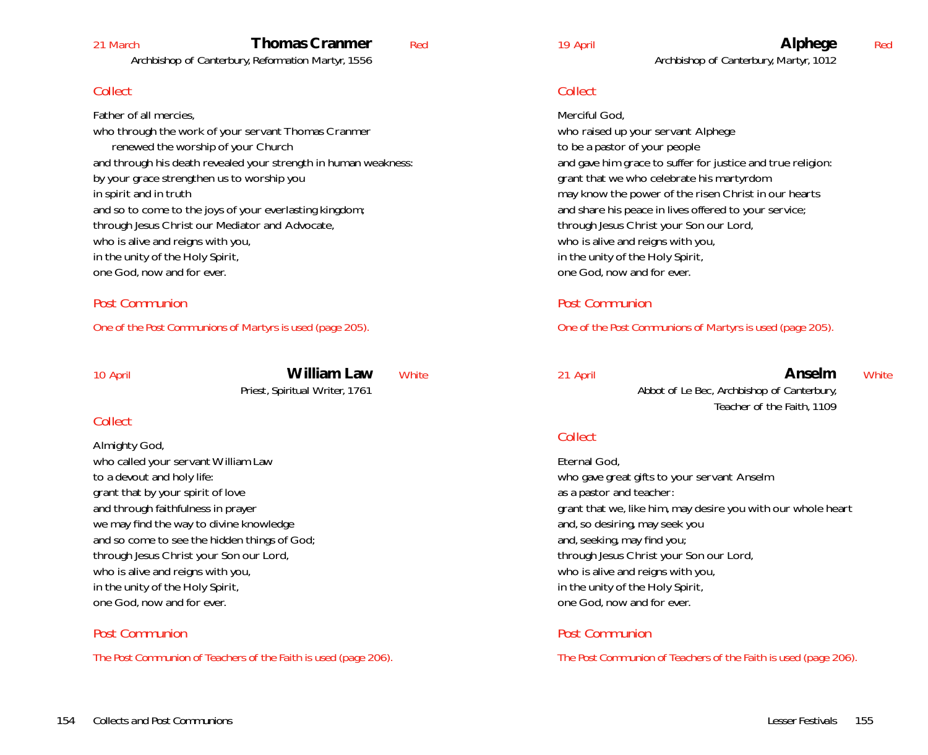#### *21 March* **Thomas Cranmer** *Red*

*Archbishop of Canterbury, Reformation Martyr, 1556*

#### *Collect*

Father of all mercies, who through the work of your servant Thomas Cranmer renewed the worship of your Church and through his death revealed your strength in human weakness: by your grace strengthen us to worship you in spirit and in truth and so to come to the joys of your everlasting kingdom; through Jesus Christ our Mediator and Advocate, who is alive and reigns with you, in the unity of the Holy Spirit, one God, now and for ever.

#### *Post Communion*

*One of the Post Communions of Martyrs is used (page 205).*

*10 April* **William Law** *White*

*Priest, Spiritual Writer, 1761*

## *Collect*

Almighty God, who called your servant William Law to a devout and holy life: grant that by your spirit of love and through faithfulness in prayer we may find the way to divine knowledge and so come to see the hidden things of God; through Jesus Christ your Son our Lord, who is alive and reigns with you, in the unity of the Holy Spirit, one God, now and for ever.

#### *Post Communion*

*The Post Communion of Teachers of the Faith is used (page 206).*

# *Collect*

Merciful God, who raised up your servant Alphege to be a pastor of your people and gave him grace to suffer for justice and true religion: grant that we who celebrate his martyrdom may know the power of the risen Christ in our hearts and share his peace in lives offered to your service; through Jesus Christ your Son our Lord, who is alive and reigns with you, in the unity of the Holy Spirit, one God, now and for ever.

# *Post Communion*

*One of the Post Communions of Martyrs is used (page 205).*

*21 April* **Anselm** *White*

*Abbot of Le Bec, Archbishop of Canterbury, Teacher of the Faith, 1109*

## *Collect*

Eternal God, who gave great gifts to your servant Anselm as a pastor and teacher: grant that we, like him, may desire you with our whole heart and, so desiring, may seek you and, seeking, may find you; through Jesus Christ your Son our Lord, who is alive and reigns with you, in the unity of the Holy Spirit, one God, now and for ever.

# *Post Communion*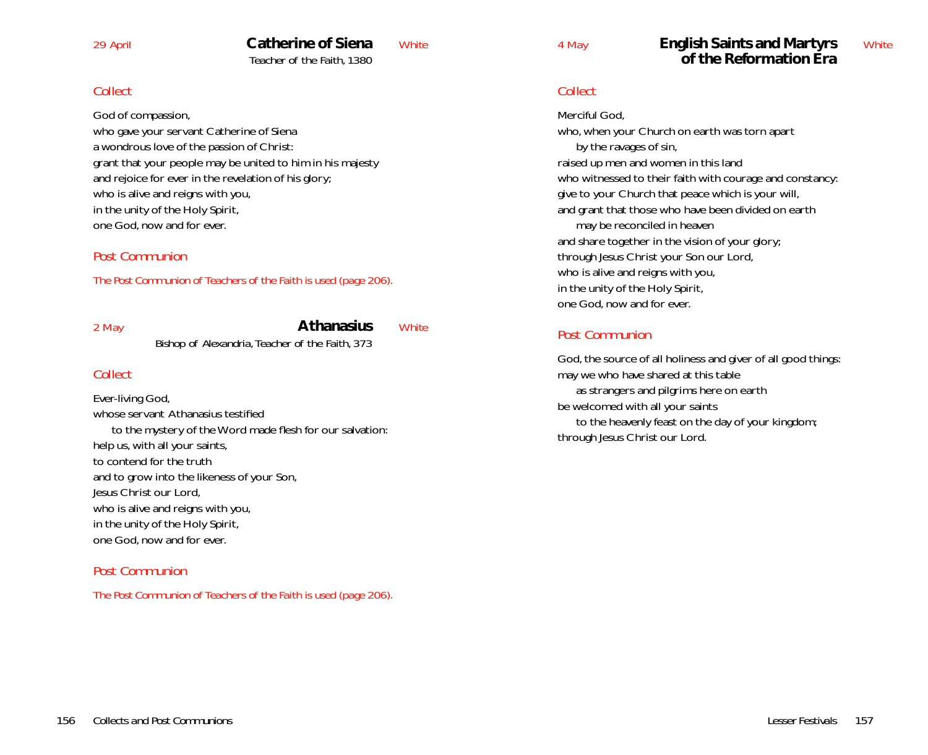*Collect*

God of compassion, who gave your servant Catherine of Siena a wondrous love of the passion of Christ: grant that your people may be united to him in his majesty and rejoice for ever in the revelation of his glory; who is alive and reigns with you, in the unity of the Holy Spirit, one God, now and for ever.

*Post Communion*

*The Post Communion of Teachers of the Faith is used (page 206).*

#### *2 May* **Athanasius** *White Bishop of Alexandria, Teacher of the Faith, 373*

## *Collect*

Ever-living God, whose servant Athanasius testified to the mystery of the Word made flesh for our salvation: help us, with all your saints, to contend for the truth and to grow into the likeness of your Son, Jesus Christ our Lord, who is alive and reigns with you, in the unity of the Holy Spirit, one God, now and for ever.

## *Post Communion*

*The Post Communion of Teachers of the Faith is used (page 206).*

*4 May* **English Saints and Martyrs** *White* **of the Reformation Era**

# *Collect*

Merciful God, who, when your Church on earth was torn apart by the ravages of sin, raised up men and women in this land who witnessed to their faith with courage and constancy: give to your Church that peace which is your will, and grant that those who have been divided on earth may be reconciled in heaven and share together in the vision of your glory; through Jesus Christ your Son our Lord, who is alive and reigns with you, in the unity of the Holy Spirit, one God, now and for ever.

# *Post Communion*

God, the source of all holiness and giver of all good things: may we who have shared at this table as strangers and pilgrims here on earth be welcomed with all your saints to the heavenly feast on the day of your kingdom; through Jesus Christ our Lord.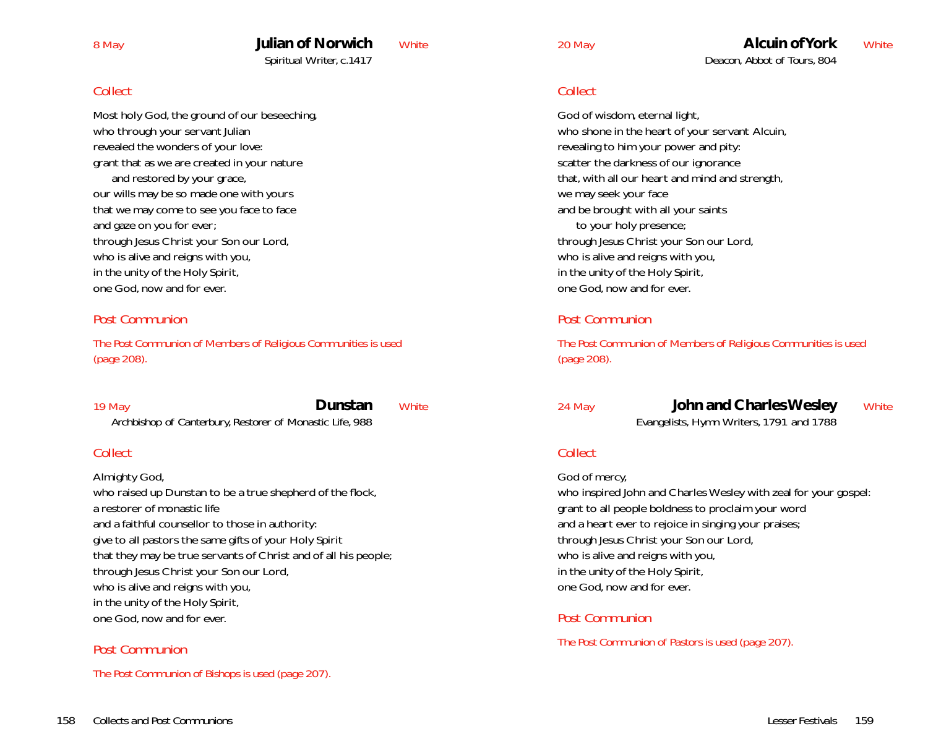# *8 May* **Julian of Norwich** *White*

*Spiritual Writer, c.1417*

# *Collect*

Most holy God, the ground of our beseeching, who through your servant Julian revealed the wonders of your love: grant that as we are created in your nature and restored by your grace, our wills may be so made one with yours that we may come to see you face to face and gaze on you for ever; through Jesus Christ your Son our Lord, who is alive and reigns with you, in the unity of the Holy Spirit, one God, now and for ever.

#### *Post Communion*

*The Post Communion of Members of Religious Communities is used (page 208).*

*19 May* **Dunstan** *White*

*Archbishop of Canterbury, Restorer of Monastic Life, 988*

## *Collect*

Almighty God, who raised up Dunstan to be a true shepherd of the flock, a restorer of monastic life and a faithful counsellor to those in authority: give to all pastors the same gifts of your Holy Spirit that they may be true servants of Christ and of all his people; through Jesus Christ your Son our Lord, who is alive and reigns with you, in the unity of the Holy Spirit, one God, now and for ever.

*Post Communion*

*The Post Communion of Bishops is used (page 207).*

*20 May* **Alcuin ofYork** *White Deacon, Abbot of Tours, 804*

# *Collect*

God of wisdom, eternal light, who shone in the heart of your servant Alcuin, revealing to him your power and pity: scatter the darkness of our ignorance that, with all our heart and mind and strength, we may seek your face and be brought with all your saints to your holy presence; through Jesus Christ your Son our Lord, who is alive and reigns with you, in the unity of the Holy Spirit, one God, now and for ever.

## *Post Communion*

*The Post Communion of Members of Religious Communities is used (page 208).*

*24 May* **John and Charles Wesley** *White Evangelists, Hymn Writers, 1791 and 1788*

## *Collect*

God of mercy,

who inspired John and Charles Wesley with zeal for your gospel: grant to all people boldness to proclaim your word and a heart ever to rejoice in singing your praises; through Jesus Christ your Son our Lord, who is alive and reigns with you, in the unity of the Holy Spirit, one God, now and for ever.

# *Post Communion*

*The Post Communion of Pastors is used (page 207).*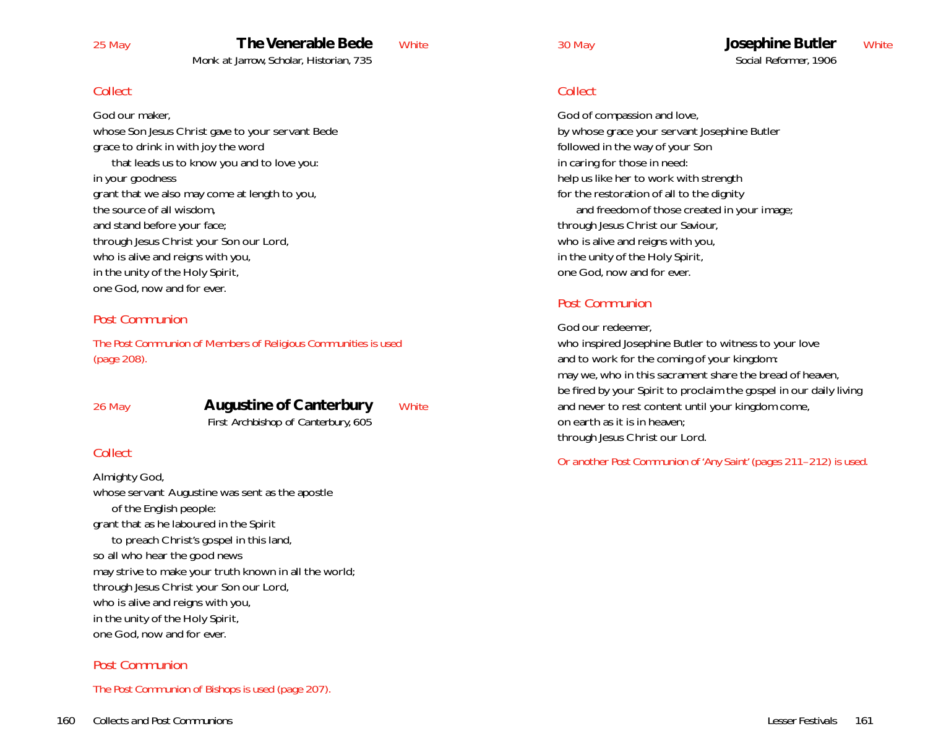*Monk at Jarrow, Scholar, Historian, 735*

# *Collect*

God our maker, whose Son Jesus Christ gave to your servant Bede grace to drink in with joy the word that leads us to know you and to love you: in your goodness grant that we also may come at length to you, the source of all wisdom, and stand before your face; through Jesus Christ your Son our Lord, who is alive and reigns with you, in the unity of the Holy Spirit, one God, now and for ever.

#### *Post Communion*

*The Post Communion of Members of Religious Communities is used (page 208).*

*26 May* **Augustine of Canterbury** *White First Archbishop of Canterbury, 605*

## *Collect*

Almighty God, whose servant Augustine was sent as the apostle of the English people: grant that as he laboured in the Spirit to preach Christ's gospel in this land, so all who hear the good news may strive to make your truth known in all the world; through Jesus Christ your Son our Lord, who is alive and reigns with you, in the unity of the Holy Spirit, one God, now and for ever.

## *Post Communion*

*The Post Communion of Bishops is used (page 207).*

# *Collect*

God of compassion and love, by whose grace your servant Josephine Butler followed in the way of your Son in caring for those in need: help us like her to work with strength for the restoration of all to the dignity and freedom of those created in your image; through Jesus Christ our Saviour, who is alive and reigns with you, in the unity of the Holy Spirit, one God, now and for ever.

# *Post Communion*

#### God our redeemer,

who inspired Josephine Butler to witness to your love and to work for the coming of your kingdom: may we, who in this sacrament share the bread of heaven, be fired by your Spirit to proclaim the gospel in our daily living and never to rest content until your kingdom come, on earth as it is in heaven; through Jesus Christ our Lord.

*Or another Post Communion of 'Any Saint' (pages 211–212) is used.*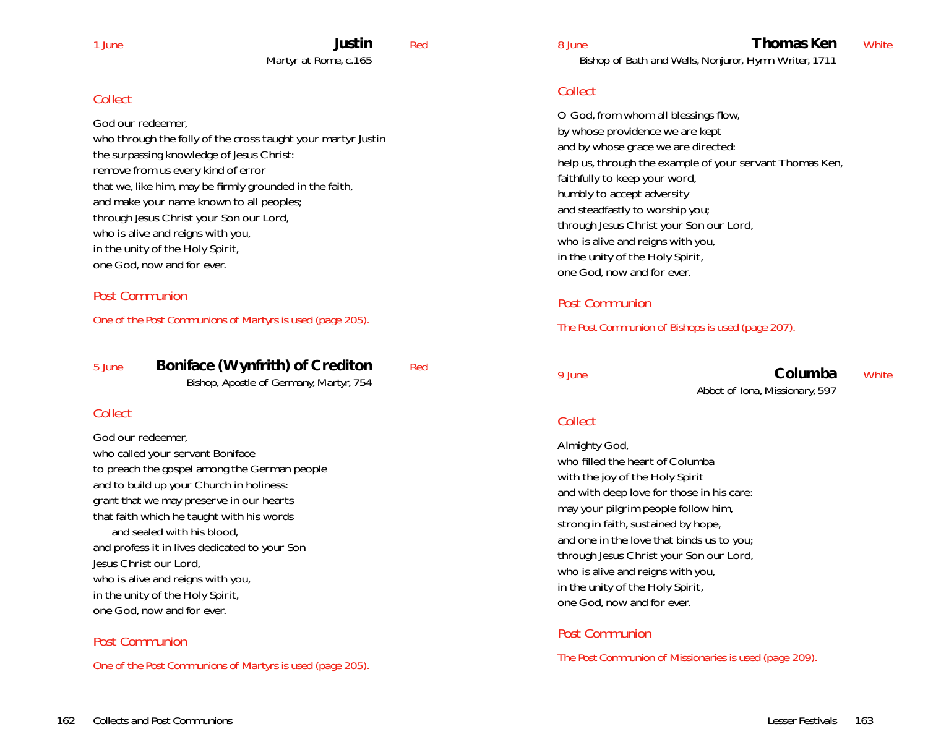# *1 June* **Justin** *Red*

*Martyr at Rome, c.165*

# *Collect*

God our redeemer, who through the folly of the cross taught your martyr Justin the surpassing knowledge of Jesus Christ: remove from us every kind of error that we, like him, may be firmly grounded in the faith, and make your name known to all peoples; through Jesus Christ your Son our Lord, who is alive and reigns with you, in the unity of the Holy Spirit, one God, now and for ever.

# *Post Communion*

*One of the Post Communions of Martyrs is used (page 205).*

*5 June* **Boniface (Wynfrith) of Crediton** *Red Bishop, Apostle of Germany, Martyr, 754* 

# *Collect*

God our redeemer, who called your servant Boniface to preach the gospel among the German people and to build up your Church in holiness: grant that we may preserve in our hearts that faith which he taught with his words and sealed with his blood, and profess it in lives dedicated to your Son Jesus Christ our Lord, who is alive and reigns with you, in the unity of the Holy Spirit, one God, now and for ever.

# *Post Communion*

*One of the Post Communions of Martyrs is used (page 205).*

# *8 June* **Thomas Ken** *White*

*Bishop of Bath and Wells, Nonjuror, Hymn Writer, 1711*

# *Collect*

O God, from whom all blessings flow, by whose providence we are kept and by whose grace we are directed: help us, through the example of your servant Thomas Ken, faithfully to keep your word, humbly to accept adversity and steadfastly to worship you; through Jesus Christ your Son our Lord, who is alive and reigns with you, in the unity of the Holy Spirit, one God, now and for ever.

# *Post Communion*

*The Post Communion of Bishops is used (page 207).*

*9 June* **Columba** *White Abbot of Iona, Missionary, 597*

# *Collect*

Almighty God, who filled the heart of Columba with the joy of the Holy Spirit and with deep love for those in his care: may your pilgrim people follow him, strong in faith, sustained by hope, and one in the love that binds us to you; through Jesus Christ your Son our Lord, who is alive and reigns with you, in the unity of the Holy Spirit, one God, now and for ever.

# *Post Communion*

*The Post Communion of Missionaries is used (page 209).*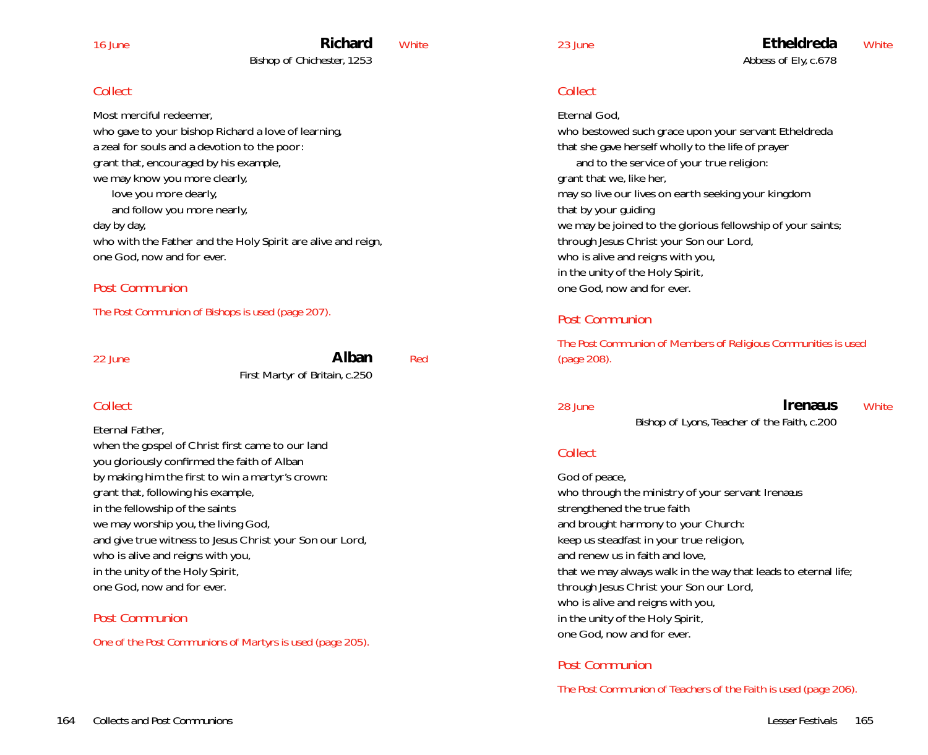# *16 June* **Richard** *White*

*Bishop of Chichester, 1253*

# *Collect*

Most merciful redeemer, who gave to your bishop Richard a love of learning, a zeal for souls and a devotion to the poor: grant that, encouraged by his example, we may know you more clearly, love you more dearly, and follow you more nearly, day by day, who with the Father and the Holy Spirit are alive and reign, one God, now and for ever.

#### *Post Communion*

*The Post Communion of Bishops is used (page 207).*

|  | . |  |
|--|---|--|

*22 June* **Alban** *Red*

*First Martyr of Britain, c.250*

# *Collect*

Eternal Father, when the gospel of Christ first came to our land you gloriously confirmed the faith of Alban by making him the first to win a martyr's crown: grant that, following his example, in the fellowship of the saints we may worship you, the living God, and give true witness to Jesus Christ your Son our Lord, who is alive and reigns with you, in the unity of the Holy Spirit, one God, now and for ever.

## *Post Communion*

*One of the Post Communions of Martyrs is used (page 205).*

# *Collect*

Eternal God, who bestowed such grace upon your servant Etheldreda that she gave herself wholly to the life of prayer and to the service of your true religion: grant that we, like her, may so live our lives on earth seeking your kingdom that by your guiding we may be joined to the glorious fellowship of your saints; through Jesus Christ your Son our Lord, who is alive and reigns with you, in the unity of the Holy Spirit, one God, now and for ever.

# *Post Communion*

*The Post Communion of Members of Religious Communities is used (page 208).*

*28 June* **Irenæus** *White Bishop of Lyons, Teacher of the Faith, c.200*

## *Collect*

God of peace, who through the ministry of your servant Irenæus strengthened the true faith and brought harmony to your Church: keep us steadfast in your true religion, and renew us in faith and love, that we may always walk in the way that leads to eternal life; through Jesus Christ your Son our Lord, who is alive and reigns with you, in the unity of the Holy Spirit, one God, now and for ever.

# *Post Communion*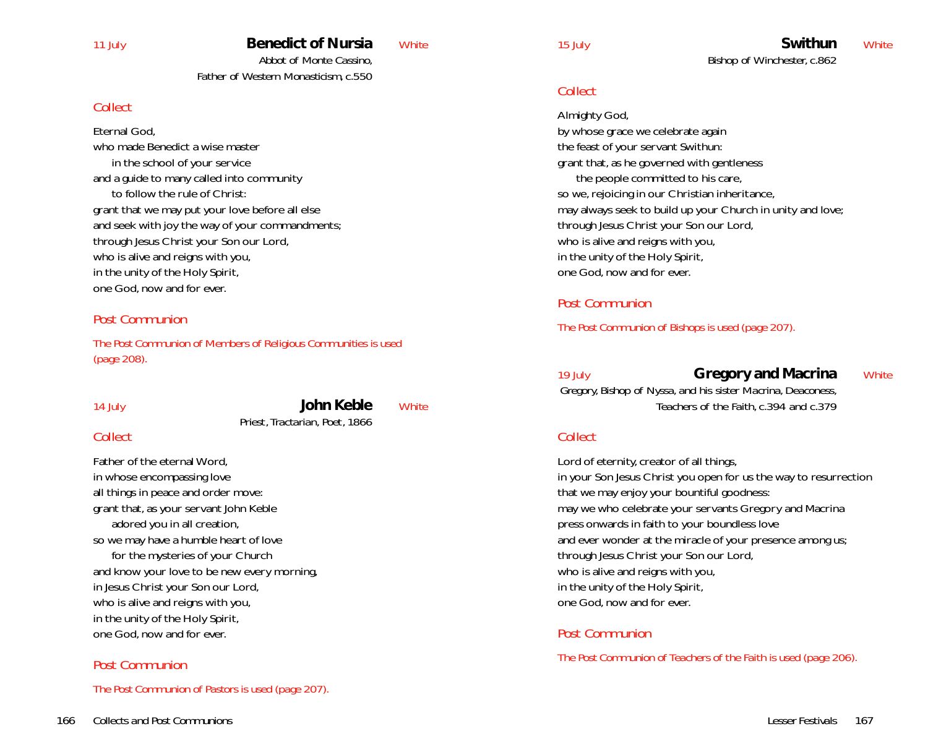# *11 July* **Benedict of Nursia** *White*

*Abbot of Monte Cassino, Father of Western Monasticism, c.550* 

#### *Collect*

Eternal God, who made Benedict a wise master in the school of your service and a guide to many called into community to follow the rule of Christ: grant that we may put your love before all else and seek with joy the way of your commandments; through Jesus Christ your Son our Lord, who is alive and reigns with you, in the unity of the Holy Spirit, one God, now and for ever.

#### *Post Communion*

*The Post Communion of Members of Religious Communities is used (page 208).*

#### *14 July* **John Keble** *White Priest, Tractarian, Poet, 1866*

#### *Collect*

Father of the eternal Word, in whose encompassing love all things in peace and order move: grant that, as your servant John Keble adored you in all creation, so we may have a humble heart of love for the mysteries of your Church and know your love to be new every morning, in Jesus Christ your Son our Lord, who is alive and reigns with you, in the unity of the Holy Spirit, one God, now and for ever.

## *Post Communion*

*The Post Communion of Pastors is used (page 207).*

# *Collect*

Almighty God, by whose grace we celebrate again the feast of your servant Swithun: grant that, as he governed with gentleness the people committed to his care, so we, rejoicing in our Christian inheritance, may always seek to build up your Church in unity and love; through Jesus Christ your Son our Lord, who is alive and reigns with you, in the unity of the Holy Spirit, one God, now and for ever.

## *Post Communion*

*The Post Communion of Bishops is used (page 207).*

*19 July* **Gregory and Macrina** *White Gregory, Bishop of Nyssa, and his sister Macrina, Deaconess, Teachers of the Faith, c.394 and c.379*

#### *Collect*

Lord of eternity, creator of all things, in your Son Jesus Christ you open for us the way to resurrection that we may enjoy your bountiful goodness: may we who celebrate your servants Gregory and Macrina press onwards in faith to your boundless love and ever wonder at the miracle of your presence among us; through Jesus Christ your Son our Lord, who is alive and reigns with you, in the unity of the Holy Spirit, one God, now and for ever.

# *Post Communion*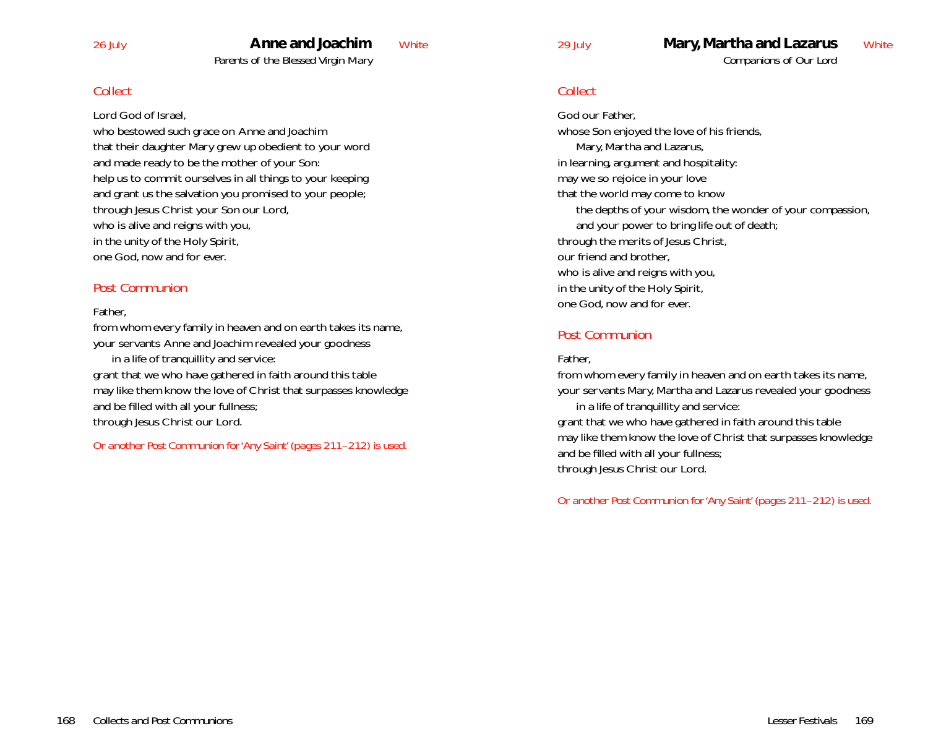*Parents of the Blessed Virgin Mary*

# *Collect*

Lord God of Israel,

who bestowed such grace on Anne and Joachim that their daughter Mary grew up obedient to your word and made ready to be the mother of your Son: help us to commit ourselves in all things to your keeping and grant us the salvation you promised to your people; through Jesus Christ your Son our Lord, who is alive and reigns with you, in the unity of the Holy Spirit, one God, now and for ever.

#### *Post Communion*

#### Father,

from whom every family in heaven and on earth takes its name, your servants Anne and Joachim revealed your goodness

in a life of tranquillity and service: grant that we who have gathered in faith around this table may like them know the love of Christ that surpasses knowledge and be filled with all your fullness; through Jesus Christ our Lord.

*Or another Post Communion for 'Any Saint' (pages 211–212) is used.*

# *Collect*

God our Father, whose Son enjoyed the love of his friends, Mary, Martha and Lazarus, in learning, argument and hospitality: may we so rejoice in your love that the world may come to know the depths of your wisdom, the wonder of your compassion, and your power to bring life out of death; through the merits of Jesus Christ, our friend and brother, who is alive and reigns with you, in the unity of the Holy Spirit, one God, now and for ever.

# *Post Communion*

#### Father,

from whom every family in heaven and on earth takes its name, your servants Mary, Martha and Lazarus revealed your goodness in a life of tranquillity and service: grant that we who have gathered in faith around this table may like them know the love of Christ that surpasses knowledge and be filled with all your fullness; through Jesus Christ our Lord.

*Or another Post Communion for 'Any Saint' (pages 211–212) is used.*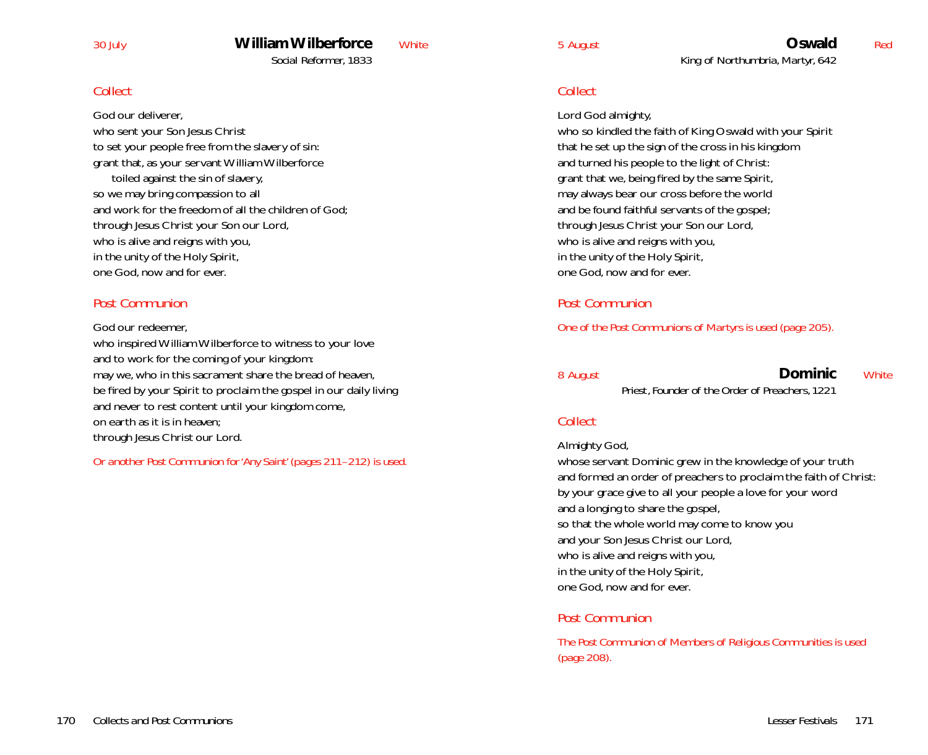#### *30 July* **William Wilberforce** *White*

*Social Reformer, 1833*

# *Collect*

God our deliverer, who sent your Son Jesus Christ to set your people free from the slavery of sin: grant that, as your servant William Wilberforce toiled against the sin of slavery, so we may bring compassion to all and work for the freedom of all the children of God; through Jesus Christ your Son our Lord, who is alive and reigns with you, in the unity of the Holy Spirit, one God, now and for ever.

#### *Post Communion*

God our redeemer, who inspired William Wilberforce to witness to your love and to work for the coming of your kingdom: may we, who in this sacrament share the bread of heaven, be fired by your Spirit to proclaim the gospel in our daily living and never to rest content until your kingdom come, on earth as it is in heaven; through Jesus Christ our Lord.

*Or another Post Communion for 'Any Saint' (pages 211–212) is used.*

*5 August* **Oswald** *Red King of Northumbria, Martyr, 642*

# *Collect*

Lord God almighty,

who so kindled the faith of King Oswald with your Spirit that he set up the sign of the cross in his kingdom and turned his people to the light of Christ: grant that we, being fired by the same Spirit, may always bear our cross before the world and be found faithful servants of the gospel; through Jesus Christ your Son our Lord, who is alive and reigns with you, in the unity of the Holy Spirit, one God, now and for ever.

# *Post Communion*

*One of the Post Communions of Martyrs is used (page 205).*

*8 August* **Dominic** *White Priest, Founder of the Order of Preachers, 1221*

*Collect*

#### Almighty God,

whose servant Dominic grew in the knowledge of your truth and formed an order of preachers to proclaim the faith of Christ: by your grace give to all your people a love for your word and a longing to share the gospel, so that the whole world may come to know you and your Son Jesus Christ our Lord, who is alive and reigns with you, in the unity of the Holy Spirit, one God, now and for ever.

# *Post Communion*

*The Post Communion of Members of Religious Communities is used (page 208).*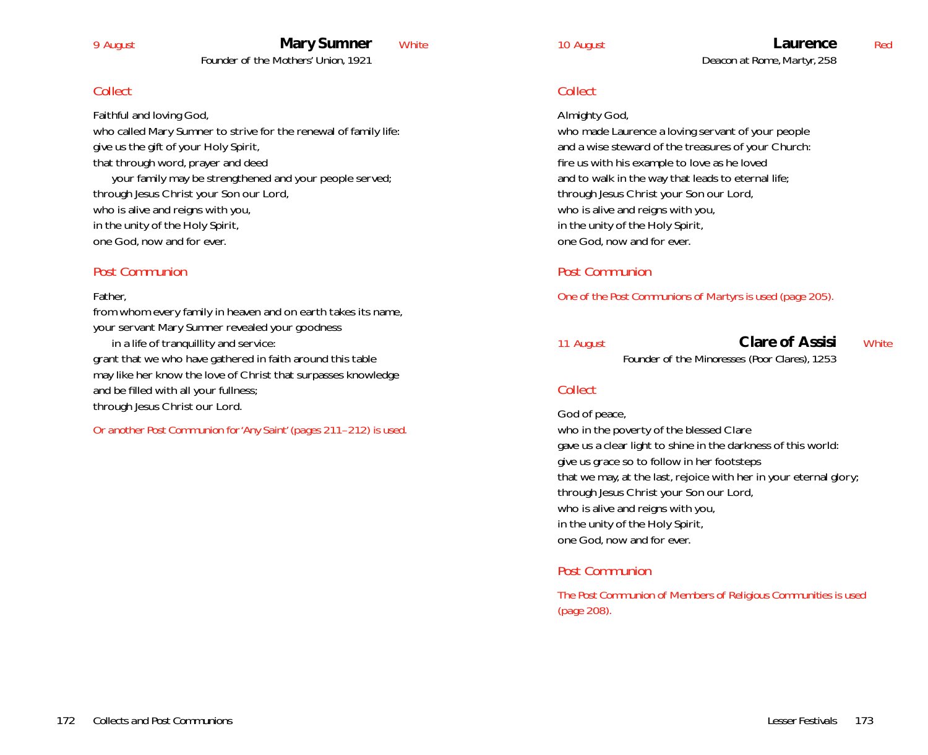#### *9 August* **Mary Sumner** *White Founder of the Mothers' Union, 1921*

*Collect*

Faithful and loving God, who called Mary Sumner to strive for the renewal of family life: give us the gift of your Holy Spirit, that through word, prayer and deed your family may be strengthened and your people served; through Jesus Christ your Son our Lord, who is alive and reigns with you, in the unity of the Holy Spirit, one God, now and for ever.

#### *Post Communion*

#### Father,

from whom every family in heaven and on earth takes its name, your servant Mary Sumner revealed your goodness

in a life of tranquillity and service: grant that we who have gathered in faith around this table may like her know the love of Christ that surpasses knowledge and be filled with all your fullness; through Jesus Christ our Lord.

*Or another Post Communion for 'Any Saint' (pages 211–212) is used.*

*10 August* **Laurence** *Red Deacon at Rome, Martyr, 258*

# *Collect*

#### Almighty God,

who made Laurence a loving servant of your people and a wise steward of the treasures of your Church: fire us with his example to love as he loved and to walk in the way that leads to eternal life; through Jesus Christ your Son our Lord, who is alive and reigns with you, in the unity of the Holy Spirit, one God, now and for ever.

#### *Post Communion*

*One of the Post Communions of Martyrs is used (page 205).*

*11 August* **Clare of Assisi** *White*

*Founder of the Minoresses (Poor Clares), 1253*

#### *Collect*

God of peace, who in the poverty of the blessed Clare gave us a clear light to shine in the darkness of this world: give us grace so to follow in her footsteps that we may, at the last, rejoice with her in your eternal glory; through Jesus Christ your Son our Lord, who is alive and reigns with you, in the unity of the Holy Spirit, one God, now and for ever.

#### *Post Communion*

*The Post Communion of Members of Religious Communities is used (page 208).*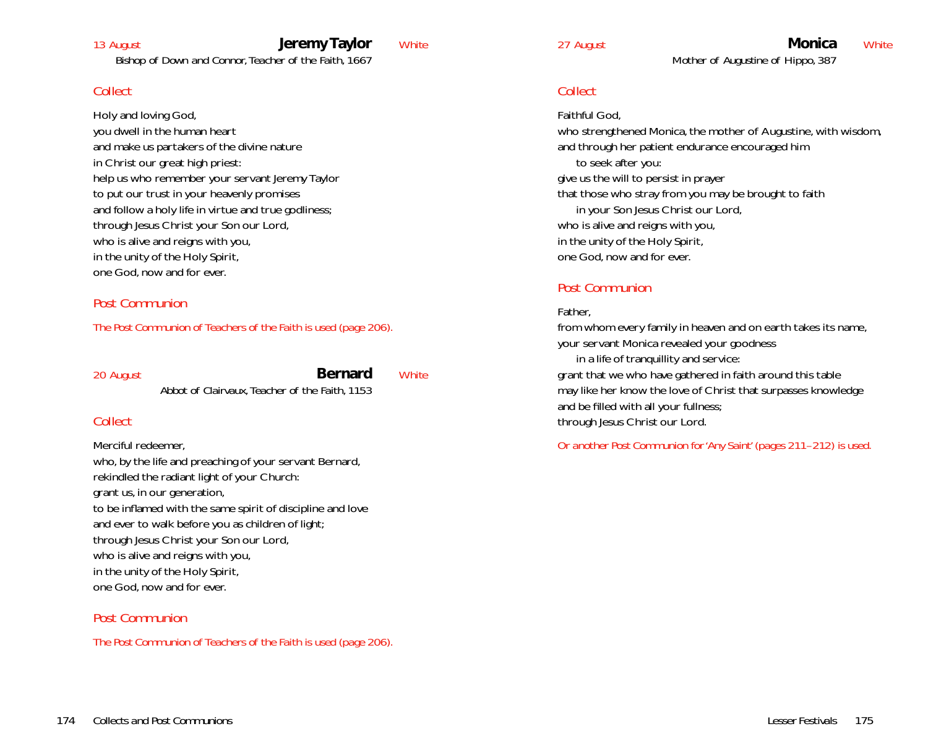# *13 August* **Jeremy Taylor** *White*

*Bishop of Down and Connor, Teacher of the Faith, 1667*

# *Collect*

Holy and loving God, you dwell in the human heart and make us partakers of the divine nature in Christ our great high priest: help us who remember your servant Jeremy Taylor to put our trust in your heavenly promises and follow a holy life in virtue and true godliness; through Jesus Christ your Son our Lord, who is alive and reigns with you, in the unity of the Holy Spirit, one God, now and for ever.

# *Post Communion*

*The Post Communion of Teachers of the Faith is used (page 206).*

*20 August* **Bernard** *White*

*Abbot of Clairvaux, Teacher of the Faith, 1153*

# *Collect*

Merciful redeemer, who, by the life and preaching of your servant Bernard, rekindled the radiant light of your Church: grant us, in our generation, to be inflamed with the same spirit of discipline and love and ever to walk before you as children of light; through Jesus Christ your Son our Lord, who is alive and reigns with you, in the unity of the Holy Spirit, one God, now and for ever.

## *Post Communion*

*The Post Communion of Teachers of the Faith is used (page 206).*

#### *Collect*

Faithful God, who strengthened Monica, the mother of Augustine, with wisdom, and through her patient endurance encouraged him to seek after you: give us the will to persist in prayer that those who stray from you may be brought to faith in your Son Jesus Christ our Lord, who is alive and reigns with you, in the unity of the Holy Spirit, one God, now and for ever.

*Mother of Augustine of Hippo, 387*

# *Post Communion*

#### Father,

from whom every family in heaven and on earth takes its name, your servant Monica revealed your goodness in a life of tranquillity and service: grant that we who have gathered in faith around this table may like her know the love of Christ that surpasses knowledge and be filled with all your fullness; through Jesus Christ our Lord.

*Or another Post Communion for 'Any Saint' (pages 211–212) is used.*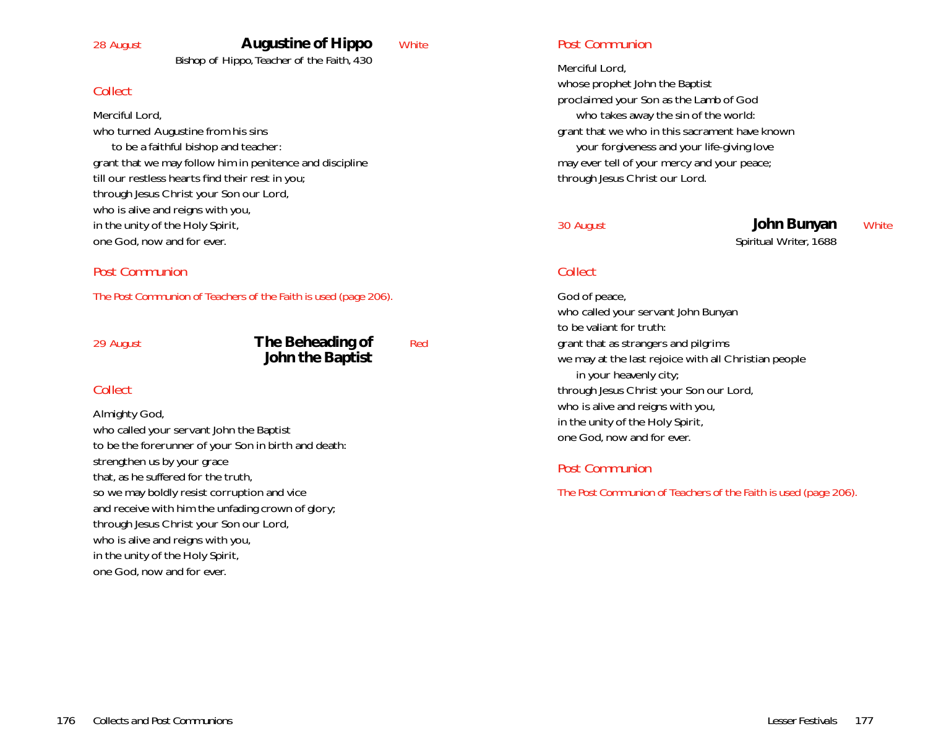# *28 August* **Augustine of Hippo** *White*

*Bishop of Hippo, Teacher of the Faith, 430*

# *Collect*

Merciful Lord, who turned Augustine from his sins to be a faithful bishop and teacher: grant that we may follow him in penitence and discipline till our restless hearts find their rest in you; through Jesus Christ your Son our Lord, who is alive and reigns with you, in the unity of the Holy Spirit, one God, now and for ever.

## *Post Communion*

*The Post Communion of Teachers of the Faith is used (page 206).*

#### *29 August* **The Beheading of** *Red* **John the Baptist**

#### *Collect*

Almighty God, who called your servant John the Baptist to be the forerunner of your Son in birth and death: strengthen us by your grace that, as he suffered for the truth, so we may boldly resist corruption and vice and receive with him the unfading crown of glory; through Jesus Christ your Son our Lord, who is alive and reigns with you, in the unity of the Holy Spirit, one God, now and for ever.

# *Post Communion*

Merciful Lord, whose prophet John the Baptist proclaimed your Son as the Lamb of God who takes away the sin of the world: grant that we who in this sacrament have known your forgiveness and your life-giving love may ever tell of your mercy and your peace; through Jesus Christ our Lord.

# *30 August* **John Bunyan** *White*

*Spiritual Writer, 1688*

# *Collect*

God of peace, who called your servant John Bunyan to be valiant for truth: grant that as strangers and pilgrims we may at the last rejoice with all Christian people in your heavenly city; through Jesus Christ your Son our Lord, who is alive and reigns with you, in the unity of the Holy Spirit, one God, now and for ever.

## *Post Communion*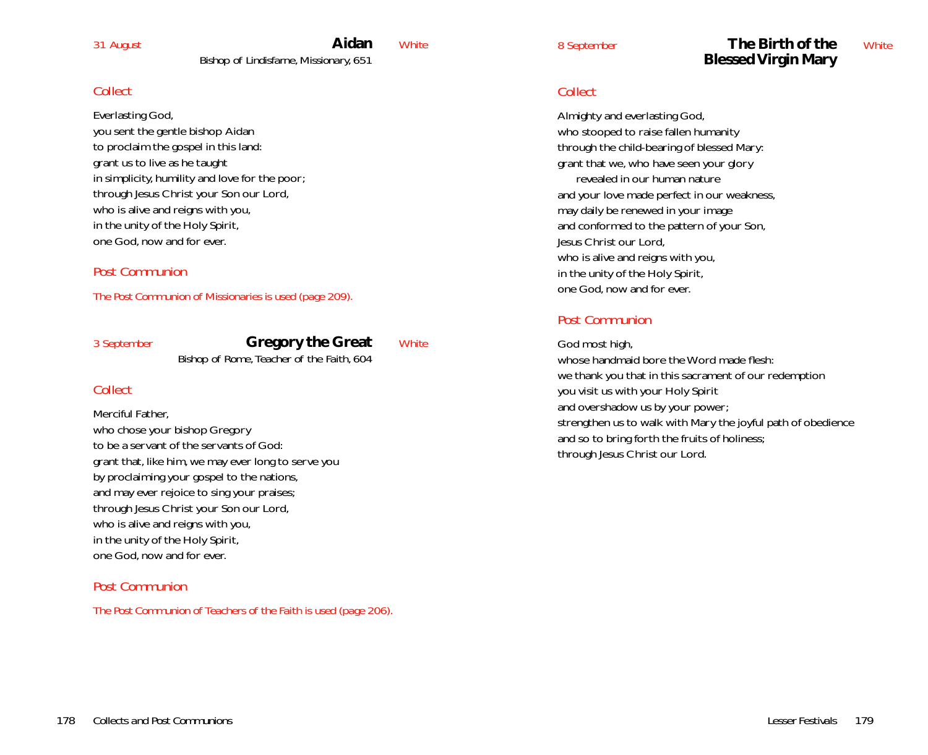# *31 August* **Aidan** *White*

*Bishop of Lindisfarne, Missionary, 651*

#### *Collect*

Everlasting God, you sent the gentle bishop Aidan to proclaim the gospel in this land: grant us to live as he taught in simplicity, humility and love for the poor; through Jesus Christ your Son our Lord, who is alive and reigns with you, in the unity of the Holy Spirit, one God, now and for ever.

#### *Post Communion*

*The Post Communion of Missionaries is used (page 209).*

|  | 3 September |  |
|--|-------------|--|
|  |             |  |

**3 Gregory the Great** *White* 

*Bishop of Rome, Teacher of the Faith, 604*

#### *Collect*

Merciful Father, who chose your bishop Gregory to be a servant of the servants of God: grant that, like him, we may ever long to serve you by proclaiming your gospel to the nations, and may ever rejoice to sing your praises; through Jesus Christ your Son our Lord, who is alive and reigns with you, in the unity of the Holy Spirit, one God, now and for ever.

## *Post Communion*

*The Post Communion of Teachers of the Faith is used (page 206).*

*8 September* **The Birth of the** *White* **Blessed Virgin Mary**

# *Collect*

Almighty and everlasting God, who stooped to raise fallen humanity through the child-bearing of blessed Mary: grant that we, who have seen your glory revealed in our human nature and your love made perfect in our weakness, may daily be renewed in your image and conformed to the pattern of your Son, Jesus Christ our Lord, who is alive and reigns with you, in the unity of the Holy Spirit, one God, now and for ever.

# *Post Communion*

God most high, whose handmaid bore the Word made flesh: we thank you that in this sacrament of our redemption you visit us with your Holy Spirit and overshadow us by your power; strengthen us to walk with Mary the joyful path of obedience and so to bring forth the fruits of holiness; through Jesus Christ our Lord.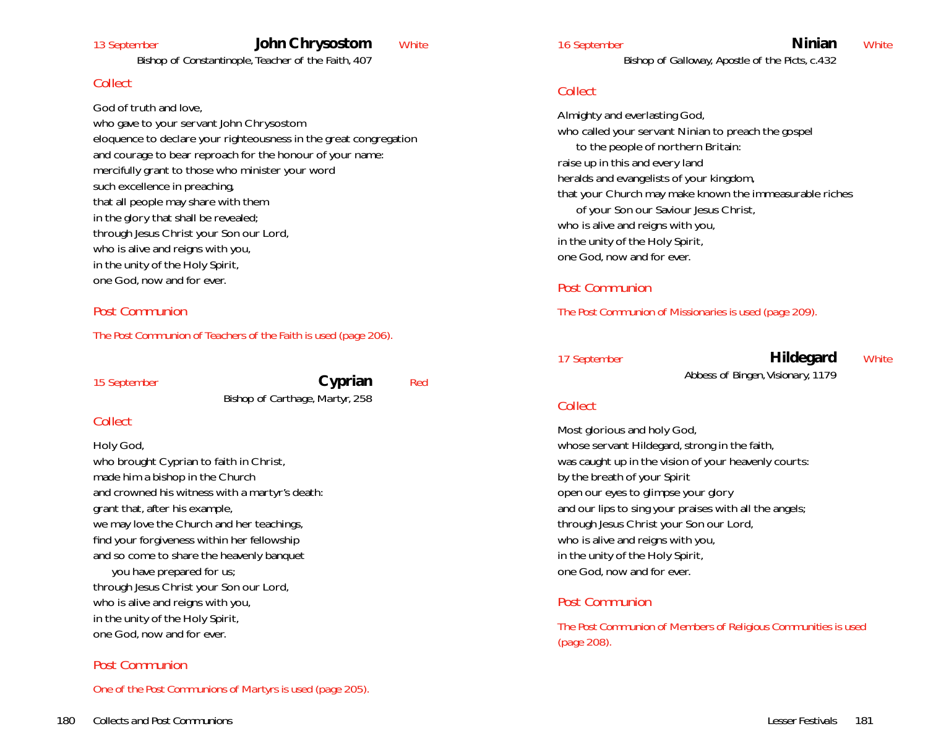#### *13 September* **John Chrysostom** *White*

*Bishop of Constantinople, Teacher of the Faith, 407*

#### *Collect*

God of truth and love, who gave to your servant John Chrysostom eloquence to declare your righteousness in the great congregation and courage to bear reproach for the honour of your name: mercifully grant to those who minister your word such excellence in preaching, that all people may share with them in the glory that shall be revealed; through Jesus Christ your Son our Lord, who is alive and reigns with you, in the unity of the Holy Spirit, one God, now and for ever.

#### *Post Communion*

*The Post Communion of Teachers of the Faith is used (page 206).*

*15 September* **Cyprian** *Red*

*Bishop of Carthage, Martyr, 258*

#### *Collect*

Holy God, who brought Cyprian to faith in Christ, made him a bishop in the Church and crowned his witness with a martyr's death: grant that, after his example, we may love the Church and her teachings, find your forgiveness within her fellowship and so come to share the heavenly banquet you have prepared for us; through Jesus Christ your Son our Lord, who is alive and reigns with you, in the unity of the Holy Spirit, one God, now and for ever.

#### *Post Communion*

*One of the Post Communions of Martyrs is used (page 205).*

*Bishop of Galloway, Apostle of the Picts, c.432*

## *Collect*

Almighty and everlasting God, who called your servant Ninian to preach the gospel to the people of northern Britain: raise up in this and every land heralds and evangelists of your kingdom, that your Church may make known the immeasurable riches of your Son our Saviour Jesus Christ, who is alive and reigns with you, in the unity of the Holy Spirit, one God, now and for ever.

#### *Post Communion*

*The Post Communion of Missionaries is used (page 209).*

*17 September* **Hildegard** *White*

*Abbess of Bingen, Visionary, 1179*

## *Collect*

Most glorious and holy God, whose servant Hildegard, strong in the faith, was caught up in the vision of your heavenly courts: by the breath of your Spirit open our eyes to glimpse your glory and our lips to sing your praises with all the angels; through Jesus Christ your Son our Lord, who is alive and reigns with you, in the unity of the Holy Spirit, one God, now and for ever.

#### *Post Communion*

*The Post Communion of Members of Religious Communities is used (page 208).*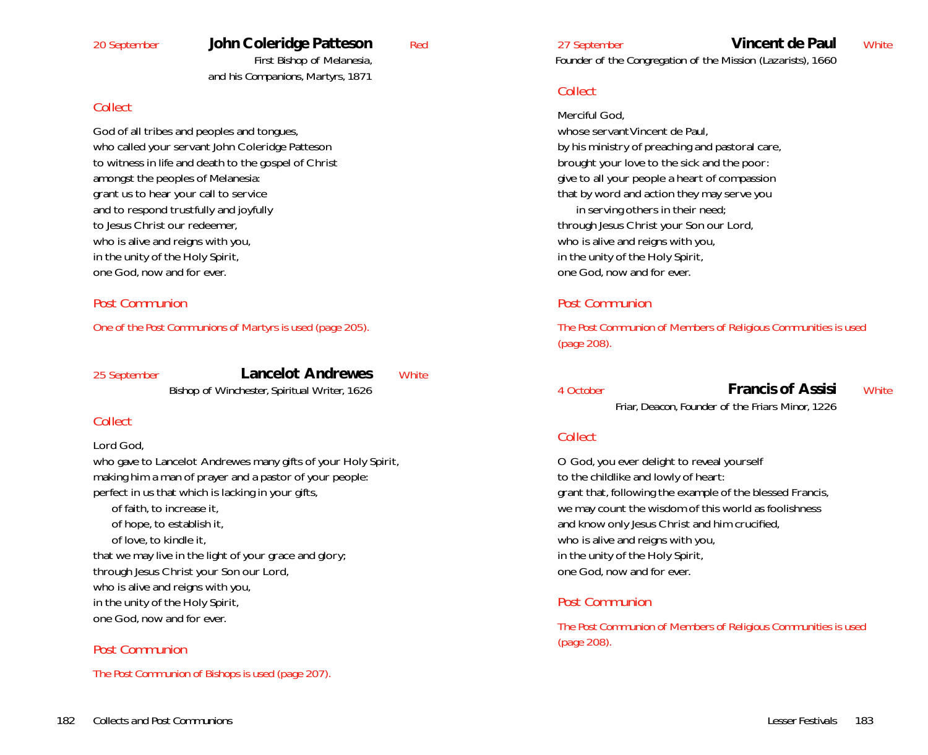#### *20 September* **John Coleridge Patteson** *Red*

*First Bishop of Melanesia, and his Companions, Martyrs, 1871*

# *Collect*

God of all tribes and peoples and tongues, who called your servant John Coleridge Patteson to witness in life and death to the gospel of Christ amongst the peoples of Melanesia: grant us to hear your call to service and to respond trustfully and joyfully to Jesus Christ our redeemer, who is alive and reigns with you, in the unity of the Holy Spirit, one God, now and for ever.

#### *Post Communion*

*One of the Post Communions of Martyrs is used (page 205).*

*25 September* **Lancelot Andrewes** *White*

*Bishop of Winchester, Spiritual Writer, 1626*

## *Collect*

#### Lord God,

who gave to Lancelot Andrewes many gifts of your Holy Spirit, making him a man of prayer and a pastor of your people: perfect in us that which is lacking in your gifts,

of faith, to increase it, of hope, to establish it, of love, to kindle it, that we may live in the light of your grace and glory; through Jesus Christ your Son our Lord, who is alive and reigns with you, in the unity of the Holy Spirit, one God, now and for ever.

## *Post Communion*

*The Post Communion of Bishops is used (page 207).*

*27 September* **Vincent de Paul** *White Founder of the Congregation of the Mission (Lazarists), 1660*

# *Collect*

Merciful God, whose servant Vincent de Paul, by his ministry of preaching and pastoral care, brought your love to the sick and the poor: give to all your people a heart of compassion that by word and action they may serve you in serving others in their need; through Jesus Christ your Son our Lord, who is alive and reigns with you, in the unity of the Holy Spirit, one God, now and for ever.

# *Post Communion*

*The Post Communion of Members of Religious Communities is used (page 208).*

*4 October* **Francis of Assisi** *White Friar, Deacon, Founder of the Friars Minor, 1226*

## *Collect*

O God, you ever delight to reveal yourself to the childlike and lowly of heart: grant that, following the example of the blessed Francis, we may count the wisdom of this world as foolishness and know only Jesus Christ and him crucified, who is alive and reigns with you, in the unity of the Holy Spirit, one God, now and for ever.

## *Post Communion*

*The Post Communion of Members of Religious Communities is used (page 208).*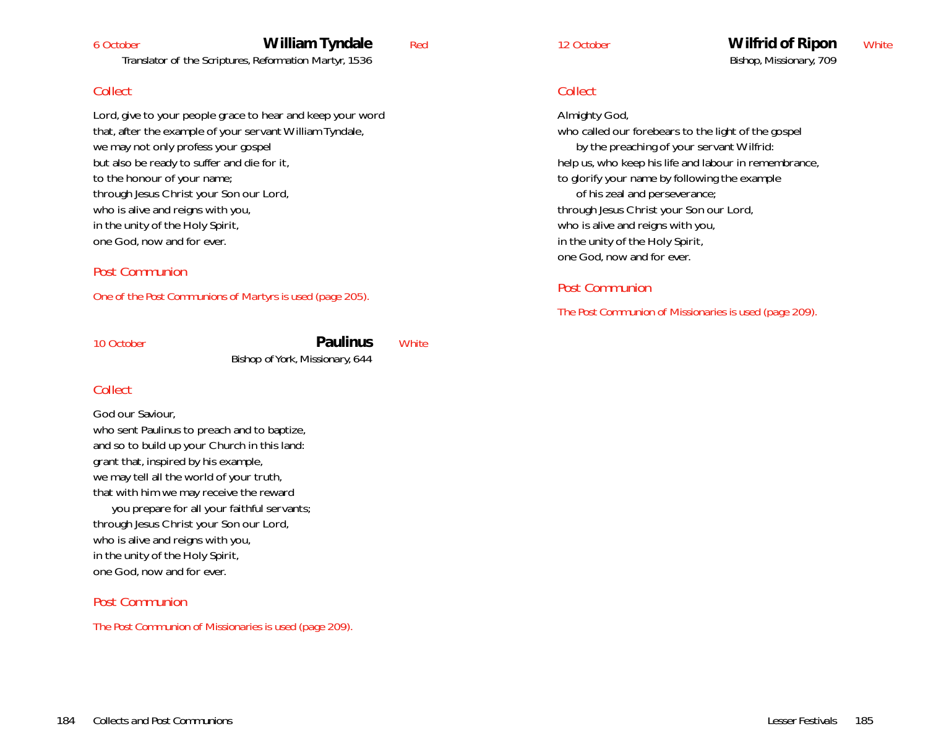*6 October* **William Tyndale** *Red*

*Translator of the Scriptures, Reformation Martyr, 1536*

# *Collect*

Lord, give to your people grace to hear and keep your word that, after the example of your servant William Tyndale, we may not only profess your gospel but also be ready to suffer and die for it, to the honour of your name; through Jesus Christ your Son our Lord, who is alive and reigns with you, in the unity of the Holy Spirit, one God, now and for ever.

## *Post Communion*

*One of the Post Communions of Martyrs is used (page 205).*

| 10 October |  |  |  |
|------------|--|--|--|
|            |  |  |  |

**Paulinus** *White Bishop of York, Missionary, 644*

## *Collect*

God our Saviour, who sent Paulinus to preach and to baptize, and so to build up your Church in this land: grant that, inspired by his example, we may tell all the world of your truth, that with him we may receive the reward you prepare for all your faithful servants; through Jesus Christ your Son our Lord, who is alive and reigns with you, in the unity of the Holy Spirit, one God, now and for ever.

*Post Communion*

*The Post Communion of Missionaries is used (page 209).*

## *Collect*

Almighty God, who called our forebears to the light of the gospel by the preaching of your servant Wilfrid: help us, who keep his life and labour in remembrance, to glorify your name by following the example of his zeal and perseverance; through Jesus Christ your Son our Lord, who is alive and reigns with you, in the unity of the Holy Spirit, one God, now and for ever.

# *Post Communion*

*The Post Communion of Missionaries is used (page 209).*

*Bishop, Missionary, 709*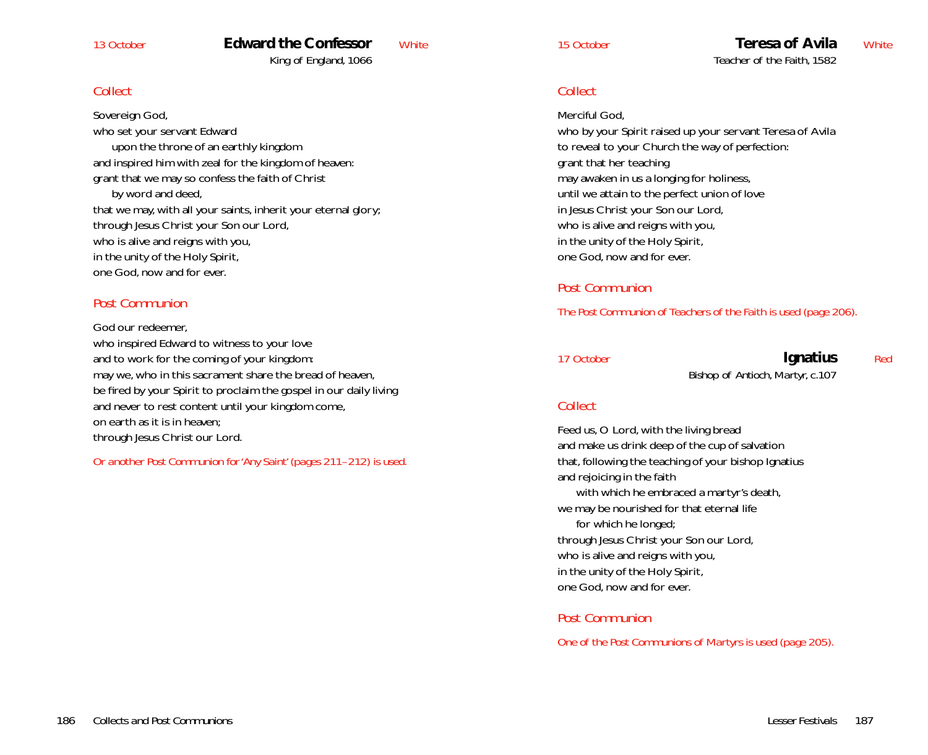*King of England, 1066*

## *Collect*

Sovereign God, who set your servant Edward upon the throne of an earthly kingdom and inspired him with zeal for the kingdom of heaven: grant that we may so confess the faith of Christ by word and deed, that we may, with all your saints, inherit your eternal glory; through Jesus Christ your Son our Lord, who is alive and reigns with you, in the unity of the Holy Spirit, one God, now and for ever.

#### *Post Communion*

God our redeemer, who inspired Edward to witness to your love and to work for the coming of your kingdom: may we, who in this sacrament share the bread of heaven, be fired by your Spirit to proclaim the gospel in our daily living and never to rest content until your kingdom come, on earth as it is in heaven; through Jesus Christ our Lord.

*Or another Post Communion for 'Any Saint' (pages 211–212) is used.*

#### *Collect*

Merciful God, who by your Spirit raised up your servant Teresa of Avila to reveal to your Church the way of perfection: grant that her teaching may awaken in us a longing for holiness, until we attain to the perfect union of love in Jesus Christ your Son our Lord, who is alive and reigns with you, in the unity of the Holy Spirit, one God, now and for ever.

#### *Post Communion*

*The Post Communion of Teachers of the Faith is used (page 206).*

#### *17 October* **Ignatius** *Red*

*Bishop of Antioch, Martyr, c.107*

#### *Collect*

Feed us, O Lord, with the living bread and make us drink deep of the cup of salvation that, following the teaching of your bishop Ignatius and rejoicing in the faith with which he embraced a martyr's death, we may be nourished for that eternal life for which he longed; through Jesus Christ your Son our Lord, who is alive and reigns with you, in the unity of the Holy Spirit, one God, now and for ever.

#### *Post Communion*

*One of the Post Communions of Martyrs is used (page 205).*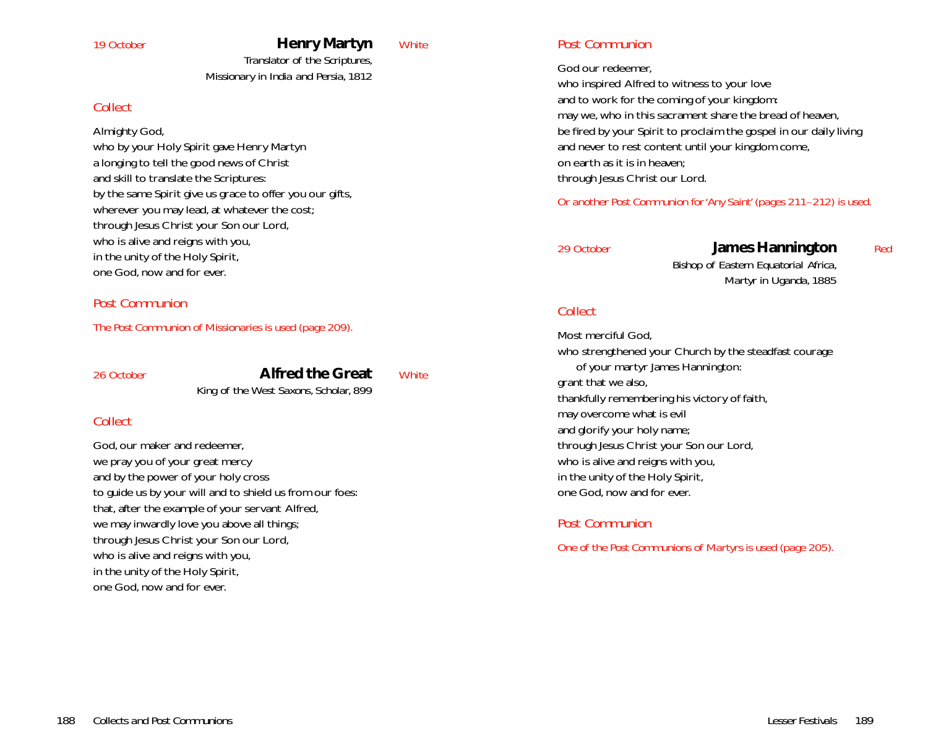#### *19 October* **Henry Martyn** *White*

*Translator of the Scriptures, Missionary in India and Persia, 1812*

#### *Collect*

Almighty God, who by your Holy Spirit gave Henry Martyn a longing to tell the good news of Christ and skill to translate the Scriptures: by the same Spirit give us grace to offer you our gifts, wherever you may lead, at whatever the cost; through Jesus Christ your Son our Lord, who is alive and reigns with you, in the unity of the Holy Spirit, one God, now and for ever.

#### *Post Communion*

*The Post Communion of Missionaries is used (page 209).*

*26 October* **Alfred the Great** *White*

*King of the West Saxons, Scholar, 899*

#### *Collect*

God, our maker and redeemer, we pray you of your great mercy and by the power of your holy cross to guide us by your will and to shield us from our foes: that, after the example of your servant Alfred, we may inwardly love you above all things; through Jesus Christ your Son our Lord, who is alive and reigns with you, in the unity of the Holy Spirit, one God, now and for ever.

## *Post Communion*

God our redeemer,

who inspired Alfred to witness to your love and to work for the coming of your kingdom: may we, who in this sacrament share the bread of heaven, be fired by your Spirit to proclaim the gospel in our daily living and never to rest content until your kingdom come, on earth as it is in heaven; through Jesus Christ our Lord.

#### *Or another Post Communion for 'Any Saint' (pages 211–212) is used.*

*29 October* **James Hannington** *Red Bishop of Eastern Equatorial Africa,*

*Martyr in Uganda, 1885*

#### *Collect*

Most merciful God, who strengthened your Church by the steadfast courage of your martyr James Hannington: grant that we also, thankfully remembering his victory of faith, may overcome what is evil and glorify your holy name; through Jesus Christ your Son our Lord, who is alive and reigns with you, in the unity of the Holy Spirit, one God, now and for ever.

#### *Post Communion*

*One of the Post Communions of Martyrs is used (page 205).*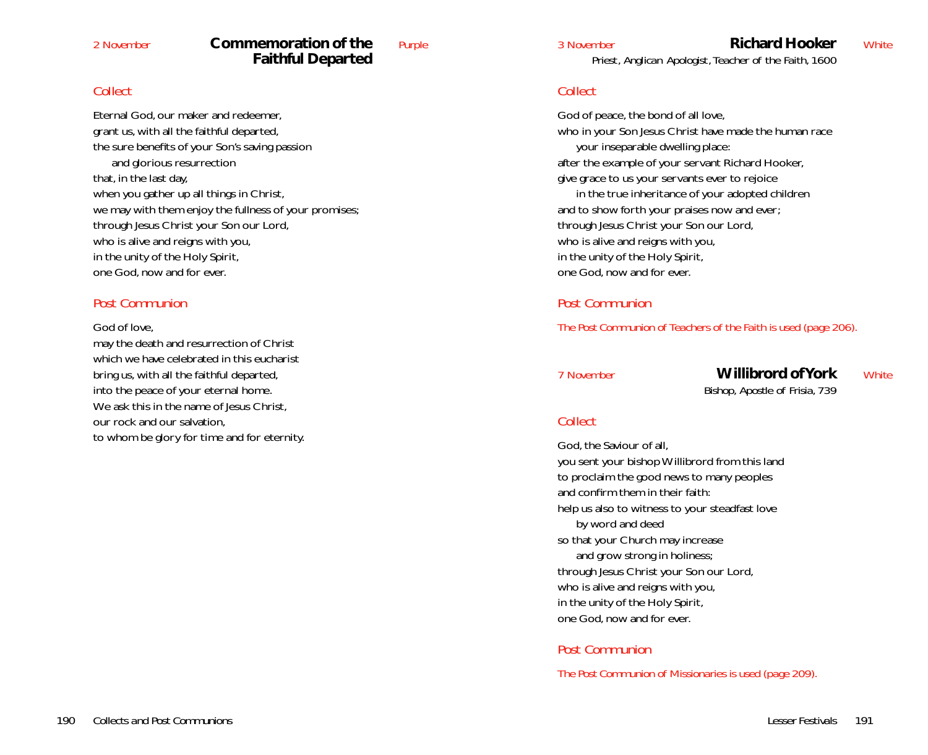# *2 November* **Commemoration of the** *Purple* **Faithful Departed**

# *Collect*

Eternal God, our maker and redeemer, grant us, with all the faithful departed, the sure benefits of your Son's saving passion and glorious resurrection that, in the last day, when you gather up all things in Christ, we may with them enjoy the fullness of your promises; through Jesus Christ your Son our Lord, who is alive and reigns with you, in the unity of the Holy Spirit, one God, now and for ever.

#### *Post Communion*

#### God of love,

may the death and resurrection of Christ which we have celebrated in this eucharist bring us, with all the faithful departed, into the peace of your eternal home. We ask this in the name of Jesus Christ. our rock and our salvation, to whom be glory for time and for eternity.

# *3 November* **Richard Hooker** *White*

*Priest, Anglican Apologist, Teacher of the Faith, 1600*

# *Collect*

God of peace, the bond of all love, who in your Son Jesus Christ have made the human race your inseparable dwelling place: after the example of your servant Richard Hooker, give grace to us your servants ever to rejoice in the true inheritance of your adopted children and to show forth your praises now and ever; through Jesus Christ your Son our Lord, who is alive and reigns with you, in the unity of the Holy Spirit, one God, now and for ever.

# *Post Communion*

*The Post Communion of Teachers of the Faith is used (page 206).*

*7 November* **Willibrord ofYork** *White Bishop, Apostle of Frisia, 739* 

## *Collect*

God, the Saviour of all, you sent your bishop Willibrord from this land to proclaim the good news to many peoples and confirm them in their faith: help us also to witness to your steadfast love by word and deed so that your Church may increase and grow strong in holiness; through Jesus Christ your Son our Lord, who is alive and reigns with you, in the unity of the Holy Spirit, one God, now and for ever.

# *Post Communion*

*The Post Communion of Missionaries is used (page 209).*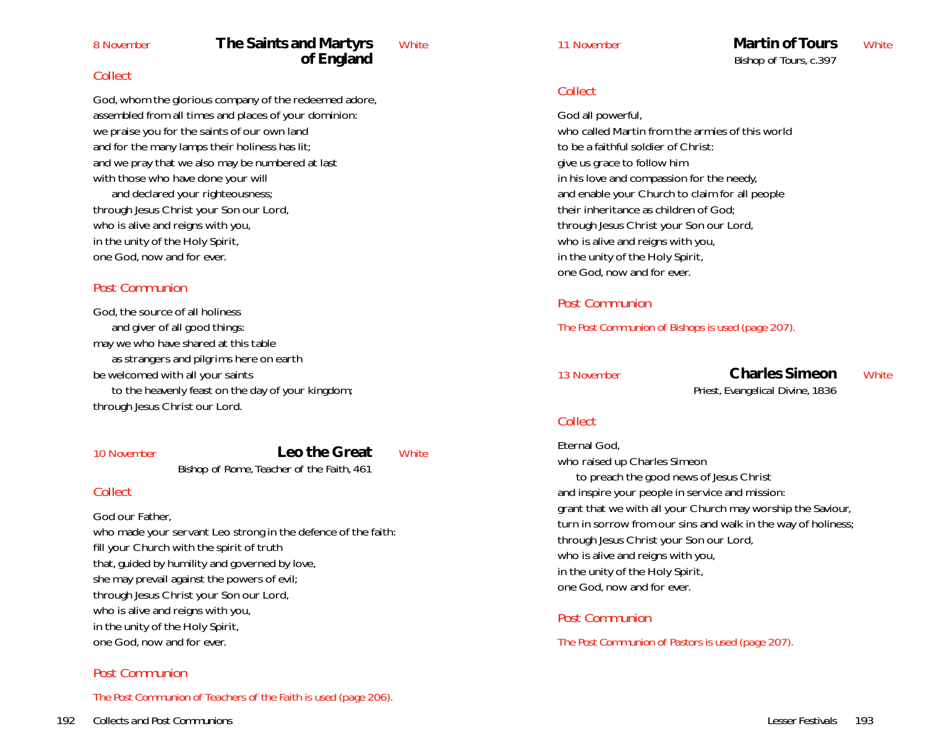# *8 November* **The Saints and Martyrs** *White* **of England**

*Collect*

God, whom the glorious company of the redeemed adore, assembled from all times and places of your dominion: we praise you for the saints of our own land and for the many lamps their holiness has lit; and we pray that we also may be numbered at last with those who have done your will and declared your righteousness; through Jesus Christ your Son our Lord, who is alive and reigns with you, in the unity of the Holy Spirit, one God, now and for ever.

#### *Post Communion*

God, the source of all holiness and giver of all good things: may we who have shared at this table as strangers and pilgrims here on earth be welcomed with all your saints to the heavenly feast on the day of your kingdom; through Jesus Christ our Lord.

## *10 November* **Leo the Great** *White*

*Bishop of Rome, Teacher of the Faith, 461*

## *Collect*

God our Father,

who made your servant Leo strong in the defence of the faith: fill your Church with the spirit of truth that, guided by humility and governed by love, she may prevail against the powers of evil; through Jesus Christ your Son our Lord, who is alive and reigns with you, in the unity of the Holy Spirit, one God, now and for ever.

# *Post Communion*

*The Post Communion of Teachers of the Faith is used (page 206).*

# *Collect*

God all powerful, who called Martin from the armies of this world to be a faithful soldier of Christ: give us grace to follow him in his love and compassion for the needy, and enable your Church to claim for all people their inheritance as children of God; through Jesus Christ your Son our Lord, who is alive and reigns with you, in the unity of the Holy Spirit, one God, now and for ever.

## *Post Communion*

*The Post Communion of Bishops is used (page 207).*

*13 November* **Charles Simeon** *White Priest, Evangelical Divine, 1836*

## *Collect*

Eternal God, who raised up Charles Simeon to preach the good news of Jesus Christ and inspire your people in service and mission: grant that we with all your Church may worship the Saviour, turn in sorrow from our sins and walk in the way of holiness; through Jesus Christ your Son our Lord, who is alive and reigns with you, in the unity of the Holy Spirit, one God, now and for ever.

## *Post Communion*

*The Post Communion of Pastors is used (page 207).*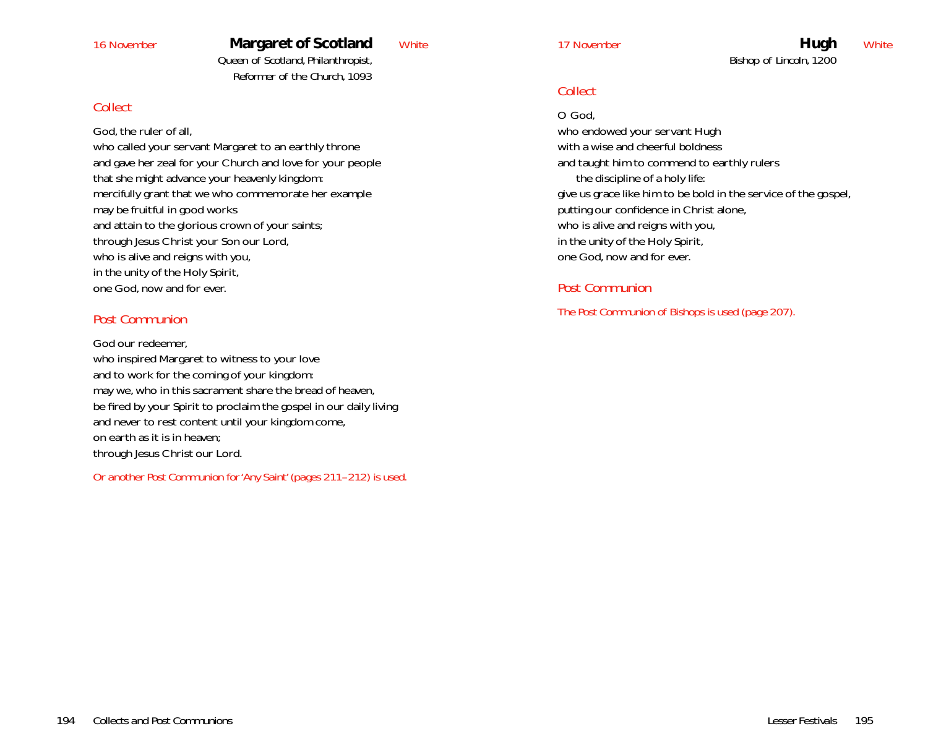*16 November* **Margaret of Scotland** *White*

*Queen of Scotland, Philanthropist, Reformer of the Church, 1093*

## *Collect*

God, the ruler of all,

who called your servant Margaret to an earthly throne and gave her zeal for your Church and love for your people that she might advance your heavenly kingdom: mercifully grant that we who commemorate her example may be fruitful in good works and attain to the glorious crown of your saints; through Jesus Christ your Son our Lord, who is alive and reigns with you, in the unity of the Holy Spirit, one God, now and for ever.

## *Post Communion*

God our redeemer, who inspired Margaret to witness to your love and to work for the coming of your kingdom: may we, who in this sacrament share the bread of heaven, be fired by your Spirit to proclaim the gospel in our daily living and never to rest content until your kingdom come, on earth as it is in heaven; through Jesus Christ our Lord.

*Or another Post Communion for 'Any Saint' (pages 211–212) is used.*

*17 November* **Hugh** *White Bishop of Lincoln, 1200*

# *Collect*

O God, who endowed your servant Hugh with a wise and cheerful boldness and taught him to commend to earthly rulers the discipline of a holy life: give us grace like him to be bold in the service of the gospel, putting our confidence in Christ alone, who is alive and reigns with you, in the unity of the Holy Spirit, one God, now and for ever.

# *Post Communion*

*The Post Communion of Bishops is used (page 207).*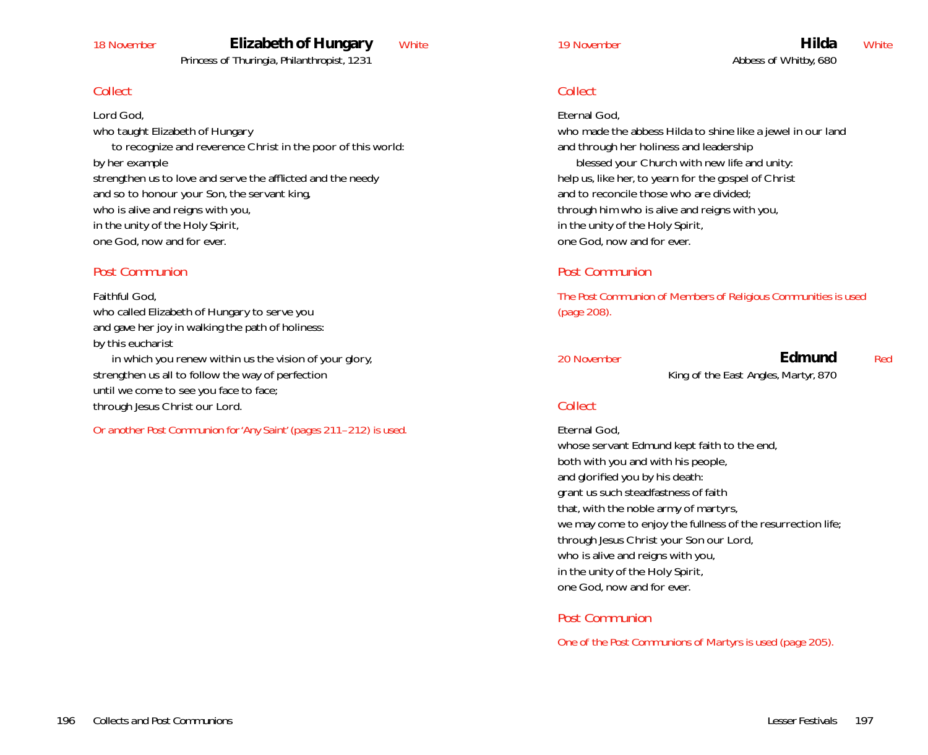*Princess of Thuringia, Philanthropist, 1231*

#### *Collect*

Lord God, who taught Elizabeth of Hungary to recognize and reverence Christ in the poor of this world: by her example strengthen us to love and serve the afflicted and the needy and so to honour your Son, the servant king, who is alive and reigns with you, in the unity of the Holy Spirit, one God, now and for ever.

#### *Post Communion*

Faithful God, who called Elizabeth of Hungary to serve you and gave her joy in walking the path of holiness: by this eucharist in which you renew within us the vision of your glory, strengthen us all to follow the way of perfection until we come to see you face to face; through Jesus Christ our Lord.

*Or another Post Communion for 'Any Saint' (pages 211–212) is used.*

*Abbess of Whitby, 680*

# *Collect*

#### Eternal God,

who made the abbess Hilda to shine like a jewel in our land and through her holiness and leadership

blessed your Church with new life and unity: help us, like her, to yearn for the gospel of Christ and to reconcile those who are divided; through him who is alive and reigns with you, in the unity of the Holy Spirit, one God, now and for ever.

#### *Post Communion*

*The Post Communion of Members of Religious Communities is used (page 208).*

*20 November* **Edmund** *Red King of the East Angles, Martyr, 870*

#### *Collect*

Eternal God, whose servant Edmund kept faith to the end, both with you and with his people, and glorified you by his death: grant us such steadfastness of faith that, with the noble army of martyrs, we may come to enjoy the fullness of the resurrection life; through Jesus Christ your Son our Lord, who is alive and reigns with you, in the unity of the Holy Spirit, one God, now and for ever.

#### *Post Communion*

*One of the Post Communions of Martyrs is used (page 205).*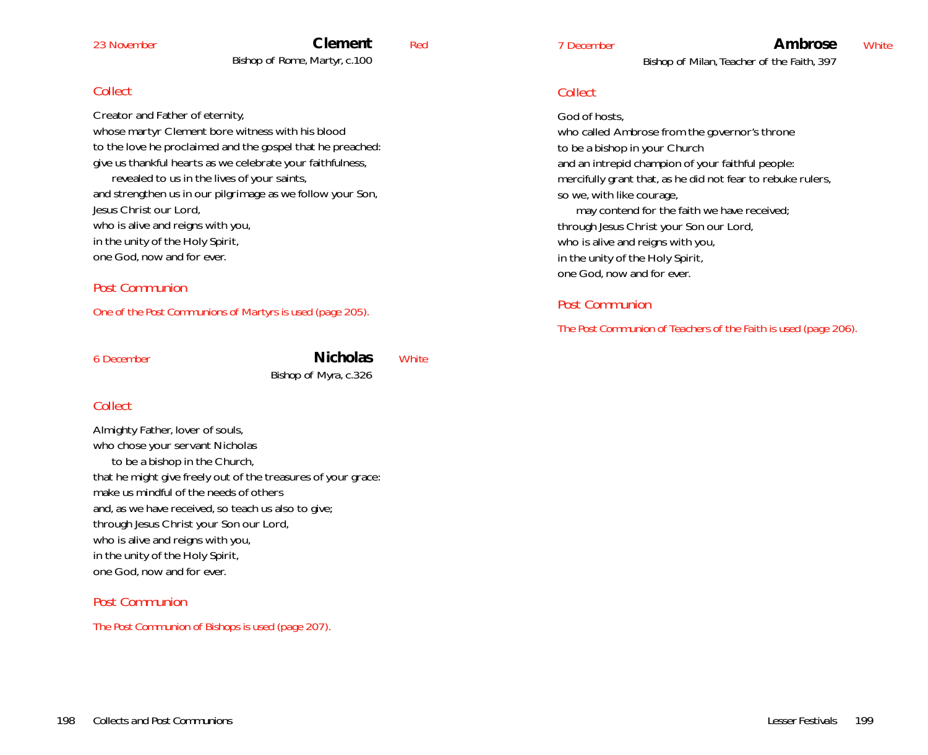# *23 November* **Clement** *Red*

*Bishop of Rome, Martyr, c.100*

#### *Collect*

Creator and Father of eternity, whose martyr Clement bore witness with his blood to the love he proclaimed and the gospel that he preached: give us thankful hearts as we celebrate your faithfulness, revealed to us in the lives of your saints, and strengthen us in our pilgrimage as we follow your Son, Jesus Christ our Lord, who is alive and reigns with you, in the unity of the Holy Spirit, one God, now and for ever.

#### *Post Communion*

*One of the Post Communions of Martyrs is used (page 205).*

*6 December* **Nicholas** *White Bishop of Myra, c.326*

#### *Collect*

Almighty Father, lover of souls, who chose your servant Nicholas to be a bishop in the Church, that he might give freely out of the treasures of your grace: make us mindful of the needs of others and, as we have received, so teach us also to give; through Jesus Christ your Son our Lord, who is alive and reigns with you, in the unity of the Holy Spirit, one God, now and for ever.

#### *Post Communion*

*The Post Communion of Bishops is used (page 207).*

*Bishop of Milan, Teacher of the Faith, 397*

## *Collect*

God of hosts, who called Ambrose from the governor's throne to be a bishop in your Church and an intrepid champion of your faithful people: mercifully grant that, as he did not fear to rebuke rulers, so we, with like courage,

may contend for the faith we have received; through Jesus Christ your Son our Lord, who is alive and reigns with you, in the unity of the Holy Spirit, one God, now and for ever.

#### *Post Communion*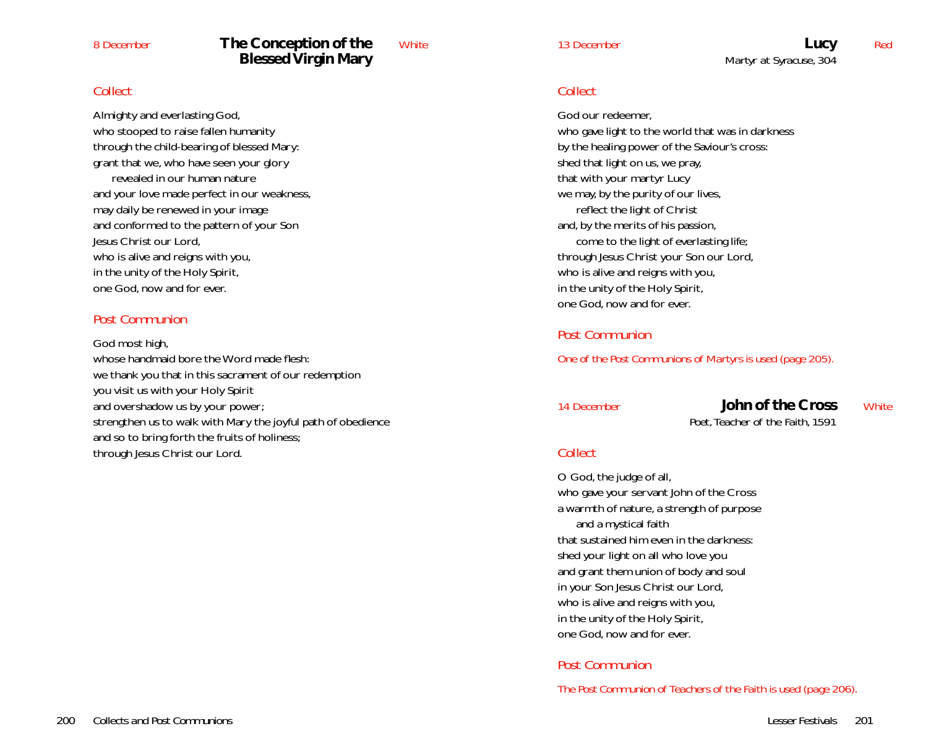# *8 December* **The Conception of the** *White* **Blessed Virgin Mary**

*13 December* **Lucy** *Red Martyr at Syracuse, 304*

## *Collect*

Almighty and everlasting God, who stooped to raise fallen humanity through the child-bearing of blessed Mary: grant that we, who have seen your glory revealed in our human nature and your love made perfect in our weakness, may daily be renewed in your image and conformed to the pattern of your Son Jesus Christ our Lord, who is alive and reigns with you, in the unity of the Holy Spirit, one God, now and for ever.

#### *Post Communion*

God most high, whose handmaid bore the Word made flesh: we thank you that in this sacrament of our redemption you visit us with your Holy Spirit and overshadow us by your power; strengthen us to walk with Mary the joyful path of obedience and so to bring forth the fruits of holiness; through Jesus Christ our Lord.

# *Collect*

God our redeemer, who gave light to the world that was in darkness by the healing power of the Saviour's cross: shed that light on us, we pray, that with your martyr Lucy we may, by the purity of our lives, reflect the light of Christ and, by the merits of his passion, come to the light of everlasting life; through Jesus Christ your Son our Lord, who is alive and reigns with you, in the unity of the Holy Spirit, one God, now and for ever.

#### *Post Communion*

*One of the Post Communions of Martyrs is used (page 205).*

*14 December* **John of the Cross** *White Poet, Teacher of the Faith, 1591*

## *Collect*

O God, the judge of all, who gave your servant John of the Cross a warmth of nature, a strength of purpose and a mystical faith that sustained him even in the darkness: shed your light on all who love you and grant them union of body and soul in your Son Jesus Christ our Lord, who is alive and reigns with you, in the unity of the Holy Spirit, one God, now and for ever.

# *Post Communion*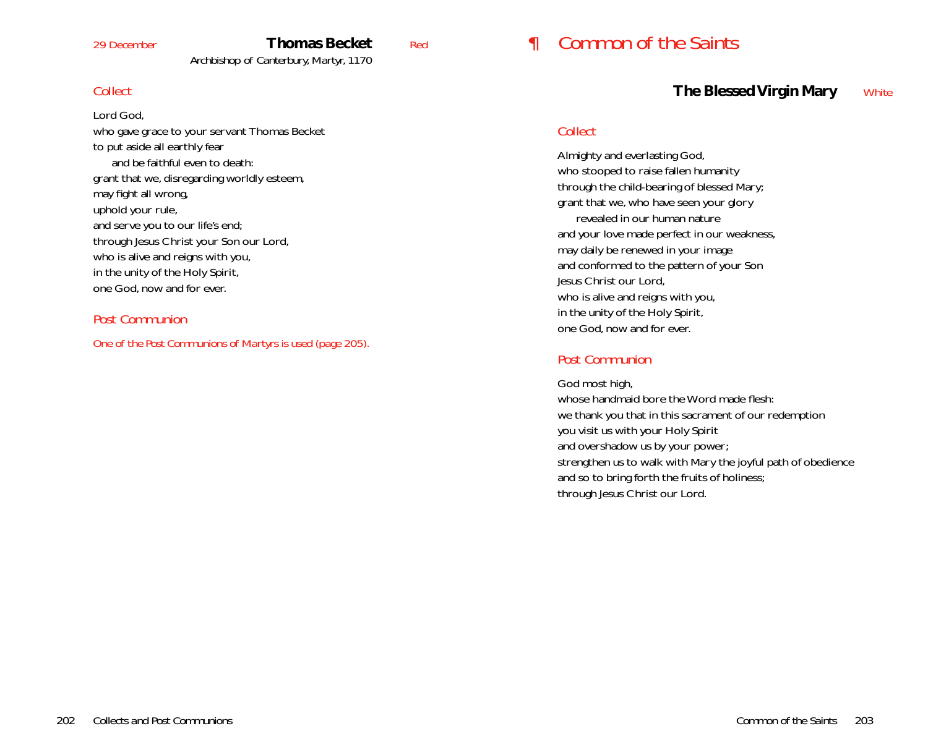*Archbishop of Canterbury, Martyr, 1170*

# *Collect*

Lord God, who gave grace to your servant Thomas Becket to put aside all earthly fear and be faithful even to death: grant that we, disregarding worldly esteem, may fight all wrong, uphold your rule, and serve you to our life's end; through Jesus Christ your Son our Lord, who is alive and reigns with you, in the unity of the Holy Spirit, one God, now and for ever.

#### *Post Communion*

*One of the Post Communions of Martyrs is used (page 205).*

# *¶ Common of the Saints*

**The Blessed Virgin Mary** *White*

#### *Collect*

Almighty and everlasting God, who stooped to raise fallen humanity through the child-bearing of blessed Mary; grant that we, who have seen your glory revealed in our human nature and your love made perfect in our weakness, may daily be renewed in your image and conformed to the pattern of your Son Jesus Christ our Lord, who is alive and reigns with you, in the unity of the Holy Spirit, one God, now and for ever.

# *Post Communion*

God most high, whose handmaid bore the Word made flesh: we thank you that in this sacrament of our redemption you visit us with your Holy Spirit and overshadow us by your power; strengthen us to walk with Mary the joyful path of obedience and so to bring forth the fruits of holiness; through Jesus Christ our Lord.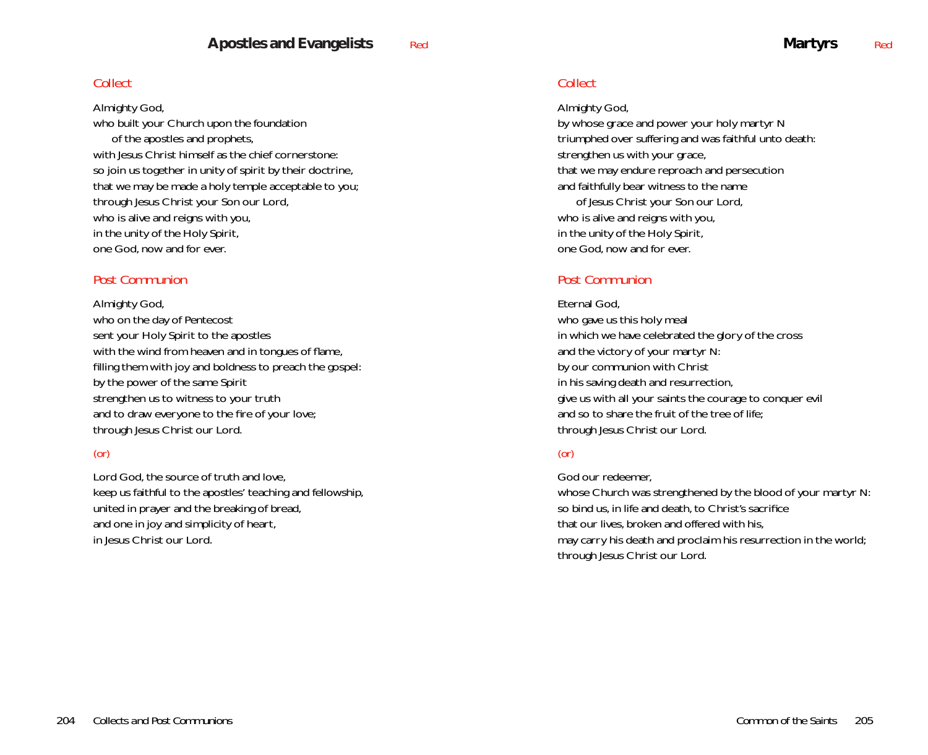## *Collect*

Almighty God, who built your Church upon the foundation of the apostles and prophets, with Jesus Christ himself as the chief cornerstone: so join us together in unity of spirit by their doctrine, that we may be made a holy temple acceptable to you; through Jesus Christ your Son our Lord, who is alive and reigns with you, in the unity of the Holy Spirit, one God, now and for ever.

## *Post Communion*

Almighty God, who on the day of Pentecost sent your Holy Spirit to the apostles with the wind from heaven and in tongues of flame, filling them with joy and boldness to preach the gospel: by the power of the same Spirit strengthen us to witness to your truth and to draw everyone to the fire of your love; through Jesus Christ our Lord.

## *(or)*

Lord God, the source of truth and love, keep us faithful to the apostles' teaching and fellowship, united in prayer and the breaking of bread, and one in joy and simplicity of heart, in Jesus Christ our Lord.

# *Collect*

Almighty God, by whose grace and power your holy martyr *N* triumphed over suffering and was faithful unto death: strengthen us with your grace, that we may endure reproach and persecution and faithfully bear witness to the name of Jesus Christ your Son our Lord, who is alive and reigns with you, in the unity of the Holy Spirit, one God, now and for ever.

# *Post Communion*

Eternal God, who gave us this holy meal in which we have celebrated the glory of the cross and the victory of your martyr *N*: by our communion with Christ in his saving death and resurrection, give us with all your saints the courage to conquer evil and so to share the fruit of the tree of life; through Jesus Christ our Lord.

# *(or)*

God our redeemer, whose Church was strengthened by the blood of your martyr *N*: so bind us, in life and death, to Christ's sacrifice that our lives, broken and offered with his, may carry his death and proclaim his resurrection in the world; through Jesus Christ our Lord.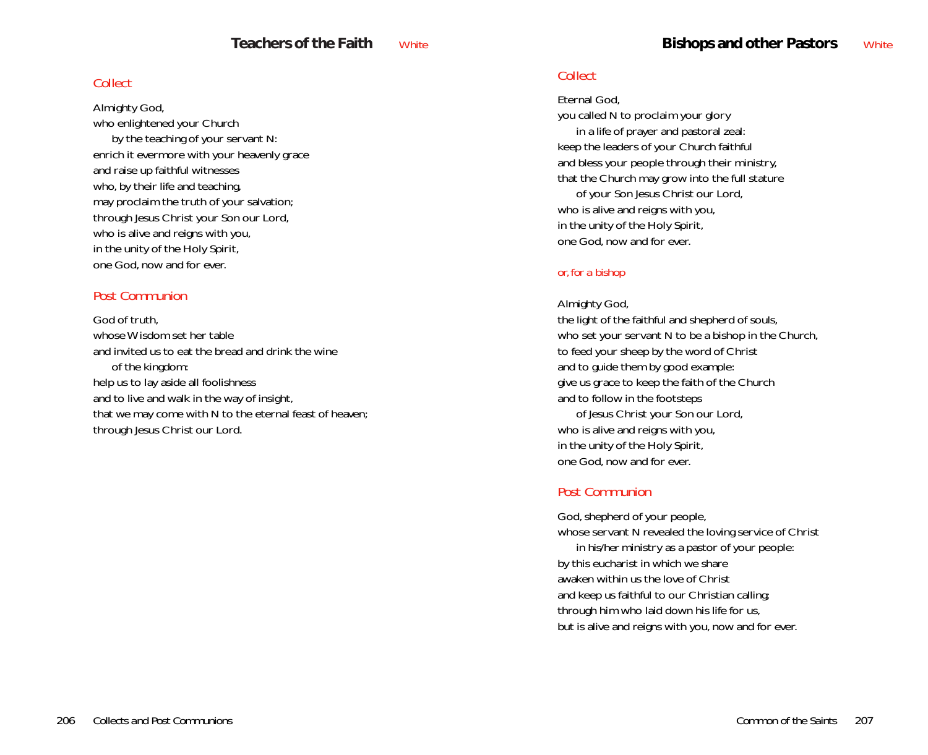#### *Collect*

Almighty God, who enlightened your Church by the teaching of your servant *N*: enrich it evermore with your heavenly grace and raise up faithful witnesses who, by their life and teaching, may proclaim the truth of your salvation; through Jesus Christ your Son our Lord, who is alive and reigns with you, in the unity of the Holy Spirit, one God, now and for ever.

#### *Post Communion*

God of truth, whose Wisdom set her table and invited us to eat the bread and drink the wine of the kingdom: help us to lay aside all foolishness and to live and walk in the way of insight, that we may come with *N* to the eternal feast of heaven; through Jesus Christ our Lord.

#### *Collect*

Eternal God, you called *N* to proclaim your glory in a life of prayer and pastoral zeal: keep the leaders of your Church faithful and bless your people through their ministry, that the Church may grow into the full stature of your Son Jesus Christ our Lord, who is alive and reigns with you, in the unity of the Holy Spirit, one God, now and for ever.

#### *or, for a bishop*

# Almighty God,

the light of the faithful and shepherd of souls, who set your servant *N* to be a bishop in the Church, to feed your sheep by the word of Christ and to guide them by good example: give us grace to keep the faith of the Church and to follow in the footsteps

of Jesus Christ your Son our Lord, who is alive and reigns with you, in the unity of the Holy Spirit, one God, now and for ever.

## *Post Communion*

God, shepherd of your people, whose servant *N* revealed the loving service of Christ in *his/her* ministry as a pastor of your people: by this eucharist in which we share awaken within us the love of Christ and keep us faithful to our Christian calling; through him who laid down his life for us, but is alive and reigns with you, now and for ever.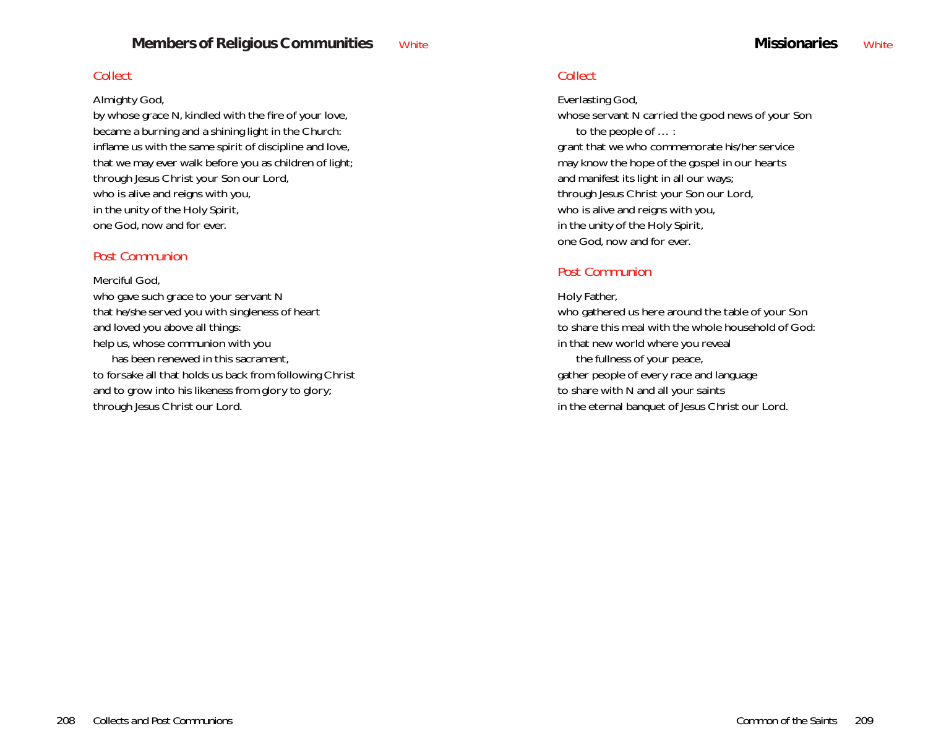## **Members of Religious Communities** *White*

#### *Collect*

#### Almighty God,

by whose grace *N*, kindled with the fire of your love, became a burning and a shining light in the Church: inflame us with the same spirit of discipline and love, that we may ever walk before you as children of light; through Jesus Christ your Son our Lord, who is alive and reigns with you, in the unity of the Holy Spirit, one God, now and for ever.

#### *Post Communion*

Merciful God, who gave such grace to your servant *N* that *he/she* served you with singleness of heart and loved you above all things: help us, whose communion with you has been renewed in this sacrament, to forsake all that holds us back from following Christ

and to grow into his likeness from glory to glory; through Jesus Christ our Lord.

#### *Collect*

Everlasting God, whose servant *N* carried the good news of your Son to the people of … : grant that we who commemorate *his/her* service may know the hope of the gospel in our hearts and manifest its light in all our ways; through Jesus Christ your Son our Lord, who is alive and reigns with you, in the unity of the Holy Spirit, one God, now and for ever.

#### *Post Communion*

#### Holy Father,

who gathered us here around the table of your Son to share this meal with the whole household of God: in that new world where you reveal the fullness of your peace, gather people of every race and language to share with *N* and all your saints in the eternal banquet of Jesus Christ our Lord.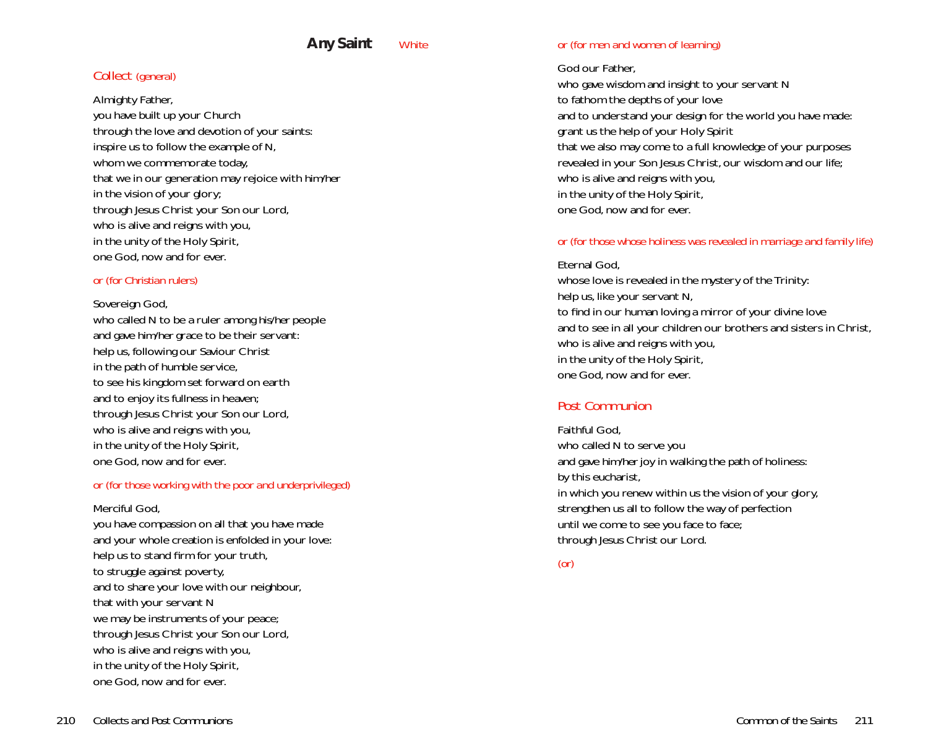#### **Any Saint** *White*

#### *Collect (general)*

Almighty Father, you have built up your Church through the love and devotion of your saints: inspire us to follow the example of *N*, whom we commemorate today, that we in our generation may rejoice with *him/her* in the vision of your glory; through Jesus Christ your Son our Lord, who is alive and reigns with you, in the unity of the Holy Spirit, one God, now and for ever.

#### *or (for Christian rulers)*

Sovereign God, who called *N* to be a ruler among *his/her* people and gave *him/her* grace to be their servant: help us, following our Saviour Christ in the path of humble service, to see his kingdom set forward on earth and to enjoy its fullness in heaven; through Jesus Christ your Son our Lord, who is alive and reigns with you, in the unity of the Holy Spirit, one God, now and for ever.

#### *or (for those working with the poor and underprivileged)*

#### Merciful God,

you have compassion on all that you have made and your whole creation is enfolded in your love: help us to stand firm for your truth, to struggle against poverty, and to share your love with our neighbour, that with your servant *N* we may be instruments of your peace; through Jesus Christ your Son our Lord, who is alive and reigns with you, in the unity of the Holy Spirit, one God, now and for ever.

#### *or (for men and women of learning)*

#### God our Father,

who gave wisdom and insight to your servant *N* to fathom the depths of your love and to understand your design for the world you have made: grant us the help of your Holy Spirit that we also may come to a full knowledge of your purposes revealed in your Son Jesus Christ, our wisdom and our life; who is alive and reigns with you, in the unity of the Holy Spirit, one God, now and for ever.

#### *or (for those whose holiness was revealed in marriage and family life)*

#### Eternal God,

whose love is revealed in the mystery of the Trinity: help us, like your servant *N*, to find in our human loving a mirror of your divine love and to see in all your children our brothers and sisters in Christ, who is alive and reigns with you, in the unity of the Holy Spirit, one God, now and for ever.

## *Post Communion*

Faithful God, who called *N* to serve you and gave *him/her* joy in walking the path of holiness: by this eucharist, in which you renew within us the vision of your glory, strengthen us all to follow the way of perfection until we come to see you face to face; through Jesus Christ our Lord.

*(or)*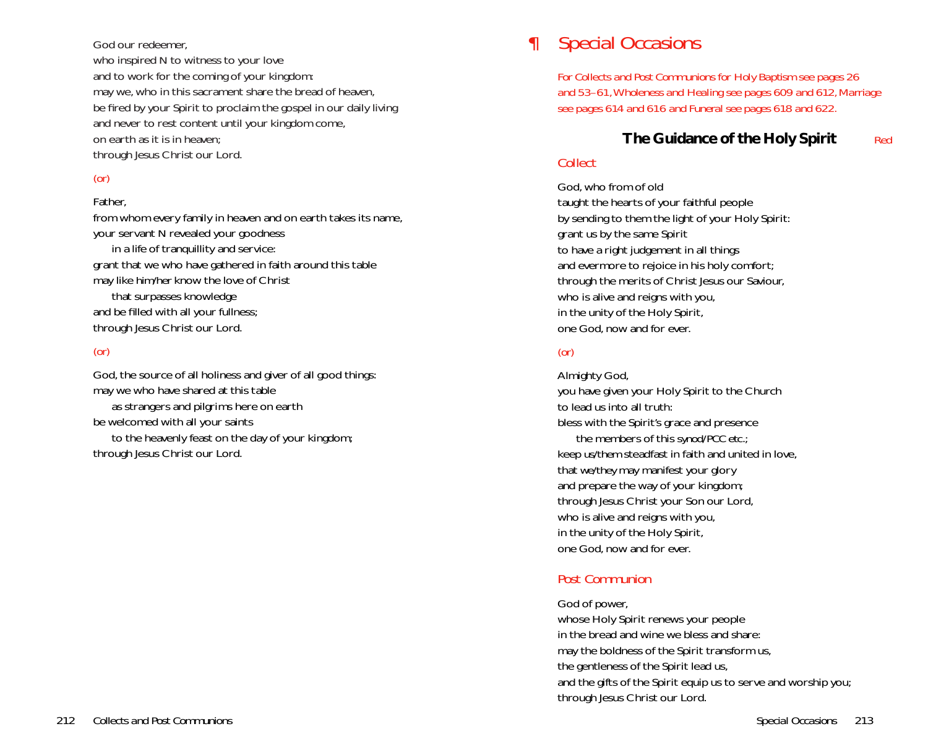God our redeemer, who inspired *N* to witness to your love and to work for the coming of your kingdom: may we, who in this sacrament share the bread of heaven, be fired by your Spirit to proclaim the gospel in our daily living and never to rest content until your kingdom come, on earth as it is in heaven; through Jesus Christ our Lord.

## *(or)*

#### Father,

from whom every family in heaven and on earth takes its name, your servant *N* revealed your goodness in a life of tranquillity and service: grant that we who have gathered in faith around this table may like *him/her* know the love of Christ that surpasses knowledge

and be filled with all your fullness; through Jesus Christ our Lord.

#### *(or)*

God, the source of all holiness and giver of all good things: may we who have shared at this table as strangers and pilgrims here on earth be welcomed with all your saints to the heavenly feast on the day of your kingdom; through Jesus Christ our Lord.

# *¶ Special Occasions*

*For Collects and Post Communions for Holy Baptism see pages 26 and 53–61, Wholeness and Healing see pages 609 and 612, Marriage see pages 614 and 616 and Funeral see pages 618 and 622.*

## **The Guidance of the Holy Spirit** *Red*

## *Collect*

God, who from of old taught the hearts of your faithful people by sending to them the light of your Holy Spirit: grant us by the same Spirit to have a right judgement in all things and evermore to rejoice in his holy comfort; through the merits of Christ Jesus our Saviour, who is alive and reigns with you, in the unity of the Holy Spirit, one God, now and for ever.

## *(or)*

Almighty God, you have given your Holy Spirit to the Church to lead us into all truth: bless with the Spirit's grace and presence the members of this *synod/PCC etc.*; keep *us/them* steadfast in faith and united in love, that *we/they* may manifest your glory and prepare the way of your kingdom; through Jesus Christ your Son our Lord, who is alive and reigns with you, in the unity of the Holy Spirit, one God, now and for ever.

## *Post Communion*

#### God of power,

whose Holy Spirit renews your people in the bread and wine we bless and share: may the boldness of the Spirit transform us, the gentleness of the Spirit lead us, and the gifts of the Spirit equip us to serve and worship you; through Jesus Christ our Lord.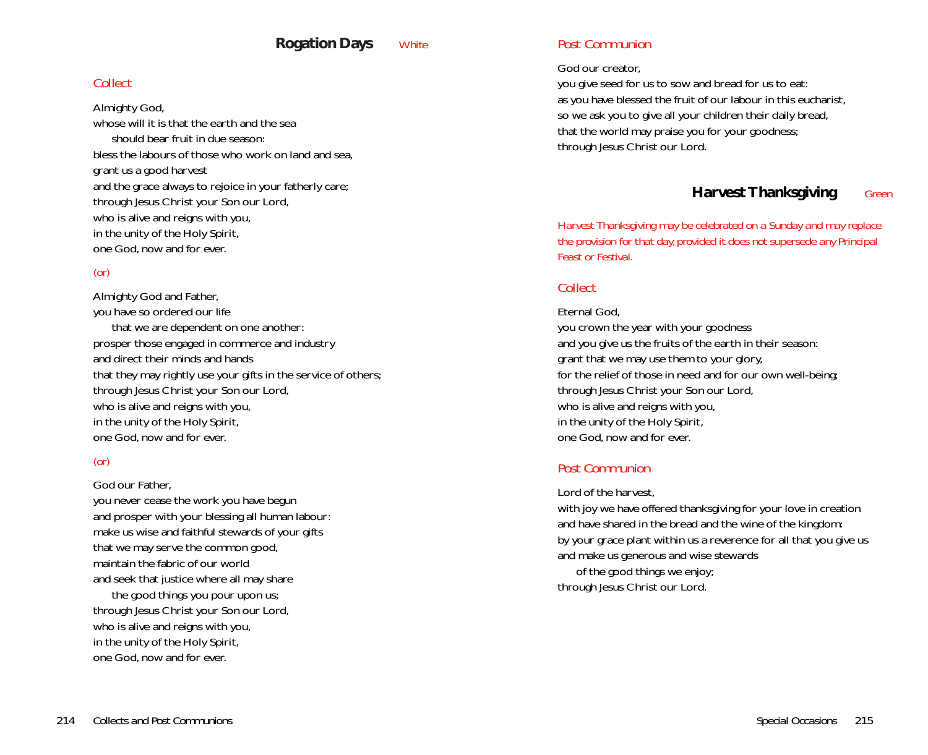## **Rogation Days** *White*

#### *Collect*

Almighty God, whose will it is that the earth and the sea should bear fruit in due season: bless the labours of those who work on land and sea, grant us a good harvest and the grace always to rejoice in your fatherly care; through Jesus Christ your Son our Lord, who is alive and reigns with you, in the unity of the Holy Spirit, one God, now and for ever.

#### *(or)*

Almighty God and Father, you have so ordered our life that we are dependent on one another: prosper those engaged in commerce and industry and direct their minds and hands that they may rightly use your gifts in the service of others; through Jesus Christ your Son our Lord, who is alive and reigns with you, in the unity of the Holy Spirit, one God, now and for ever.

#### *(or)*

God our Father, you never cease the work you have begun and prosper with your blessing all human labour: make us wise and faithful stewards of your gifts that we may serve the common good, maintain the fabric of our world and seek that justice where all may share

the good things you pour upon us; through Jesus Christ your Son our Lord, who is alive and reigns with you, in the unity of the Holy Spirit, one God, now and for ever.

#### *Post Communion*

#### God our creator,

you give seed for us to sow and bread for us to eat: as you have blessed the fruit of our labour in this eucharist, so we ask you to give all your children their daily bread, that the world may praise you for your goodness; through Jesus Christ our Lord.

## **Harvest Thanksgiving** *Green*

*Harvest Thanksgiving may be celebrated on a Sunday and may replace the provision for that day, provided it does not supersede any Principal Feast or Festival.*

## *Collect*

#### Eternal God, you crown the year with your goodness and you give us the fruits of the earth in their season: grant that we may use them to your glory, for the relief of those in need and for our own well-being; through Jesus Christ your Son our Lord, who is alive and reigns with you, in the unity of the Holy Spirit, one God, now and for ever.

## *Post Communion*

Lord of the harvest,

with joy we have offered thanksgiving for your love in creation and have shared in the bread and the wine of the kingdom: by your grace plant within us a reverence for all that you give us and make us generous and wise stewards

of the good things we enjoy; through Jesus Christ our Lord.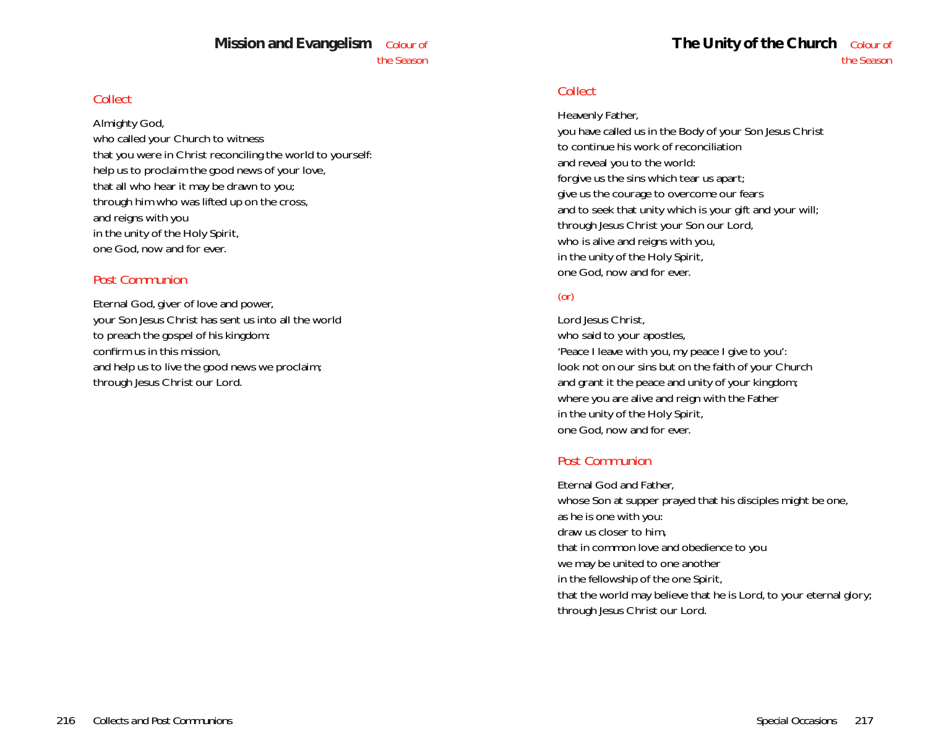#### **Mission and Evangelism** *Colour of the Season*

#### *Collect*

#### Almighty God,

who called your Church to witness that you were in Christ reconciling the world to yourself: help us to proclaim the good news of your love, that all who hear it may be drawn to you; through him who was lifted up on the cross, and reigns with you in the unity of the Holy Spirit, one God, now and for ever.

#### *Post Communion*

Eternal God, giver of love and power, your Son Jesus Christ has sent us into all the world to preach the gospel of his kingdom: confirm us in this mission, and help us to live the good news we proclaim; through Jesus Christ our Lord.

## *Collect*

Heavenly Father, you have called us in the Body of your Son Jesus Christ to continue his work of reconciliation and reveal you to the world: forgive us the sins which tear us apart; give us the courage to overcome our fears and to seek that unity which is your gift and your will; through Jesus Christ your Son our Lord, who is alive and reigns with you, in the unity of the Holy Spirit, one God, now and for ever.

### *(or)*

Lord Jesus Christ, who said to your apostles, 'Peace I leave with you, my peace I give to you': look not on our sins but on the faith of your Church and grant it the peace and unity of your kingdom; where you are alive and reign with the Father in the unity of the Holy Spirit, one God, now and for ever.

## *Post Communion*

Eternal God and Father, whose Son at supper prayed that his disciples might be one, as he is one with you: draw us closer to him, that in common love and obedience to you we may be united to one another in the fellowship of the one Spirit, that the world may believe that he is Lord, to your eternal glory; through Jesus Christ our Lord.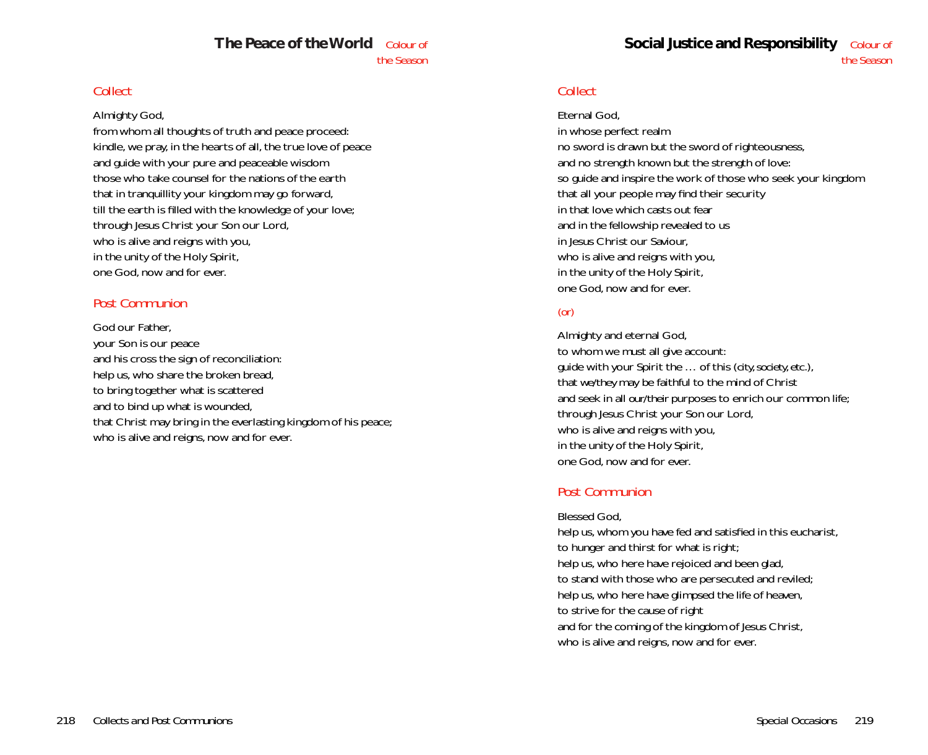### **The Peace of the World** *Colour of the Season*

## *Collect*

#### Almighty God,

from whom all thoughts of truth and peace proceed: kindle, we pray, in the hearts of all, the true love of peace and guide with your pure and peaceable wisdom those who take counsel for the nations of the earth that in tranquillity your kingdom may go forward, till the earth is filled with the knowledge of your love; through Jesus Christ your Son our Lord, who is alive and reigns with you, in the unity of the Holy Spirit, one God, now and for ever.

#### *Post Communion*

God our Father, your Son is our peace and his cross the sign of reconciliation: help us, who share the broken bread. to bring together what is scattered and to bind up what is wounded, that Christ may bring in the everlasting kingdom of his peace; who is alive and reigns, now and for ever.

## **Social Justice and Responsibility** *Colour of the Season*

## *Collect*

Eternal God, in whose perfect realm no sword is drawn but the sword of righteousness, and no strength known but the strength of love: so guide and inspire the work of those who seek your kingdom that all your people may find their security in that love which casts out fear and in the fellowship revealed to us in Jesus Christ our Saviour, who is alive and reigns with you, in the unity of the Holy Spirit, one God, now and for ever.

### *(or)*

Almighty and eternal God, to whom we must all give account: guide with your Spirit the … of this (*city, society, etc.*), that *we/they* may be faithful to the mind of Christ and seek in all *our/their* purposes to enrich our common life; through Jesus Christ your Son our Lord, who is alive and reigns with you, in the unity of the Holy Spirit, one God, now and for ever.

## *Post Communion*

#### Blessed God,

help us, whom you have fed and satisfied in this eucharist, to hunger and thirst for what is right; help us, who here have rejoiced and been glad, to stand with those who are persecuted and reviled; help us, who here have glimpsed the life of heaven, to strive for the cause of right and for the coming of the kingdom of Jesus Christ, who is alive and reigns, now and for ever.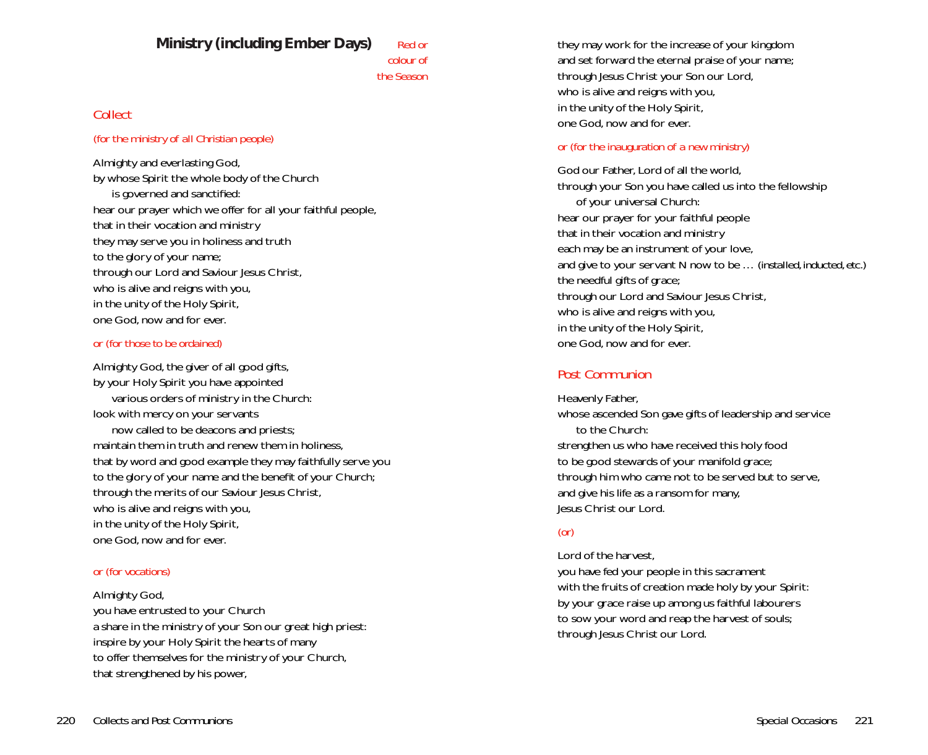*colour of*

*the Season*

## *Collect*

#### *(for the ministry of all Christian people)*

Almighty and everlasting God, by whose Spirit the whole body of the Church is governed and sanctified: hear our prayer which we offer for all your faithful people, that in their vocation and ministry they may serve you in holiness and truth to the glory of your name; through our Lord and Saviour Jesus Christ, who is alive and reigns with you, in the unity of the Holy Spirit, one God, now and for ever.

#### *or (for those to be ordained)*

Almighty God, the giver of all good gifts, by your Holy Spirit you have appointed various orders of ministry in the Church: look with mercy on your servants now called to be deacons and priests; maintain them in truth and renew them in holiness, that by word and good example they may faithfully serve you to the glory of your name and the benefit of your Church; through the merits of our Saviour Jesus Christ, who is alive and reigns with you, in the unity of the Holy Spirit, one God, now and for ever.

#### *or (for vocations)*

Almighty God, you have entrusted to your Church a share in the ministry of your Son our great high priest: inspire by your Holy Spirit the hearts of many to offer themselves for the ministry of your Church, that strengthened by his power,

they may work for the increase of your kingdom and set forward the eternal praise of your name; through Jesus Christ your Son our Lord, who is alive and reigns with you, in the unity of the Holy Spirit, one God, now and for ever.

#### *or (for the inauguration of a new ministry)*

God our Father, Lord of all the world, through your Son you have called us into the fellowship of your universal Church: hear our prayer for your faithful people that in their vocation and ministry each may be an instrument of your love, and give to your servant *N* now to be … *(installed, inducted, etc.)* the needful gifts of grace; through our Lord and Saviour Jesus Christ, who is alive and reigns with you, in the unity of the Holy Spirit, one God, now and for ever.

## *Post Communion*

Heavenly Father, whose ascended Son gave gifts of leadership and service to the Church: strengthen us who have received this holy food to be good stewards of your manifold grace; through him who came not to be served but to serve, and give his life as a ransom for many, Jesus Christ our Lord.

## *(or)*

Lord of the harvest, you have fed your people in this sacrament with the fruits of creation made holy by your Spirit: by your grace raise up among us faithful labourers to sow your word and reap the harvest of souls; through Jesus Christ our Lord.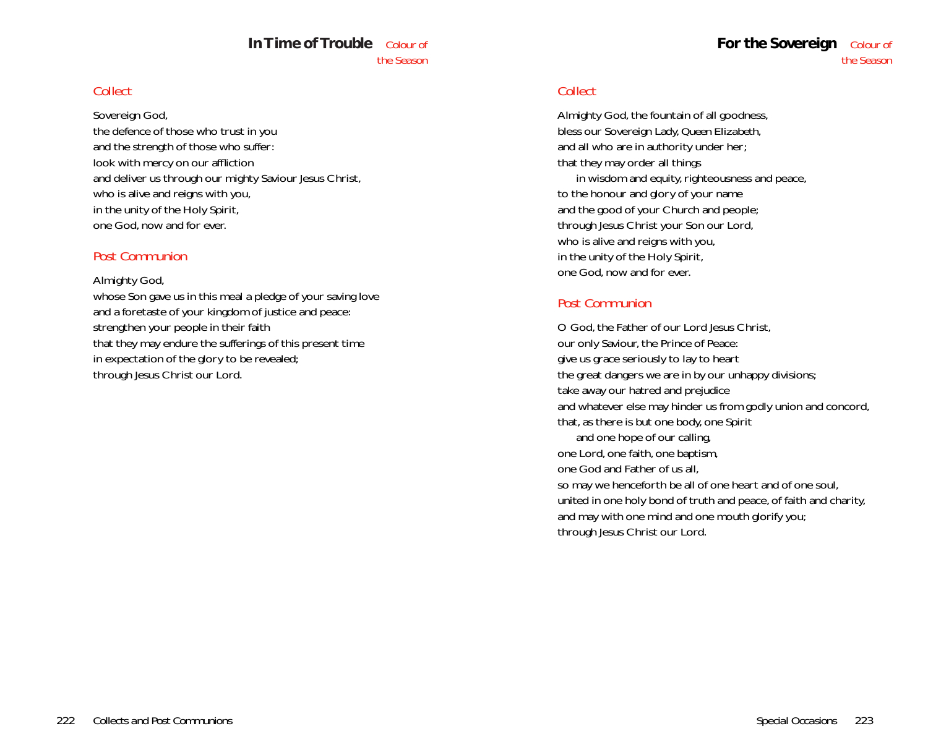## **In Time of Trouble** *Colour of the Season*

### *Collect*

#### Sovereign God,

the defence of those who trust in you and the strength of those who suffer: look with mercy on our affliction and deliver us through our mighty Saviour Jesus Christ, who is alive and reigns with you, in the unity of the Holy Spirit, one God, now and for ever.

#### *Post Communion*

#### Almighty God,

whose Son gave us in this meal a pledge of your saving love and a foretaste of your kingdom of justice and peace: strengthen your people in their faith that they may endure the sufferings of this present time in expectation of the glory to be revealed; through Jesus Christ our Lord.

## *Collect*

Almighty God, the fountain of all goodness, bless our Sovereign Lady, *Queen Elizabeth,* and all who are in authority under her; that they may order all things in wisdom and equity, righteousness and peace, to the honour and glory of your name and the good of your Church and people; through Jesus Christ your Son our Lord, who is alive and reigns with you, in the unity of the Holy Spirit, one God, now and for ever.

## *Post Communion*

O God, the Father of our Lord Jesus Christ, our only Saviour, the Prince of Peace: give us grace seriously to lay to heart the great dangers we are in by our unhappy divisions; take away our hatred and prejudice and whatever else may hinder us from godly union and concord, that, as there is but one body, one Spirit and one hope of our calling, one Lord, one faith, one baptism, one God and Father of us all, so may we henceforth be all of one heart and of one soul, united in one holy bond of truth and peace, of faith and charity, and may with one mind and one mouth glorify you; through Jesus Christ our Lord.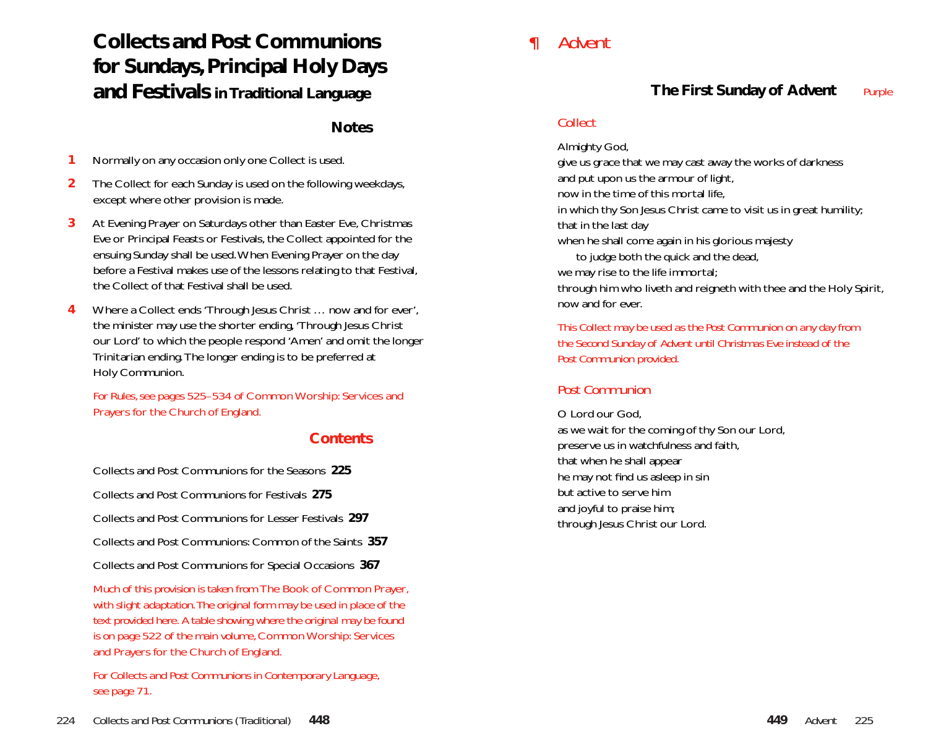# **Collects and Post Communions for Sundays, Principal Holy Days and Festivals in Traditional Language**

#### **Notes**

- **1** Normally on any occasion only one Collect is used.
- **2** The Collect for each Sunday is used on the following weekdays, except where other provision is made.
- **3** At Evening Prayer on Saturdays other than Easter Eve, Christmas Eve or Principal Feasts or Festivals, the Collect appointed for the ensuing Sunday shall be used.When Evening Prayer on the day before a Festival makes use of the lessons relating to that Festival, the Collect of that Festival shall be used.
- **4** Where a Collect ends 'Through Jesus Christ … now and for ever', the minister may use the shorter ending, 'Through Jesus Christ our Lord' to which the people respond 'Amen' and omit the longer Trinitarian ending. The longer ending is to be preferred at Holy Communion.

*For Rules, see pages 525–534 of* Common Worship: Services and Prayers for the Church of England.

#### **Contents**

Collects and Post Communions for the Seasons **225**

Collects and Post Communions for Festivals **275**

Collects and Post Communions for Lesser Festivals **297**

Collects and Post Communions: Common of the Saints **357**

Collects and Post Communions for Special Occasions **367**

*Much of this provision is taken from* The Book of Common Prayer*, with slight adaptation. The original form may be used in place of the text provided here. A table showing where the original may be found is on page 522 of the main volume,* Common Worship: Services and Prayers for the Church of England.

*For Collects and Post Communions in Contemporary Language, see page 71.*

# *¶ Advent*

## **The First Sunday of Advent** *Purple*

#### *Collect*

Almighty God, give us grace that we may cast away the works of darkness and put upon us the armour of light, now in the time of this mortal life, in which thy Son Jesus Christ came to visit us in great humility; that in the last day when he shall come again in his glorious majesty to judge both the quick and the dead, we may rise to the life immortal; through him who liveth and reigneth with thee and the Holy Spirit, now and for ever.

*This Collect may be used as the Post Communion on any day from the Second Sunday of Advent until Christmas Eve instead of the Post Communion provided.*

## *Post Communion*

O Lord our God, as we wait for the coming of thy Son our Lord, preserve us in watchfulness and faith, that when he shall appear he may not find us asleep in sin but active to serve him and joyful to praise him; through Jesus Christ our Lord.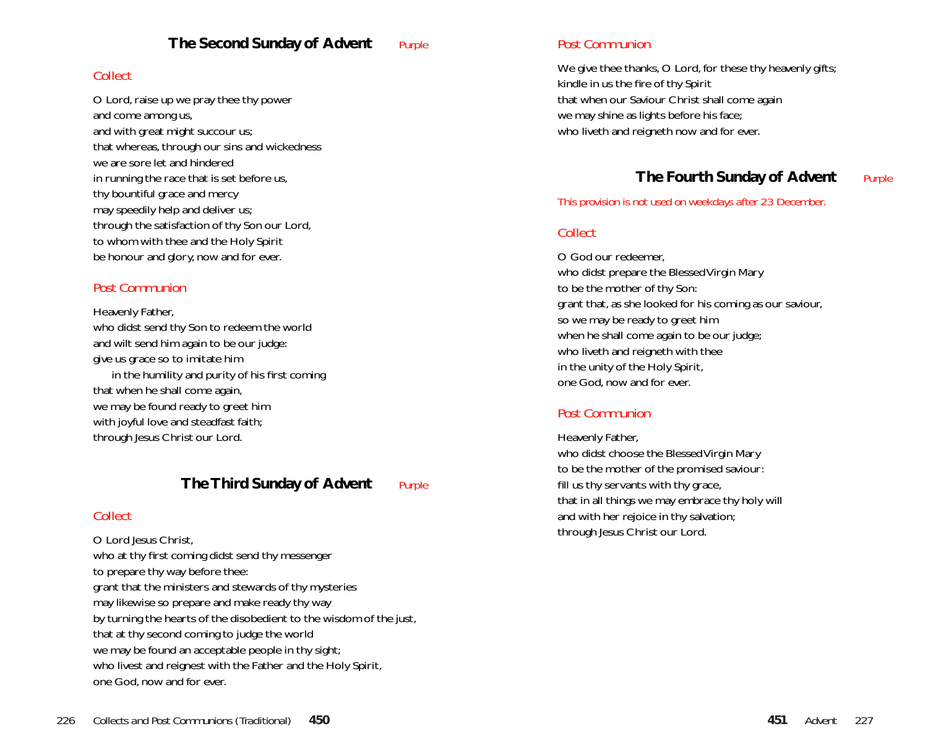O Lord, raise up we pray thee thy power and come among us, and with great might succour us; that whereas, through our sins and wickedness we are sore let and hindered in running the race that is set before us, thy bountiful grace and mercy may speedily help and deliver us; through the satisfaction of thy Son our Lord, to whom with thee and the Holy Spirit be honour and glory, now and for ever.

### *Post Communion*

Heavenly Father, who didst send thy Son to redeem the world and wilt send him again to be our judge: give us grace so to imitate him in the humility and purity of his first coming that when he shall come again, we may be found ready to greet him with joyful love and steadfast faith; through Jesus Christ our Lord.

## **The Third Sunday of Advent** *Purple*

## *Collect*

O Lord Jesus Christ, who at thy first coming didst send thy messenger to prepare thy way before thee: grant that the ministers and stewards of thy mysteries may likewise so prepare and make ready thy way by turning the hearts of the disobedient to the wisdom of the just, that at thy second coming to judge the world we may be found an acceptable people in thy sight; who livest and reignest with the Father and the Holy Spirit, one God, now and for ever.

#### *Post Communion*

We give thee thanks, O Lord, for these thy heavenly gifts; kindle in us the fire of thy Spirit that when our Saviour Christ shall come again we may shine as lights before his face; who liveth and reigneth now and for ever.

## **The Fourth Sunday of Advent** *Purple*

*This provision is not used on weekdays after 23 December.*

### *Collect*

O God our redeemer, who didst prepare the Blessed Virgin Mary to be the mother of thy Son: grant that, as she looked for his coming as our saviour, so we may be ready to greet him when he shall come again to be our judge; who liveth and reigneth with thee in the unity of the Holy Spirit, one God, now and for ever.

## *Post Communion*

Heavenly Father, who didst choose the Blessed Virgin Mary to be the mother of the promised saviour: fill us thy servants with thy grace, that in all things we may embrace thy holy will and with her rejoice in thy salvation; through Jesus Christ our Lord.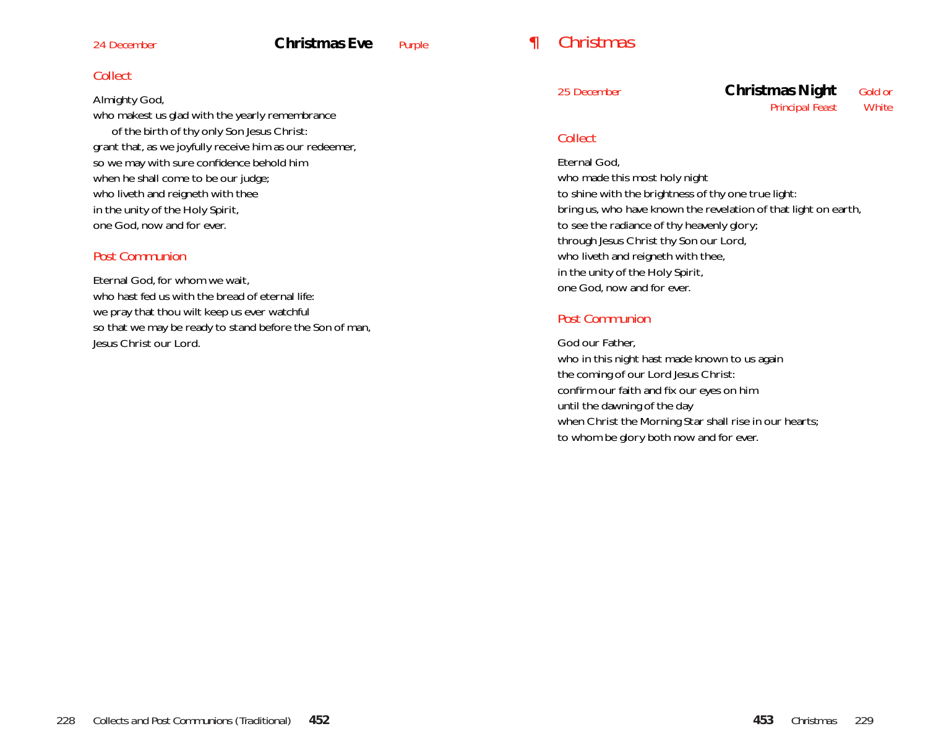#### *24 December* **Christmas Eve** *Purple*

### *Collect*

Almighty God, who makest us glad with the yearly remembrance of the birth of thy only Son Jesus Christ: grant that, as we joyfully receive him as our redeemer, so we may with sure confidence behold him when he shall come to be our judge; who liveth and reigneth with thee in the unity of the Holy Spirit, one God, now and for ever.

#### *Post Communion*

Eternal God, for whom we wait, who hast fed us with the bread of eternal life: we pray that thou wilt keep us ever watchful so that we may be ready to stand before the Son of man, Jesus Christ our Lord.

# *¶ Christmas*

#### *25 December* **Christmas Night** *Gold or Principal Feast White*

*Collect*

Eternal God, who made this most holy night to shine with the brightness of thy one true light: bring us, who have known the revelation of that light on earth, to see the radiance of thy heavenly glory; through Jesus Christ thy Son our Lord, who liveth and reigneth with thee, in the unity of the Holy Spirit, one God, now and for ever.

## *Post Communion*

God our Father, who in this night hast made known to us again the coming of our Lord Jesus Christ: confirm our faith and fix our eyes on him until the dawning of the day when Christ the Morning Star shall rise in our hearts; to whom be glory both now and for ever.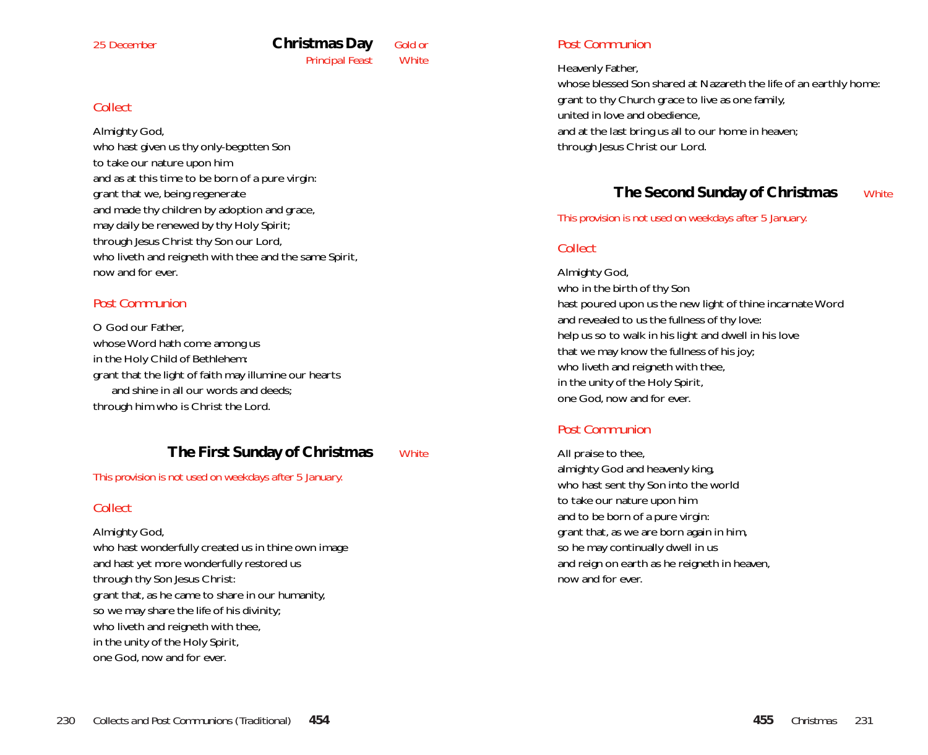Almighty God, who hast given us thy only-begotten Son to take our nature upon him and as at this time to be born of a pure virgin: grant that we, being regenerate and made thy children by adoption and grace, may daily be renewed by thy Holy Spirit; through Jesus Christ thy Son our Lord, who liveth and reigneth with thee and the same Spirit, now and for ever.

#### *Post Communion*

O God our Father, whose Word hath come among us in the Holy Child of Bethlehem: grant that the light of faith may illumine our hearts and shine in all our words and deeds; through him who is Christ the Lord.

## **The First Sunday of Christmas** *White*

#### *This provision is not used on weekdays after 5 January.*

#### *Collect*

Almighty God, who hast wonderfully created us in thine own image and hast yet more wonderfully restored us through thy Son Jesus Christ:

grant that, as he came to share in our humanity, so we may share the life of his divinity; who liveth and reigneth with thee, in the unity of the Holy Spirit, one God, now and for ever.

### *Post Communion*

#### Heavenly Father,

whose blessed Son shared at Nazareth the life of an earthly home: grant to thy Church grace to live as one family, united in love and obedience, and at the last bring us all to our home in heaven; through Jesus Christ our Lord.

## **The Second Sunday of Christmas** *White*

*This provision is not used on weekdays after 5 January.*

## *Collect*

Almighty God, who in the birth of thy Son hast poured upon us the new light of thine incarnate Word and revealed to us the fullness of thy love: help us so to walk in his light and dwell in his love that we may know the fullness of his joy; who liveth and reigneth with thee, in the unity of the Holy Spirit, one God, now and for ever.

## *Post Communion*

All praise to thee, almighty God and heavenly king, who hast sent thy Son into the world to take our nature upon him and to be born of a pure virgin: grant that, as we are born again in him, so he may continually dwell in us and reign on earth as he reigneth in heaven, now and for ever.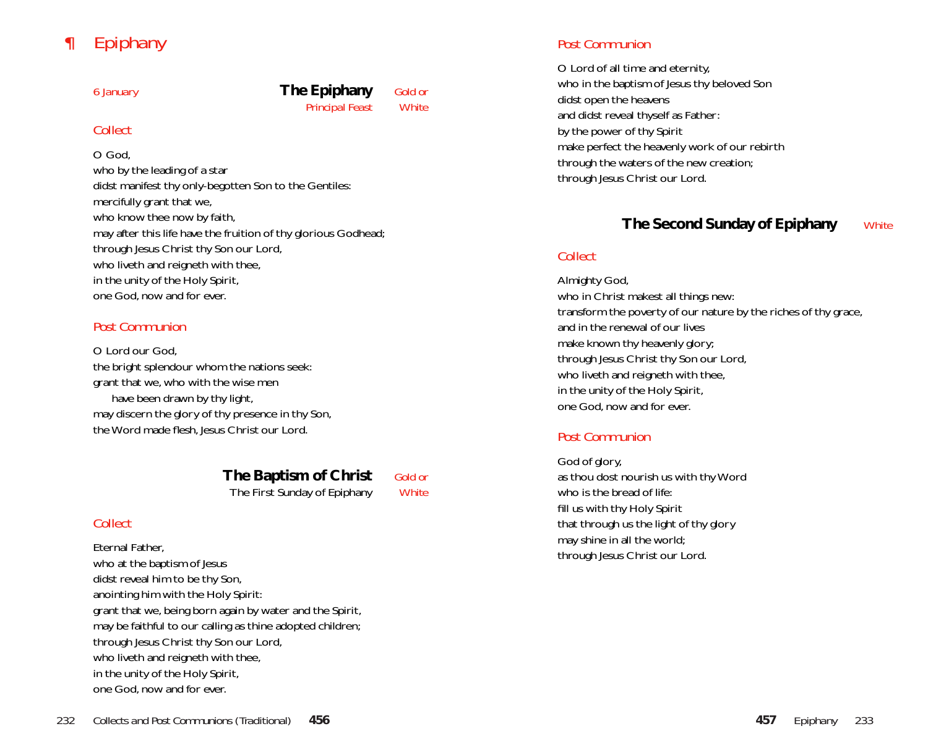# *¶ Epiphany*

*6 January* **The Epiphany** *Gold or Principal Feast White*

#### *Collect*

O God, who by the leading of a star didst manifest thy only-begotten Son to the Gentiles: mercifully grant that we, who know thee now by faith, may after this life have the fruition of thy glorious Godhead; through Jesus Christ thy Son our Lord, who liveth and reigneth with thee, in the unity of the Holy Spirit, one God, now and for ever.

#### *Post Communion*

O Lord our God, the bright splendour whom the nations seek: grant that we, who with the wise men have been drawn by thy light, may discern the glory of thy presence in thy Son, the Word made flesh, Jesus Christ our Lord.

**The Baptism of Christ** *Gold or*

The First Sunday of Epiphany *White*

#### *Collect*

Eternal Father, who at the baptism of Jesus didst reveal him to be thy Son, anointing him with the Holy Spirit: grant that we, being born again by water and the Spirit, may be faithful to our calling as thine adopted children; through Jesus Christ thy Son our Lord, who liveth and reigneth with thee, in the unity of the Holy Spirit, one God, now and for ever.

#### *Post Communion*

O Lord of all time and eternity, who in the baptism of Jesus thy beloved Son didst open the heavens and didst reveal thyself as Father: by the power of thy Spirit make perfect the heavenly work of our rebirth through the waters of the new creation; through Jesus Christ our Lord.

## **The Second Sunday of Epiphany** *White*

#### *Collect*

Almighty God, who in Christ makest all things new: transform the poverty of our nature by the riches of thy grace, and in the renewal of our lives make known thy heavenly glory; through Jesus Christ thy Son our Lord, who liveth and reigneth with thee, in the unity of the Holy Spirit, one God, now and for ever.

#### *Post Communion*

God of glory, as thou dost nourish us with thy Word who is the bread of life: fill us with thy Holy Spirit that through us the light of thy glory may shine in all the world; through Jesus Christ our Lord.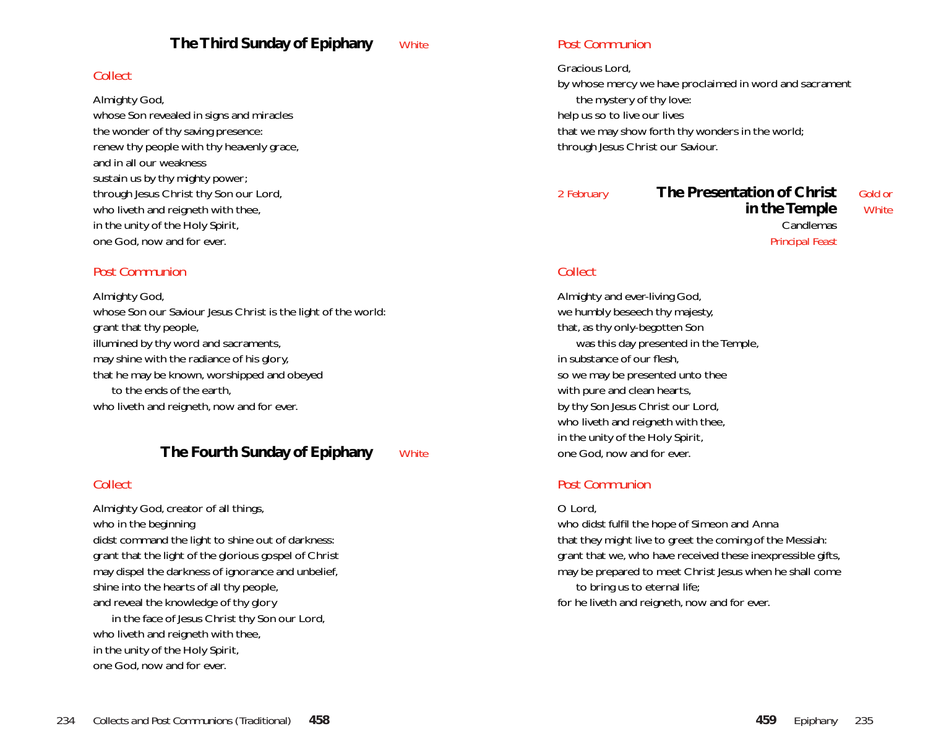Almighty God, whose Son revealed in signs and miracles the wonder of thy saving presence: renew thy people with thy heavenly grace, and in all our weakness sustain us by thy mighty power; through Jesus Christ thy Son our Lord, who liveth and reigneth with thee, in the unity of the Holy Spirit, one God, now and for ever.

## *Post Communion*

Almighty God, whose Son our Saviour Jesus Christ is the light of the world: grant that thy people, illumined by thy word and sacraments, may shine with the radiance of his glory, that he may be known, worshipped and obeyed to the ends of the earth, who liveth and reigneth, now and for ever.

## **The Fourth Sunday of Epiphany** *White*

## *Collect*

Almighty God, creator of all things, who in the beginning didst command the light to shine out of darkness: grant that the light of the glorious gospel of Christ may dispel the darkness of ignorance and unbelief, shine into the hearts of all thy people, and reveal the knowledge of thy glory in the face of Jesus Christ thy Son our Lord, who liveth and reigneth with thee,

in the unity of the Holy Spirit, one God, now and for ever.

## *Post Communion*

Gracious Lord,

by whose mercy we have proclaimed in word and sacrament the mystery of thy love: help us so to live our lives that we may show forth thy wonders in the world; through Jesus Christ our Saviour.

*2 February* **The Presentation of Christ** *Gold or*  **in the Temple** *White* Candlemas

*Principal Feast*

## *Collect*

Almighty and ever-living God, we humbly beseech thy majesty, that, as thy only-begotten Son was this day presented in the Temple, in substance of our flesh, so we may be presented unto thee with pure and clean hearts, by thy Son Jesus Christ our Lord, who liveth and reigneth with thee, in the unity of the Holy Spirit, one God, now and for ever.

## *Post Communion*

#### O Lord,

who didst fulfil the hope of Simeon and Anna that they might live to greet the coming of the Messiah: grant that we, who have received these inexpressible gifts, may be prepared to meet Christ Jesus when he shall come to bring us to eternal life; for he liveth and reigneth, now and for ever.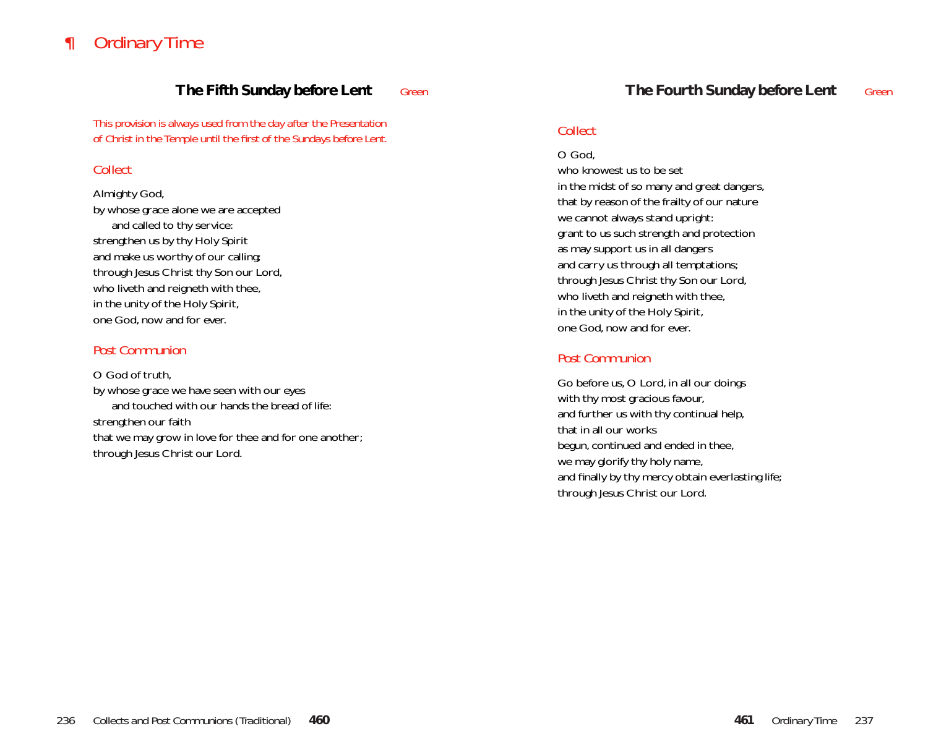# *¶ Ordinary Time*

## **The Fifth Sunday before Lent** *Green*

*This provision is always used from the day after the Presentation of Christ in the Temple until the first of the Sundays before Lent.*

#### *Collect*

Almighty God, by whose grace alone we are accepted and called to thy service: strengthen us by thy Holy Spirit and make us worthy of our calling; through Jesus Christ thy Son our Lord, who liveth and reigneth with thee, in the unity of the Holy Spirit, one God, now and for ever.

#### *Post Communion*

O God of truth, by whose grace we have seen with our eyes and touched with our hands the bread of life: strengthen our faith that we may grow in love for thee and for one another; through Jesus Christ our Lord.

#### **The Fourth Sunday before Lent** *Green*

#### *Collect*

O God, who knowest us to be set in the midst of so many and great dangers, that by reason of the frailty of our nature we cannot always stand upright: grant to us such strength and protection as may support us in all dangers and carry us through all temptations; through Jesus Christ thy Son our Lord, who liveth and reigneth with thee, in the unity of the Holy Spirit, one God, now and for ever.

#### *Post Communion*

Go before us, O Lord, in all our doings with thy most gracious favour, and further us with thy continual help, that in all our works begun, continued and ended in thee, we may glorify thy holy name, and finally by thy mercy obtain everlasting life; through Jesus Christ our Lord.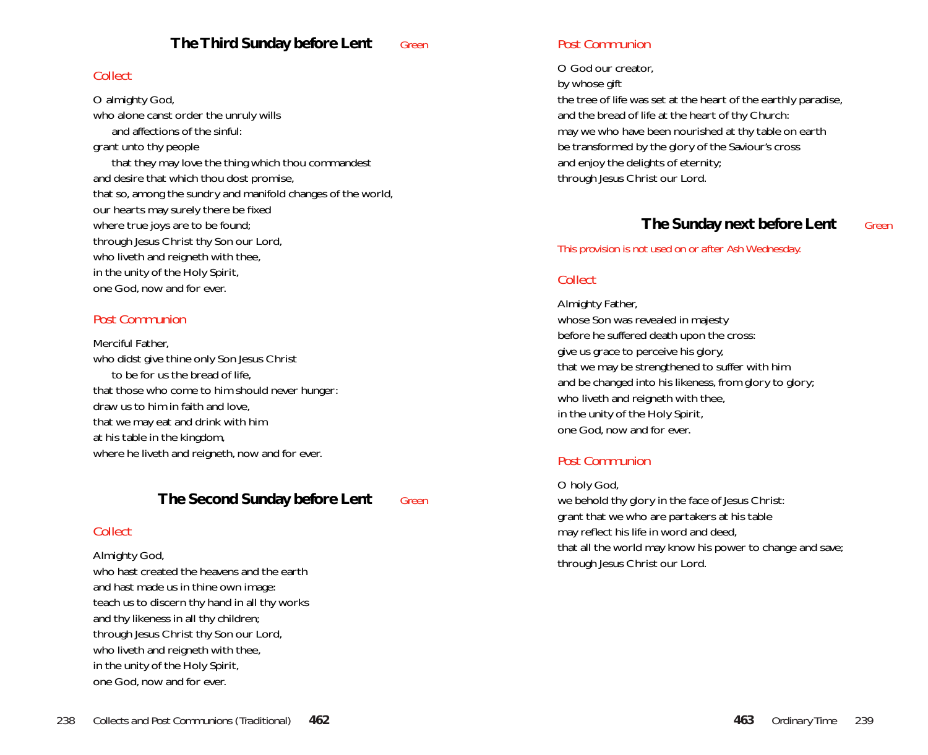O almighty God, who alone canst order the unruly wills and affections of the sinful: grant unto thy people that they may love the thing which thou commandest and desire that which thou dost promise, that so, among the sundry and manifold changes of the world, our hearts may surely there be fixed where true joys are to be found; through Jesus Christ thy Son our Lord, who liveth and reigneth with thee, in the unity of the Holy Spirit, one God, now and for ever.

### *Post Communion*

Merciful Father, who didst give thine only Son Jesus Christ to be for us the bread of life, that those who come to him should never hunger: draw us to him in faith and love, that we may eat and drink with him at his table in the kingdom, where he liveth and reigneth, now and for ever.

#### **The Second Sunday before Lent** *Green*

## *Collect*

Almighty God,

who hast created the heavens and the earth and hast made us in thine own image: teach us to discern thy hand in all thy works and thy likeness in all thy children; through Jesus Christ thy Son our Lord, who liveth and reigneth with thee, in the unity of the Holy Spirit, one God, now and for ever.

## *Post Communion*

O God our creator, by whose gift the tree of life was set at the heart of the earthly paradise, and the bread of life at the heart of thy Church: may we who have been nourished at thy table on earth be transformed by the glory of the Saviour's cross and enjoy the delights of eternity; through Jesus Christ our Lord.

## **The Sunday next before Lent** *Green*

#### *This provision is not used on or after Ash Wednesday.*

## *Collect*

Almighty Father, whose Son was revealed in majesty before he suffered death upon the cross: give us grace to perceive his glory, that we may be strengthened to suffer with him and be changed into his likeness, from glory to glory; who liveth and reigneth with thee, in the unity of the Holy Spirit, one God, now and for ever.

## *Post Communion*

O holy God, we behold thy glory in the face of Jesus Christ: grant that we who are partakers at his table may reflect his life in word and deed, that all the world may know his power to change and save; through Jesus Christ our Lord.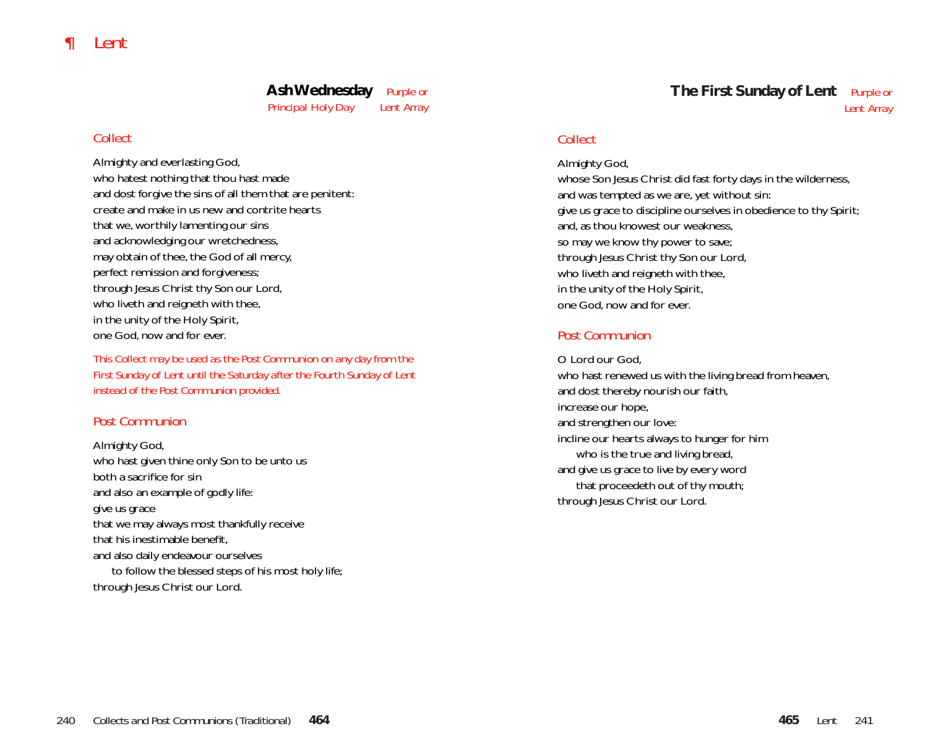#### **Ash Wednesday** *Purple or*

*Principal Holy Day Lent Array*

#### *Collect*

Almighty and everlasting God, who hatest nothing that thou hast made and dost forgive the sins of all them that are penitent: create and make in us new and contrite hearts that we, worthily lamenting our sins and acknowledging our wretchedness, may obtain of thee, the God of all mercy, perfect remission and forgiveness; through Jesus Christ thy Son our Lord, who liveth and reigneth with thee, in the unity of the Holy Spirit, one God, now and for ever.

*This Collect may be used as the Post Communion on any day from the First Sunday of Lent until the Saturday after the Fourth Sunday of Lent instead of the Post Communion provided.*

#### *Post Communion*

Almighty God, who hast given thine only Son to be unto us both a sacrifice for sin and also an example of godly life: give us grace that we may always most thankfully receive that his inestimable benefit, and also daily endeavour ourselves to follow the blessed steps of his most holy life; through Jesus Christ our Lord.

## **The First Sunday of Lent** *Purple or Lent Array*

#### *Collect*

Almighty God, whose Son Jesus Christ did fast forty days in the wilderness, and was tempted as we are, yet without sin: give us grace to discipline ourselves in obedience to thy Spirit; and, as thou knowest our weakness, so may we know thy power to save; through Jesus Christ thy Son our Lord, who liveth and reigneth with thee, in the unity of the Holy Spirit, one God, now and for ever.

## *Post Communion*

O Lord our God, who hast renewed us with the living bread from heaven, and dost thereby nourish our faith, increase our hope, and strengthen our love: incline our hearts always to hunger for him who is the true and living bread, and give us grace to live by every word that proceedeth out of thy mouth; through Jesus Christ our Lord.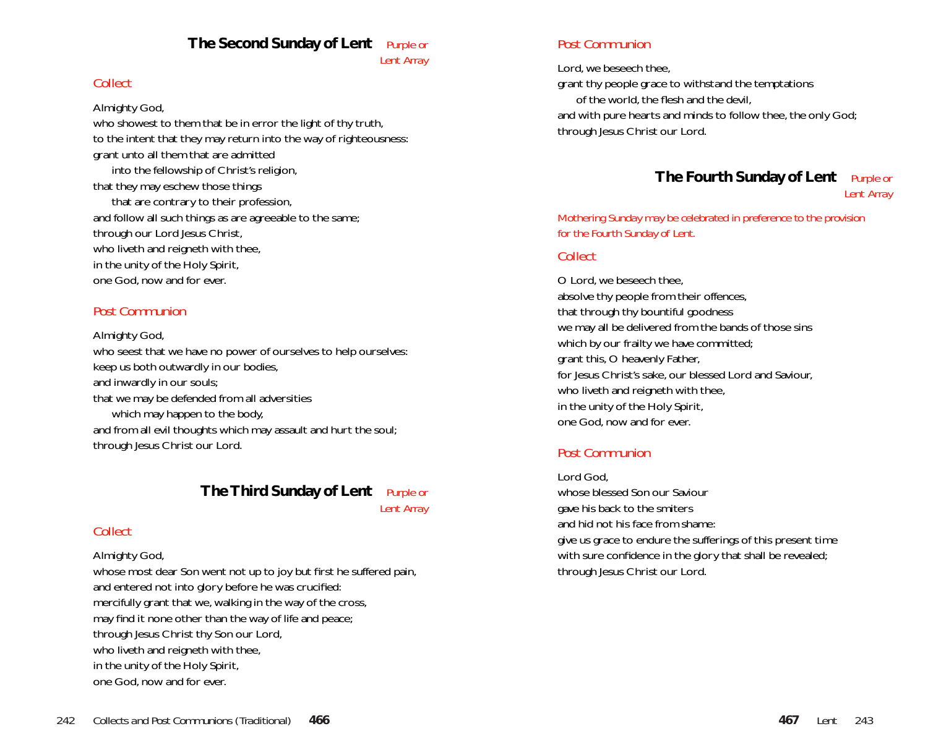## **The Second Sunday of Lent** *Purple or*

*Lent Array*

## *Collect*

#### Almighty God,

who showest to them that be in error the light of thy truth, to the intent that they may return into the way of righteousness: grant unto all them that are admitted into the fellowship of Christ's religion, that they may eschew those things that are contrary to their profession, and follow all such things as are agreeable to the same; through our Lord Jesus Christ, who liveth and reigneth with thee, in the unity of the Holy Spirit, one God, now and for ever.

### *Post Communion*

Almighty God, who seest that we have no power of ourselves to help ourselves: keep us both outwardly in our bodies, and inwardly in our souls; that we may be defended from all adversities which may happen to the body, and from all evil thoughts which may assault and hurt the soul; through Jesus Christ our Lord.

> **The Third Sunday of Lent** *Purple or Lent Array*

## *Collect*

#### Almighty God,

whose most dear Son went not up to joy but first he suffered pain, and entered not into glory before he was crucified: mercifully grant that we, walking in the way of the cross, may find it none other than the way of life and peace; through Jesus Christ thy Son our Lord, who liveth and reigneth with thee, in the unity of the Holy Spirit, one God, now and for ever.

## *Post Communion*

Lord, we beseech thee, grant thy people grace to withstand the temptations of the world, the flesh and the devil, and with pure hearts and minds to follow thee, the only God; through Jesus Christ our Lord.

## **The Fourth Sunday of Lent** *Purple or*

*Lent Array*

#### *Mothering Sunday may be celebrated in preference to the provision for the Fourth Sunday of Lent.*

#### *Collect*

O Lord, we beseech thee, absolve thy people from their offences, that through thy bountiful goodness we may all be delivered from the bands of those sins which by our frailty we have committed; grant this, O heavenly Father, for Jesus Christ's sake, our blessed Lord and Saviour, who liveth and reigneth with thee. in the unity of the Holy Spirit, one God, now and for ever.

## *Post Communion*

Lord God, whose blessed Son our Saviour gave his back to the smiters and hid not his face from shame: give us grace to endure the sufferings of this present time with sure confidence in the glory that shall be revealed; through Jesus Christ our Lord.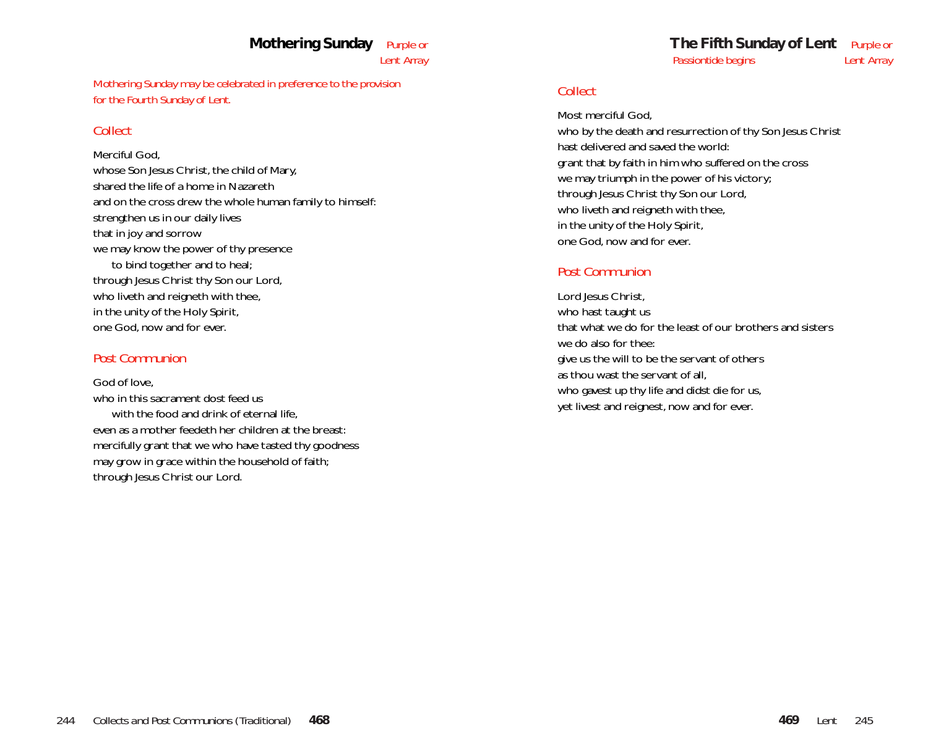## **Mothering Sunday** *Purple or*

*Lent Array*

*Mothering Sunday may be celebrated in preference to the provision for the Fourth Sunday of Lent.*

## *Collect*

Merciful God, whose Son Jesus Christ, the child of Mary, shared the life of a home in Nazareth and on the cross drew the whole human family to himself: strengthen us in our daily lives that in joy and sorrow we may know the power of thy presence to bind together and to heal; through Jesus Christ thy Son our Lord, who liveth and reigneth with thee, in the unity of the Holy Spirit, one God, now and for ever.

## *Post Communion*

God of love, who in this sacrament dost feed us with the food and drink of eternal life even as a mother feedeth her children at the breast: mercifully grant that we who have tasted thy goodness may grow in grace within the household of faith; through Jesus Christ our Lord.

## *Collect*

Most merciful God, who by the death and resurrection of thy Son Jesus Christ hast delivered and saved the world: grant that by faith in him who suffered on the cross we may triumph in the power of his victory; through Jesus Christ thy Son our Lord, who liveth and reigneth with thee, in the unity of the Holy Spirit, one God, now and for ever.

## *Post Communion*

Lord Jesus Christ, who hast taught us that what we do for the least of our brothers and sisters we do also for thee: give us the will to be the servant of others as thou wast the servant of all, who gavest up thy life and didst die for us, yet livest and reignest, now and for ever.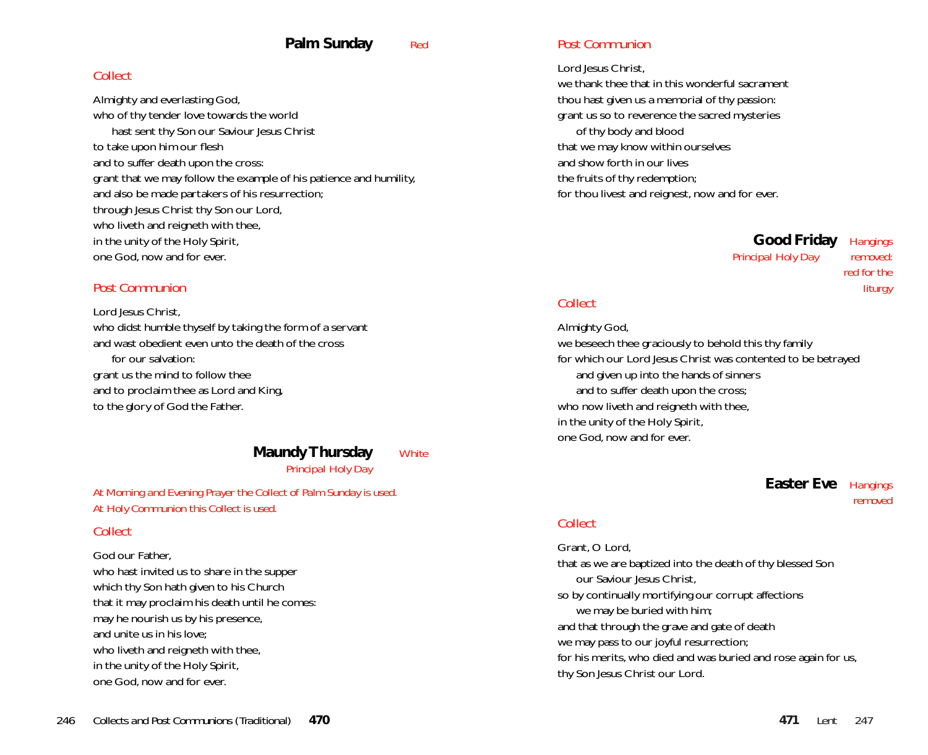### **Palm Sunday** *Red*

#### *Collect*

Almighty and everlasting God, who of thy tender love towards the world hast sent thy Son our Saviour Jesus Christ to take upon him our flesh and to suffer death upon the cross: grant that we may follow the example of his patience and humility, and also be made partakers of his resurrection; through Jesus Christ thy Son our Lord, who liveth and reigneth with thee, in the unity of the Holy Spirit, one God, now and for ever.

#### *Post Communion*

Lord Jesus Christ, who didst humble thyself by taking the form of a servant and wast obedient even unto the death of the cross for our salvation: grant us the mind to follow thee and to proclaim thee as Lord and King, to the glory of God the Father.

#### **Maundy Thursday** *White*

*Principal Holy Day*

*At Morning and Evening Prayer the Collect of Palm Sunday is used. At Holy Communion this Collect is used.*

#### *Collect*

God our Father, who hast invited us to share in the supper which thy Son hath given to his Church that it may proclaim his death until he comes: may he nourish us by his presence, and unite us in his love; who liveth and reigneth with thee, in the unity of the Holy Spirit, one God, now and for ever.

Lord Jesus Christ, we thank thee that in this wonderful sacrament thou hast given us a memorial of thy passion: grant us so to reverence the sacred mysteries of thy body and blood that we may know within ourselves and show forth in our lives the fruits of thy redemption; for thou livest and reignest, now and for ever.

#### **Good Friday** *Hangings*

*Principal Holy Day removed:*

*red for the liturgy*

#### *Collect*

Almighty God, we beseech thee graciously to behold this thy family for which our Lord Jesus Christ was contented to be betrayed and given up into the hands of sinners and to suffer death upon the cross; who now liveth and reigneth with thee, in the unity of the Holy Spirit, one God, now and for ever.

#### **Easter Eve** *Hangings removed*

*Collect*

Grant, O Lord, that as we are baptized into the death of thy blessed Son our Saviour Jesus Christ, so by continually mortifying our corrupt affections we may be buried with him; and that through the grave and gate of death we may pass to our joyful resurrection; for his merits, who died and was buried and rose again for us, thy Son Jesus Christ our Lord.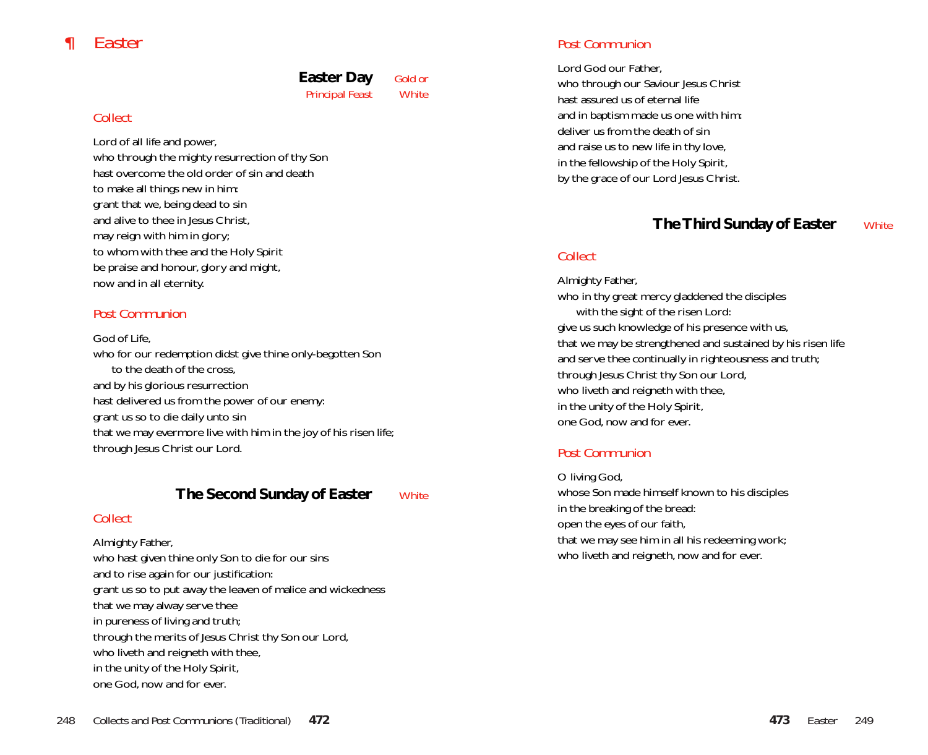# *¶ Easter*

**Easter Day** *Gold or*

*Principal Feast White*

#### *Collect*

Lord of all life and power, who through the mighty resurrection of thy Son hast overcome the old order of sin and death to make all things new in him: grant that we, being dead to sin and alive to thee in Jesus Christ, may reign with him in glory; to whom with thee and the Holy Spirit be praise and honour, glory and might, now and in all eternity.

#### *Post Communion*

God of Life, who for our redemption didst give thine only-begotten Son to the death of the cross, and by his glorious resurrection hast delivered us from the power of our enemy: grant us so to die daily unto sin that we may evermore live with him in the joy of his risen life; through Jesus Christ our Lord.

#### **The Second Sunday of Easter** *White*

## *Collect*

Almighty Father, who hast given thine only Son to die for our sins and to rise again for our justification: grant us so to put away the leaven of malice and wickedness that we may alway serve thee in pureness of living and truth; through the merits of Jesus Christ thy Son our Lord, who liveth and reigneth with thee, in the unity of the Holy Spirit, one God, now and for ever.

## *Post Communion*

Lord God our Father, who through our Saviour Jesus Christ hast assured us of eternal life and in baptism made us one with him: deliver us from the death of sin and raise us to new life in thy love, in the fellowship of the Holy Spirit, by the grace of our Lord Jesus Christ.

## **The Third Sunday of Easter** *White*

#### *Collect*

Almighty Father, who in thy great mercy gladdened the disciples with the sight of the risen Lord: give us such knowledge of his presence with us, that we may be strengthened and sustained by his risen life and serve thee continually in righteousness and truth; through Jesus Christ thy Son our Lord, who liveth and reigneth with thee, in the unity of the Holy Spirit, one God, now and for ever.

## *Post Communion*

O living God, whose Son made himself known to his disciples in the breaking of the bread: open the eyes of our faith, that we may see him in all his redeeming work; who liveth and reigneth, now and for ever.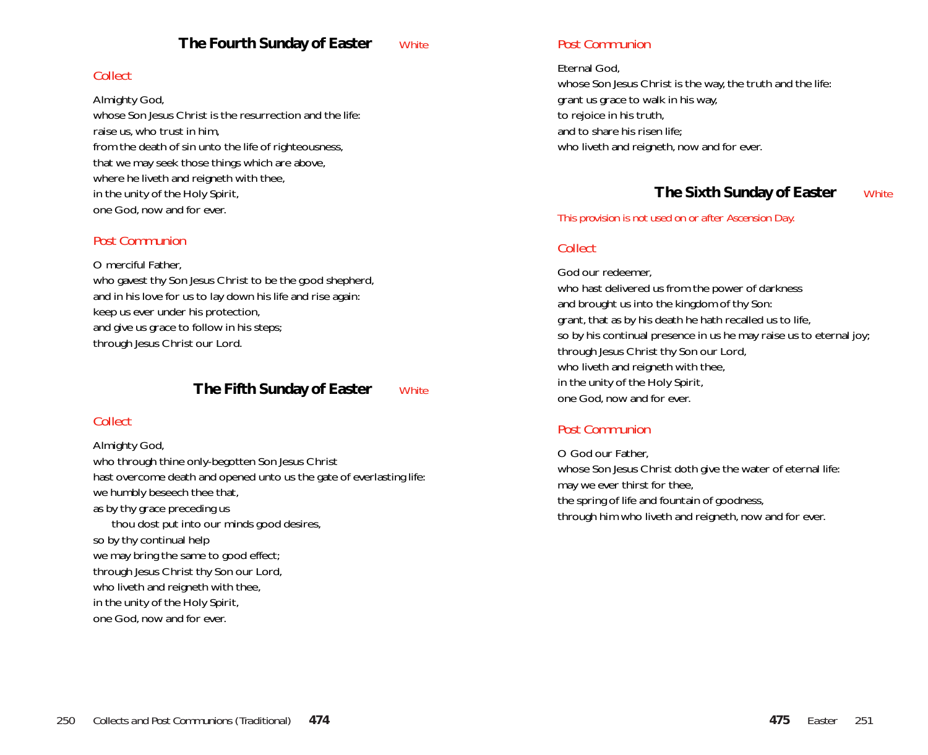Almighty God, whose Son Jesus Christ is the resurrection and the life: raise us, who trust in him, from the death of sin unto the life of righteousness, that we may seek those things which are above, where he liveth and reigneth with thee, in the unity of the Holy Spirit, one God, now and for ever.

## *Post Communion*

O merciful Father, who gavest thy Son Jesus Christ to be the good shepherd, and in his love for us to lay down his life and rise again: keep us ever under his protection, and give us grace to follow in his steps; through Jesus Christ our Lord.

## **The Fifth Sunday of Easter** *White*

## *Collect*

Almighty God, who through thine only-begotten Son Jesus Christ hast overcome death and opened unto us the gate of everlasting life: we humbly beseech thee that, as by thy grace preceding us thou dost put into our minds good desires, so by thy continual help we may bring the same to good effect; through Jesus Christ thy Son our Lord, who liveth and reigneth with thee, in the unity of the Holy Spirit, one God, now and for ever.

## *Post Communion*

Eternal God, whose Son Jesus Christ is the way, the truth and the life: grant us grace to walk in his way, to rejoice in his truth, and to share his risen life; who liveth and reigneth, now and for ever.

## **The Sixth Sunday of Easter** *White*

*This provision is not used on or after Ascension Day.*

## *Collect*

God our redeemer, who hast delivered us from the power of darkness and brought us into the kingdom of thy Son: grant, that as by his death he hath recalled us to life, so by his continual presence in us he may raise us to eternal joy; through Jesus Christ thy Son our Lord, who liveth and reigneth with thee, in the unity of the Holy Spirit, one God, now and for ever.

## *Post Communion*

O God our Father, whose Son Jesus Christ doth give the water of eternal life: may we ever thirst for thee, the spring of life and fountain of goodness, through him who liveth and reigneth, now and for ever.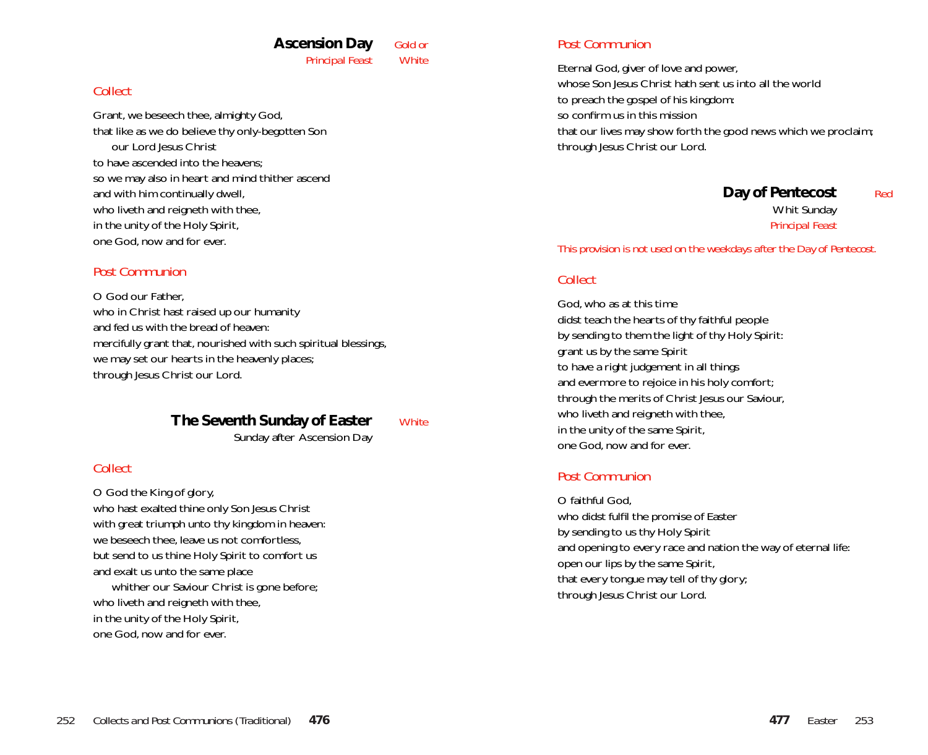## **Ascension Day** *Gold or Principal Feast White*

#### *Collect*

Grant, we beseech thee, almighty God, that like as we do believe thy only-begotten Son our Lord Jesus Christ to have ascended into the heavens; so we may also in heart and mind thither ascend and with him continually dwell, who liveth and reigneth with thee, in the unity of the Holy Spirit, one God, now and for ever.

#### *Post Communion*

O God our Father, who in Christ hast raised up our humanity and fed us with the bread of heaven: mercifully grant that, nourished with such spiritual blessings, we may set our hearts in the heavenly places; through Jesus Christ our Lord.

## **The Seventh Sunday of Easter** *White*

Sunday after Ascension Day

## *Collect*

O God the King of glory, who hast exalted thine only Son Jesus Christ with great triumph unto thy kingdom in heaven: we beseech thee, leave us not comfortless, but send to us thine Holy Spirit to comfort us and exalt us unto the same place

whither our Saviour Christ is gone before; who liveth and reigneth with thee, in the unity of the Holy Spirit, one God, now and for ever.

## *Post Communion*

Eternal God, giver of love and power, whose Son Jesus Christ hath sent us into all the world to preach the gospel of his kingdom: so confirm us in this mission that our lives may show forth the good news which we proclaim; through Jesus Christ our Lord.

> **Day of Pentecost** *Red* Whit Sunday *Principal Feast*

*This provision is not used on the weekdays after the Day of Pentecost.*

## *Collect*

God, who as at this time didst teach the hearts of thy faithful people by sending to them the light of thy Holy Spirit: grant us by the same Spirit to have a right judgement in all things and evermore to rejoice in his holy comfort; through the merits of Christ Jesus our Saviour, who liveth and reigneth with thee, in the unity of the same Spirit, one God, now and for ever.

## *Post Communion*

O faithful God, who didst fulfil the promise of Easter by sending to us thy Holy Spirit and opening to every race and nation the way of eternal life: open our lips by the same Spirit, that every tongue may tell of thy glory; through Jesus Christ our Lord.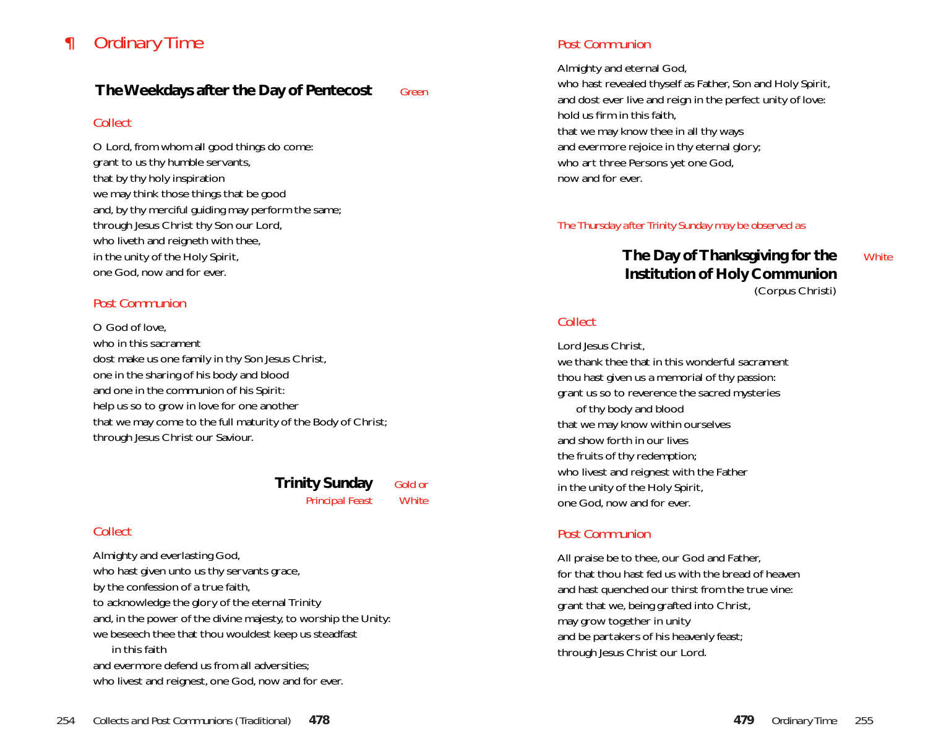# *¶ Ordinary Time*

## **The Weekdays after the Day of Pentecost** *Green*

#### *Collect*

O Lord, from whom all good things do come: grant to us thy humble servants, that by thy holy inspiration we may think those things that be good and, by thy merciful guiding may perform the same; through Jesus Christ thy Son our Lord, who liveth and reigneth with thee, in the unity of the Holy Spirit, one God, now and for ever.

#### *Post Communion*

O God of love, who in this sacrament dost make us one family in thy Son Jesus Christ, one in the sharing of his body and blood and one in the communion of his Spirit: help us so to grow in love for one another that we may come to the full maturity of the Body of Christ; through Jesus Christ our Saviour.

**Trinity Sunday** *Gold or*

*Principal Feast White*

#### *Collect*

Almighty and everlasting God, who hast given unto us thy servants grace, by the confession of a true faith, to acknowledge the glory of the eternal Trinity and, in the power of the divine majesty, to worship the Unity: we beseech thee that thou wouldest keep us steadfast in this faith and evermore defend us from all adversities; who livest and reignest, one God, now and for ever.

*Post Communion*

Almighty and eternal God, who hast revealed thyself as Father, Son and Holy Spirit, and dost ever live and reign in the perfect unity of love: hold us firm in this faith, that we may know thee in all thy ways and evermore rejoice in thy eternal glory; who art three Persons yet one God, now and for ever.

#### *The Thursday after Trinity Sunday may be observed as*

### **The Day of Thanksgiving for the** *White* **Institution of Holy Communion** (Corpus Christi)

#### *Collect*

Lord Jesus Christ, we thank thee that in this wonderful sacrament thou hast given us a memorial of thy passion: grant us so to reverence the sacred mysteries of thy body and blood that we may know within ourselves and show forth in our lives the fruits of thy redemption; who livest and reignest with the Father in the unity of the Holy Spirit, one God, now and for ever.

#### *Post Communion*

All praise be to thee, our God and Father, for that thou hast fed us with the bread of heaven and hast quenched our thirst from the true vine: grant that we, being grafted into Christ, may grow together in unity and be partakers of his heavenly feast; through Jesus Christ our Lord.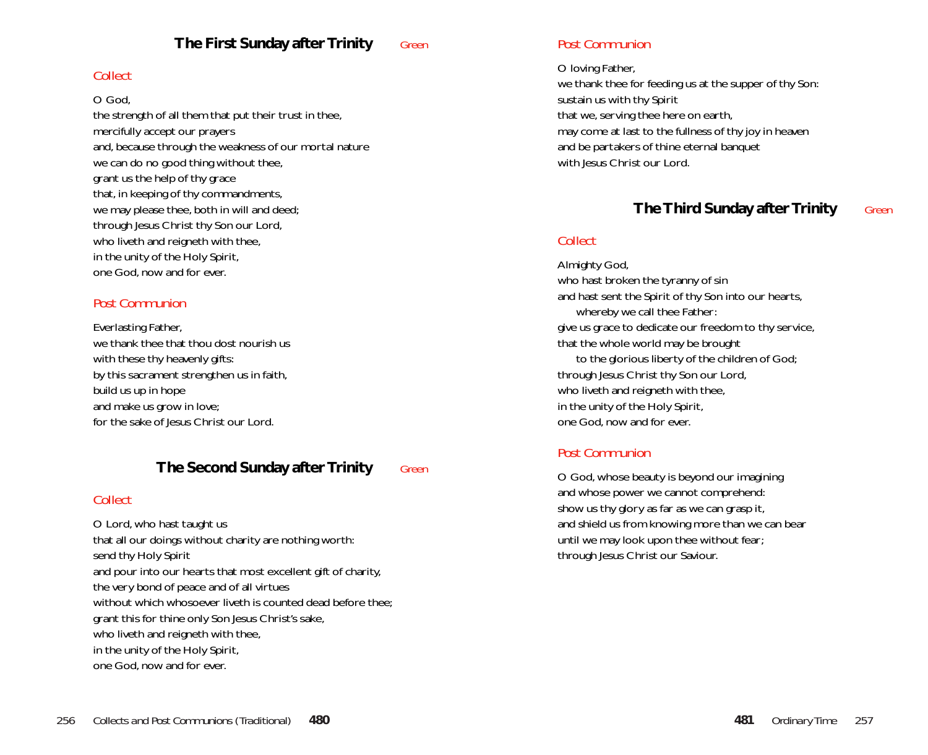#### O God,

the strength of all them that put their trust in thee, mercifully accept our prayers and, because through the weakness of our mortal nature we can do no good thing without thee, grant us the help of thy grace that, in keeping of thy commandments, we may please thee, both in will and deed; through Jesus Christ thy Son our Lord, who liveth and reigneth with thee, in the unity of the Holy Spirit, one God, now and for ever.

#### *Post Communion*

Everlasting Father, we thank thee that thou dost nourish us with these thy heavenly gifts: by this sacrament strengthen us in faith, build us up in hope and make us grow in love; for the sake of Jesus Christ our Lord.

## **The Second Sunday after Trinity** *Green*

#### *Collect*

O Lord, who hast taught us that all our doings without charity are nothing worth: send thy Holy Spirit and pour into our hearts that most excellent gift of charity, the very bond of peace and of all virtues without which whosoever liveth is counted dead before thee: grant this for thine only Son Jesus Christ's sake, who liveth and reigneth with thee, in the unity of the Holy Spirit, one God, now and for ever.

#### *Post Communion*

O loving Father, we thank thee for feeding us at the supper of thy Son: sustain us with thy Spirit that we, serving thee here on earth, may come at last to the fullness of thy joy in heaven and be partakers of thine eternal banquet with Jesus Christ our Lord.

## **The Third Sunday after Trinity** *Green*

#### *Collect*

Almighty God, who hast broken the tyranny of sin and hast sent the Spirit of thy Son into our hearts, whereby we call thee Father: give us grace to dedicate our freedom to thy service, that the whole world may be brought to the glorious liberty of the children of God; through Jesus Christ thy Son our Lord, who liveth and reigneth with thee, in the unity of the Holy Spirit, one God, now and for ever.

## *Post Communion*

O God, whose beauty is beyond our imagining and whose power we cannot comprehend: show us thy glory as far as we can grasp it, and shield us from knowing more than we can bear until we may look upon thee without fear; through Jesus Christ our Saviour.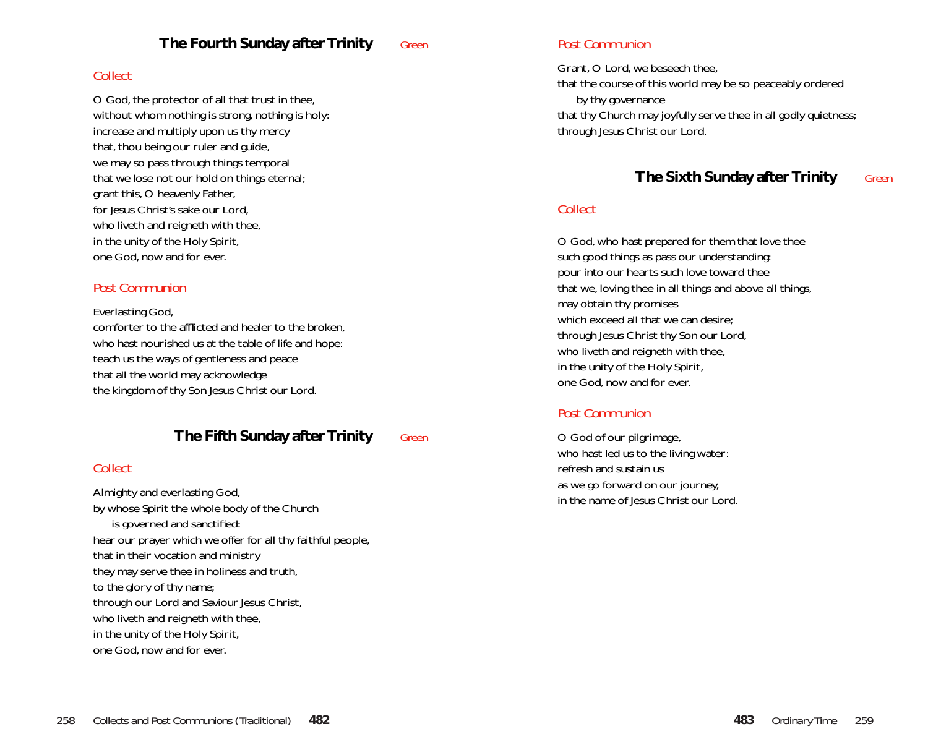O God, the protector of all that trust in thee, without whom nothing is strong, nothing is holy: increase and multiply upon us thy mercy that, thou being our ruler and guide, we may so pass through things temporal that we lose not our hold on things eternal; grant this, O heavenly Father, for Jesus Christ's sake our Lord, who liveth and reigneth with thee, in the unity of the Holy Spirit, one God, now and for ever.

#### *Post Communion*

Everlasting God, comforter to the afflicted and healer to the broken, who hast nourished us at the table of life and hope: teach us the ways of gentleness and peace that all the world may acknowledge the kingdom of thy Son Jesus Christ our Lord.

## **The Fifth Sunday after Trinity** *Green*

#### *Collect*

Almighty and everlasting God, by whose Spirit the whole body of the Church is governed and sanctified: hear our prayer which we offer for all thy faithful people, that in their vocation and ministry they may serve thee in holiness and truth, to the glory of thy name; through our Lord and Saviour Jesus Christ, who liveth and reigneth with thee, in the unity of the Holy Spirit, one God, now and for ever.

#### *Post Communion*

Grant, O Lord, we beseech thee, that the course of this world may be so peaceably ordered by thy governance that thy Church may joyfully serve thee in all godly quietness; through Jesus Christ our Lord.

## **The Sixth Sunday after Trinity** *Green*

#### *Collect*

O God, who hast prepared for them that love thee such good things as pass our understanding: pour into our hearts such love toward thee that we, loving thee in all things and above all things, may obtain thy promises which exceed all that we can desire; through Jesus Christ thy Son our Lord, who liveth and reigneth with thee, in the unity of the Holy Spirit, one God, now and for ever.

## *Post Communion*

O God of our pilgrimage, who hast led us to the living water: refresh and sustain us as we go forward on our journey, in the name of Jesus Christ our Lord.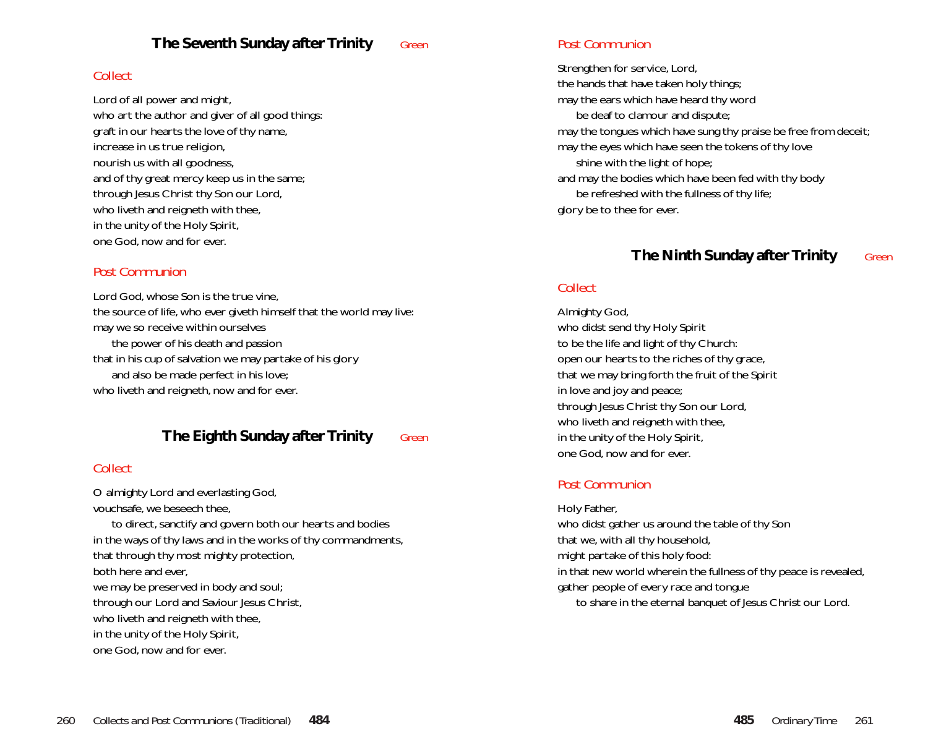Lord of all power and might, who art the author and giver of all good things: graft in our hearts the love of thy name, increase in us true religion, nourish us with all goodness, and of thy great mercy keep us in the same; through Jesus Christ thy Son our Lord, who liveth and reigneth with thee, in the unity of the Holy Spirit, one God, now and for ever.

### *Post Communion*

Lord God, whose Son is the true vine, the source of life, who ever giveth himself that the world may live: may we so receive within ourselves the power of his death and passion that in his cup of salvation we may partake of his glory and also be made perfect in his love; who liveth and reigneth, now and for ever.

## **The Eighth Sunday after Trinity** *Green*

## *Collect*

O almighty Lord and everlasting God, vouchsafe, we beseech thee, to direct, sanctify and govern both our hearts and bodies

in the ways of thy laws and in the works of thy commandments, that through thy most mighty protection, both here and ever, we may be preserved in body and soul; through our Lord and Saviour Jesus Christ, who liveth and reigneth with thee, in the unity of the Holy Spirit, one God, now and for ever.

## *Post Communion*

Strengthen for service, Lord, the hands that have taken holy things; may the ears which have heard thy word be deaf to clamour and dispute; may the tongues which have sung thy praise be free from deceit; may the eyes which have seen the tokens of thy love shine with the light of hope; and may the bodies which have been fed with thy body be refreshed with the fullness of thy life; glory be to thee for ever.

## **The Ninth Sunday after Trinity** *Green*

## *Collect*

Almighty God, who didst send thy Holy Spirit to be the life and light of thy Church: open our hearts to the riches of thy grace, that we may bring forth the fruit of the Spirit in love and joy and peace; through Jesus Christ thy Son our Lord, who liveth and reigneth with thee, in the unity of the Holy Spirit, one God, now and for ever.

## *Post Communion*

Holy Father, who didst gather us around the table of thy Son that we, with all thy household, might partake of this holy food: in that new world wherein the fullness of thy peace is revealed, gather people of every race and tongue to share in the eternal banquet of Jesus Christ our Lord.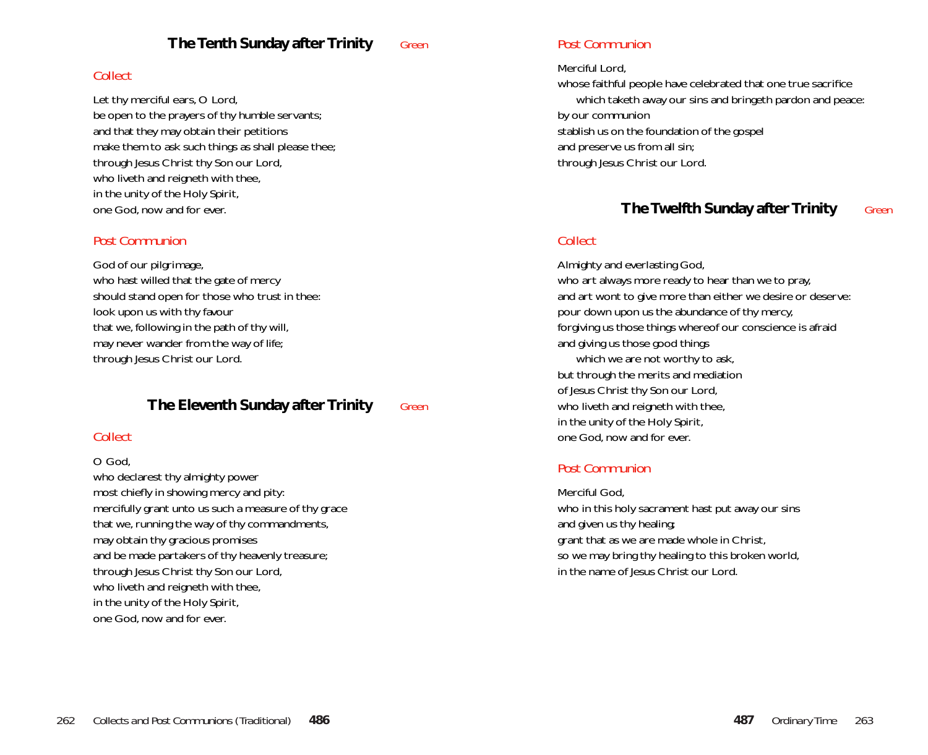Let thy merciful ears, O Lord, be open to the prayers of thy humble servants; and that they may obtain their petitions make them to ask such things as shall please thee; through Jesus Christ thy Son our Lord, who liveth and reigneth with thee, in the unity of the Holy Spirit, one God, now and for ever.

#### *Post Communion*

God of our pilgrimage, who hast willed that the gate of mercy should stand open for those who trust in thee: look upon us with thy favour that we, following in the path of thy will, may never wander from the way of life; through Jesus Christ our Lord.

## **The Eleventh Sunday after Trinity** *Green*

#### *Collect*

O God, who declarest thy almighty power most chiefly in showing mercy and pity: mercifully grant unto us such a measure of thy grace that we, running the way of thy commandments, may obtain thy gracious promises and be made partakers of thy heavenly treasure; through Jesus Christ thy Son our Lord, who liveth and reigneth with thee, in the unity of the Holy Spirit, one God, now and for ever.

## *Post Communion*

#### Merciful Lord,

whose faithful people have celebrated that one true sacrifice which taketh away our sins and bringeth pardon and peace: by our communion stablish us on the foundation of the gospel and preserve us from all sin; through Jesus Christ our Lord.

## **The Twelfth Sunday after Trinity** *Green*

#### *Collect*

Almighty and everlasting God, who art always more ready to hear than we to pray, and art wont to give more than either we desire or deserve: pour down upon us the abundance of thy mercy, forgiving us those things whereof our conscience is afraid and giving us those good things which we are not worthy to ask, but through the merits and mediation of Jesus Christ thy Son our Lord, who liveth and reigneth with thee, in the unity of the Holy Spirit, one God, now and for ever.

## *Post Communion*

Merciful God, who in this holy sacrament hast put away our sins and given us thy healing; grant that as we are made whole in Christ, so we may bring thy healing to this broken world, in the name of Jesus Christ our Lord.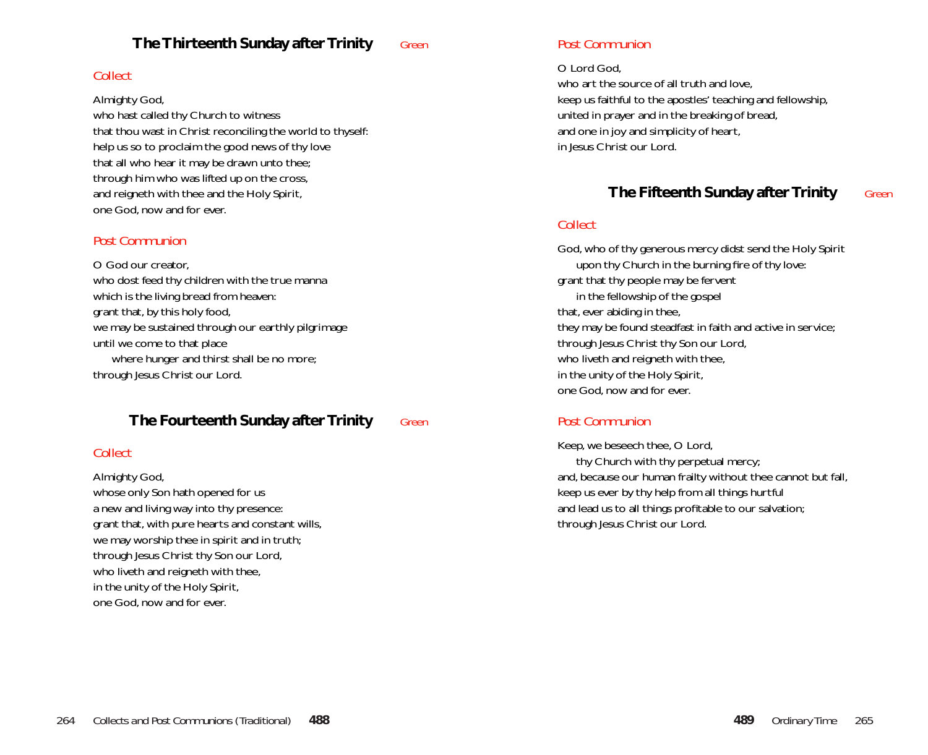## **The Thirteenth Sunday after Trinity** *Green*

#### *Collect*

Almighty God, who hast called thy Church to witness that thou wast in Christ reconciling the world to thyself: help us so to proclaim the good news of thy love that all who hear it may be drawn unto thee; through him who was lifted up on the cross, and reigneth with thee and the Holy Spirit, one God, now and for ever.

#### *Post Communion*

O God our creator, who dost feed thy children with the true manna which is the living bread from heaven: grant that, by this holy food, we may be sustained through our earthly pilgrimage until we come to that place where hunger and thirst shall be no more; through Jesus Christ our Lord.

## **The Fourteenth Sunday after Trinity** *Green*

## *Collect*

whose only Son hath opened for us a new and living way into thy presence: grant that, with pure hearts and constant wills, we may worship thee in spirit and in truth; through Jesus Christ thy Son our Lord, who liveth and reigneth with thee, in the unity of the Holy Spirit, one God, now and for ever.

## *Post Communion*

O Lord God,

who art the source of all truth and love. keep us faithful to the apostles' teaching and fellowship, united in prayer and in the breaking of bread, and one in joy and simplicity of heart, in Jesus Christ our Lord.

## **The Fifteenth Sunday after Trinity** *Green*

#### *Collect*

God, who of thy generous mercy didst send the Holy Spirit upon thy Church in the burning fire of thy love: grant that thy people may be fervent in the fellowship of the gospel that, ever abiding in thee, they may be found steadfast in faith and active in service; through Jesus Christ thy Son our Lord, who liveth and reigneth with thee, in the unity of the Holy Spirit, one God, now and for ever.

## *Post Communion*

Keep, we beseech thee, O Lord, thy Church with thy perpetual mercy; and, because our human frailty without thee cannot but fall, keep us ever by thy help from all things hurtful and lead us to all things profitable to our salvation; through Jesus Christ our Lord.

Almighty God,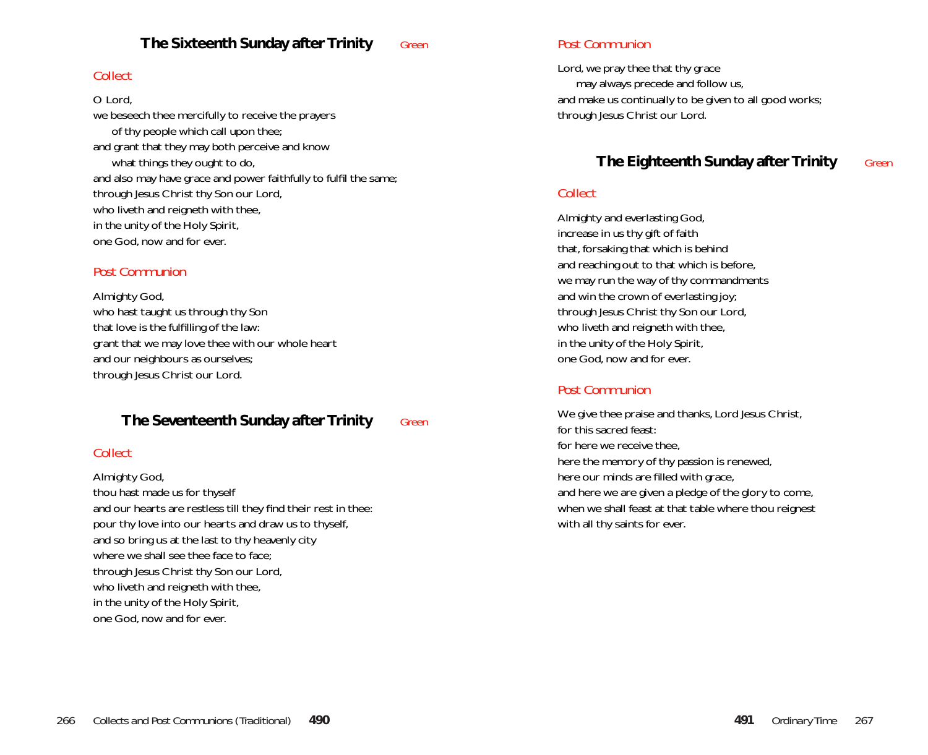O Lord, we beseech thee mercifully to receive the prayers of thy people which call upon thee; and grant that they may both perceive and know what things they ought to do, and also may have grace and power faithfully to fulfil the same; through Jesus Christ thy Son our Lord, who liveth and reigneth with thee, in the unity of the Holy Spirit, one God, now and for ever.

### *Post Communion*

Almighty God, who hast taught us through thy Son that love is the fulfilling of the law: grant that we may love thee with our whole heart and our neighbours as ourselves; through Jesus Christ our Lord.

## **The Seventeenth Sunday after Trinity** *Green*

## *Collect*

Almighty God, thou hast made us for thyself and our hearts are restless till they find their rest in thee: pour thy love into our hearts and draw us to thyself, and so bring us at the last to thy heavenly city where we shall see thee face to face; through Jesus Christ thy Son our Lord, who liveth and reigneth with thee, in the unity of the Holy Spirit, one God, now and for ever.

Lord, we pray thee that thy grace may always precede and follow us, and make us continually to be given to all good works; through Jesus Christ our Lord.

## **The Eighteenth Sunday after Trinity** *Green*

#### *Collect*

Almighty and everlasting God, increase in us thy gift of faith that, forsaking that which is behind and reaching out to that which is before, we may run the way of thy commandments and win the crown of everlasting joy; through Jesus Christ thy Son our Lord, who liveth and reigneth with thee, in the unity of the Holy Spirit, one God, now and for ever.

## *Post Communion*

We give thee praise and thanks, Lord Jesus Christ, for this sacred feast: for here we receive thee, here the memory of thy passion is renewed, here our minds are filled with grace, and here we are given a pledge of the glory to come, when we shall feast at that table where thou reignest with all thy saints for ever.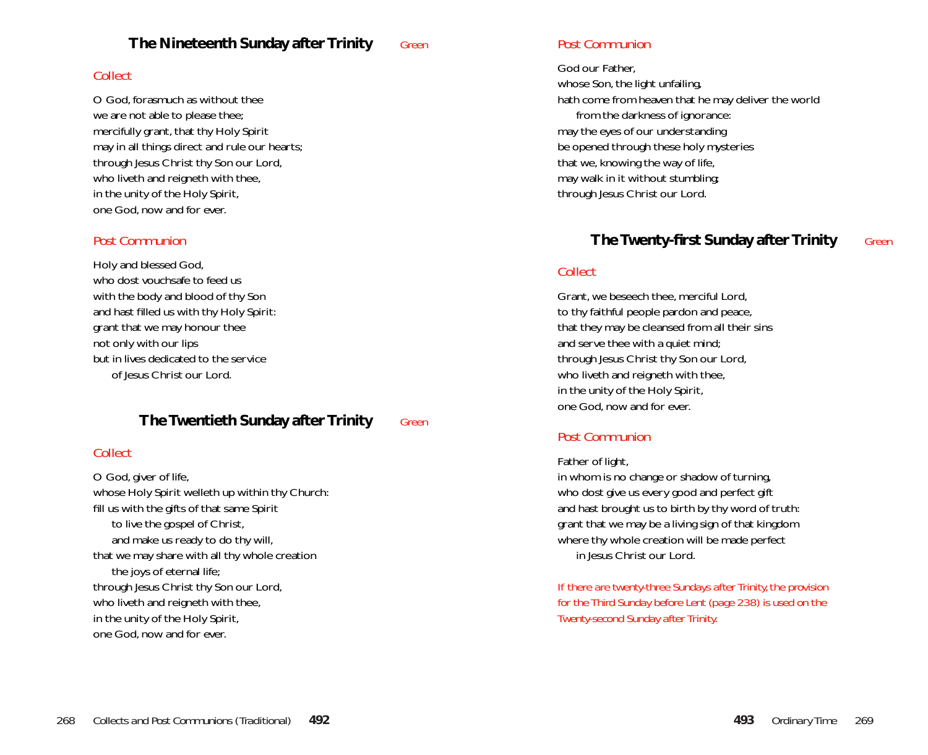O God, forasmuch as without thee we are not able to please thee; mercifully grant, that thy Holy Spirit may in all things direct and rule our hearts; through Jesus Christ thy Son our Lord, who liveth and reigneth with thee, in the unity of the Holy Spirit, one God, now and for ever.

#### *Post Communion*

Holy and blessed God, who dost vouchsafe to feed us with the body and blood of thy Son and hast filled us with thy Holy Spirit: grant that we may honour thee not only with our lips but in lives dedicated to the service of Jesus Christ our Lord.

## **The Twentieth Sunday after Trinity** *Green*

#### *Collect*

O God, giver of life, whose Holy Spirit welleth up within thy Church: fill us with the gifts of that same Spirit to live the gospel of Christ, and make us ready to do thy will, that we may share with all thy whole creation the joys of eternal life; through Jesus Christ thy Son our Lord, who liveth and reigneth with thee, in the unity of the Holy Spirit, one God, now and for ever.

#### *Post Communion*

God our Father, whose Son, the light unfailing, hath come from heaven that he may deliver the world from the darkness of ignorance: may the eyes of our understanding be opened through these holy mysteries that we, knowing the way of life, may walk in it without stumbling; through Jesus Christ our Lord.

#### **The Twenty-first Sunday after Trinity** *Green*

#### *Collect*

Grant, we beseech thee, merciful Lord, to thy faithful people pardon and peace, that they may be cleansed from all their sins and serve thee with a quiet mind; through Jesus Christ thy Son our Lord, who liveth and reigneth with thee, in the unity of the Holy Spirit, one God, now and for ever.

#### *Post Communion*

#### Father of light,

in whom is no change or shadow of turning, who dost give us every good and perfect gift and hast brought us to birth by thy word of truth: grant that we may be a living sign of that kingdom where thy whole creation will be made perfect in Jesus Christ our Lord.

*If there are twenty-three Sundays after Trinity, the provision for the Third Sunday before Lent (page 238) is used on the Twenty-second Sunday after Trinity.*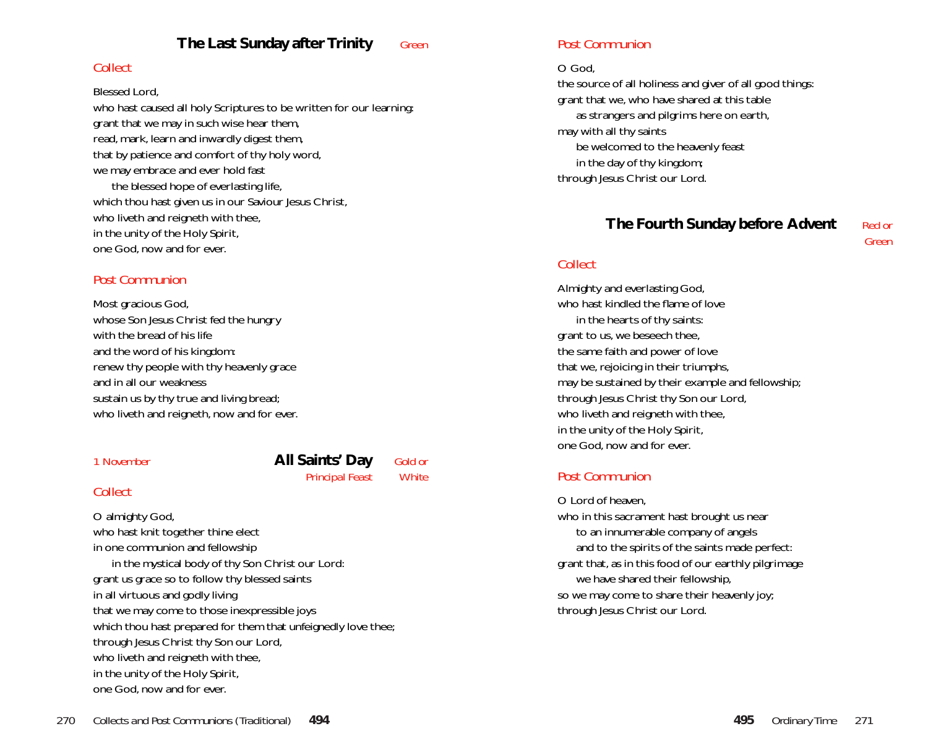#### Blessed Lord,

who hast caused all holy Scriptures to be written for our learning: grant that we may in such wise hear them, read, mark, learn and inwardly digest them, that by patience and comfort of thy holy word, we may embrace and ever hold fast the blessed hope of everlasting life,

which thou hast given us in our Saviour Jesus Christ, who liveth and reigneth with thee, in the unity of the Holy Spirit, one God, now and for ever.

### *Post Communion*

Most gracious God, whose Son Jesus Christ fed the hungry with the bread of his life and the word of his kingdom: renew thy people with thy heavenly grace and in all our weakness sustain us by thy true and living bread; who liveth and reigneth, now and for ever.

#### *1 November* **All Saints' Day** *Gold or*

*Principal Feast White*

*Collect*

O almighty God, who hast knit together thine elect in one communion and fellowship in the mystical body of thy Son Christ our Lord: grant us grace so to follow thy blessed saints in all virtuous and godly living that we may come to those inexpressible joys which thou hast prepared for them that unfeignedly love thee; through Jesus Christ thy Son our Lord, who liveth and reigneth with thee, in the unity of the Holy Spirit, one God, now and for ever.

## *Post Communion*

#### O God,

the source of all holiness and giver of all good things: grant that we, who have shared at this table as strangers and pilgrims here on earth, may with all thy saints be welcomed to the heavenly feast in the day of thy kingdom; through Jesus Christ our Lord.

## **The Fourth Sunday before Advent** *Red or*

*Green*

#### *Collect*

Almighty and everlasting God, who hast kindled the flame of love in the hearts of thy saints: grant to us, we beseech thee, the same faith and power of love that we, rejoicing in their triumphs, may be sustained by their example and fellowship; through Jesus Christ thy Son our Lord, who liveth and reigneth with thee, in the unity of the Holy Spirit, one God, now and for ever.

## *Post Communion*

O Lord of heaven,

who in this sacrament hast brought us near to an innumerable company of angels and to the spirits of the saints made perfect: grant that, as in this food of our earthly pilgrimage we have shared their fellowship, so we may come to share their heavenly joy; through Jesus Christ our Lord.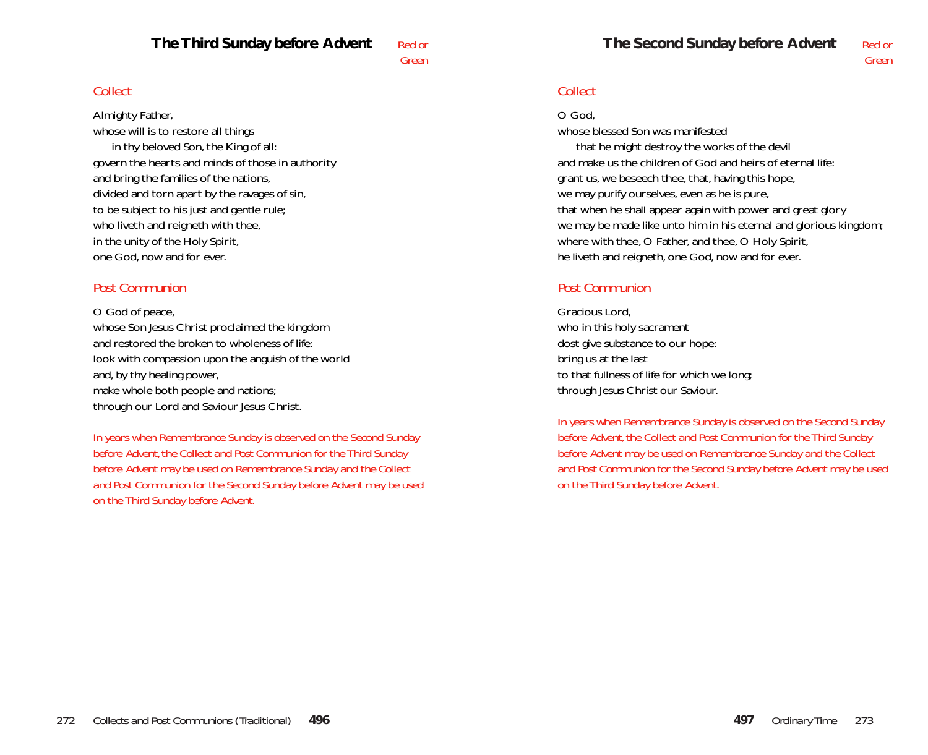*Green*

## *Collect*

Almighty Father, whose will is to restore all things in thy beloved Son, the King of all: govern the hearts and minds of those in authority and bring the families of the nations, divided and torn apart by the ravages of sin, to be subject to his just and gentle rule; who liveth and reigneth with thee, in the unity of the Holy Spirit, one God, now and for ever.

#### *Post Communion*

O God of peace, whose Son Jesus Christ proclaimed the kingdom and restored the broken to wholeness of life: look with compassion upon the anguish of the world and, by thy healing power, make whole both people and nations; through our Lord and Saviour Jesus Christ.

*In years when Remembrance Sunday is observed on the Second Sunday before Advent, the Collect and Post Communion for the Third Sunday before Advent may be used on Remembrance Sunday and the Collect and Post Communion for the Second Sunday before Advent may be used on the Third Sunday before Advent.*

## **The Second Sunday before Advent** *Red or*

*Green*

## *Collect*

#### O God,

whose blessed Son was manifested

that he might destroy the works of the devil and make us the children of God and heirs of eternal life: grant us, we beseech thee, that, having this hope, we may purify ourselves, even as he is pure, that when he shall appear again with power and great glory we may be made like unto him in his eternal and glorious kingdom; where with thee, O Father, and thee, O Holy Spirit, he liveth and reigneth, one God, now and for ever.

## *Post Communion*

Gracious Lord, who in this holy sacrament dost give substance to our hope: bring us at the last to that fullness of life for which we long; through Jesus Christ our Saviour.

*In years when Remembrance Sunday is observed on the Second Sunday before Advent, the Collect and Post Communion for the Third Sunday before Advent may be used on Remembrance Sunday and the Collect and Post Communion for the Second Sunday before Advent may be used on the Third Sunday before Advent.*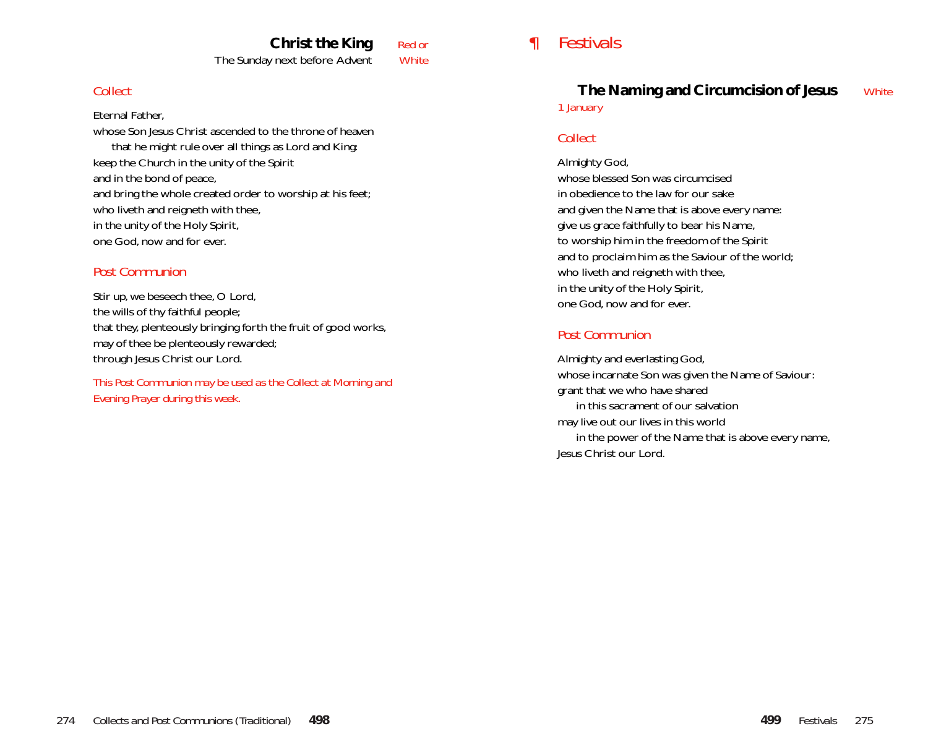#### Eternal Father,

whose Son Jesus Christ ascended to the throne of heaven that he might rule over all things as Lord and King: keep the Church in the unity of the Spirit and in the bond of peace, and bring the whole created order to worship at his feet; who liveth and reigneth with thee, in the unity of the Holy Spirit, one God, now and for ever.

#### *Post Communion*

Stir up, we beseech thee, O Lord, the wills of thy faithful people; that they, plenteously bringing forth the fruit of good works, may of thee be plenteously rewarded; through Jesus Christ our Lord.

*This Post Communion may be used as the Collect at Morning and Evening Prayer during this week.*

# *¶ Festivals*

**The Naming and Circumcision of Jesus** *White 1 January*

## *Collect*

Almighty God, whose blessed Son was circumcised in obedience to the law for our sake and given the Name that is above every name: give us grace faithfully to bear his Name, to worship him in the freedom of the Spirit and to proclaim him as the Saviour of the world; who liveth and reigneth with thee, in the unity of the Holy Spirit, one God, now and for ever.

## *Post Communion*

Almighty and everlasting God, whose incarnate Son was given the Name of Saviour: grant that we who have shared in this sacrament of our salvation may live out our lives in this world in the power of the Name that is above every name, Jesus Christ our Lord.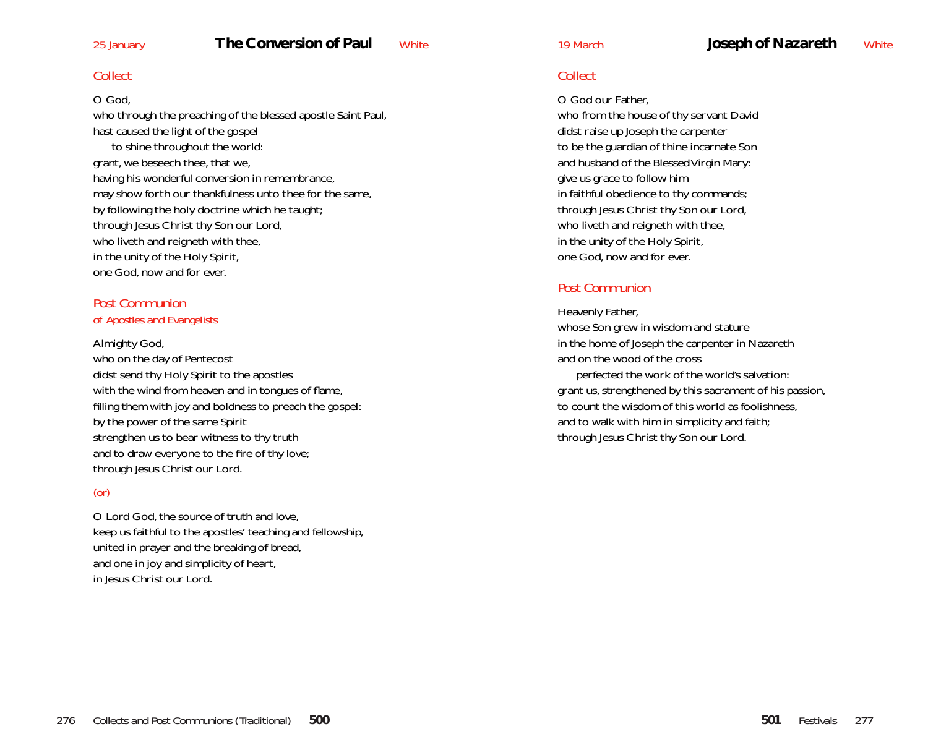#### O God,

who through the preaching of the blessed apostle Saint Paul, hast caused the light of the gospel to shine throughout the world: grant, we beseech thee, that we, having his wonderful conversion in remembrance, may show forth our thankfulness unto thee for the same, by following the holy doctrine which he taught; through Jesus Christ thy Son our Lord, who liveth and reigneth with thee, in the unity of the Holy Spirit, one God, now and for ever.

#### *Post Communion of Apostles and Evangelists*

Almighty God, who on the day of Pentecost didst send thy Holy Spirit to the apostles with the wind from heaven and in tongues of flame, filling them with joy and boldness to preach the gospel: by the power of the same Spirit strengthen us to bear witness to thy truth and to draw everyone to the fire of thy love; through Jesus Christ our Lord.

#### *(or)*

O Lord God, the source of truth and love, keep us faithful to the apostles' teaching and fellowship, united in prayer and the breaking of bread, and one in joy and simplicity of heart, in Jesus Christ our Lord.

#### *Collect*

O God our Father, who from the house of thy servant David didst raise up Joseph the carpenter to be the guardian of thine incarnate Son and husband of the Blessed Virgin Mary: give us grace to follow him in faithful obedience to thy commands; through Jesus Christ thy Son our Lord, who liveth and reigneth with thee, in the unity of the Holy Spirit, one God, now and for ever.

## *Post Communion*

#### Heavenly Father,

whose Son grew in wisdom and stature in the home of Joseph the carpenter in Nazareth and on the wood of the cross

perfected the work of the world's salvation: grant us, strengthened by this sacrament of his passion, to count the wisdom of this world as foolishness, and to walk with him in simplicity and faith; through Jesus Christ thy Son our Lord.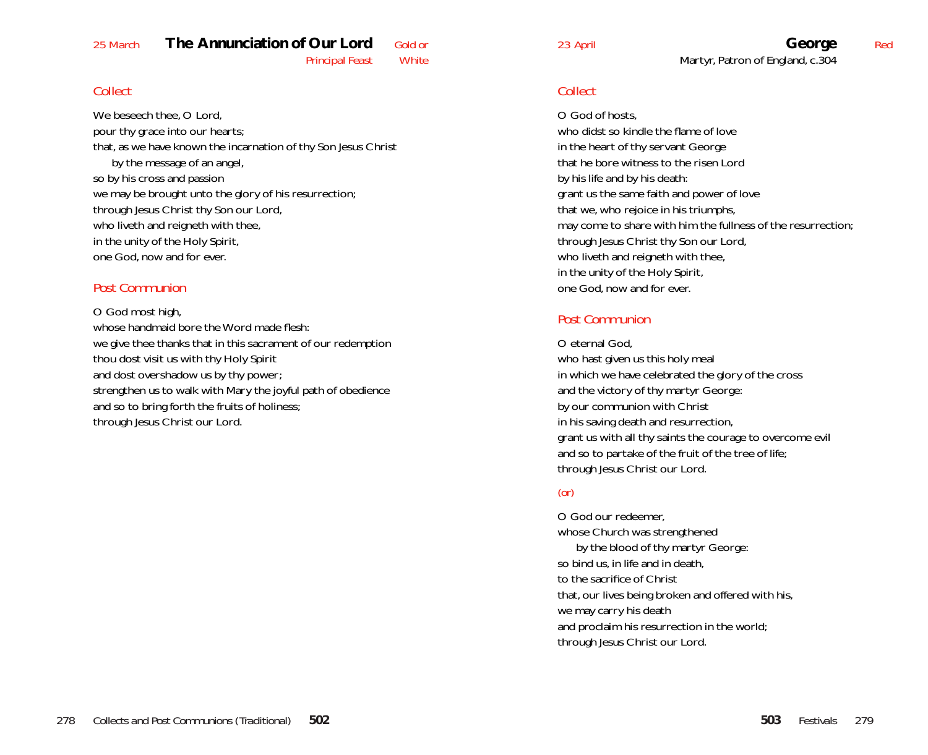We beseech thee, O Lord, pour thy grace into our hearts; that, as we have known the incarnation of thy Son Jesus Christ by the message of an angel, so by his cross and passion we may be brought unto the glory of his resurrection; through Jesus Christ thy Son our Lord, who liveth and reigneth with thee, in the unity of the Holy Spirit, one God, now and for ever.

#### *Post Communion*

O God most high, whose handmaid bore the Word made flesh: we give thee thanks that in this sacrament of our redemption thou dost visit us with thy Holy Spirit and dost overshadow us by thy power; strengthen us to walk with Mary the joyful path of obedience and so to bring forth the fruits of holiness; through Jesus Christ our Lord.

*23 April* **George** *Red* Martyr, Patron of England, c.304

## *Collect*

O God of hosts, who didst so kindle the flame of love in the heart of thy servant George that he bore witness to the risen Lord by his life and by his death: grant us the same faith and power of love that we, who rejoice in his triumphs, may come to share with him the fullness of the resurrection; through Jesus Christ thy Son our Lord, who liveth and reigneth with thee, in the unity of the Holy Spirit, one God, now and for ever.

## *Post Communion*

O eternal God, who hast given us this holy meal in which we have celebrated the glory of the cross and the victory of thy martyr George: by our communion with Christ in his saving death and resurrection, grant us with all thy saints the courage to overcome evil and so to partake of the fruit of the tree of life; through Jesus Christ our Lord.

## *(or)*

O God our redeemer, whose Church was strengthened by the blood of thy martyr George: so bind us, in life and in death, to the sacrifice of Christ that, our lives being broken and offered with his, we may carry his death and proclaim his resurrection in the world; through Jesus Christ our Lord.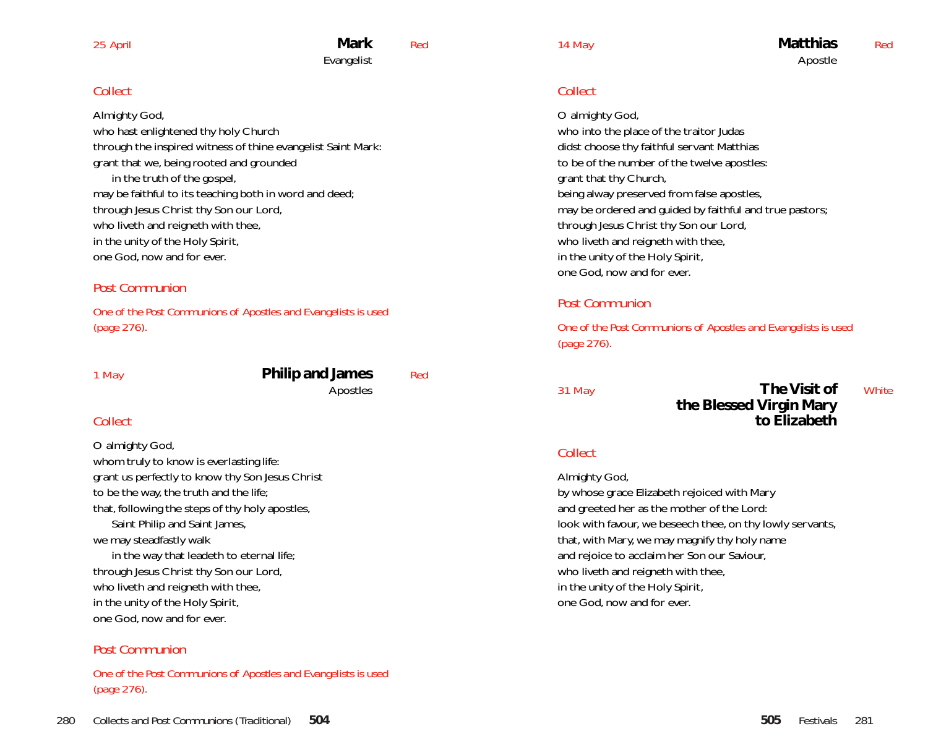Almighty God, who hast enlightened thy holy Church through the inspired witness of thine evangelist Saint Mark: grant that we, being rooted and grounded in the truth of the gospel, may be faithful to its teaching both in word and deed; through Jesus Christ thy Son our Lord, who liveth and reigneth with thee, in the unity of the Holy Spirit, one God, now and for ever.

#### *Post Communion*

*One of the Post Communions of Apostles and Evangelists is used (page 276).*

|  | 1 May |  |
|--|-------|--|
|--|-------|--|

*1 May* **Philip and James** *Red* Apostles

## *Collect*

O almighty God, whom truly to know is everlasting life: grant us perfectly to know thy Son Jesus Christ to be the way, the truth and the life; that, following the steps of thy holy apostles, Saint Philip and Saint James, we may steadfastly walk in the way that leadeth to eternal life; through Jesus Christ thy Son our Lord, who liveth and reigneth with thee, in the unity of the Holy Spirit, one God, now and for ever.

#### *Post Communion*

*One of the Post Communions of Apostles and Evangelists is used (page 276).*

## *Collect*

O almighty God, who into the place of the traitor Judas didst choose thy faithful servant Matthias to be of the number of the twelve apostles: grant that thy Church, being alway preserved from false apostles, may be ordered and guided by faithful and true pastors; through Jesus Christ thy Son our Lord, who liveth and reigneth with thee, in the unity of the Holy Spirit, one God, now and for ever.

### *Post Communion*

*One of the Post Communions of Apostles and Evangelists is used (page 276).*

*31 May* **The Visit of** *White* **the Blessed Virgin Mary to Elizabeth**

#### *Collect*

Almighty God, by whose grace Elizabeth rejoiced with Mary and greeted her as the mother of the Lord: look with favour, we beseech thee, on thy lowly servants, that, with Mary, we may magnify thy holy name and rejoice to acclaim her Son our Saviour, who liveth and reigneth with thee, in the unity of the Holy Spirit, one God, now and for ever.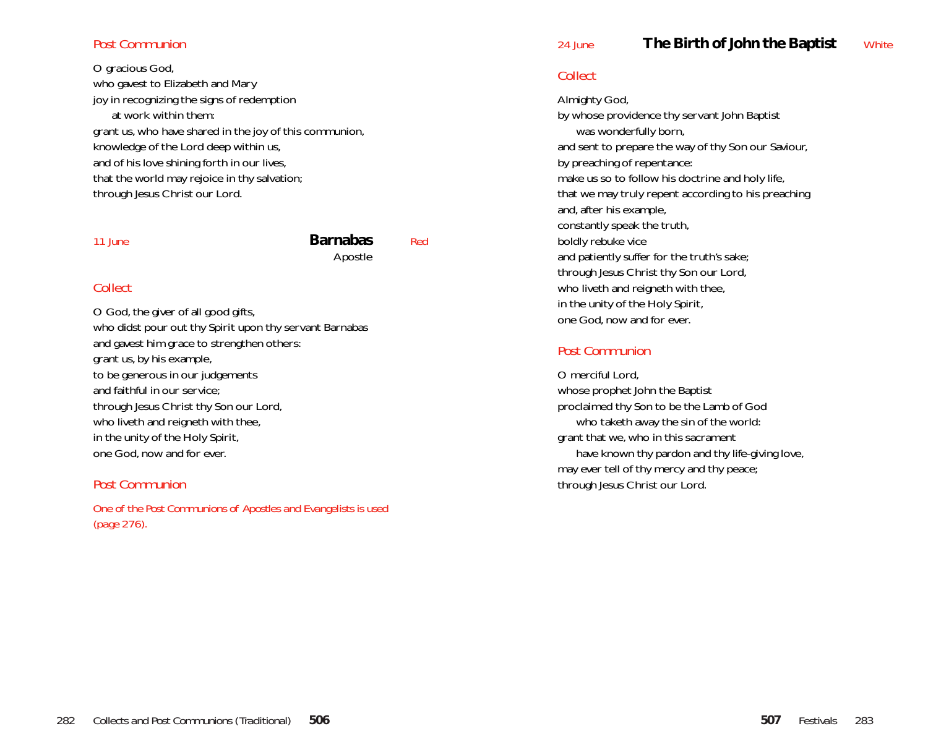#### *Post Communion*

O gracious God, who gavest to Elizabeth and Mary joy in recognizing the signs of redemption at work within them: grant us, who have shared in the joy of this communion, knowledge of the Lord deep within us, and of his love shining forth in our lives, that the world may rejoice in thy salvation; through Jesus Christ our Lord.

### *11 June* **Barnabas** *Red*

Apostle

#### *Collect*

O God, the giver of all good gifts, who didst pour out thy Spirit upon thy servant Barnabas and gavest him grace to strengthen others: grant us, by his example, to be generous in our judgements and faithful in our service; through Jesus Christ thy Son our Lord, who liveth and reigneth with thee, in the unity of the Holy Spirit, one God, now and for ever.

#### *Post Communion*

*One of the Post Communions of Apostles and Evangelists is used (page 276).*

#### *Collect*

Almighty God, by whose providence thy servant John Baptist was wonderfully born, and sent to prepare the way of thy Son our Saviour, by preaching of repentance: make us so to follow his doctrine and holy life, that we may truly repent according to his preaching and, after his example, constantly speak the truth, boldly rebuke vice and patiently suffer for the truth's sake; through Jesus Christ thy Son our Lord, who liveth and reigneth with thee, in the unity of the Holy Spirit, one God, now and for ever.

### *Post Communion*

O merciful Lord, whose prophet John the Baptist proclaimed thy Son to be the Lamb of God who taketh away the sin of the world: grant that we, who in this sacrament have known thy pardon and thy life-giving love, may ever tell of thy mercy and thy peace; through Jesus Christ our Lord.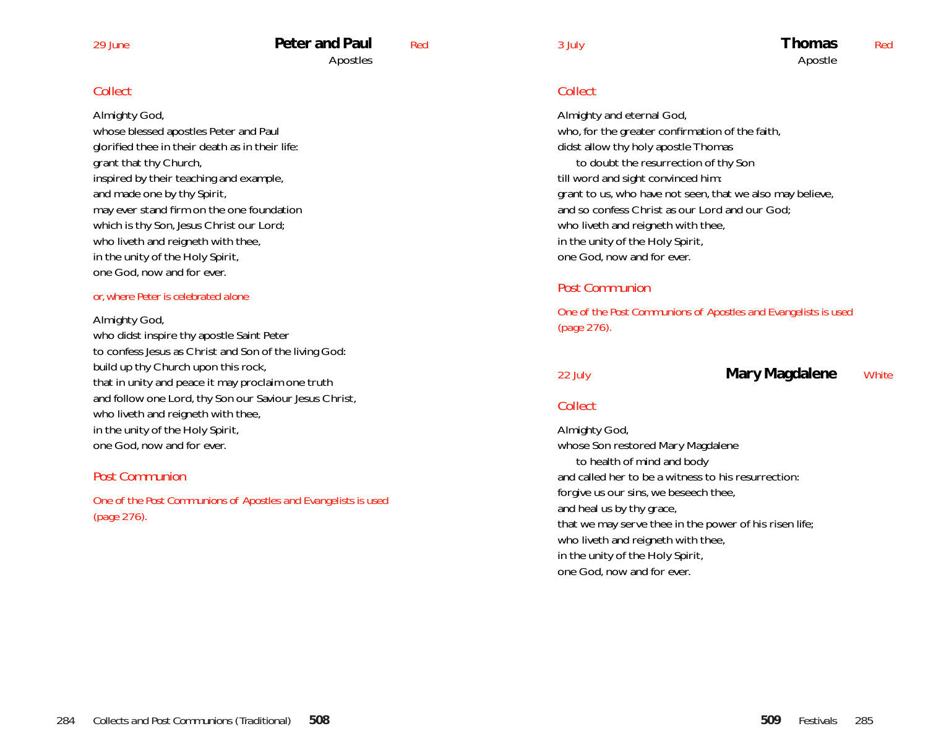Apostles

### *Collect*

Almighty God,

whose blessed apostles Peter and Paul glorified thee in their death as in their life: grant that thy Church, inspired by their teaching and example, and made one by thy Spirit, may ever stand firm on the one foundation which is thy Son, Jesus Christ our Lord; who liveth and reigneth with thee, in the unity of the Holy Spirit, one God, now and for ever.

#### *or, where Peter is celebrated alone*

#### Almighty God,

who didst inspire thy apostle Saint Peter to confess Jesus as Christ and Son of the living God: build up thy Church upon this rock, that in unity and peace it may proclaim one truth and follow one Lord, thy Son our Saviour Jesus Christ, who liveth and reigneth with thee, in the unity of the Holy Spirit, one God, now and for ever.

#### *Post Communion*

*One of the Post Communions of Apostles and Evangelists is used (page 276).*

*3 July* **Thomas** *Red* Apostle

### *Collect*

Almighty and eternal God, who, for the greater confirmation of the faith, didst allow thy holy apostle Thomas to doubt the resurrection of thy Son till word and sight convinced him: grant to us, who have not seen, that we also may believe, and so confess Christ as our Lord and our God; who liveth and reigneth with thee, in the unity of the Holy Spirit, one God, now and for ever.

#### *Post Communion*

*One of the Post Communions of Apostles and Evangelists is used (page 276).*

#### *22 July* **Mary Magdalene** *White*

#### *Collect*

Almighty God, whose Son restored Mary Magdalene to health of mind and body and called her to be a witness to his resurrection: forgive us our sins, we beseech thee, and heal us by thy grace, that we may serve thee in the power of his risen life; who liveth and reigneth with thee, in the unity of the Holy Spirit, one God, now and for ever.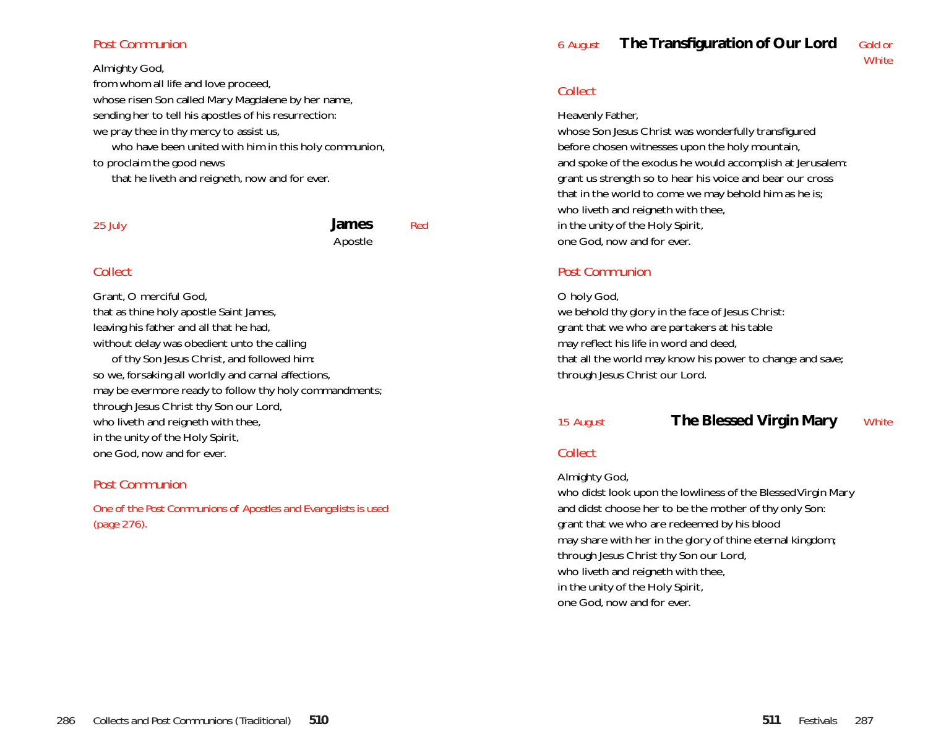#### *Post Communion*

Almighty God,

from whom all life and love proceed, whose risen Son called Mary Magdalene by her name, sending her to tell his apostles of his resurrection: we pray thee in thy mercy to assist us, who have been united with him in this holy communion, to proclaim the good news

that he liveth and reigneth, now and for ever.

*25 July* **James** *Red* Apostle

#### *Collect*

Grant, O merciful God, that as thine holy apostle Saint James, leaving his father and all that he had, without delay was obedient unto the calling of thy Son Jesus Christ, and followed him: so we, forsaking all worldly and carnal affections, may be evermore ready to follow thy holy commandments; through Jesus Christ thy Son our Lord, who liveth and reigneth with thee, in the unity of the Holy Spirit, one God, now and for ever.

#### *Post Communion*

*One of the Post Communions of Apostles and Evangelists is used (page 276).*

### *Collect*

Heavenly Father,

whose Son Jesus Christ was wonderfully transfigured before chosen witnesses upon the holy mountain, and spoke of the exodus he would accomplish at Jerusalem: grant us strength so to hear his voice and bear our cross that in the world to come we may behold him as he is; who liveth and reigneth with thee, in the unity of the Holy Spirit, one God, now and for ever.

### *Post Communion*

O holy God, we behold thy glory in the face of Jesus Christ: grant that we who are partakers at his table may reflect his life in word and deed, that all the world may know his power to change and save; through Jesus Christ our Lord.

*15 August* **The Blessed Virgin Mary** *White*

#### *Collect*

Almighty God,

who didst look upon the lowliness of the Blessed Virgin Mary and didst choose her to be the mother of thy only Son: grant that we who are redeemed by his blood may share with her in the glory of thine eternal kingdom; through Jesus Christ thy Son our Lord, who liveth and reigneth with thee, in the unity of the Holy Spirit, one God, now and for ever.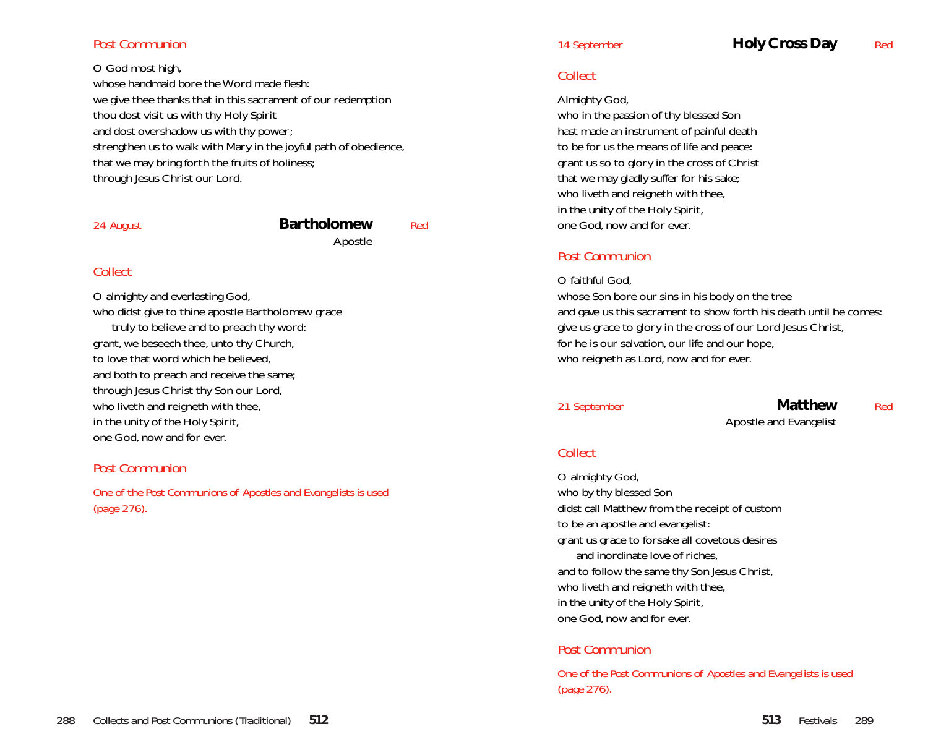#### *Post Communion*

O God most high, whose handmaid bore the Word made flesh: we give thee thanks that in this sacrament of our redemption thou dost visit us with thy Holy Spirit and dost overshadow us with thy power; strengthen us to walk with Mary in the joyful path of obedience, that we may bring forth the fruits of holiness; through Jesus Christ our Lord.

*24 August* **Bartholomew** *Red* Apostle

*Collect*

O almighty and everlasting God, who didst give to thine apostle Bartholomew grace truly to believe and to preach thy word: grant, we beseech thee, unto thy Church, to love that word which he believed, and both to preach and receive the same; through Jesus Christ thy Son our Lord, who liveth and reigneth with thee, in the unity of the Holy Spirit, one God, now and for ever.

#### *Post Communion*

*One of the Post Communions of Apostles and Evangelists is used (page 276).*

#### *Collect*

Almighty God, who in the passion of thy blessed Son hast made an instrument of painful death to be for us the means of life and peace: grant us so to glory in the cross of Christ that we may gladly suffer for his sake; who liveth and reigneth with thee, in the unity of the Holy Spirit, one God, now and for ever.

#### *Post Communion*

#### O faithful God,

whose Son bore our sins in his body on the tree and gave us this sacrament to show forth his death until he comes: give us grace to glory in the cross of our Lord Jesus Christ, for he is our salvation, our life and our hope, who reigneth as Lord, now and for ever.

*21 September* **Matthew** *Red* Apostle and Evangelist

#### *Collect*

O almighty God, who by thy blessed Son didst call Matthew from the receipt of custom to be an apostle and evangelist: grant us grace to forsake all covetous desires and inordinate love of riches, and to follow the same thy Son Jesus Christ, who liveth and reigneth with thee, in the unity of the Holy Spirit, one God, now and for ever.

#### *Post Communion*

*One of the Post Communions of Apostles and Evangelists is used (page 276).*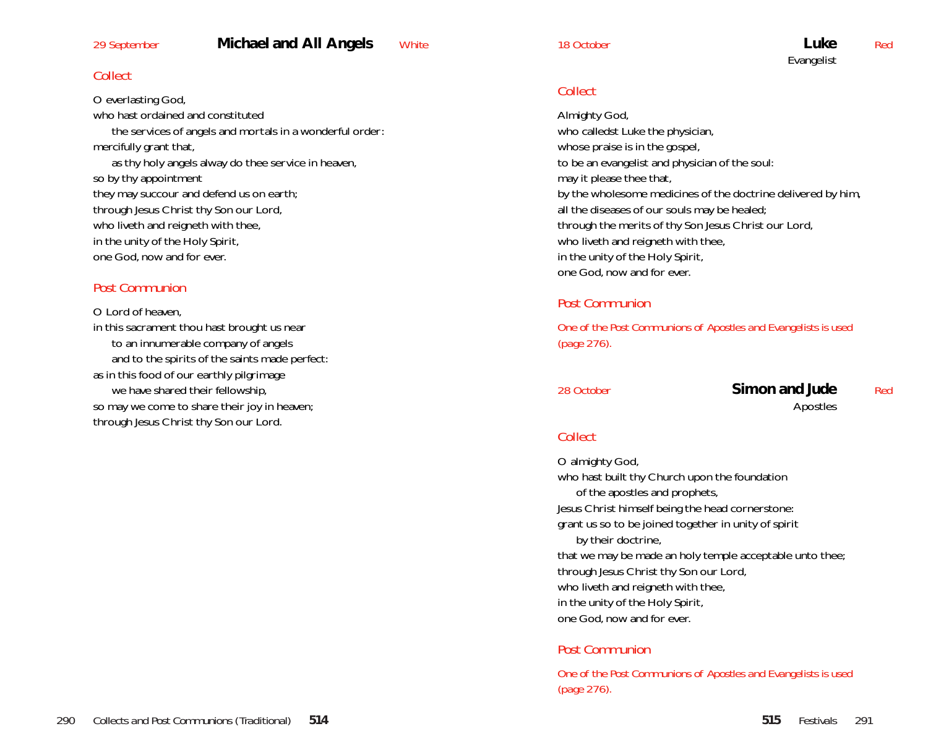#### *29 September* **Michael and All Angels** *White*

#### *Collect*

O everlasting God, who hast ordained and constituted the services of angels and mortals in a wonderful order: mercifully grant that, as thy holy angels alway do thee service in heaven, so by thy appointment they may succour and defend us on earth; through Jesus Christ thy Son our Lord, who liveth and reigneth with thee, in the unity of the Holy Spirit, one God, now and for ever.

#### *Post Communion*

O Lord of heaven, in this sacrament thou hast brought us near to an innumerable company of angels and to the spirits of the saints made perfect: as in this food of our earthly pilgrimage we have shared their fellowship, so may we come to share their joy in heaven; through Jesus Christ thy Son our Lord.

# *Collect*

Almighty God, who calledst Luke the physician, whose praise is in the gospel, to be an evangelist and physician of the soul: may it please thee that, by the wholesome medicines of the doctrine delivered by him, all the diseases of our souls may be healed; through the merits of thy Son Jesus Christ our Lord, who liveth and reigneth with thee, in the unity of the Holy Spirit, one God, now and for ever.

#### *Post Communion*

*One of the Post Communions of Apostles and Evangelists is used (page 276).*

*28 October* **Simon and Jude** *Red* Apostles

#### *Collect*

O almighty God, who hast built thy Church upon the foundation of the apostles and prophets, Jesus Christ himself being the head cornerstone: grant us so to be joined together in unity of spirit by their doctrine, that we may be made an holy temple acceptable unto thee; through Jesus Christ thy Son our Lord, who liveth and reigneth with thee, in the unity of the Holy Spirit, one God, now and for ever.

#### *Post Communion*

*One of the Post Communions of Apostles and Evangelists is used (page 276).*

Evangelist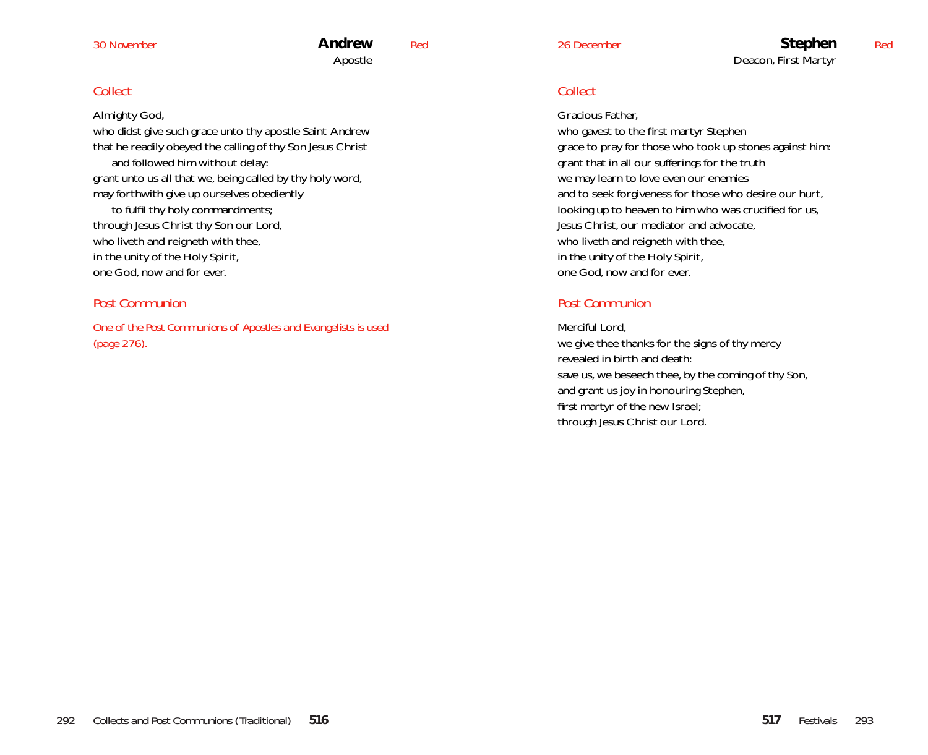*30 November* **Andrew** *Red*

Apostle

#### *Collect*

Almighty God,

who didst give such grace unto thy apostle Saint Andrew that he readily obeyed the calling of thy Son Jesus Christ and followed him without delay: grant unto us all that we, being called by thy holy word, may forthwith give up ourselves obediently to fulfil thy holy commandments; through Jesus Christ thy Son our Lord, who liveth and reigneth with thee, in the unity of the Holy Spirit, one God, now and for ever.

#### *Post Communion*

*One of the Post Communions of Apostles and Evangelists is used (page 276).*

### *Collect*

Gracious Father, who gavest to the first martyr Stephen grace to pray for those who took up stones against him: grant that in all our sufferings for the truth we may learn to love even our enemies and to seek forgiveness for those who desire our hurt, looking up to heaven to him who was crucified for us, Jesus Christ, our mediator and advocate, who liveth and reigneth with thee, in the unity of the Holy Spirit, one God, now and for ever.

#### *Post Communion*

Merciful Lord, we give thee thanks for the signs of thy mercy revealed in birth and death: save us, we beseech thee, by the coming of thy Son, and grant us joy in honouring Stephen, first martyr of the new Israel; through Jesus Christ our Lord.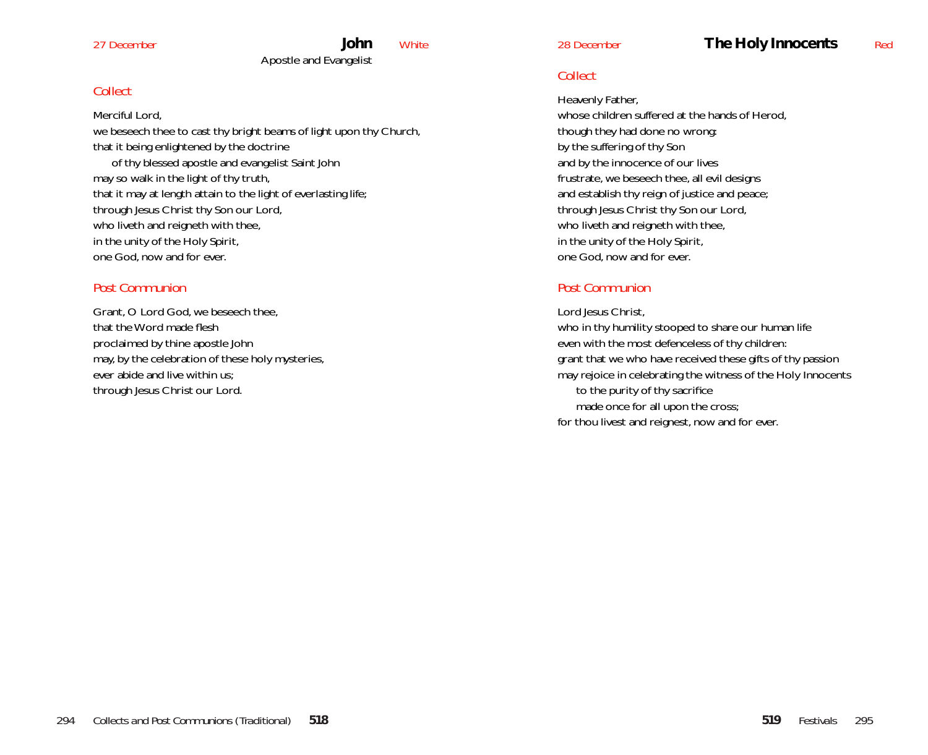### *27 December* **John** *White*

Apostle and Evangelist

#### *Collect*

Merciful Lord,

we beseech thee to cast thy bright beams of light upon thy Church, that it being enlightened by the doctrine of thy blessed apostle and evangelist Saint John may so walk in the light of thy truth, that it may at length attain to the light of everlasting life; through Jesus Christ thy Son our Lord, who liveth and reigneth with thee, in the unity of the Holy Spirit, one God, now and for ever.

#### *Post Communion*

Grant, O Lord God, we beseech thee, that the Word made flesh proclaimed by thine apostle John may, by the celebration of these holy mysteries, ever abide and live within us; through Jesus Christ our Lord.

#### *Collect*

Heavenly Father, whose children suffered at the hands of Herod, though they had done no wrong: by the suffering of thy Son and by the innocence of our lives frustrate, we beseech thee, all evil designs and establish thy reign of justice and peace; through Jesus Christ thy Son our Lord, who liveth and reigneth with thee, in the unity of the Holy Spirit, one God, now and for ever.

#### *Post Communion*

#### Lord Jesus Christ,

who in thy humility stooped to share our human life even with the most defenceless of thy children: grant that we who have received these gifts of thy passion may rejoice in celebrating the witness of the Holy Innocents to the purity of thy sacrifice made once for all upon the cross; for thou livest and reignest, now and for ever.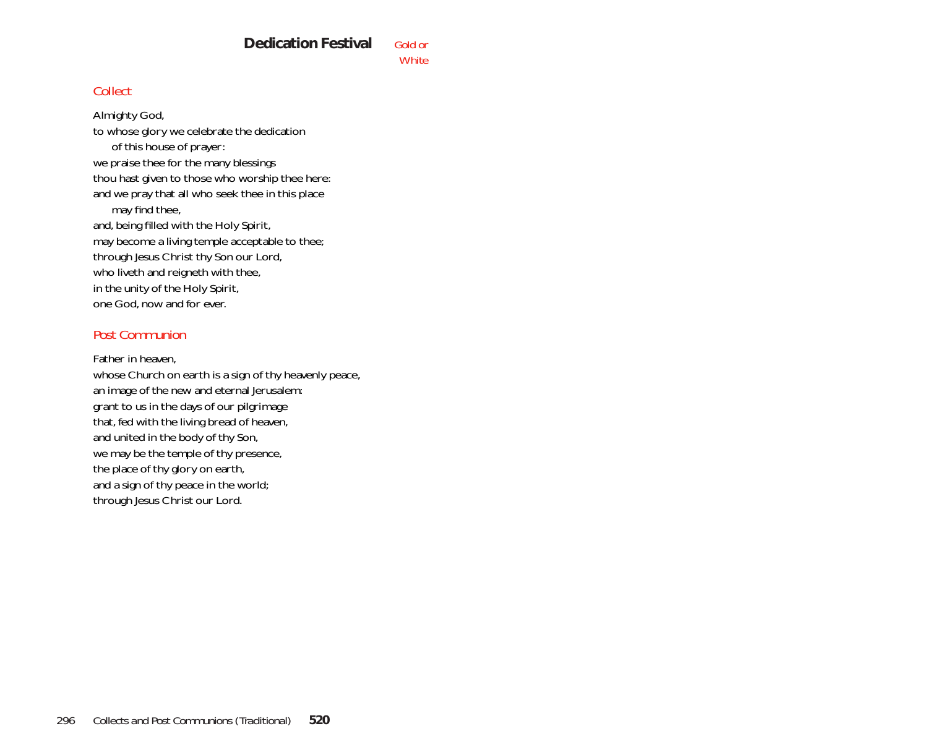#### **Dedication Festival** *Gold or*

*White*

#### *Collect*

Almighty God, to whose glory we celebrate the dedication of this house of prayer: we praise thee for the many blessings thou hast given to those who worship thee here: and we pray that all who seek thee in this place may find thee, and, being filled with the Holy Spirit, may become a living temple acceptable to thee; through Jesus Christ thy Son our Lord, who liveth and reigneth with thee, in the unity of the Holy Spirit, one God, now and for ever.

#### *Post Communion*

Father in heaven, whose Church on earth is a sign of thy heavenly peace, an image of the new and eternal Jerusalem: grant to us in the days of our pilgrimage that, fed with the living bread of heaven, and united in the body of thy Son, we may be the temple of thy presence, the place of thy glory on earth, and a sign of thy peace in the world; through Jesus Christ our Lord.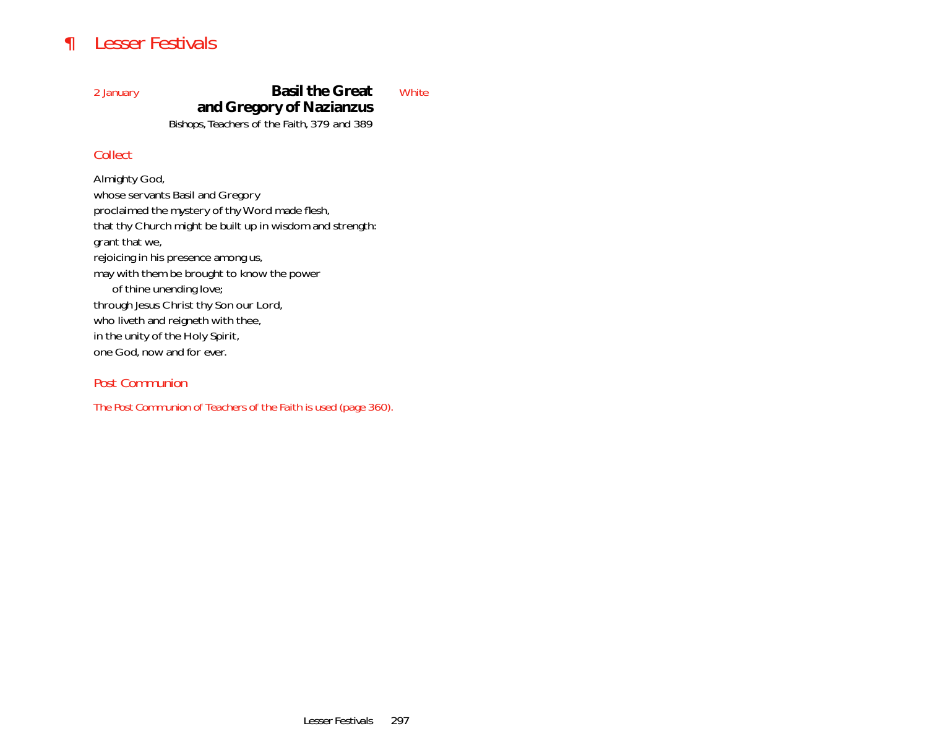# *¶ Lesser Festivals*

*2 January* **Basil the Great** *White* **and Gregory of Nazianzus**  *Bishops, Teachers of the Faith, 379 and 389*

#### *Collect*

Almighty God, whose servants Basil and Gregory proclaimed the mystery of thy Word made flesh, that thy Church might be built up in wisdom and strength: grant that we, rejoicing in his presence among us, may with them be brought to know the power of thine unending love; through Jesus Christ thy Son our Lord, who liveth and reigneth with thee, in the unity of the Holy Spirit, one God, now and for ever.

*Post Communion*

*The Post Communion of Teachers of the Faith is used (page 360).*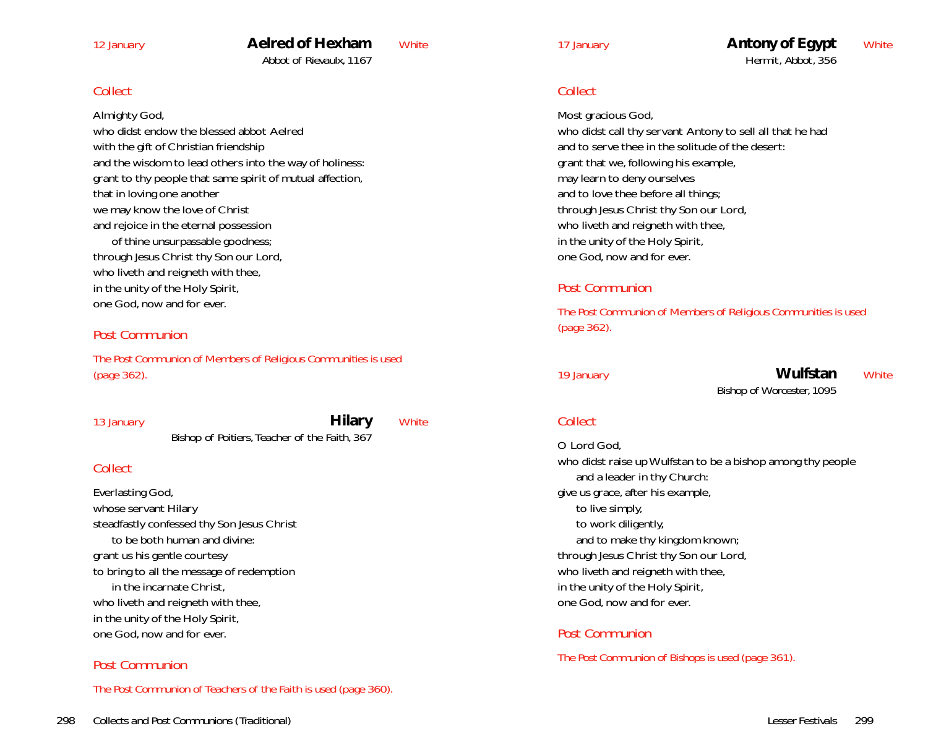*Abbot of Rievaulx, 1167*

#### *Collect*

Almighty God, who didst endow the blessed abbot Aelred with the gift of Christian friendship and the wisdom to lead others into the way of holiness: grant to thy people that same spirit of mutual affection, that in loving one another we may know the love of Christ and rejoice in the eternal possession of thine unsurpassable goodness; through Jesus Christ thy Son our Lord, who liveth and reigneth with thee, in the unity of the Holy Spirit,

one God, now and for ever.

#### *Post Communion*

*The Post Communion of Members of Religious Communities is used (page 362).*

*13 January* **Hilary** *White*

*Bishop of Poitiers, Teacher of the Faith, 367*

### *Collect*

Everlasting God, whose servant Hilary steadfastly confessed thy Son Jesus Christ to be both human and divine: grant us his gentle courtesy to bring to all the message of redemption in the incarnate Christ, who liveth and reigneth with thee, in the unity of the Holy Spirit, one God, now and for ever.

#### *Post Communion*

*The Post Communion of Teachers of the Faith is used (page 360).*

### *Collect*

Most gracious God, who didst call thy servant Antony to sell all that he had and to serve thee in the solitude of the desert: grant that we, following his example, may learn to deny ourselves and to love thee before all things; through Jesus Christ thy Son our Lord, who liveth and reigneth with thee, in the unity of the Holy Spirit, one God, now and for ever.

### *Post Communion*

*The Post Communion of Members of Religious Communities is used (page 362).*

*19 January* **Wulfstan** *White Bishop of Worcester, 1095*

#### *Collect*

O Lord God, who didst raise up Wulfstan to be a bishop among thy people and a leader in thy Church: give us grace, after his example, to live simply, to work diligently, and to make thy kingdom known; through Jesus Christ thy Son our Lord, who liveth and reigneth with thee, in the unity of the Holy Spirit, one God, now and for ever.

#### *Post Communion*

*The Post Communion of Bishops is used (page 361).*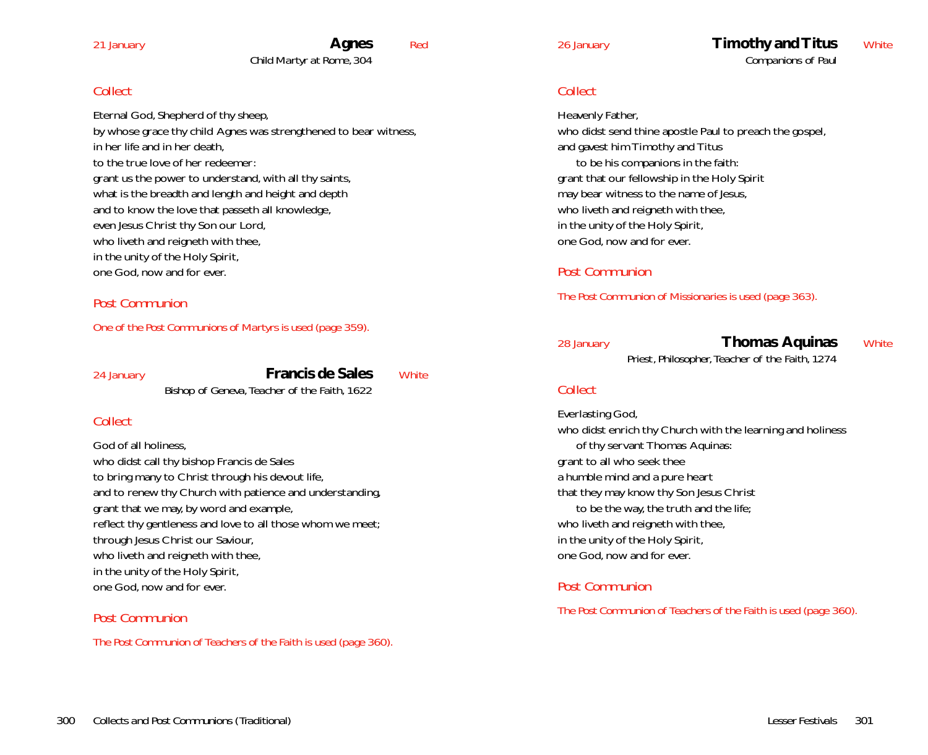#### *21 January* **Agnes** *Red Child Martyr at Rome, 304*

#### *Collect*

Eternal God, Shepherd of thy sheep, by whose grace thy child Agnes was strengthened to bear witness, in her life and in her death, to the true love of her redeemer: grant us the power to understand, with all thy saints, what is the breadth and length and height and depth and to know the love that passeth all knowledge, even Jesus Christ thy Son our Lord, who liveth and reigneth with thee, in the unity of the Holy Spirit, one God, now and for ever.

#### *Post Communion*

*One of the Post Communions of Martyrs is used (page 359).*

*24 January* **Francis de Sales** *White Bishop of Geneva, Teacher of the Faith, 1622*

#### *Collect*

God of all holiness, who didst call thy bishop Francis de Sales to bring many to Christ through his devout life, and to renew thy Church with patience and understanding, grant that we may, by word and example, reflect thy gentleness and love to all those whom we meet; through Jesus Christ our Saviour, who liveth and reigneth with thee, in the unity of the Holy Spirit, one God, now and for ever.

#### *Post Communion*

*The Post Communion of Teachers of the Faith is used (page 360).*

#### *Collect*

Heavenly Father, who didst send thine apostle Paul to preach the gospel, and gavest him Timothy and Titus to be his companions in the faith: grant that our fellowship in the Holy Spirit may bear witness to the name of Jesus, who liveth and reigneth with thee, in the unity of the Holy Spirit, one God, now and for ever.

#### *Post Communion*

*The Post Communion of Missionaries is used (page 363).*

*28 January* **Thomas Aquinas** *White*

*Priest, Philosopher, Teacher of the Faith, 1274*

#### *Collect*

Everlasting God, who didst enrich thy Church with the learning and holiness of thy servant Thomas Aquinas: grant to all who seek thee a humble mind and a pure heart that they may know thy Son Jesus Christ to be the way, the truth and the life; who liveth and reigneth with thee, in the unity of the Holy Spirit, one God, now and for ever.

#### *Post Communion*

*The Post Communion of Teachers of the Faith is used (page 360).*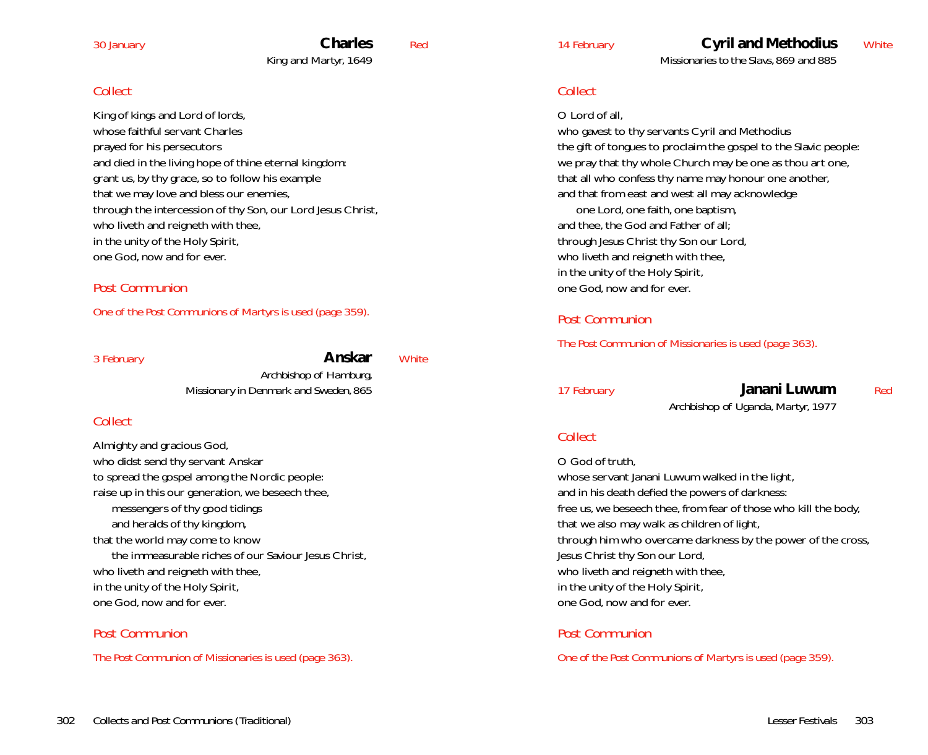# *30 January* **Charles** *Red*

*King and Martyr, 1649*

### *Collect*

King of kings and Lord of lords, whose faithful servant Charles prayed for his persecutors and died in the living hope of thine eternal kingdom: grant us, by thy grace, so to follow his example that we may love and bless our enemies, through the intercession of thy Son, our Lord Jesus Christ, who liveth and reigneth with thee, in the unity of the Holy Spirit, one God, now and for ever.

#### *Post Communion*

*One of the Post Communions of Martyrs is used (page 359).*

#### *3 February* **Anskar** *White*

*Archbishop of Hamburg, Missionary in Denmark and Sweden, 865*

### *Collect*

Almighty and gracious God, who didst send thy servant Anskar to spread the gospel among the Nordic people: raise up in this our generation, we beseech thee, messengers of thy good tidings and heralds of thy kingdom, that the world may come to know the immeasurable riches of our Saviour Jesus Christ, who liveth and reigneth with thee, in the unity of the Holy Spirit, one God, now and for ever.

*Post Communion*

*The Post Communion of Missionaries is used (page 363).*

### *Collect*

#### O Lord of all,

who gavest to thy servants Cyril and Methodius the gift of tongues to proclaim the gospel to the Slavic people: we pray that thy whole Church may be one as thou art one, that all who confess thy name may honour one another, and that from east and west all may acknowledge

one Lord, one faith, one baptism, and thee, the God and Father of all; through Jesus Christ thy Son our Lord, who liveth and reigneth with thee, in the unity of the Holy Spirit, one God, now and for ever.

### *Post Communion*

*The Post Communion of Missionaries is used (page 363).*

*17 February* **Janani Luwum** *Red Archbishop of Uganda, Martyr, 1977*

*Collect*

O God of truth, whose servant Janani Luwum walked in the light, and in his death defied the powers of darkness: free us, we beseech thee, from fear of those who kill the body, that we also may walk as children of light, through him who overcame darkness by the power of the cross, Jesus Christ thy Son our Lord, who liveth and reigneth with thee, in the unity of the Holy Spirit, one God, now and for ever.

### *Post Communion*

*One of the Post Communions of Martyrs is used (page 359).*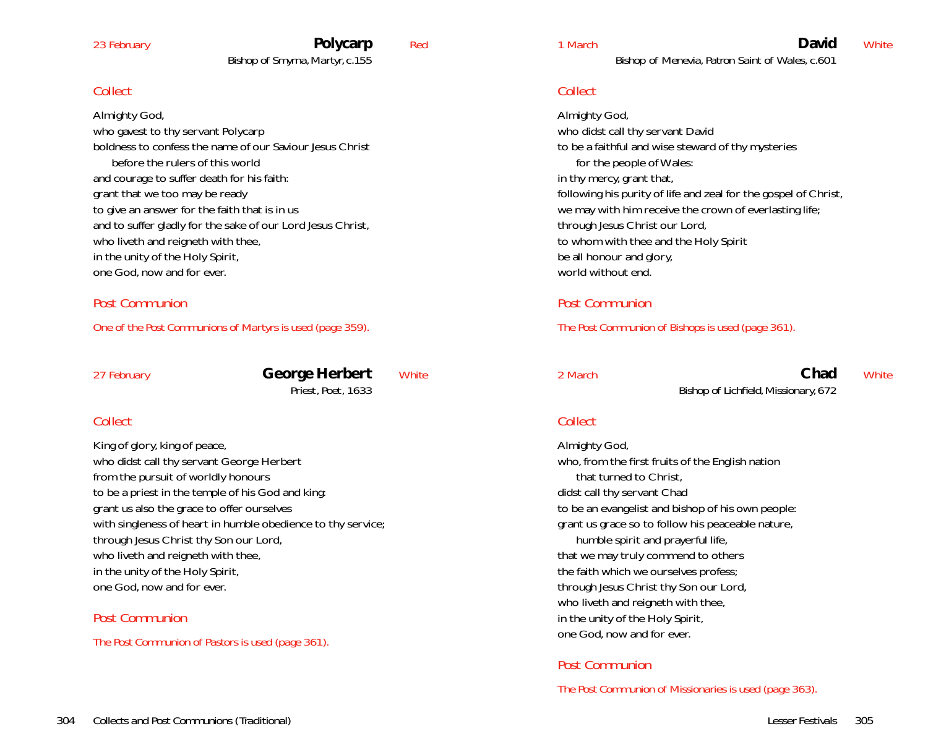#### *23 February* **Polycarp** *Red Bishop of Smyrna, Martyr, c.155*

*Collect*

Almighty God, who gavest to thy servant Polycarp boldness to confess the name of our Saviour Jesus Christ before the rulers of this world and courage to suffer death for his faith: grant that we too may be ready to give an answer for the faith that is in us and to suffer gladly for the sake of our Lord Jesus Christ, who liveth and reigneth with thee, in the unity of the Holy Spirit, one God, now and for ever.

#### *Post Communion*

*One of the Post Communions of Martyrs is used (page 359).*

*27 February* **George Herbert** *White*

*Priest, Poet, 1633*

### *Collect*

King of glory, king of peace, who didst call thy servant George Herbert from the pursuit of worldly honours to be a priest in the temple of his God and king: grant us also the grace to offer ourselves with singleness of heart in humble obedience to thy service; through Jesus Christ thy Son our Lord, who liveth and reigneth with thee, in the unity of the Holy Spirit, one God, now and for ever.

#### *Post Communion*

*The Post Communion of Pastors is used (page 361).*

### *1 March* **David** *White*

*Bishop of Menevia, Patron Saint of Wales, c.601*

#### *Collect*

Almighty God, who didst call thy servant David to be a faithful and wise steward of thy mysteries for the people of Wales: in thy mercy, grant that, following his purity of life and zeal for the gospel of Christ, we may with him receive the crown of everlasting life; through Jesus Christ our Lord, to whom with thee and the Holy Spirit be all honour and glory, world without end.

#### *Post Communion*

*The Post Communion of Bishops is used (page 361).*

*2 March* **Chad** *White Bishop of Lichfield, Missionary, 672*

#### *Collect*

Almighty God, who, from the first fruits of the English nation that turned to Christ, didst call thy servant Chad to be an evangelist and bishop of his own people: grant us grace so to follow his peaceable nature, humble spirit and prayerful life, that we may truly commend to others the faith which we ourselves profess; through Jesus Christ thy Son our Lord, who liveth and reigneth with thee, in the unity of the Holy Spirit, one God, now and for ever.

### *Post Communion*

*The Post Communion of Missionaries is used (page 363).*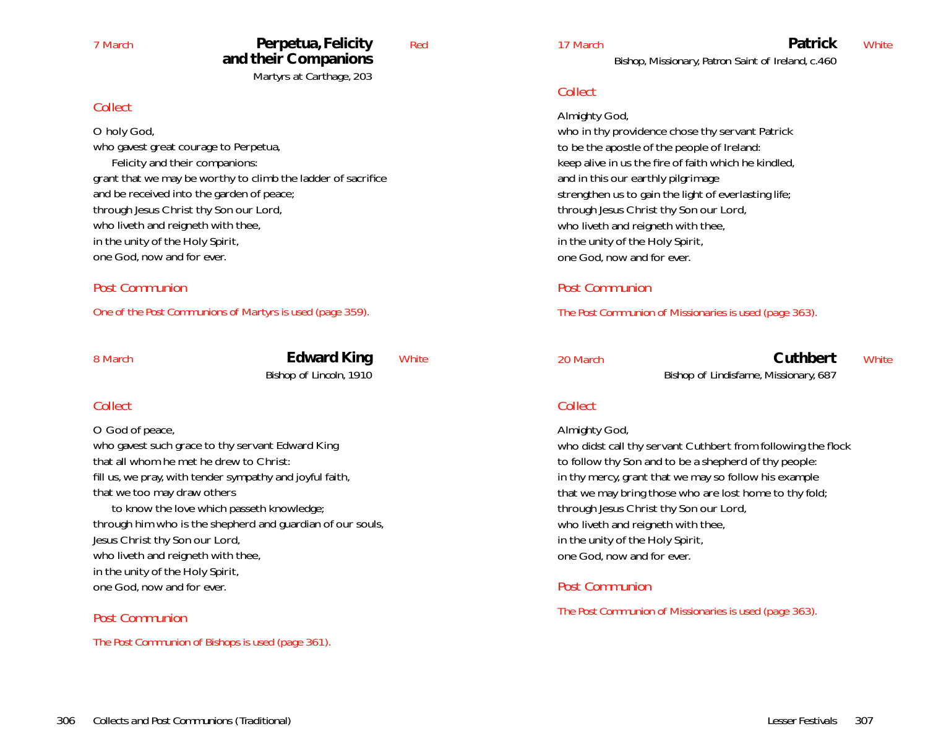#### *7 March* **Perpetua, Felicity** *Red* **and their Companions** *Martyrs at Carthage, 203*

#### *Collect*

O holy God, who gavest great courage to Perpetua, Felicity and their companions: grant that we may be worthy to climb the ladder of sacrifice and be received into the garden of peace; through Jesus Christ thy Son our Lord, who liveth and reigneth with thee, in the unity of the Holy Spirit, one God, now and for ever.

#### *Post Communion*

*One of the Post Communions of Martyrs is used (page 359).*

*8 March* **Edward King** *White Bishop of Lincoln, 1910*

### *Collect*

O God of peace, who gavest such grace to thy servant Edward King that all whom he met he drew to Christ: fill us, we pray, with tender sympathy and joyful faith, that we too may draw others to know the love which passeth knowledge; through him who is the shepherd and guardian of our souls, Jesus Christ thy Son our Lord, who liveth and reigneth with thee,

in the unity of the Holy Spirit, one God, now and for ever.

#### *Post Communion*

*The Post Communion of Bishops is used (page 361).*

#### *17 March* **Patrick** *White*

*Bishop, Missionary, Patron Saint of Ireland, c.460*

#### *Collect*

Almighty God, who in thy providence chose thy servant Patrick to be the apostle of the people of Ireland: keep alive in us the fire of faith which he kindled, and in this our earthly pilgrimage strengthen us to gain the light of everlasting life; through Jesus Christ thy Son our Lord, who liveth and reigneth with thee, in the unity of the Holy Spirit, one God, now and for ever.

### *Post Communion*

*The Post Communion of Missionaries is used (page 363).*

*20 March* **Cuthbert** *White Bishop of Lindisfarne, Missionary, 687*

*Collect*

#### Almighty God,

who didst call thy servant Cuthbert from following the flock to follow thy Son and to be a shepherd of thy people: in thy mercy, grant that we may so follow his example that we may bring those who are lost home to thy fold; through Jesus Christ thy Son our Lord, who liveth and reigneth with thee, in the unity of the Holy Spirit, one God, now and for ever.

### *Post Communion*

*The Post Communion of Missionaries is used (page 363).*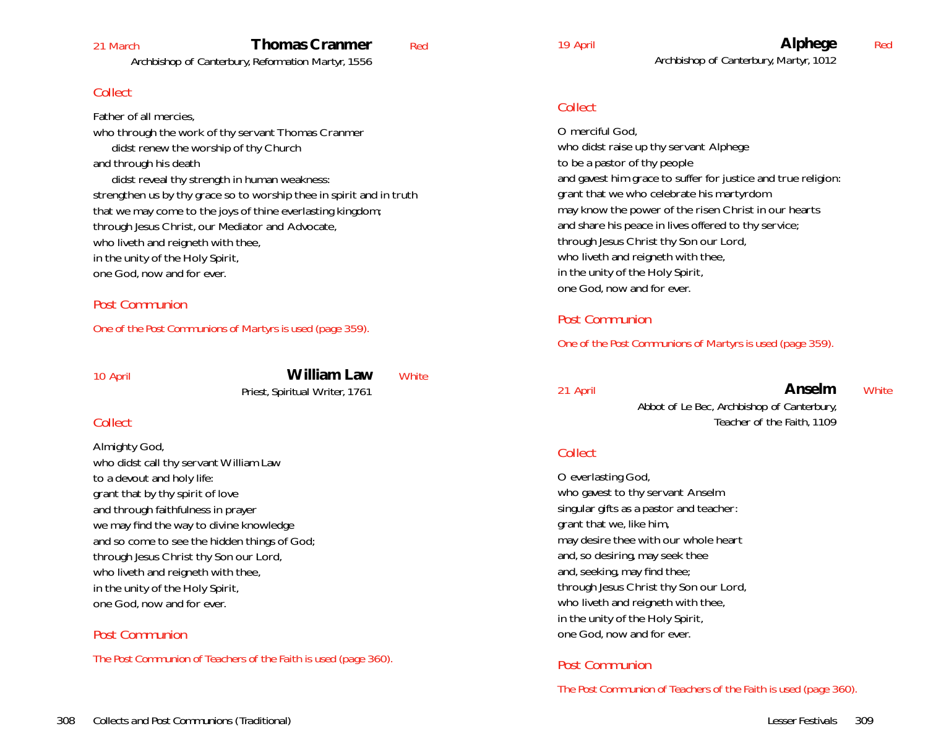### *21 March* **Thomas Cranmer** *Red*

*Archbishop of Canterbury, Reformation Martyr, 1556*

### *Collect*

Father of all mercies, who through the work of thy servant Thomas Cranmer didst renew the worship of thy Church and through his death didst reveal thy strength in human weakness: strengthen us by thy grace so to worship thee in spirit and in truth that we may come to the joys of thine everlasting kingdom; through Jesus Christ, our Mediator and Advocate, who liveth and reigneth with thee, in the unity of the Holy Spirit, one God, now and for ever.

#### *Post Communion*

*One of the Post Communions of Martyrs is used (page 359).*

*10 April* **William Law** *White*

*Priest, Spiritual Writer, 1761*

### *Collect*

Almighty God, who didst call thy servant William Law to a devout and holy life: grant that by thy spirit of love and through faithfulness in prayer we may find the way to divine knowledge and so come to see the hidden things of God; through Jesus Christ thy Son our Lord, who liveth and reigneth with thee, in the unity of the Holy Spirit, one God, now and for ever.

### *Post Communion*

*The Post Communion of Teachers of the Faith is used (page 360).*

### *Collect*

O merciful God, who didst raise up thy servant Alphege to be a pastor of thy people and gavest him grace to suffer for justice and true religion: grant that we who celebrate his martyrdom may know the power of the risen Christ in our hearts and share his peace in lives offered to thy service; through Jesus Christ thy Son our Lord, who liveth and reigneth with thee, in the unity of the Holy Spirit, one God, now and for ever.

*Archbishop of Canterbury, Martyr, 1012*

### *Post Communion*

*One of the Post Communions of Martyrs is used (page 359).*

*21 April* **Anselm** *White Abbot of Le Bec, Archbishop of Canterbury, Teacher of the Faith, 1109*

### *Collect*

O everlasting God, who gavest to thy servant Anselm singular gifts as a pastor and teacher: grant that we, like him, may desire thee with our whole heart and, so desiring, may seek thee and, seeking, may find thee; through Jesus Christ thy Son our Lord, who liveth and reigneth with thee, in the unity of the Holy Spirit, one God, now and for ever.

### *Post Communion*

*The Post Communion of Teachers of the Faith is used (page 360).*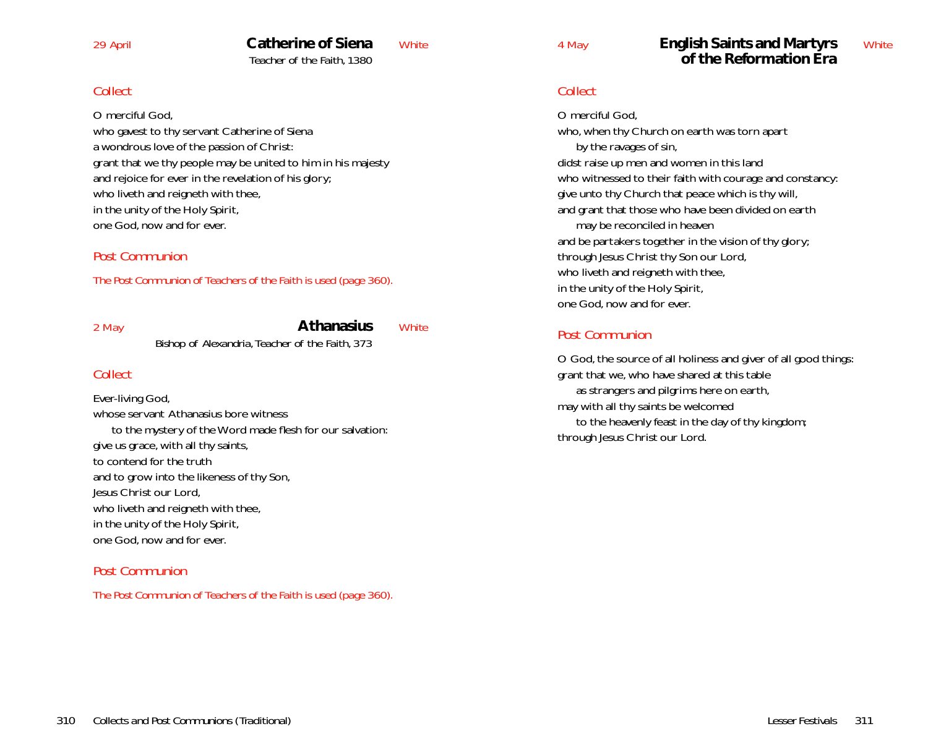#### *Collect*

O merciful God, who gavest to thy servant Catherine of Siena a wondrous love of the passion of Christ: grant that we thy people may be united to him in his majesty and rejoice for ever in the revelation of his glory; who liveth and reigneth with thee, in the unity of the Holy Spirit, one God, now and for ever.

#### *Post Communion*

*The Post Communion of Teachers of the Faith is used (page 360).*

#### *2 May* **Athanasius** *White Bishop of Alexandria, Teacher of the Faith, 373*

#### *Collect*

Ever-living God, whose servant Athanasius bore witness to the mystery of the Word made flesh for our salvation: give us grace, with all thy saints, to contend for the truth and to grow into the likeness of thy Son, Jesus Christ our Lord, who liveth and reigneth with thee, in the unity of the Holy Spirit, one God, now and for ever.

#### *Post Communion*

*The Post Communion of Teachers of the Faith is used (page 360).*

*4 May* **English Saints and Martyrs** *White* **of the Reformation Era**

### *Collect*

O merciful God, who, when thy Church on earth was torn apart by the ravages of sin, didst raise up men and women in this land who witnessed to their faith with courage and constancy: give unto thy Church that peace which is thy will, and grant that those who have been divided on earth may be reconciled in heaven and be partakers together in the vision of thy glory; through Jesus Christ thy Son our Lord, who liveth and reigneth with thee, in the unity of the Holy Spirit, one God, now and for ever.

### *Post Communion*

O God, the source of all holiness and giver of all good things: grant that we, who have shared at this table as strangers and pilgrims here on earth, may with all thy saints be welcomed to the heavenly feast in the day of thy kingdom; through Jesus Christ our Lord.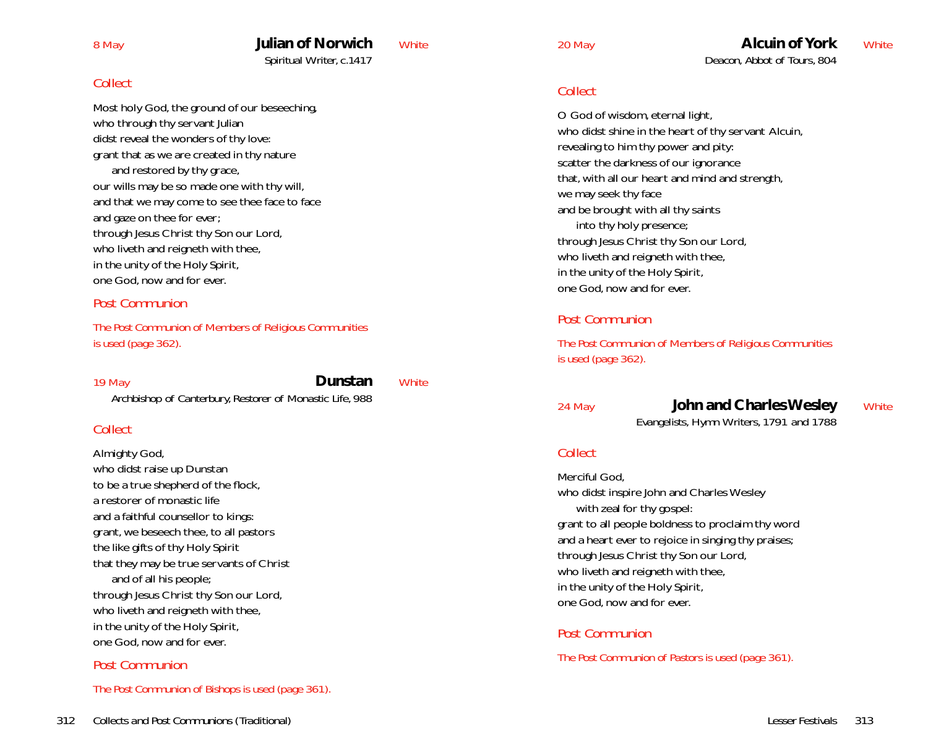#### *8 May* **Julian of Norwich** *White*

*Spiritual Writer, c.1417*

#### *Collect*

Most holy God, the ground of our beseeching, who through thy servant Julian didst reveal the wonders of thy love: grant that as we are created in thy nature and restored by thy grace, our wills may be so made one with thy will, and that we may come to see thee face to face and gaze on thee for ever; through Jesus Christ thy Son our Lord, who liveth and reigneth with thee, in the unity of the Holy Spirit, one God, now and for ever.

#### *Post Communion*

*The Post Communion of Members of Religious Communities is used (page 362).*

*19 May* **Dunstan** *White*

*Archbishop of Canterbury, Restorer of Monastic Life, 988*

#### *Collect*

Almighty God, who didst raise up Dunstan to be a true shepherd of the flock, a restorer of monastic life and a faithful counsellor to kings: grant, we beseech thee, to all pastors the like gifts of thy Holy Spirit that they may be true servants of Christ and of all his people; through Jesus Christ thy Son our Lord, who liveth and reigneth with thee, in the unity of the Holy Spirit, one God, now and for ever.

#### *Post Communion*

*The Post Communion of Bishops is used (page 361).*

*20 May* **Alcuin of York** *White Deacon, Abbot of Tours, 804*

### *Collect*

O God of wisdom, eternal light, who didst shine in the heart of thy servant Alcuin, revealing to him thy power and pity: scatter the darkness of our ignorance that, with all our heart and mind and strength, we may seek thy face and be brought with all thy saints into thy holy presence; through Jesus Christ thy Son our Lord, who liveth and reigneth with thee, in the unity of the Holy Spirit, one God, now and for ever.

#### *Post Communion*

*The Post Communion of Members of Religious Communities is used (page 362).*

*24 May* **John and Charles Wesley** *White Evangelists, Hymn Writers, 1791 and 1788*

*Lesser Festivals* 313

#### *Collect*

Merciful God, who didst inspire John and Charles Wesley with zeal for thy gospel: grant to all people boldness to proclaim thy word and a heart ever to rejoice in singing thy praises; through Jesus Christ thy Son our Lord, who liveth and reigneth with thee, in the unity of the Holy Spirit, one God, now and for ever.

#### *Post Communion*

*The Post Communion of Pastors is used (page 361).*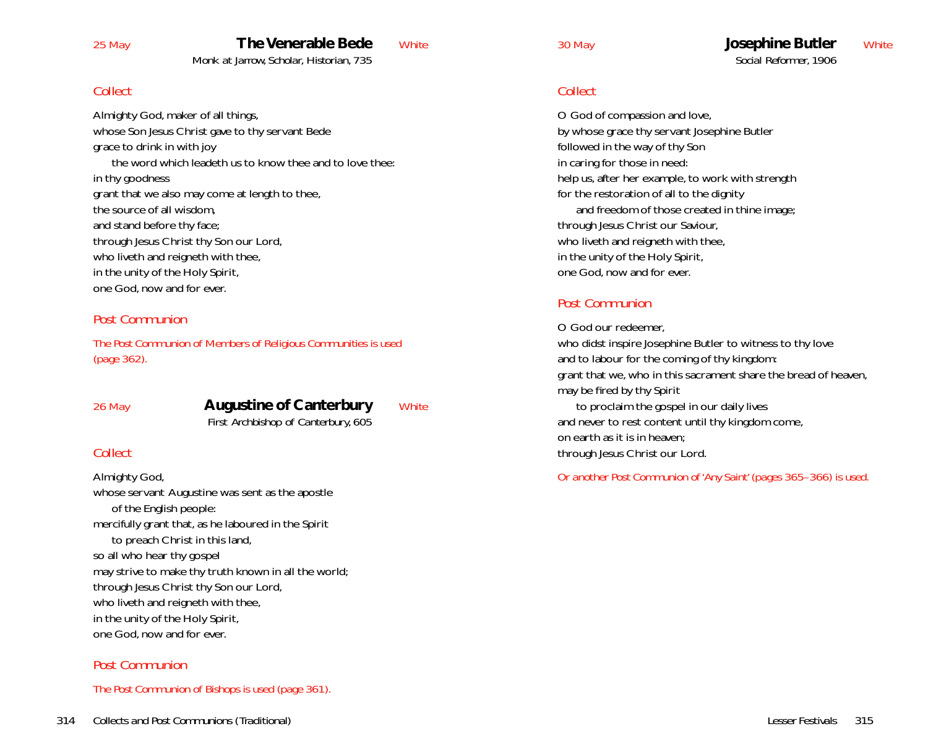*Collect*

Almighty God, maker of all things, whose Son Jesus Christ gave to thy servant Bede grace to drink in with joy the word which leadeth us to know thee and to love thee: in thy goodness grant that we also may come at length to thee, the source of all wisdom, and stand before thy face; through Jesus Christ thy Son our Lord, who liveth and reigneth with thee, in the unity of the Holy Spirit, one God, now and for ever.

#### *Post Communion*

*The Post Communion of Members of Religious Communities is used (page 362).*

#### *26 May* **Augustine of Canterbury** *White First Archbishop of Canterbury, 605*

### *Collect*

Almighty God, whose servant Augustine was sent as the apostle of the English people: mercifully grant that, as he laboured in the Spirit to preach Christ in this land, so all who hear thy gospel may strive to make thy truth known in all the world; through Jesus Christ thy Son our Lord, who liveth and reigneth with thee, in the unity of the Holy Spirit, one God, now and for ever.

### *Post Communion*

*The Post Communion of Bishops is used (page 361).*

### *Collect*

O God of compassion and love, by whose grace thy servant Josephine Butler followed in the way of thy Son in caring for those in need: help us, after her example, to work with strength for the restoration of all to the dignity and freedom of those created in thine image; through Jesus Christ our Saviour, who liveth and reigneth with thee, in the unity of the Holy Spirit, one God, now and for ever.

### *Post Communion*

O God our redeemer, who didst inspire Josephine Butler to witness to thy love and to labour for the coming of thy kingdom: grant that we, who in this sacrament share the bread of heaven, may be fired by thy Spirit

to proclaim the gospel in our daily lives and never to rest content until thy kingdom come, on earth as it is in heaven; through Jesus Christ our Lord.

*Or another Post Communion of 'Any Saint' (pages 365–366) is used.*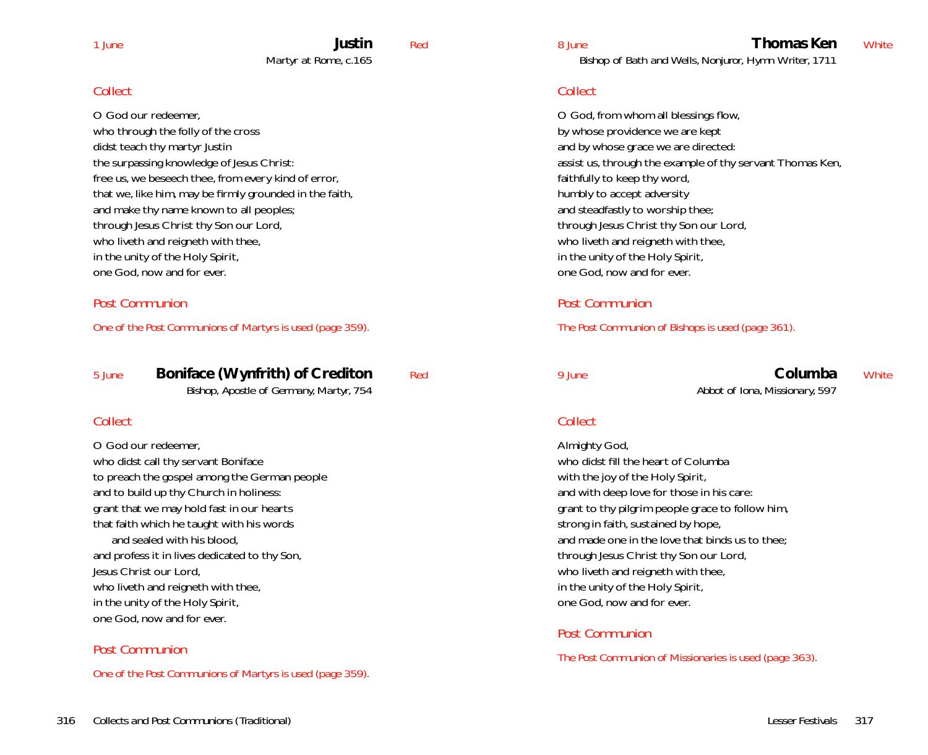# *1 June* **Justin** *Red*

*Martyr at Rome, c.165*

### *Collect*

O God our redeemer, who through the folly of the cross didst teach thy martyr Justin the surpassing knowledge of Jesus Christ: free us, we beseech thee, from every kind of error, that we, like him, may be firmly grounded in the faith, and make thy name known to all peoples; through Jesus Christ thy Son our Lord, who liveth and reigneth with thee, in the unity of the Holy Spirit, one God, now and for ever.

#### *Post Communion*

*One of the Post Communions of Martyrs is used (page 359).*

*5 June* **Boniface (Wynfrith) of Crediton** *Red*

*Bishop, Apostle of Germany, Martyr, 754*

### *Collect*

O God our redeemer, who didst call thy servant Boniface to preach the gospel among the German people and to build up thy Church in holiness: grant that we may hold fast in our hearts that faith which he taught with his words and sealed with his blood, and profess it in lives dedicated to thy Son, Jesus Christ our Lord, who liveth and reigneth with thee, in the unity of the Holy Spirit, one God, now and for ever.

### *Post Communion*

*One of the Post Communions of Martyrs is used (page 359).*

# *8 June* **Thomas Ken** *White*

*Bishop of Bath and Wells, Nonjuror, Hymn Writer, 1711*

#### *Collect*

O God, from whom all blessings flow, by whose providence we are kept and by whose grace we are directed: assist us, through the example of thy servant Thomas Ken, faithfully to keep thy word, humbly to accept adversity and steadfastly to worship thee; through Jesus Christ thy Son our Lord, who liveth and reigneth with thee, in the unity of the Holy Spirit, one God, now and for ever.

### *Post Communion*

*The Post Communion of Bishops is used (page 361).*

*9 June* **Columba** *White Abbot of Iona, Missionary, 597*

#### *Collect*

Almighty God, who didst fill the heart of Columba with the joy of the Holy Spirit, and with deep love for those in his care: grant to thy pilgrim people grace to follow him, strong in faith, sustained by hope, and made one in the love that binds us to thee; through Jesus Christ thy Son our Lord, who liveth and reigneth with thee, in the unity of the Holy Spirit, one God, now and for ever.

#### *Post Communion*

*The Post Communion of Missionaries is used (page 363).*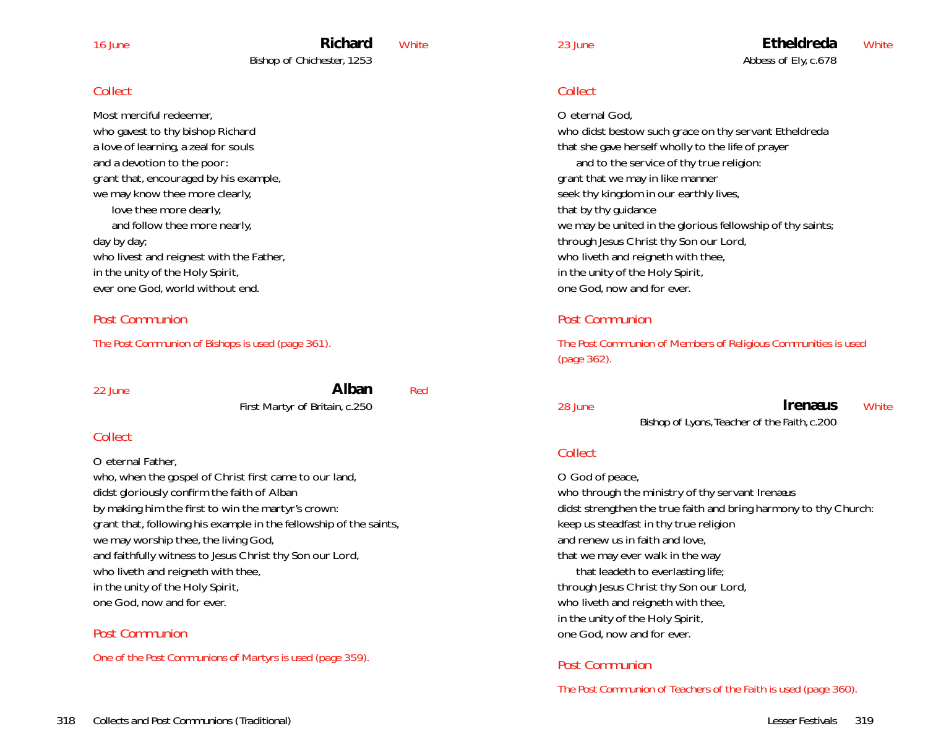### *16 June* **Richard** *White*

*Bishop of Chichester, 1253*

#### *Collect*

Most merciful redeemer, who gavest to thy bishop Richard a love of learning, a zeal for souls and a devotion to the poor: grant that, encouraged by his example, we may know thee more clearly, love thee more dearly, and follow thee more nearly, day by day; who livest and reignest with the Father, in the unity of the Holy Spirit, ever one God, world without end.

#### *Post Communion*

#### *The Post Communion of Bishops is used (page 361).*

*22 June* **Alban** *Red*

*First Martyr of Britain, c.250*

#### *Collect*

O eternal Father, who, when the gospel of Christ first came to our land, didst gloriously confirm the faith of Alban by making him the first to win the martyr's crown: grant that, following his example in the fellowship of the saints, we may worship thee, the living God, and faithfully witness to Jesus Christ thy Son our Lord, who liveth and reigneth with thee, in the unity of the Holy Spirit, one God, now and for ever.

*Post Communion*

*One of the Post Communions of Martyrs is used (page 359).*

### *Collect*

O eternal God, who didst bestow such grace on thy servant Etheldreda that she gave herself wholly to the life of prayer and to the service of thy true religion: grant that we may in like manner seek thy kingdom in our earthly lives, that by thy guidance we may be united in the glorious fellowship of thy saints; through Jesus Christ thy Son our Lord, who liveth and reigneth with thee, in the unity of the Holy Spirit, one God, now and for ever.

#### *Post Communion*

*The Post Communion of Members of Religious Communities is used (page 362).*

*28 June* **Irenæus** *White Bishop of Lyons, Teacher of the Faith, c.200*

#### *Collect*

O God of peace, who through the ministry of thy servant Irenæus didst strengthen the true faith and bring harmony to thy Church: keep us steadfast in thy true religion and renew us in faith and love, that we may ever walk in the way that leadeth to everlasting life; through Jesus Christ thy Son our Lord, who liveth and reigneth with thee, in the unity of the Holy Spirit, one God, now and for ever.

### *Post Communion*

*The Post Communion of Teachers of the Faith is used (page 360).*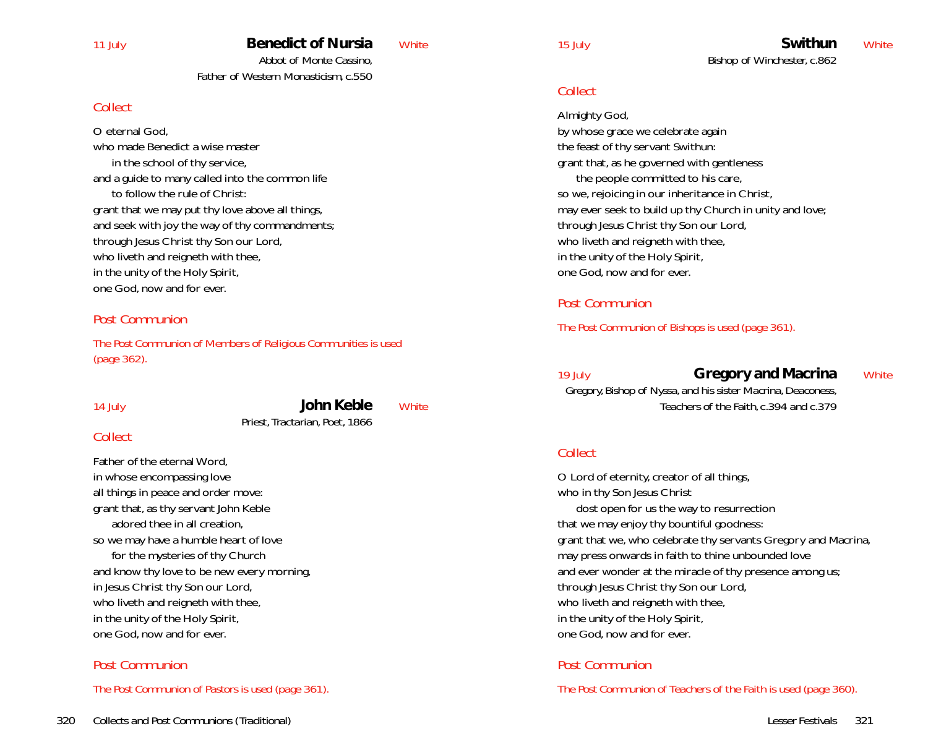#### *11 July* **Benedict of Nursia** *White*

*Abbot of Monte Cassino, Father of Western Monasticism, c.550*

#### *Collect*

O eternal God, who made Benedict a wise master in the school of thy service, and a guide to many called into the common life to follow the rule of Christ: grant that we may put thy love above all things, and seek with joy the way of thy commandments; through Jesus Christ thy Son our Lord, who liveth and reigneth with thee, in the unity of the Holy Spirit, one God, now and for ever.

#### *Post Communion*

*The Post Communion of Members of Religious Communities is used (page 362).*

*14 July* **John Keble** *White Priest, Tractarian, Poet, 1866*

#### *Collect*

Father of the eternal Word, in whose encompassing love all things in peace and order move: grant that, as thy servant John Keble adored thee in all creation, so we may have a humble heart of love for the mysteries of thy Church and know thy love to be new every morning, in Jesus Christ thy Son our Lord, who liveth and reigneth with thee, in the unity of the Holy Spirit, one God, now and for ever.

#### *Post Communion*

*The Post Communion of Pastors is used (page 361).*

### *Collect*

Almighty God, by whose grace we celebrate again the feast of thy servant Swithun: grant that, as he governed with gentleness the people committed to his care, so we, rejoicing in our inheritance in Christ, may ever seek to build up thy Church in unity and love; through Jesus Christ thy Son our Lord, who liveth and reigneth with thee, in the unity of the Holy Spirit, one God, now and for ever.

#### *Post Communion*

*The Post Communion of Bishops is used (page 361).*

*19 July* **Gregory and Macrina** *White*

*Gregory, Bishop of Nyssa, and his sister Macrina, Deaconess, Teachers of the Faith, c.394 and c.379*

#### *Collect*

O Lord of eternity, creator of all things, who in thy Son Jesus Christ dost open for us the way to resurrection that we may enjoy thy bountiful goodness: grant that we, who celebrate thy servants Gregory and Macrina, may press onwards in faith to thine unbounded love and ever wonder at the miracle of thy presence among us; through Jesus Christ thy Son our Lord, who liveth and reigneth with thee, in the unity of the Holy Spirit, one God, now and for ever.

### *Post Communion*

*The Post Communion of Teachers of the Faith is used (page 360).*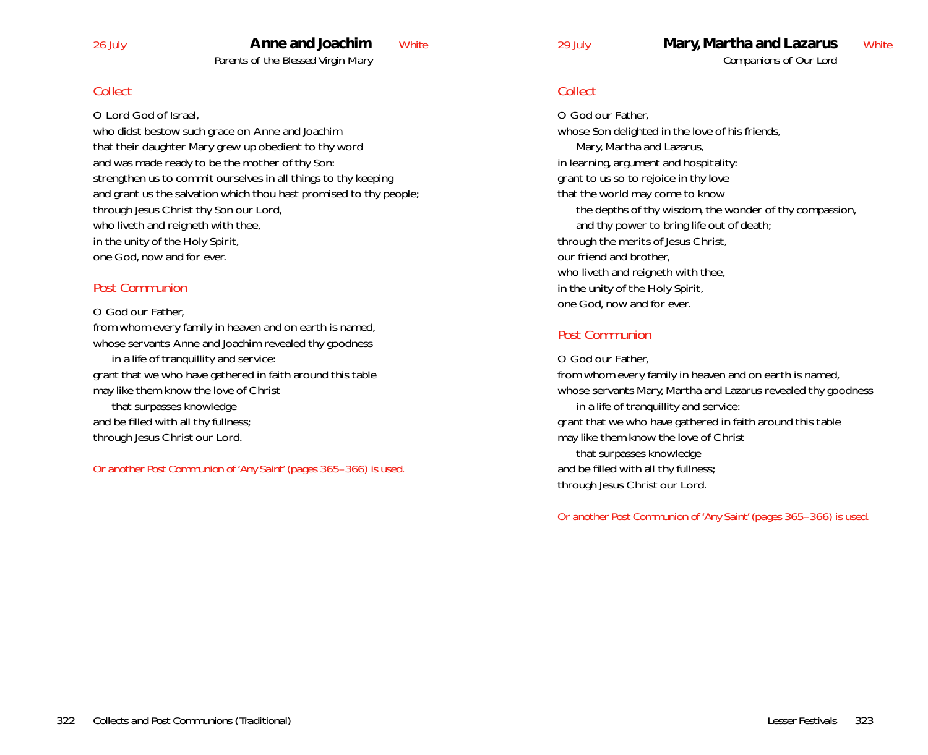*Parents of the Blessed Virgin Mary*

#### *Collect*

O Lord God of Israel,

who didst bestow such grace on Anne and Joachim that their daughter Mary grew up obedient to thy word and was made ready to be the mother of thy Son: strengthen us to commit ourselves in all things to thy keeping and grant us the salvation which thou hast promised to thy people; through Jesus Christ thy Son our Lord, who liveth and reigneth with thee, in the unity of the Holy Spirit, one God, now and for ever.

#### *Post Communion*

#### O God our Father, from whom every family in heaven and on earth is named, whose servants Anne and Joachim revealed thy goodness in a life of tranquillity and service: grant that we who have gathered in faith around this table may like them know the love of Christ that surpasses knowledge and be filled with all thy fullness; through Jesus Christ our Lord.

*Or another Post Communion of 'Any Saint' (pages 365–366) is used.*

### *Collect*

O God our Father, whose Son delighted in the love of his friends, Mary, Martha and Lazarus, in learning, argument and hospitality: grant to us so to rejoice in thy love that the world may come to know the depths of thy wisdom, the wonder of thy compassion, and thy power to bring life out of death; through the merits of Jesus Christ, our friend and brother, who liveth and reigneth with thee, in the unity of the Holy Spirit, one God, now and for ever.

### *Post Communion*

O God our Father, from whom every family in heaven and on earth is named, whose servants Mary, Martha and Lazarus revealed thy goodness in a life of tranquillity and service: grant that we who have gathered in faith around this table may like them know the love of Christ that surpasses knowledge and be filled with all thy fullness; through Jesus Christ our Lord.

*Or another Post Communion of 'Any Saint' (pages 365–366) is used.*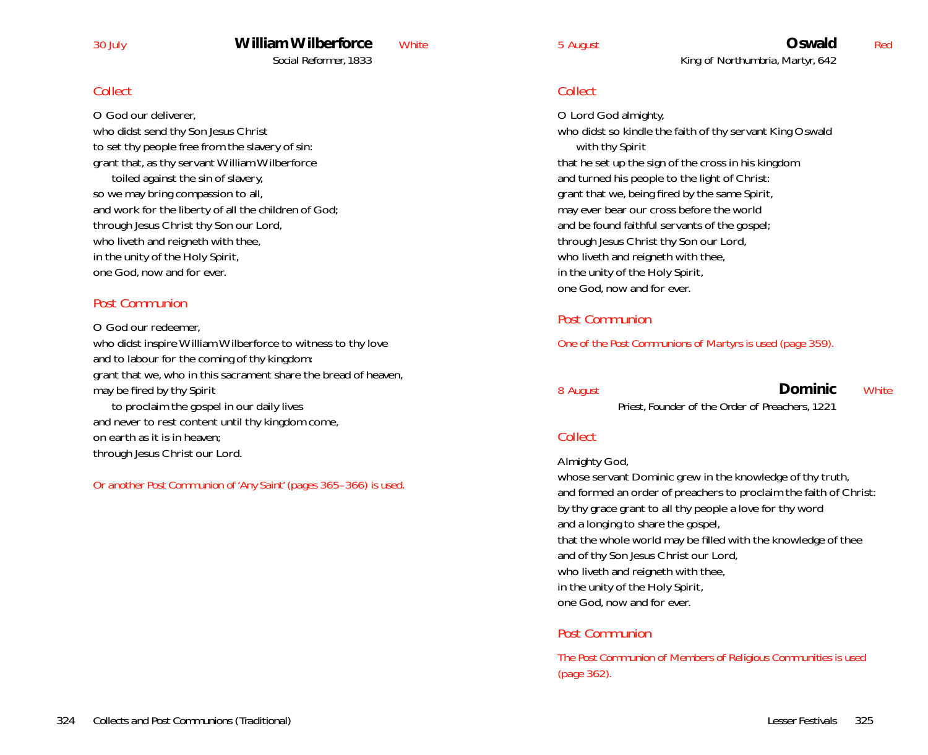#### *30 July* **William Wilberforce** *White*

*Social Reformer, 1833*

#### *Collect*

O God our deliverer, who didst send thy Son Jesus Christ to set thy people free from the slavery of sin: grant that, as thy servant William Wilberforce toiled against the sin of slavery, so we may bring compassion to all, and work for the liberty of all the children of God; through Jesus Christ thy Son our Lord, who liveth and reigneth with thee, in the unity of the Holy Spirit, one God, now and for ever.

#### *Post Communion*

O God our redeemer, who didst inspire William Wilberforce to witness to thy love and to labour for the coming of thy kingdom: grant that we, who in this sacrament share the bread of heaven, may be fired by thy Spirit to proclaim the gospel in our daily lives and never to rest content until thy kingdom come,

on earth as it is in heaven; through Jesus Christ our Lord.

*Or another Post Communion of 'Any Saint' (pages 365–366) is used.*

#### *5 August* **Oswald** *Red King of Northumbria, Martyr, 642*

### *Collect*

O Lord God almighty, who didst so kindle the faith of thy servant King Oswald with thy Spirit that he set up the sign of the cross in his kingdom and turned his people to the light of Christ: grant that we, being fired by the same Spirit, may ever bear our cross before the world and be found faithful servants of the gospel; through Jesus Christ thy Son our Lord, who liveth and reigneth with thee, in the unity of the Holy Spirit, one God, now and for ever.

#### *Post Communion*

*One of the Post Communions of Martyrs is used (page 359).*

*8 August* **Dominic** *White*

*Priest, Founder of the Order of Preachers, 1221*

### *Collect*

#### Almighty God,

whose servant Dominic grew in the knowledge of thy truth, and formed an order of preachers to proclaim the faith of Christ: by thy grace grant to all thy people a love for thy word and a longing to share the gospel, that the whole world may be filled with the knowledge of thee and of thy Son Jesus Christ our Lord, who liveth and reigneth with thee, in the unity of the Holy Spirit, one God, now and for ever.

### *Post Communion*

*The Post Communion of Members of Religious Communities is used (page 362).*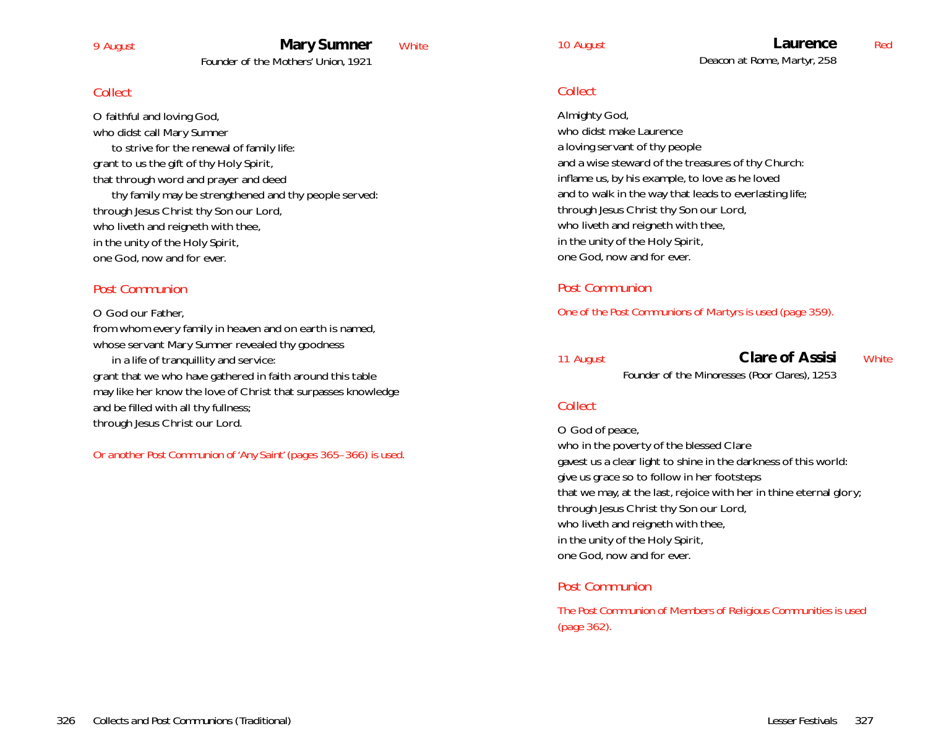#### *Collect*

O faithful and loving God, who didst call Mary Sumner to strive for the renewal of family life: grant to us the gift of thy Holy Spirit, that through word and prayer and deed thy family may be strengthened and thy people served: through Jesus Christ thy Son our Lord, who liveth and reigneth with thee, in the unity of the Holy Spirit, one God, now and for ever.

#### *Post Communion*

O God our Father, from whom every family in heaven and on earth is named, whose servant Mary Sumner revealed thy goodness in a life of tranquillity and service: grant that we who have gathered in faith around this table may like her know the love of Christ that surpasses knowledge and be filled with all thy fullness; through Jesus Christ our Lord.

*Or another Post Communion of 'Any Saint' (pages 365–366) is used.*

*10 August* **Laurence** *Red Deacon at Rome, Martyr, 258*

### *Collect*

Almighty God, who didst make Laurence a loving servant of thy people and a wise steward of the treasures of thy Church: inflame us, by his example, to love as he loved and to walk in the way that leads to everlasting life; through Jesus Christ thy Son our Lord, who liveth and reigneth with thee, in the unity of the Holy Spirit, one God, now and for ever.

### *Post Communion*

*One of the Post Communions of Martyrs is used (page 359).*

| 11 August | <b>Clare of Assisi</b>                        | White |  |
|-----------|-----------------------------------------------|-------|--|
|           | Founder of the Minoresses (Poor Clares), 1253 |       |  |

#### *Collect*

O God of peace, who in the poverty of the blessed Clare gavest us a clear light to shine in the darkness of this world: give us grace so to follow in her footsteps that we may, at the last, rejoice with her in thine eternal glory; through Jesus Christ thy Son our Lord, who liveth and reigneth with thee, in the unity of the Holy Spirit, one God, now and for ever.

#### *Post Communion*

*The Post Communion of Members of Religious Communities is used (page 362).*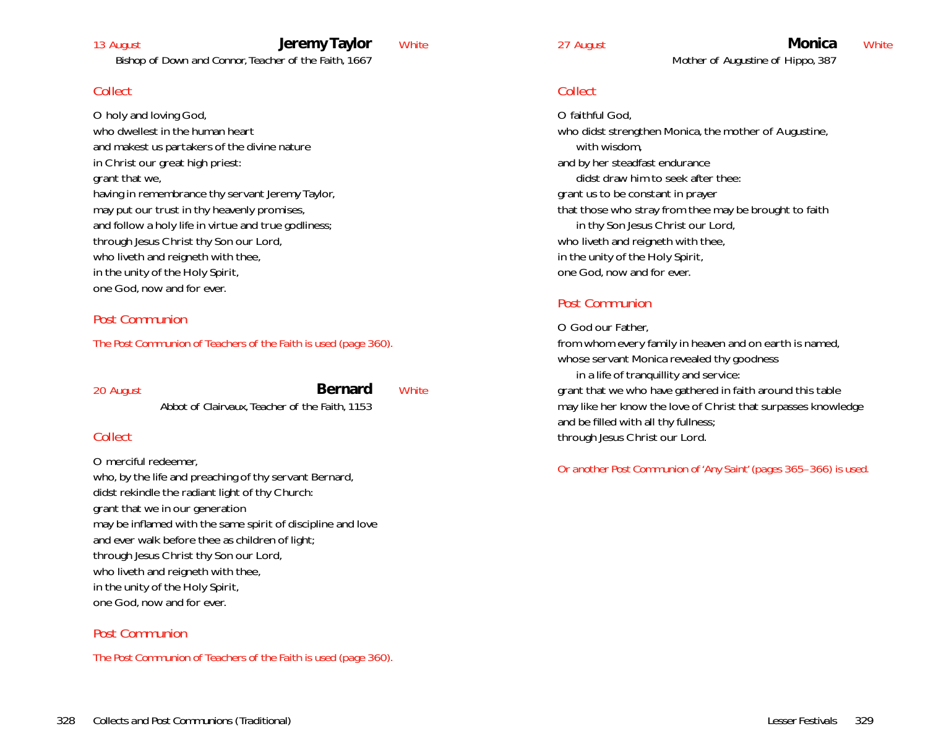### *13 August* **Jeremy Taylor** *White*

*Bishop of Down and Connor, Teacher of the Faith, 1667*

#### *Collect*

O holy and loving God, who dwellest in the human heart and makest us partakers of the divine nature in Christ our great high priest: grant that we, having in remembrance thy servant Jeremy Taylor, may put our trust in thy heavenly promises, and follow a holy life in virtue and true godliness; through Jesus Christ thy Son our Lord, who liveth and reigneth with thee, in the unity of the Holy Spirit, one God, now and for ever.

#### *Post Communion*

*The Post Communion of Teachers of the Faith is used (page 360).*

*20 August* **Bernard** *White*

*Abbot of Clairvaux, Teacher of the Faith, 1153*

### *Collect*

O merciful redeemer, who, by the life and preaching of thy servant Bernard, didst rekindle the radiant light of thy Church: grant that we in our generation may be inflamed with the same spirit of discipline and love and ever walk before thee as children of light; through Jesus Christ thy Son our Lord, who liveth and reigneth with thee, in the unity of the Holy Spirit, one God, now and for ever.

#### *Post Communion*

*The Post Communion of Teachers of the Faith is used (page 360).*

#### *Collect*

O faithful God, who didst strengthen Monica, the mother of Augustine, with wisdom, and by her steadfast endurance didst draw him to seek after thee: grant us to be constant in prayer that those who stray from thee may be brought to faith in thy Son Jesus Christ our Lord, who liveth and reigneth with thee, in the unity of the Holy Spirit, one God, now and for ever.

*Mother of Augustine of Hippo, 387*

#### *Post Communion*

O God our Father,

from whom every family in heaven and on earth is named, whose servant Monica revealed thy goodness in a life of tranquillity and service: grant that we who have gathered in faith around this table may like her know the love of Christ that surpasses knowledge and be filled with all thy fullness; through Jesus Christ our Lord.

*Or another Post Communion of 'Any Saint' (pages 365–366) is used.*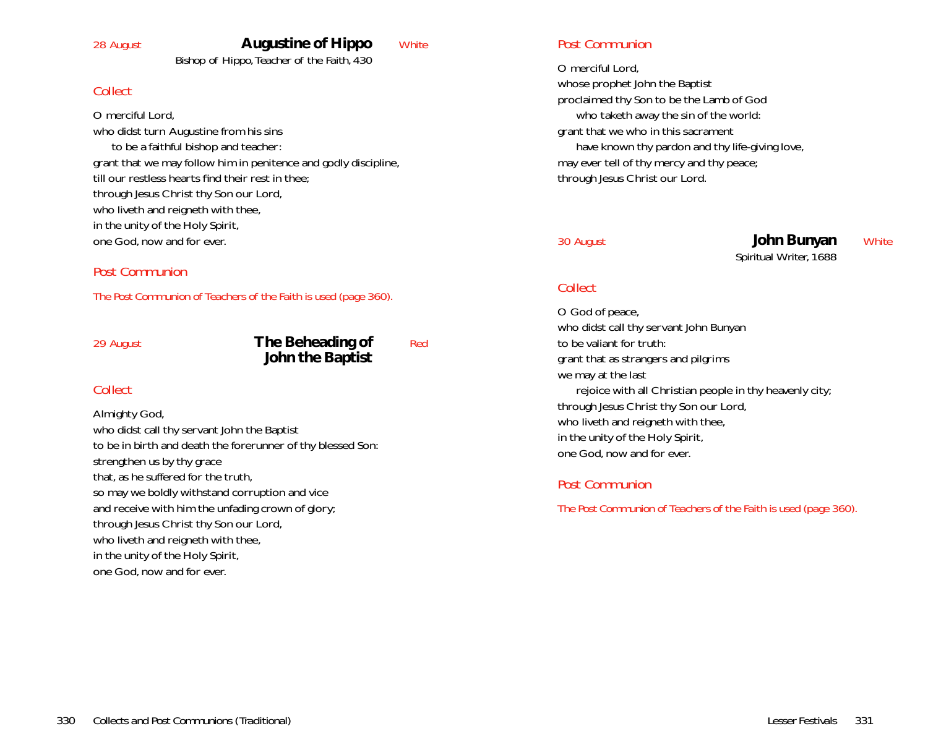#### *28 August* **Augustine of Hippo** *White*

*Bishop of Hippo, Teacher of the Faith, 430*

#### *Collect*

O merciful Lord, who didst turn Augustine from his sins to be a faithful bishop and teacher: grant that we may follow him in penitence and godly discipline, till our restless hearts find their rest in thee; through Jesus Christ thy Son our Lord, who liveth and reigneth with thee, in the unity of the Holy Spirit, one God, now and for ever.

#### *Post Communion*

*The Post Communion of Teachers of the Faith is used (page 360).*

#### *29 August* **The Beheading of** *Red* **John the Baptist**

#### *Collect*

Almighty God, who didst call thy servant John the Baptist to be in birth and death the forerunner of thy blessed Son: strengthen us by thy grace that, as he suffered for the truth, so may we boldly withstand corruption and vice and receive with him the unfading crown of glory; through Jesus Christ thy Son our Lord, who liveth and reigneth with thee, in the unity of the Holy Spirit, one God, now and for ever.

#### *Post Communion*

O merciful Lord, whose prophet John the Baptist proclaimed thy Son to be the Lamb of God who taketh away the sin of the world: grant that we who in this sacrament have known thy pardon and thy life-giving love, may ever tell of thy mercy and thy peace; through Jesus Christ our Lord.

# *30 August* **John Bunyan** *White*

*Spiritual Writer, 1688*

#### *Collect*

O God of peace, who didst call thy servant John Bunyan to be valiant for truth: grant that as strangers and pilgrims we may at the last rejoice with all Christian people in thy heavenly city; through Jesus Christ thy Son our Lord, who liveth and reigneth with thee, in the unity of the Holy Spirit, one God, now and for ever.

#### *Post Communion*

*The Post Communion of Teachers of the Faith is used (page 360).*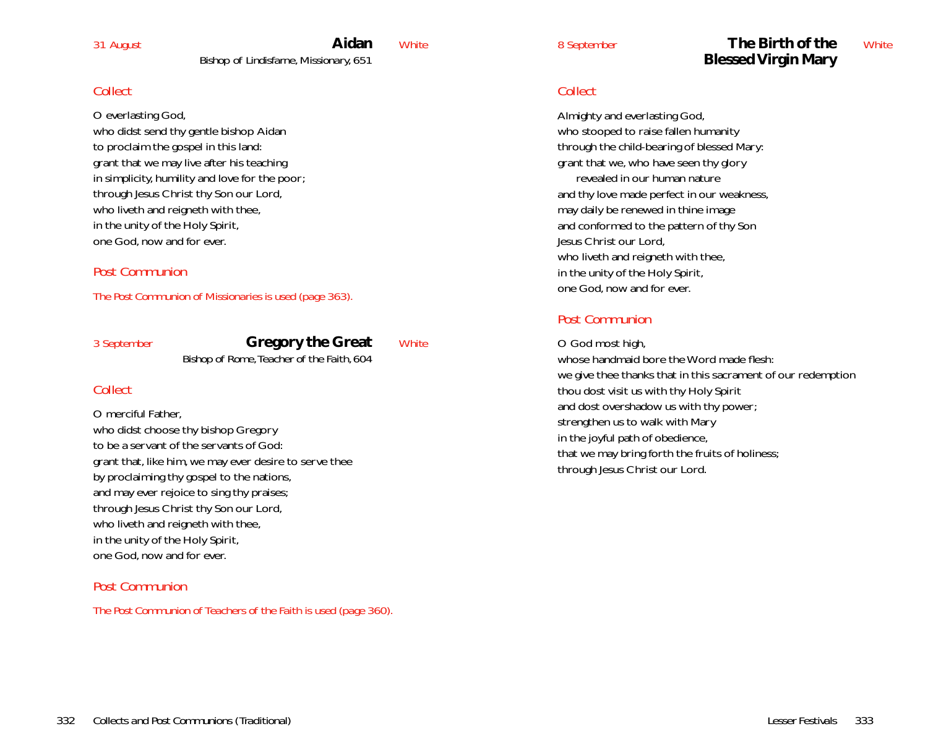### *31 August* **Aidan** *White*

*Bishop of Lindisfarne, Missionary, 651*

#### *Collect*

O everlasting God, who didst send thy gentle bishop Aidan to proclaim the gospel in this land: grant that we may live after his teaching in simplicity, humility and love for the poor; through Jesus Christ thy Son our Lord, who liveth and reigneth with thee, in the unity of the Holy Spirit, one God, now and for ever.

#### *Post Communion*

*The Post Communion of Missionaries is used (page 363).*

| 3 September |  |  |  |
|-------------|--|--|--|
|             |  |  |  |

**3 Gregory the Great** *White* 

*Bishop of Rome, Teacher of the Faith, 604*

#### *Collect*

O merciful Father, who didst choose thy bishop Gregory to be a servant of the servants of God: grant that, like him, we may ever desire to serve thee by proclaiming thy gospel to the nations, and may ever rejoice to sing thy praises; through Jesus Christ thy Son our Lord, who liveth and reigneth with thee, in the unity of the Holy Spirit, one God, now and for ever.

#### *Post Communion*

*The Post Communion of Teachers of the Faith is used (page 360).*

grant that we, who have seen thy glory revealed in our human nature and thy love made perfect in our weakness, may daily be renewed in thine image and conformed to the pattern of thy Son Jesus Christ our Lord, who liveth and reigneth with thee, in the unity of the Holy Spirit, one God, now and for ever.

Almighty and everlasting God, who stooped to raise fallen humanity through the child-bearing of blessed Mary:

### *Post Communion*

O God most high, whose handmaid bore the Word made flesh: we give thee thanks that in this sacrament of our redemption thou dost visit us with thy Holy Spirit and dost overshadow us with thy power; strengthen us to walk with Mary in the joyful path of obedience, that we may bring forth the fruits of holiness; through Jesus Christ our Lord.

# *Collect*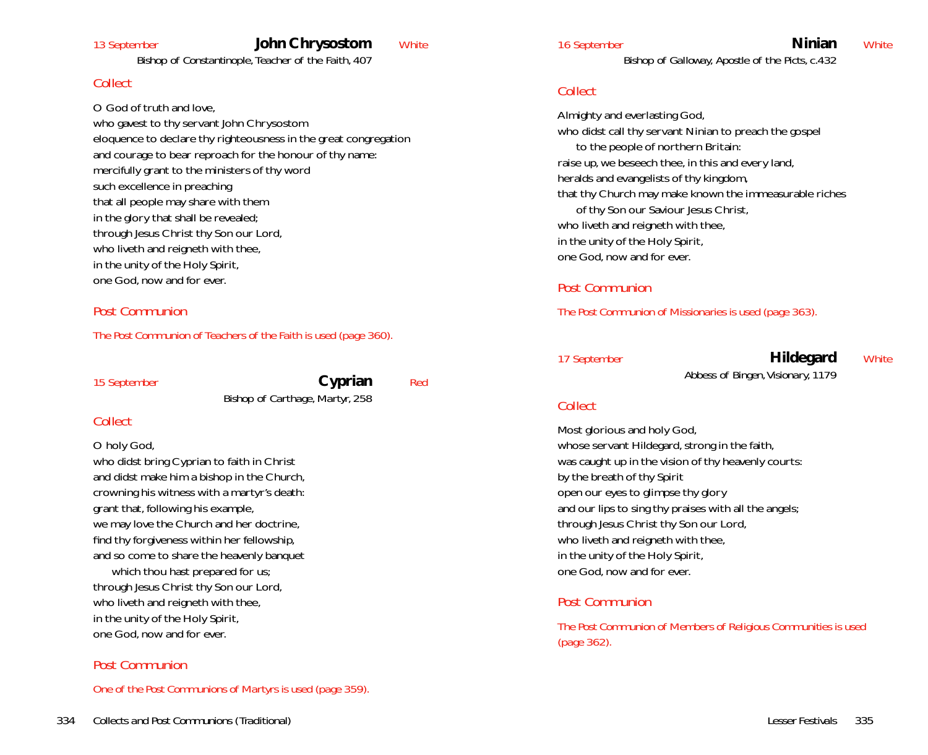#### *13 September* **John Chrysostom** *White*

*Bishop of Constantinople, Teacher of the Faith, 407*

#### *Collect*

O God of truth and love, who gavest to thy servant John Chrysostom eloquence to declare thy righteousness in the great congregation and courage to bear reproach for the honour of thy name: mercifully grant to the ministers of thy word such excellence in preaching that all people may share with them in the glory that shall be revealed; through Jesus Christ thy Son our Lord, who liveth and reigneth with thee, in the unity of the Holy Spirit, one God, now and for ever.

#### *Post Communion*

*The Post Communion of Teachers of the Faith is used (page 360).*

*15 September* **Cyprian** *Red*

*Bishop of Carthage, Martyr, 258*

#### *Collect*

#### O holy God,

who didst bring Cyprian to faith in Christ and didst make him a bishop in the Church, crowning his witness with a martyr's death: grant that, following his example, we may love the Church and her doctrine, find thy forgiveness within her fellowship, and so come to share the heavenly banquet which thou hast prepared for us; through Jesus Christ thy Son our Lord, who liveth and reigneth with thee, in the unity of the Holy Spirit, one God, now and for ever.

#### *Post Communion*

*One of the Post Communions of Martyrs is used (page 359).*

*Bishop of Galloway, Apostle of the Picts, c.432*

#### *Collect*

Almighty and everlasting God, who didst call thy servant Ninian to preach the gospel to the people of northern Britain: raise up, we beseech thee, in this and every land, heralds and evangelists of thy kingdom, that thy Church may make known the immeasurable riches of thy Son our Saviour Jesus Christ, who liveth and reigneth with thee, in the unity of the Holy Spirit, one God, now and for ever.

#### *Post Communion*

*The Post Communion of Missionaries is used (page 363).*

*17 September* **Hildegard** *White*

*Abbess of Bingen, Visionary, 1179*

#### *Collect*

Most glorious and holy God, whose servant Hildegard, strong in the faith, was caught up in the vision of thy heavenly courts: by the breath of thy Spirit open our eyes to glimpse thy glory and our lips to sing thy praises with all the angels; through Jesus Christ thy Son our Lord, who liveth and reigneth with thee, in the unity of the Holy Spirit, one God, now and for ever.

#### *Post Communion*

*The Post Communion of Members of Religious Communities is used (page 362).*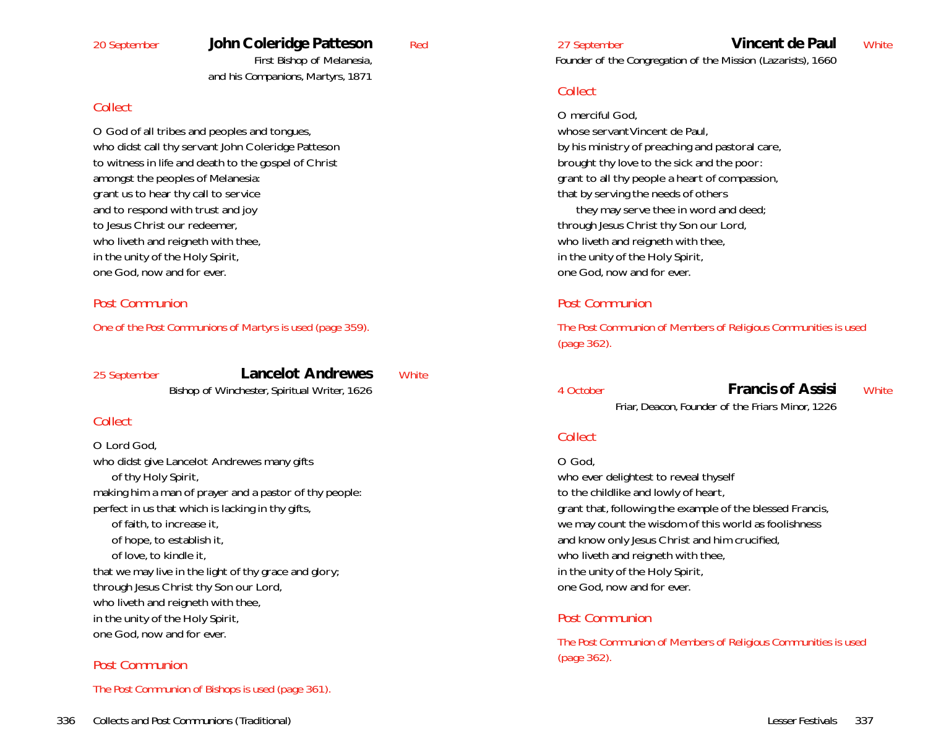#### *20 September* **John Coleridge Patteson** *Red*

*First Bishop of Melanesia, and his Companions, Martyrs, 1871*

#### *Collect*

O God of all tribes and peoples and tongues, who didst call thy servant John Coleridge Patteson to witness in life and death to the gospel of Christ amongst the peoples of Melanesia: grant us to hear thy call to service and to respond with trust and joy to Jesus Christ our redeemer, who liveth and reigneth with thee, in the unity of the Holy Spirit, one God, now and for ever.

#### *Post Communion*

*One of the Post Communions of Martyrs is used (page 359).*

| <b>Lancelot Andrewes</b><br>25 September<br>White |
|---------------------------------------------------|
|---------------------------------------------------|

*Bishop of Winchester, Spiritual Writer, 1626*

#### *Collect*

O Lord God, who didst give Lancelot Andrewes many gifts of thy Holy Spirit, making him a man of prayer and a pastor of thy people: perfect in us that which is lacking in thy gifts, of faith, to increase it, of hope, to establish it, of love, to kindle it, that we may live in the light of thy grace and glory; through Jesus Christ thy Son our Lord, who liveth and reigneth with thee, in the unity of the Holy Spirit, one God, now and for ever.

#### *Post Communion*

*The Post Communion of Bishops is used (page 361).*

*27 September* **Vincent de Paul** *White Founder of the Congregation of the Mission (Lazarists), 1660*

#### *Collect*

O merciful God, whose servant Vincent de Paul. by his ministry of preaching and pastoral care, brought thy love to the sick and the poor: grant to all thy people a heart of compassion, that by serving the needs of others

they may serve thee in word and deed; through Jesus Christ thy Son our Lord, who liveth and reigneth with thee, in the unity of the Holy Spirit, one God, now and for ever.

#### *Post Communion*

*The Post Communion of Members of Religious Communities is used (page 362).*

*4 October* **Francis of Assisi** *White*

*Friar, Deacon, Founder of the Friars Minor, 1226*

#### *Collect*

O God, who ever delightest to reveal thyself to the childlike and lowly of heart, grant that, following the example of the blessed Francis, we may count the wisdom of this world as foolishness and know only Jesus Christ and him crucified, who liveth and reigneth with thee, in the unity of the Holy Spirit, one God, now and for ever.

#### *Post Communion*

*The Post Communion of Members of Religious Communities is used (page 362).*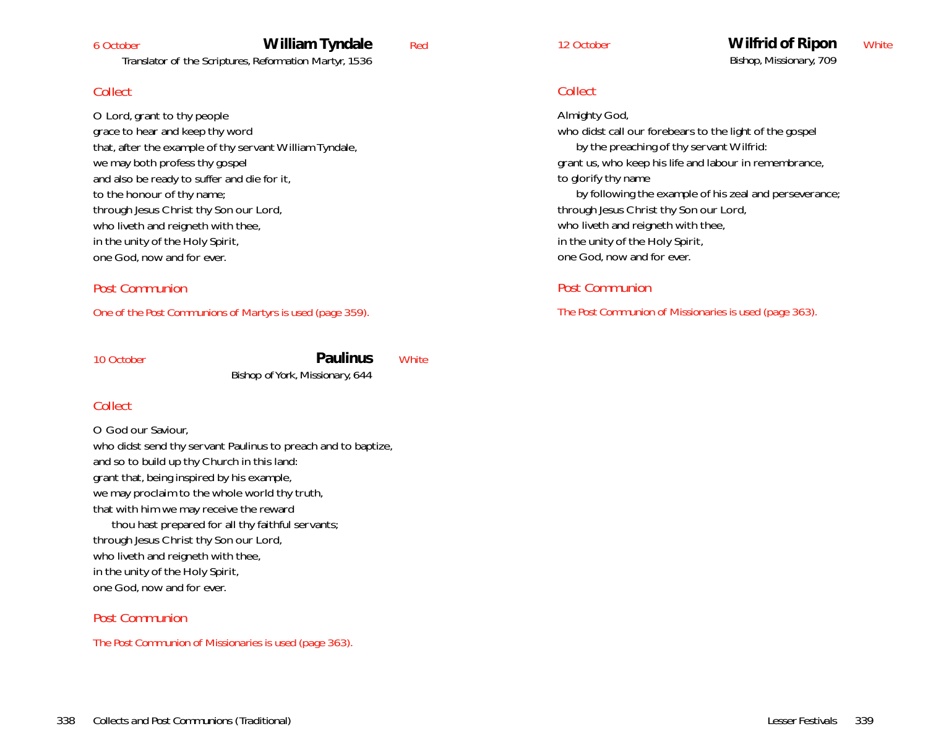# *6 October* **William Tyndale** *Red*

*Translator of the Scriptures, Reformation Martyr, 1536*

#### *Collect*

O Lord, grant to thy people grace to hear and keep thy word that, after the example of thy servant William Tyndale, we may both profess thy gospel and also be ready to suffer and die for it, to the honour of thy name; through Jesus Christ thy Son our Lord, who liveth and reigneth with thee, in the unity of the Holy Spirit, one God, now and for ever.

#### *Post Communion*

*One of the Post Communions of Martyrs is used (page 359).*

|  |  |  | <i><b>Jctober</b></i> |
|--|--|--|-----------------------|
|  |  |  |                       |

**Paulinus** *White Bishop of York, Missionary, 644*

### *Collect*

O God our Saviour, who didst send thy servant Paulinus to preach and to baptize, and so to build up thy Church in this land: grant that, being inspired by his example, we may proclaim to the whole world thy truth, that with him we may receive the reward thou hast prepared for all thy faithful servants; through Jesus Christ thy Son our Lord, who liveth and reigneth with thee, in the unity of the Holy Spirit,

one God, now and for ever.

#### *Post Communion*

*The Post Communion of Missionaries is used (page 363).*

#### *Collect*

Almighty God, who didst call our forebears to the light of the gospel by the preaching of thy servant Wilfrid: grant us, who keep his life and labour in remembrance, to glorify thy name by following the example of his zeal and perseverance;

through Jesus Christ thy Son our Lord, who liveth and reigneth with thee, in the unity of the Holy Spirit, one God, now and for ever.

### *Post Communion*

*The Post Communion of Missionaries is used (page 363).*

*Bishop, Missionary, 709*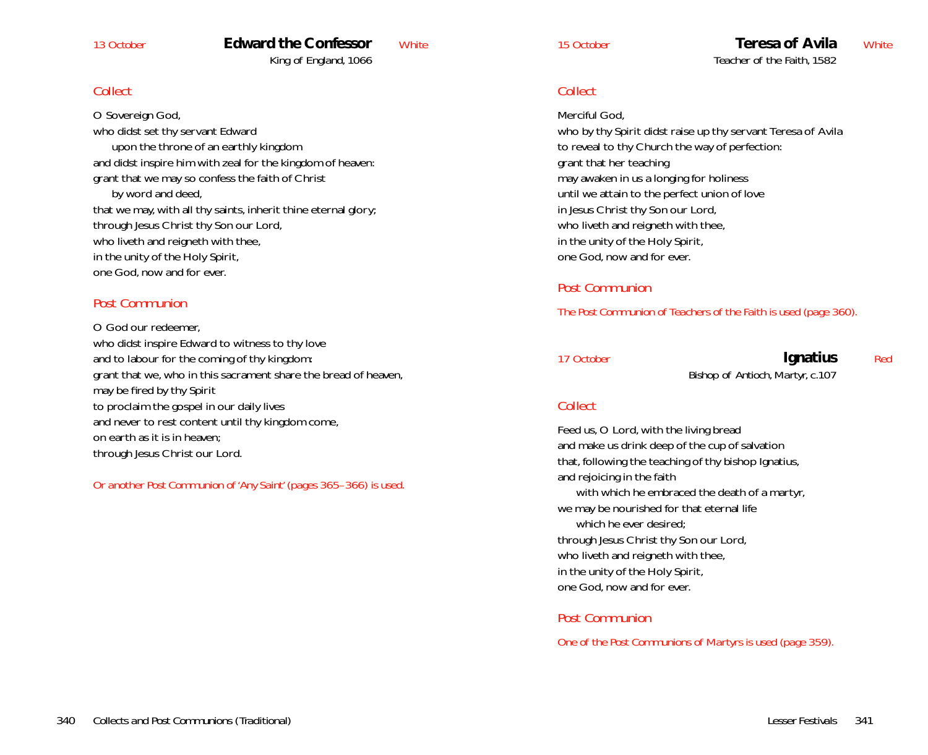*King of England, 1066*

#### *Collect*

O Sovereign God, who didst set thy servant Edward upon the throne of an earthly kingdom and didst inspire him with zeal for the kingdom of heaven: grant that we may so confess the faith of Christ by word and deed, that we may, with all thy saints, inherit thine eternal glory; through Jesus Christ thy Son our Lord, who liveth and reigneth with thee, in the unity of the Holy Spirit, one God, now and for ever.

#### *Post Communion*

O God our redeemer, who didst inspire Edward to witness to thy love and to labour for the coming of thy kingdom: grant that we, who in this sacrament share the bread of heaven, may be fired by thy Spirit to proclaim the gospel in our daily lives and never to rest content until thy kingdom come, on earth as it is in heaven; through Jesus Christ our Lord.

*Or another Post Communion of 'Any Saint' (pages 365–366) is used.*

### *Collect*

Merciful God, who by thy Spirit didst raise up thy servant Teresa of Avila to reveal to thy Church the way of perfection: grant that her teaching may awaken in us a longing for holiness until we attain to the perfect union of love in Jesus Christ thy Son our Lord, who liveth and reigneth with thee, in the unity of the Holy Spirit, one God, now and for ever.

#### *Post Communion*

*The Post Communion of Teachers of the Faith is used (page 360).*

#### *17 October* **Ignatius** *Red*

*Bishop of Antioch, Martyr, c.107*

#### *Collect*

Feed us, O Lord, with the living bread and make us drink deep of the cup of salvation that, following the teaching of thy bishop Ignatius, and rejoicing in the faith with which he embraced the death of a martyr, we may be nourished for that eternal life which he ever desired; through Jesus Christ thy Son our Lord, who liveth and reigneth with thee, in the unity of the Holy Spirit, one God, now and for ever.

#### *Post Communion*

*One of the Post Communions of Martyrs is used (page 359).*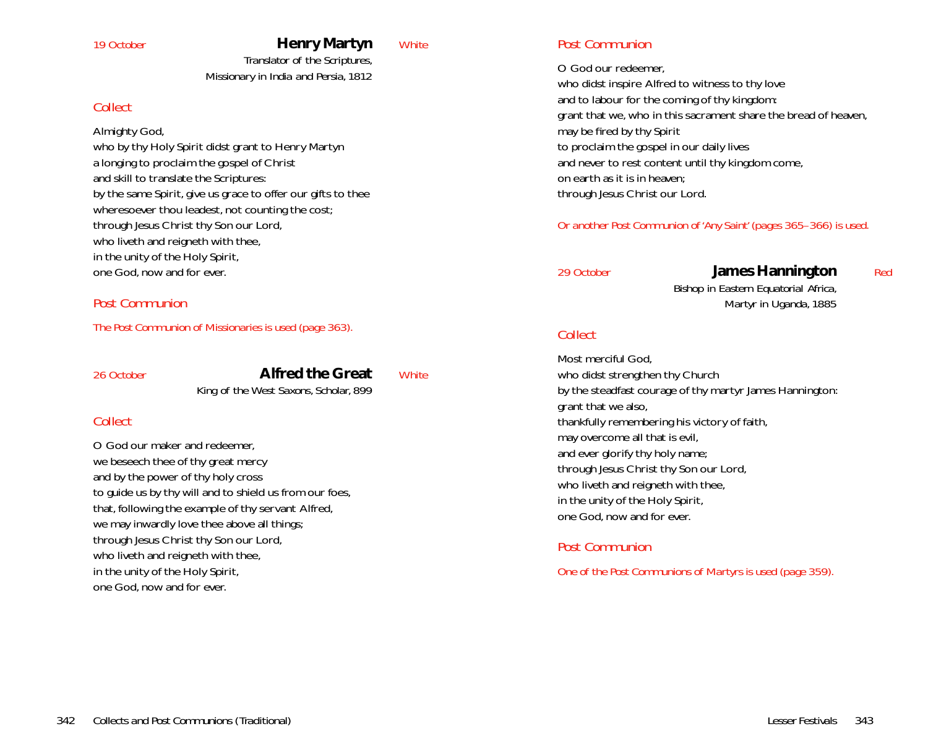#### *19 October* **Henry Martyn** *White*

*Translator of the Scriptures, Missionary in India and Persia, 1812*

#### *Collect*

#### Almighty God,

who by thy Holy Spirit didst grant to Henry Martyn a longing to proclaim the gospel of Christ and skill to translate the Scriptures: by the same Spirit, give us grace to offer our gifts to thee wheresoever thou leadest, not counting the cost; through Jesus Christ thy Son our Lord, who liveth and reigneth with thee, in the unity of the Holy Spirit, one God, now and for ever.

#### *Post Communion*

*The Post Communion of Missionaries is used (page 363).*

*26 October* **Alfred the Great** *White*

*King of the West Saxons, Scholar, 899*

#### *Collect*

O God our maker and redeemer, we beseech thee of thy great mercy and by the power of thy holy cross to guide us by thy will and to shield us from our foes, that, following the example of thy servant Alfred, we may inwardly love thee above all things; through Jesus Christ thy Son our Lord, who liveth and reigneth with thee, in the unity of the Holy Spirit, one God, now and for ever.

#### *Post Communion*

O God our redeemer, who didst inspire Alfred to witness to thy love and to labour for the coming of thy kingdom: grant that we, who in this sacrament share the bread of heaven, may be fired by thy Spirit to proclaim the gospel in our daily lives and never to rest content until thy kingdom come, on earth as it is in heaven; through Jesus Christ our Lord.

#### *Or another Post Communion of 'Any Saint' (pages 365–366) is used.*

*29 October* **James Hannington** *Red Bishop in Eastern Equatorial Africa, Martyr in Uganda, 1885*

#### *Collect*

Most merciful God, who didst strengthen thy Church by the steadfast courage of thy martyr James Hannington: grant that we also, thankfully remembering his victory of faith, may overcome all that is evil, and ever glorify thy holy name; through Jesus Christ thy Son our Lord, who liveth and reigneth with thee, in the unity of the Holy Spirit, one God, now and for ever.

#### *Post Communion*

*One of the Post Communions of Martyrs is used (page 359).*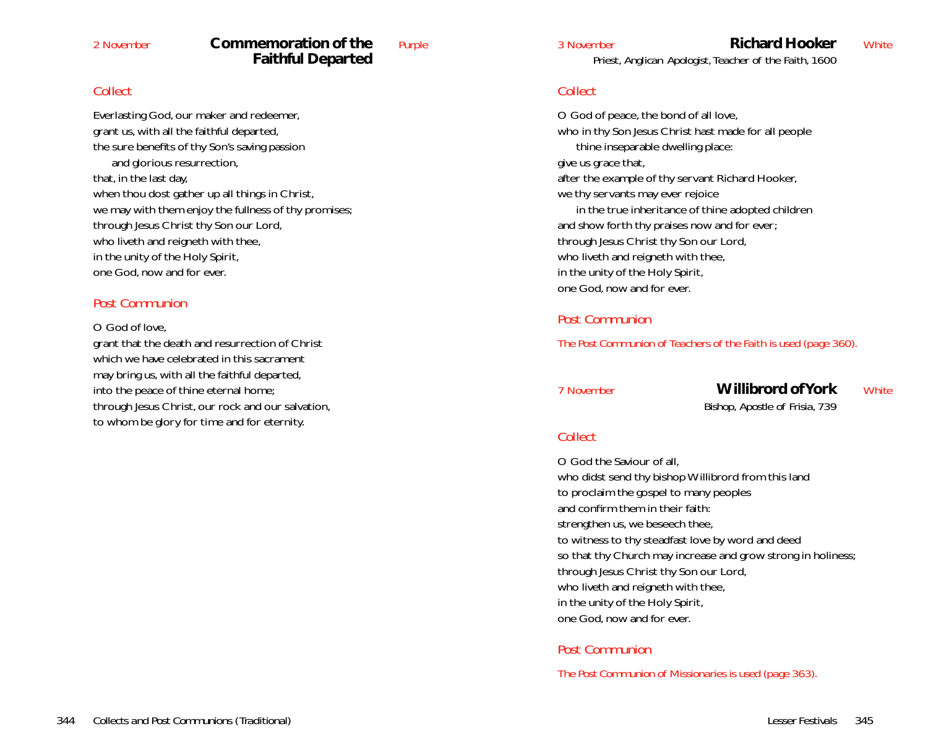### *2 November* **Commemoration of the** *Purple* **Faithful Departed**

#### *Collect*

Everlasting God, our maker and redeemer, grant us, with all the faithful departed, the sure benefits of thy Son's saving passion and glorious resurrection, that, in the last day, when thou dost gather up all things in Christ, we may with them enjoy the fullness of thy promises; through Jesus Christ thy Son our Lord, who liveth and reigneth with thee, in the unity of the Holy Spirit, one God, now and for ever.

#### *Post Communion*

#### O God of love,

grant that the death and resurrection of Christ which we have celebrated in this sacrament may bring us, with all the faithful departed, into the peace of thine eternal home; through Jesus Christ, our rock and our salvation, to whom be glory for time and for eternity.

## *3 November* **Richard Hooker** *White*

*Priest, Anglican Apologist, Teacher of the Faith, 1600*

#### *Collect*

O God of peace, the bond of all love, who in thy Son Jesus Christ hast made for all people thine inseparable dwelling place: give us grace that, after the example of thy servant Richard Hooker, we thy servants may ever rejoice in the true inheritance of thine adopted children and show forth thy praises now and for ever; through Jesus Christ thy Son our Lord, who liveth and reigneth with thee, in the unity of the Holy Spirit, one God, now and for ever.

#### *Post Communion*

*The Post Communion of Teachers of the Faith is used (page 360).*

*7 November* **Willibrord ofYork** *White Bishop, Apostle of Frisia, 739*

#### *Collect*

O God the Saviour of all, who didst send thy bishop Willibrord from this land to proclaim the gospel to many peoples and confirm them in their faith: strengthen us, we beseech thee, to witness to thy steadfast love by word and deed so that thy Church may increase and grow strong in holiness; through Jesus Christ thy Son our Lord, who liveth and reigneth with thee, in the unity of the Holy Spirit, one God, now and for ever.

### *Post Communion*

*The Post Communion of Missionaries is used (page 363).*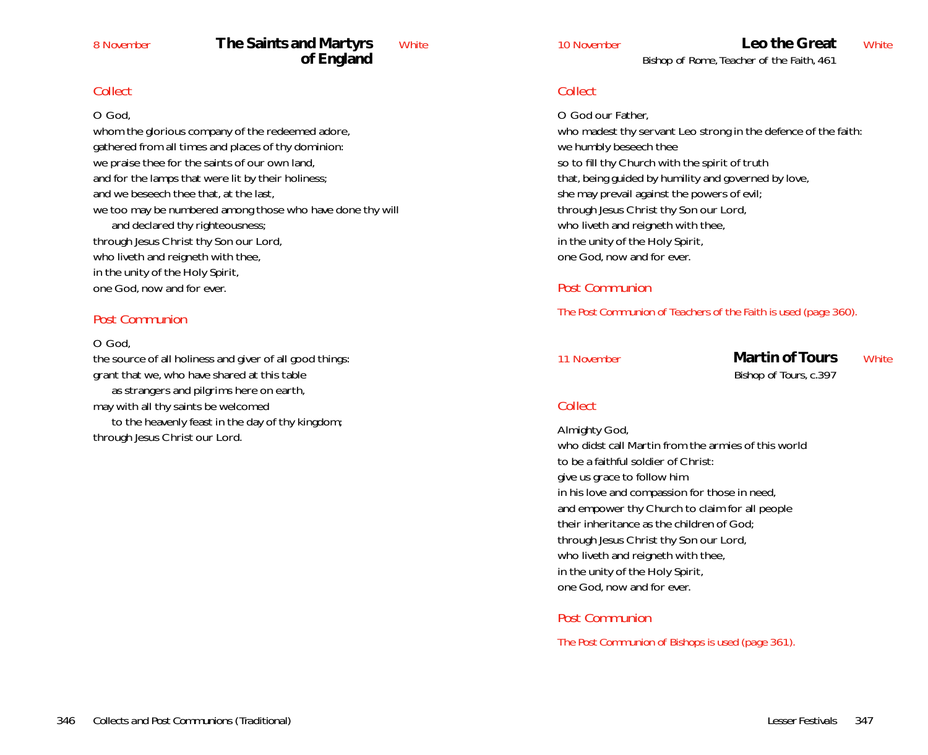#### *Collect*

#### O God,

whom the glorious company of the redeemed adore, gathered from all times and places of thy dominion: we praise thee for the saints of our own land, and for the lamps that were lit by their holiness; and we beseech thee that, at the last, we too may be numbered among those who have done thy will and declared thy righteousness; through Jesus Christ thy Son our Lord, who liveth and reigneth with thee, in the unity of the Holy Spirit, one God, now and for ever.

#### *Post Communion*

#### O God,

the source of all holiness and giver of all good things: grant that we, who have shared at this table as strangers and pilgrims here on earth, may with all thy saints be welcomed to the heavenly feast in the day of thy kingdom; through Jesus Christ our Lord.

#### *10 November* **Leo the Great** *White Bishop of Rome, Teacher of the Faith, 461*

#### *Collect*

O God our Father, who madest thy servant Leo strong in the defence of the faith: we humbly beseech thee so to fill thy Church with the spirit of truth that, being guided by humility and governed by love, she may prevail against the powers of evil; through Jesus Christ thy Son our Lord, who liveth and reigneth with thee, in the unity of the Holy Spirit, one God, now and for ever.

#### *Post Communion*

*The Post Communion of Teachers of the Faith is used (page 360).*

*11 November* **Martin of Tours** *White Bishop of Tours, c.397*

#### *Collect*

Almighty God, who didst call Martin from the armies of this world to be a faithful soldier of Christ: give us grace to follow him in his love and compassion for those in need, and empower thy Church to claim for all people their inheritance as the children of God; through Jesus Christ thy Son our Lord, who liveth and reigneth with thee, in the unity of the Holy Spirit, one God, now and for ever.

#### *Post Communion*

*The Post Communion of Bishops is used (page 361).*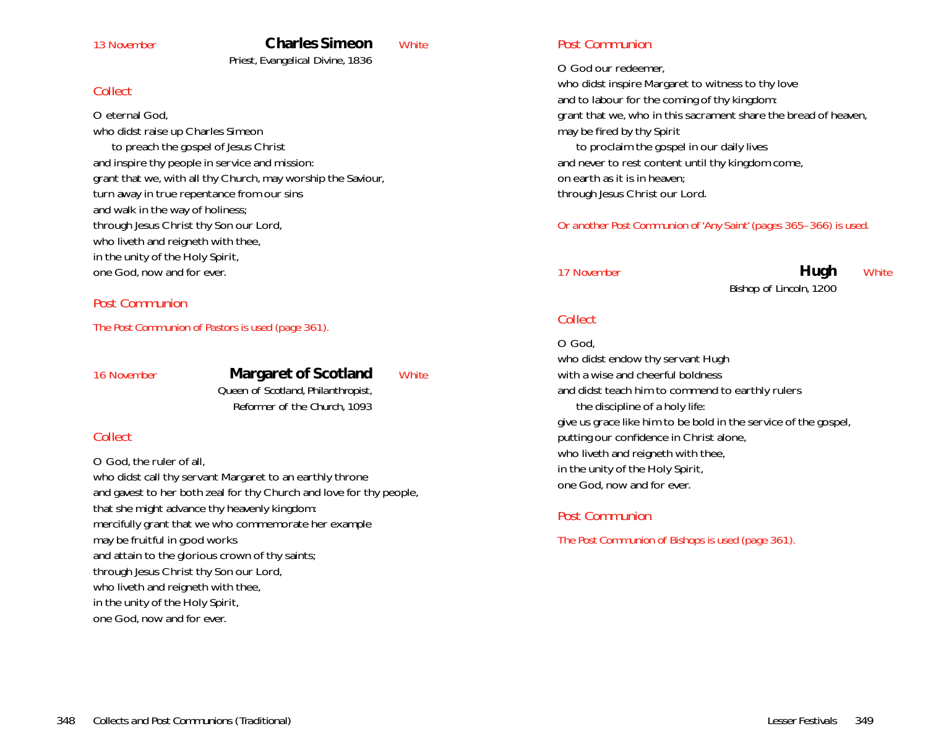#### *13 November* **Charles Simeon** *White Priest, Evangelical Divine, 1836*

*Collect*

O eternal God, who didst raise up Charles Simeon to preach the gospel of Jesus Christ and inspire thy people in service and mission: grant that we, with all thy Church, may worship the Saviour, turn away in true repentance from our sins and walk in the way of holiness; through Jesus Christ thy Son our Lord, who liveth and reigneth with thee, in the unity of the Holy Spirit, one God, now and for ever.

#### *Post Communion*

#### *The Post Communion of Pastors is used (page 361).*

#### *16 November* **Margaret of Scotland** *White*

*Queen of Scotland, Philanthropist, Reformer of the Church, 1093*

#### *Collect*

O God, the ruler of all, who didst call thy servant Margaret to an earthly throne and gavest to her both zeal for thy Church and love for thy people, that she might advance thy heavenly kingdom: mercifully grant that we who commemorate her example may be fruitful in good works and attain to the glorious crown of thy saints; through Jesus Christ thy Son our Lord, who liveth and reigneth with thee, in the unity of the Holy Spirit, one God, now and for ever.

#### *Post Communion*

O God our redeemer, who didst inspire Margaret to witness to thy love and to labour for the coming of thy kingdom: grant that we, who in this sacrament share the bread of heaven, may be fired by thy Spirit to proclaim the gospel in our daily lives and never to rest content until thy kingdom come,

on earth as it is in heaven; through Jesus Christ our Lord.

*Or another Post Communion of 'Any Saint' (pages 365–366) is used.*

*17 November* **Hugh** *White*

#### *Bishop of Lincoln, 1200*

#### *Collect*

O God, who didst endow thy servant Hugh with a wise and cheerful boldness and didst teach him to commend to earthly rulers the discipline of a holy life: give us grace like him to be bold in the service of the gospel, putting our confidence in Christ alone, who liveth and reigneth with thee, in the unity of the Holy Spirit, one God, now and for ever.

#### *Post Communion*

*The Post Communion of Bishops is used (page 361).*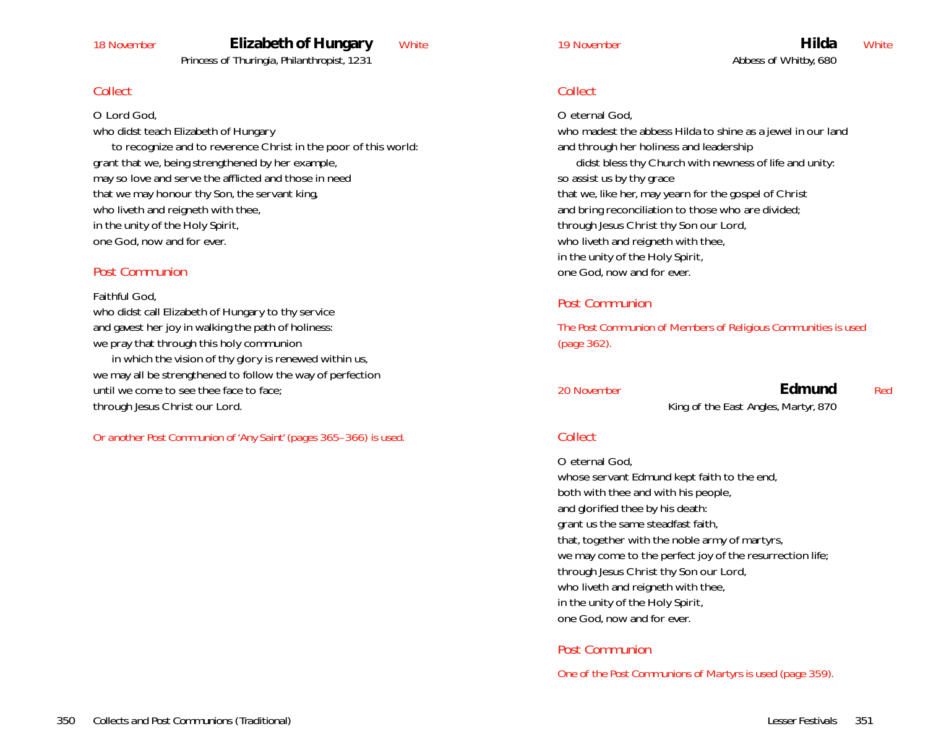*Princess of Thuringia, Philanthropist, 1231*

#### *Collect*

O Lord God, who didst teach Elizabeth of Hungary to recognize and to reverence Christ in the poor of this world: grant that we, being strengthened by her example, may so love and serve the afflicted and those in need that we may honour thy Son, the servant king, who liveth and reigneth with thee, in the unity of the Holy Spirit, one God, now and for ever.

#### *Post Communion*

#### Faithful God,

who didst call Elizabeth of Hungary to thy service and gavest her joy in walking the path of holiness: we pray that through this holy communion

in which the vision of thy glory is renewed within us, we may all be strengthened to follow the way of perfection until we come to see thee face to face; through Jesus Christ our Lord.

*Or another Post Communion of 'Any Saint' (pages 365–366) is used.*

### *19 November* **Hilda** *White*

*Abbess of Whitby, 680*

### *Collect*

O eternal God, who madest the abbess Hilda to shine as a jewel in our land and through her holiness and leadership didst bless thy Church with newness of life and unity: so assist us by thy grace that we, like her, may yearn for the gospel of Christ and bring reconciliation to those who are divided; through Jesus Christ thy Son our Lord, who liveth and reigneth with thee, in the unity of the Holy Spirit, one God, now and for ever.

#### *Post Communion*

*The Post Communion of Members of Religious Communities is used (page 362).*

*20 November* **Edmund** *Red King of the East Angles, Martyr, 870*

#### *Collect*

O eternal God, whose servant Edmund kept faith to the end, both with thee and with his people, and glorified thee by his death: grant us the same steadfast faith, that, together with the noble army of martyrs, we may come to the perfect joy of the resurrection life; through Jesus Christ thy Son our Lord, who liveth and reigneth with thee, in the unity of the Holy Spirit, one God, now and for ever.

### *Post Communion*

*One of the Post Communions of Martyrs is used (page 359).*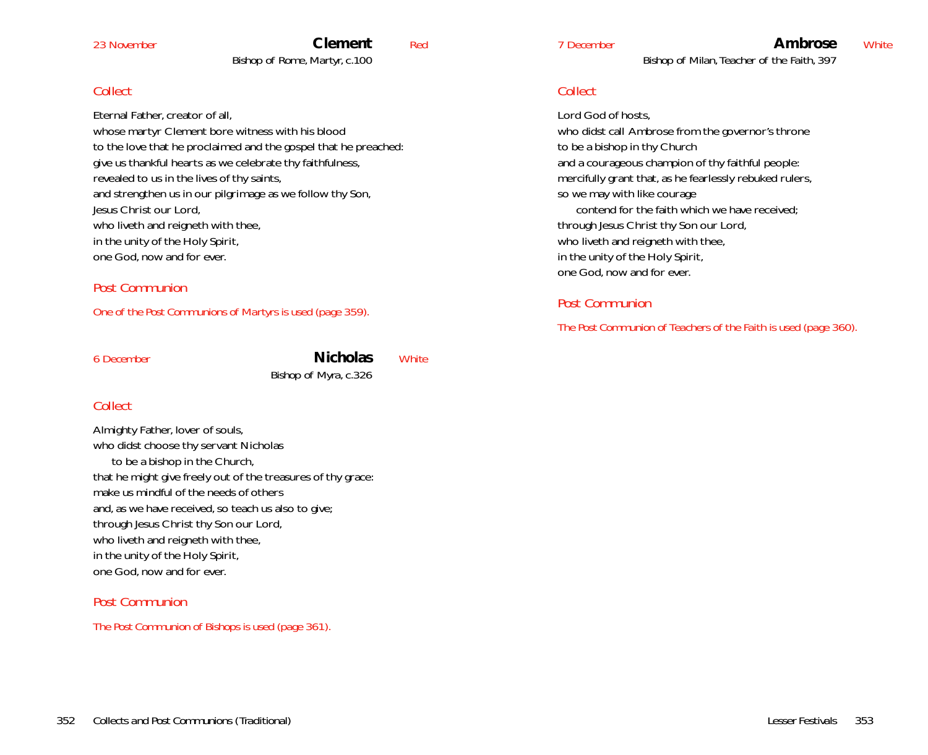# *23 November* **Clement** *Red*

*Bishop of Rome, Martyr, c.100*

#### *Collect*

Eternal Father, creator of all, whose martyr Clement bore witness with his blood to the love that he proclaimed and the gospel that he preached: give us thankful hearts as we celebrate thy faithfulness, revealed to us in the lives of thy saints, and strengthen us in our pilgrimage as we follow thy Son, Jesus Christ our Lord, who liveth and reigneth with thee, in the unity of the Holy Spirit, one God, now and for ever.

#### *Post Communion*

*One of the Post Communions of Martyrs is used (page 359).*

*6 December* **Nicholas** *White Bishop of Myra, c.326*

#### *Collect*

Almighty Father, lover of souls, who didst choose thy servant Nicholas to be a bishop in the Church, that he might give freely out of the treasures of thy grace: make us mindful of the needs of others and, as we have received, so teach us also to give; through Jesus Christ thy Son our Lord, who liveth and reigneth with thee, in the unity of the Holy Spirit, one God, now and for ever.

#### *Post Communion*

*The Post Communion of Bishops is used (page 361).*

*Bishop of Milan, Teacher of the Faith, 397*

### *Collect*

Lord God of hosts, who didst call Ambrose from the governor's throne to be a bishop in thy Church and a courageous champion of thy faithful people: mercifully grant that, as he fearlessly rebuked rulers, so we may with like courage contend for the faith which we have received; through Jesus Christ thy Son our Lord,

who liveth and reigneth with thee, in the unity of the Holy Spirit, one God, now and for ever.

#### *Post Communion*

*The Post Communion of Teachers of the Faith is used (page 360).*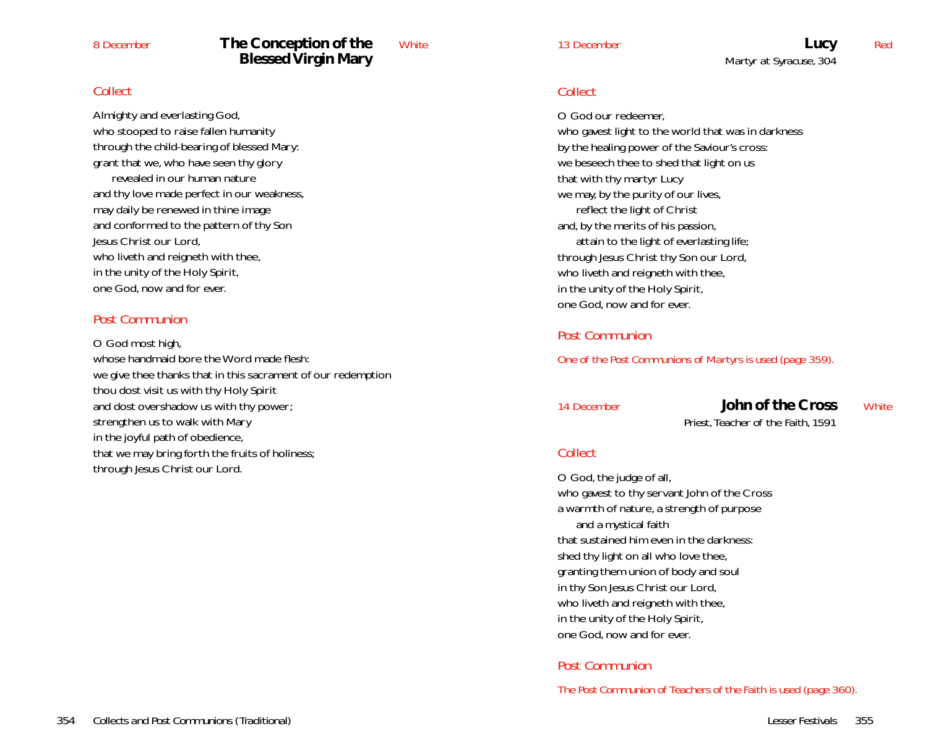### *8 December* **The Conception of the** *White* **Blessed Virgin Mary**

*13 December* **Lucy** *Red Martyr at Syracuse, 304*

### *Collect*

Almighty and everlasting God, who stooped to raise fallen humanity through the child-bearing of blessed Mary: grant that we, who have seen thy glory revealed in our human nature and thy love made perfect in our weakness, may daily be renewed in thine image and conformed to the pattern of thy Son Jesus Christ our Lord, who liveth and reigneth with thee, in the unity of the Holy Spirit, one God, now and for ever.

#### *Post Communion*

O God most high, whose handmaid bore the Word made flesh: we give thee thanks that in this sacrament of our redemption thou dost visit us with thy Holy Spirit and dost overshadow us with thy power; strengthen us to walk with Mary in the joyful path of obedience, that we may bring forth the fruits of holiness; through Jesus Christ our Lord.

### *Collect*

O God our redeemer, who gavest light to the world that was in darkness by the healing power of the Saviour's cross: we beseech thee to shed that light on us that with thy martyr Lucy we may, by the purity of our lives, reflect the light of Christ and, by the merits of his passion, attain to the light of everlasting life; through Jesus Christ thy Son our Lord, who liveth and reigneth with thee, in the unity of the Holy Spirit, one God, now and for ever.

### *Post Communion*

*One of the Post Communions of Martyrs is used (page 359).*

*14 December* **John of the Cross** *White Priest, Teacher of the Faith, 1591*

### *Collect*

O God, the judge of all, who gavest to thy servant John of the Cross a warmth of nature, a strength of purpose and a mystical faith that sustained him even in the darkness: shed thy light on all who love thee, granting them union of body and soul in thy Son Jesus Christ our Lord, who liveth and reigneth with thee, in the unity of the Holy Spirit, one God, now and for ever.

## *Post Communion*

*The Post Communion of Teachers of the Faith is used (page 360).*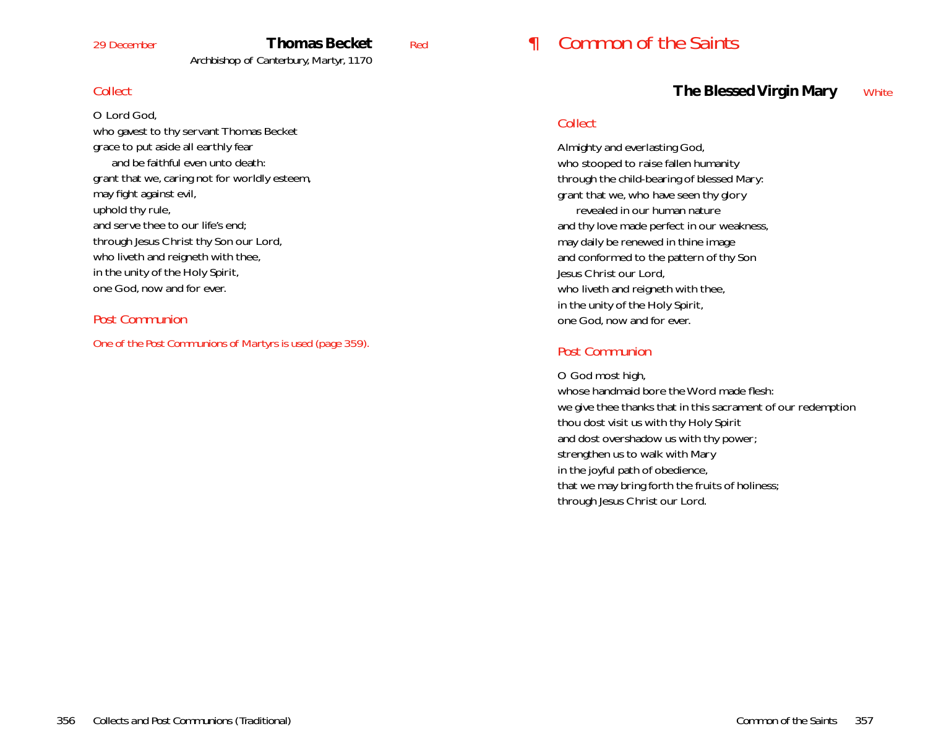*Archbishop of Canterbury, Martyr, 1170*

### *Collect*

O Lord God, who gavest to thy servant Thomas Becket grace to put aside all earthly fear and be faithful even unto death: grant that we, caring not for worldly esteem, may fight against evil, uphold thy rule, and serve thee to our life's end; through Jesus Christ thy Son our Lord, who liveth and reigneth with thee, in the unity of the Holy Spirit, one God, now and for ever.

### *Post Communion*

*One of the Post Communions of Martyrs is used (page 359).*

# *¶ Common of the Saints*

### **The Blessed Virgin Mary** *White*

### *Collect*

Almighty and everlasting God, who stooped to raise fallen humanity through the child-bearing of blessed Mary: grant that we, who have seen thy glory revealed in our human nature and thy love made perfect in our weakness, may daily be renewed in thine image and conformed to the pattern of thy Son Jesus Christ our Lord, who liveth and reigneth with thee, in the unity of the Holy Spirit, one God, now and for ever.

### *Post Communion*

O God most high, whose handmaid bore the Word made flesh: we give thee thanks that in this sacrament of our redemption thou dost visit us with thy Holy Spirit and dost overshadow us with thy power; strengthen us to walk with Mary in the joyful path of obedience, that we may bring forth the fruits of holiness; through Jesus Christ our Lord.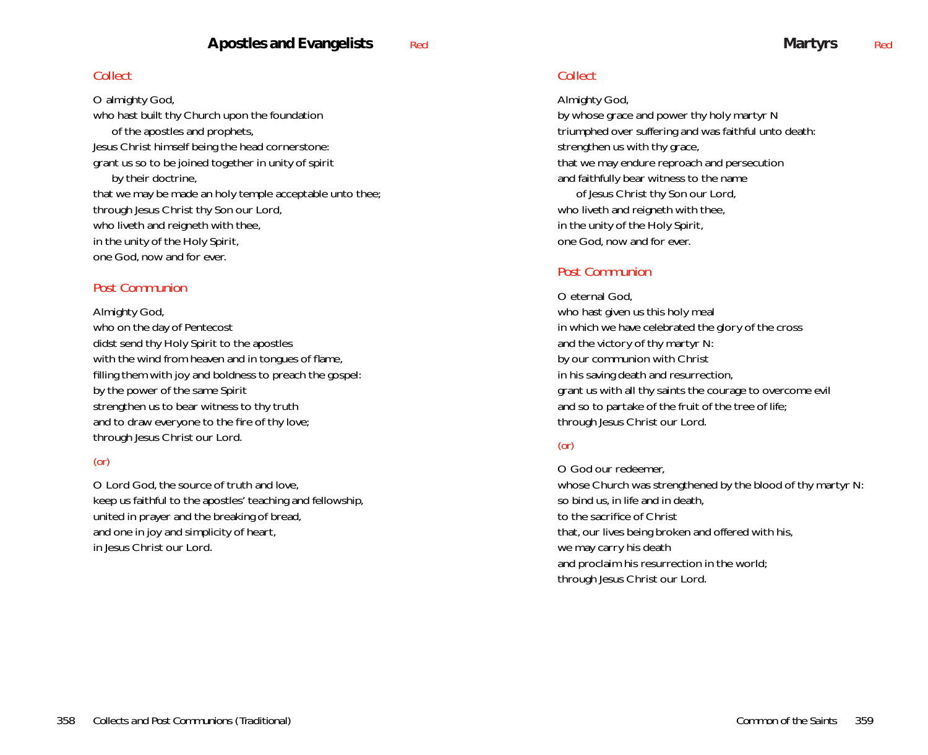O almighty God, who hast built thy Church upon the foundation of the apostles and prophets, Jesus Christ himself being the head cornerstone: grant us so to be joined together in unity of spirit by their doctrine, that we may be made an holy temple acceptable unto thee; through Jesus Christ thy Son our Lord, who liveth and reigneth with thee, in the unity of the Holy Spirit, one God, now and for ever.

#### *Post Communion*

Almighty God, who on the day of Pentecost didst send thy Holy Spirit to the apostles with the wind from heaven and in tongues of flame, filling them with joy and boldness to preach the gospel: by the power of the same Spirit strengthen us to bear witness to thy truth and to draw everyone to the fire of thy love; through Jesus Christ our Lord.

#### *(or)*

O Lord God, the source of truth and love, keep us faithful to the apostles' teaching and fellowship, united in prayer and the breaking of bread, and one in joy and simplicity of heart, in Jesus Christ our Lord.

### *Collect*

Almighty God, by whose grace and power thy holy martyr *N* triumphed over suffering and was faithful unto death: strengthen us with thy grace, that we may endure reproach and persecution and faithfully bear witness to the name of Jesus Christ thy Son our Lord, who liveth and reigneth with thee, in the unity of the Holy Spirit, one God, now and for ever.

### *Post Communion*

O eternal God, who hast given us this holy meal in which we have celebrated the glory of the cross and the victory of thy martyr *N*: by our communion with Christ in his saving death and resurrection, grant us with all thy saints the courage to overcome evil and so to partake of the fruit of the tree of life; through Jesus Christ our Lord.

### *(or)*

O God our redeemer, whose Church was strengthened by the blood of thy martyr *N*: so bind us, in life and in death, to the sacrifice of Christ that, our lives being broken and offered with his, we may carry his death and proclaim his resurrection in the world; through Jesus Christ our Lord.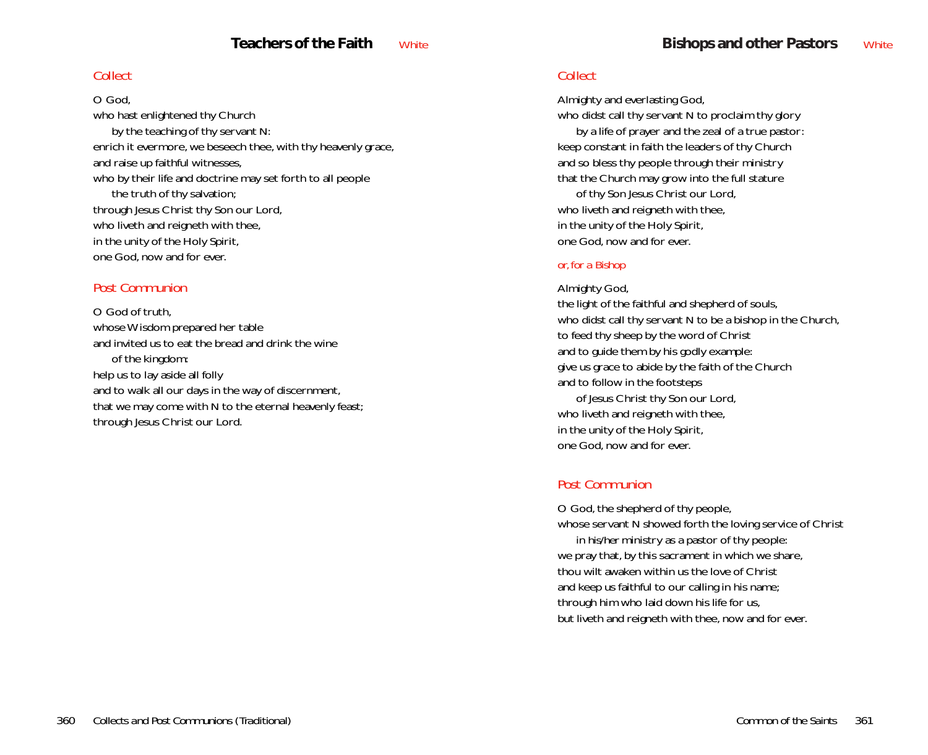O God, who hast enlightened thy Church by the teaching of thy servant *N*: enrich it evermore, we beseech thee, with thy heavenly grace, and raise up faithful witnesses, who by their life and doctrine may set forth to all people the truth of thy salvation; through Jesus Christ thy Son our Lord, who liveth and reigneth with thee, in the unity of the Holy Spirit, one God, now and for ever.

#### *Post Communion*

O God of truth, whose Wisdom prepared her table and invited us to eat the bread and drink the wine of the kingdom: help us to lay aside all folly and to walk all our days in the way of discernment, that we may come with *N* to the eternal heavenly feast; through Jesus Christ our Lord.

### *Collect*

Almighty and everlasting God, who didst call thy servant *N* to proclaim thy glory

by a life of prayer and the zeal of a true pastor: keep constant in faith the leaders of thy Church and so bless thy people through their ministry that the Church may grow into the full stature

of thy Son Jesus Christ our Lord, who liveth and reigneth with thee, in the unity of the Holy Spirit, one God, now and for ever.

#### *or, for a Bishop*

Almighty God, the light of the faithful and shepherd of souls, who didst call thy servant *N* to be a bishop in the Church, to feed thy sheep by the word of Christ and to guide them by his godly example: give us grace to abide by the faith of the Church and to follow in the footsteps of Jesus Christ thy Son our Lord,

who liveth and reigneth with thee, in the unity of the Holy Spirit, one God, now and for ever.

### *Post Communion*

O God, the shepherd of thy people, whose servant *N* showed forth the loving service of Christ in *his/her* ministry as a pastor of thy people: we pray that, by this sacrament in which we share, thou wilt awaken within us the love of Christ and keep us faithful to our calling in his name; through him who laid down his life for us, but liveth and reigneth with thee, now and for ever.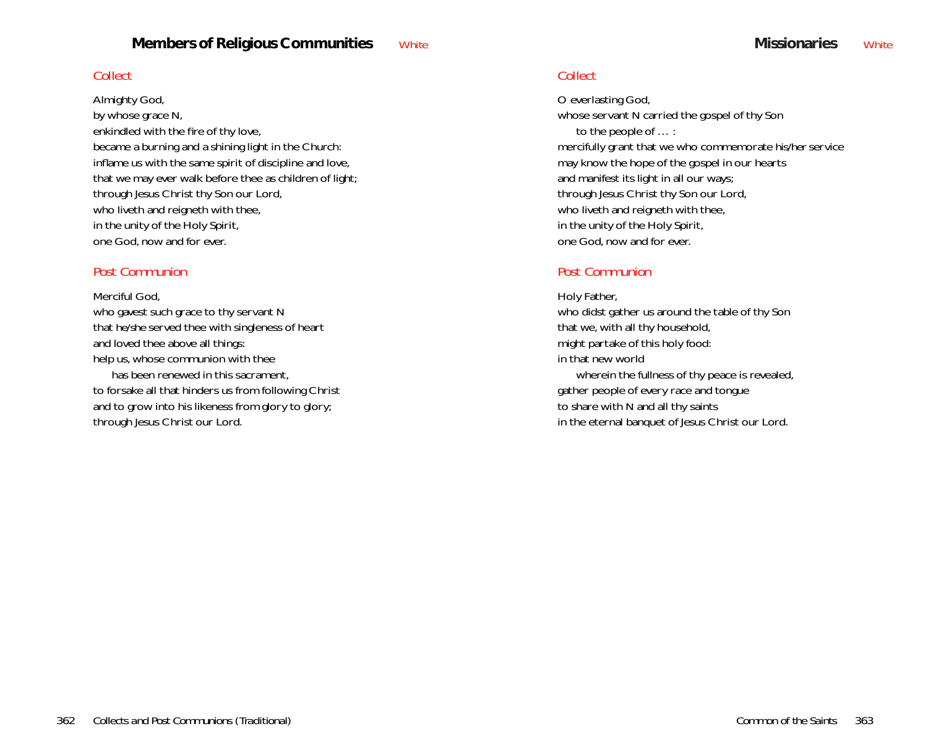Almighty God, by whose grace *N*, enkindled with the fire of thy love, became a burning and a shining light in the Church: inflame us with the same spirit of discipline and love, that we may ever walk before thee as children of light; through Jesus Christ thy Son our Lord, who liveth and reigneth with thee, in the unity of the Holy Spirit, one God, now and for ever.

#### *Post Communion*

Merciful God, who gavest such grace to thy servant *N* that *he/she* served thee with singleness of heart and loved thee above all things: help us, whose communion with thee

has been renewed in this sacrament, to forsake all that hinders us from following Christ and to grow into his likeness from glory to glory; through Jesus Christ our Lord.

#### *Collect*

O everlasting God, whose servant *N* carried the gospel of thy Son to the people of … : mercifully grant that we who commemorate *his/her* service may know the hope of the gospel in our hearts and manifest its light in all our ways; through Jesus Christ thy Son our Lord, who liveth and reigneth with thee, in the unity of the Holy Spirit, one God, now and for ever.

#### *Post Communion*

Holy Father, who didst gather us around the table of thy Son that we, with all thy household, might partake of this holy food: in that new world wherein the fullness of thy peace is revealed, gather people of every race and tongue to share with *N* and all thy saints in the eternal banquet of Jesus Christ our Lord.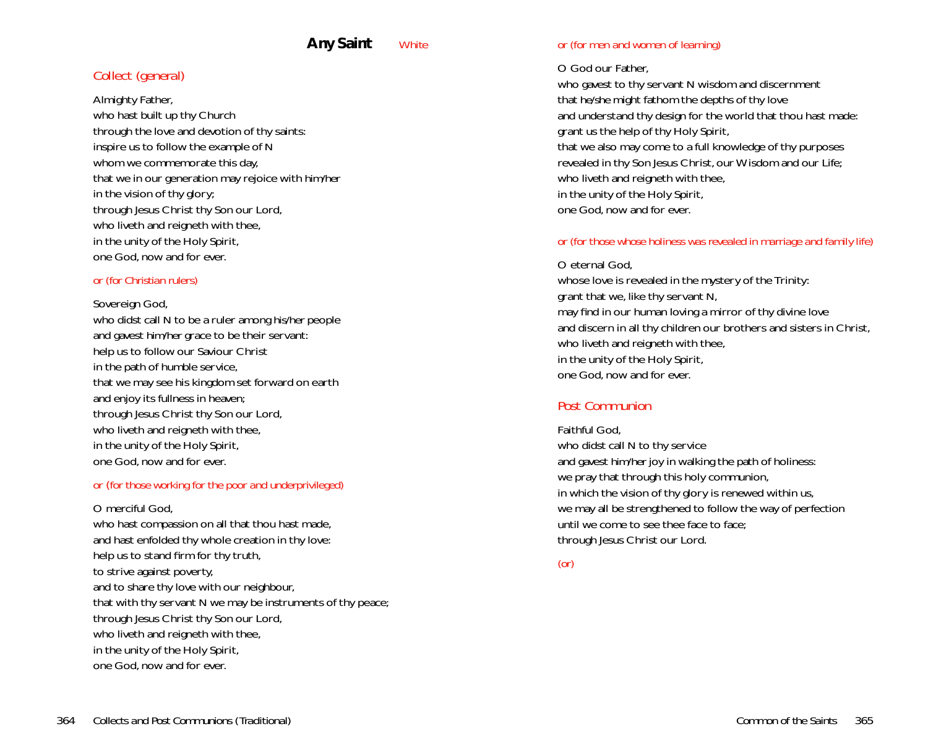#### **Any Saint** *White*

### *Collect (general)*

Almighty Father, who hast built up thy Church through the love and devotion of thy saints: inspire us to follow the example of *N* whom we commemorate this day, that we in our generation may rejoice with *him/her* in the vision of thy glory; through Jesus Christ thy Son our Lord, who liveth and reigneth with thee, in the unity of the Holy Spirit, one God, now and for ever.

#### *or (for Christian rulers)*

Sovereign God, who didst call *N* to be a ruler among *his/her* people and gavest *him/her* grace to be their servant: help us to follow our Saviour Christ in the path of humble service, that we may see his kingdom set forward on earth and enjoy its fullness in heaven; through Jesus Christ thy Son our Lord, who liveth and reigneth with thee, in the unity of the Holy Spirit, one God, now and for ever.

#### *or (for those working for the poor and underprivileged)*

#### O merciful God,

who hast compassion on all that thou hast made, and hast enfolded thy whole creation in thy love: help us to stand firm for thy truth, to strive against poverty, and to share thy love with our neighbour, that with thy servant *N* we may be instruments of thy peace; through Jesus Christ thy Son our Lord, who liveth and reigneth with thee, in the unity of the Holy Spirit, one God, now and for ever.

#### *or (for men and women of learning)*

#### O God our Father,

who gavest to thy servant *N* wisdom and discernment that *he/she* might fathom the depths of thy love and understand thy design for the world that thou hast made: grant us the help of thy Holy Spirit, that we also may come to a full knowledge of thy purposes revealed in thy Son Jesus Christ, our Wisdom and our Life; who liveth and reigneth with thee, in the unity of the Holy Spirit, one God, now and for ever.

#### *or (for those whose holiness was revealed in marriage and family life)*

#### O eternal God,

whose love is revealed in the mystery of the Trinity: grant that we, like thy servant *N*, may find in our human loving a mirror of thy divine love and discern in all thy children our brothers and sisters in Christ, who liveth and reigneth with thee, in the unity of the Holy Spirit, one God, now and for ever.

### *Post Communion*

Faithful God, who didst call *N* to thy service and gavest *him/her* joy in walking the path of holiness: we pray that through this holy communion, in which the vision of thy glory is renewed within us, we may all be strengthened to follow the way of perfection until we come to see thee face to face; through Jesus Christ our Lord.

*(or)*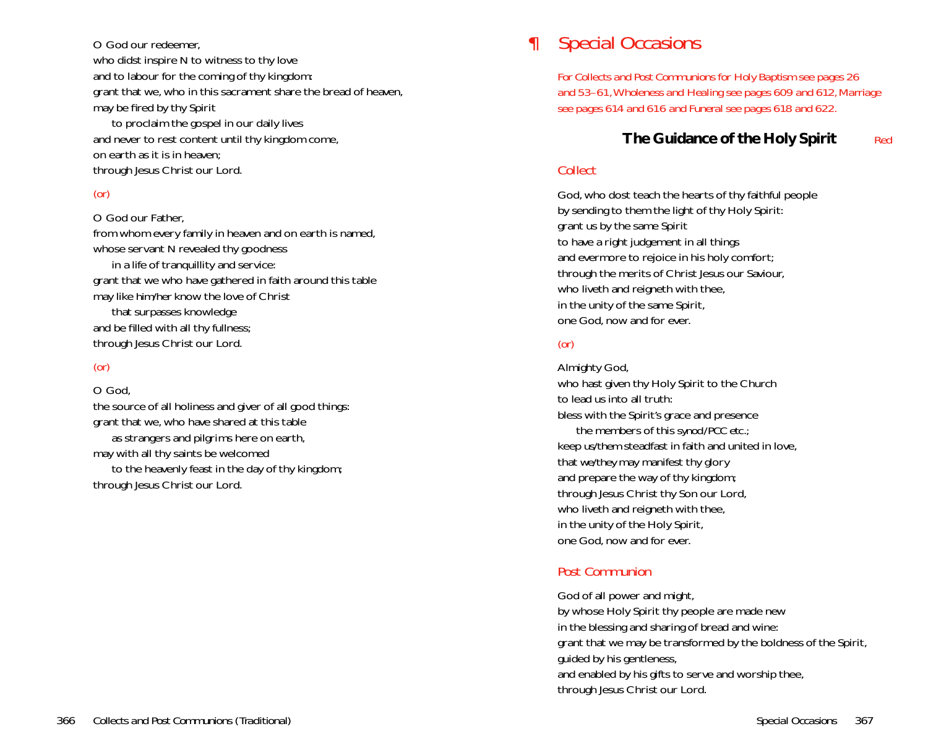O God our redeemer, who didst inspire *N* to witness to thy love and to labour for the coming of thy kingdom: grant that we, who in this sacrament share the bread of heaven, may be fired by thy Spirit to proclaim the gospel in our daily lives

and never to rest content until thy kingdom come, on earth as it is in heaven; through Jesus Christ our Lord.

#### *(or)*

#### O God our Father,

from whom every family in heaven and on earth is named, whose servant *N* revealed thy goodness

in a life of tranquillity and service: grant that we who have gathered in faith around this table may like *him/her* know the love of Christ

that surpasses knowledge and be filled with all thy fullness; through Jesus Christ our Lord.

#### *(or)*

#### O God,

the source of all holiness and giver of all good things: grant that we, who have shared at this table as strangers and pilgrims here on earth, may with all thy saints be welcomed to the heavenly feast in the day of thy kingdom; through Jesus Christ our Lord.

# *¶ Special Occasions*

*For Collects and Post Communions for Holy Baptism see pages 26 and 53–61, Wholeness and Healing see pages 609 and 612, Marriage see pages 614 and 616 and Funeral see pages 618 and 622.*

### **The Guidance of the Holy Spirit** *Red*

#### *Collect*

God, who dost teach the hearts of thy faithful people by sending to them the light of thy Holy Spirit: grant us by the same Spirit to have a right judgement in all things and evermore to rejoice in his holy comfort; through the merits of Christ Jesus our Saviour, who liveth and reigneth with thee, in the unity of the same Spirit, one God, now and for ever.

### *(or)*

Almighty God, who hast given thy Holy Spirit to the Church to lead us into all truth: bless with the Spirit's grace and presence the members of this *synod/PCC etc.;* keep *us/them* steadfast in faith and united in love, that *we/they* may manifest thy glory and prepare the way of thy kingdom; through Jesus Christ thy Son our Lord, who liveth and reigneth with thee, in the unity of the Holy Spirit, one God, now and for ever.

### *Post Communion*

God of all power and might, by whose Holy Spirit thy people are made new in the blessing and sharing of bread and wine: grant that we may be transformed by the boldness of the Spirit, guided by his gentleness, and enabled by his gifts to serve and worship thee, through Jesus Christ our Lord.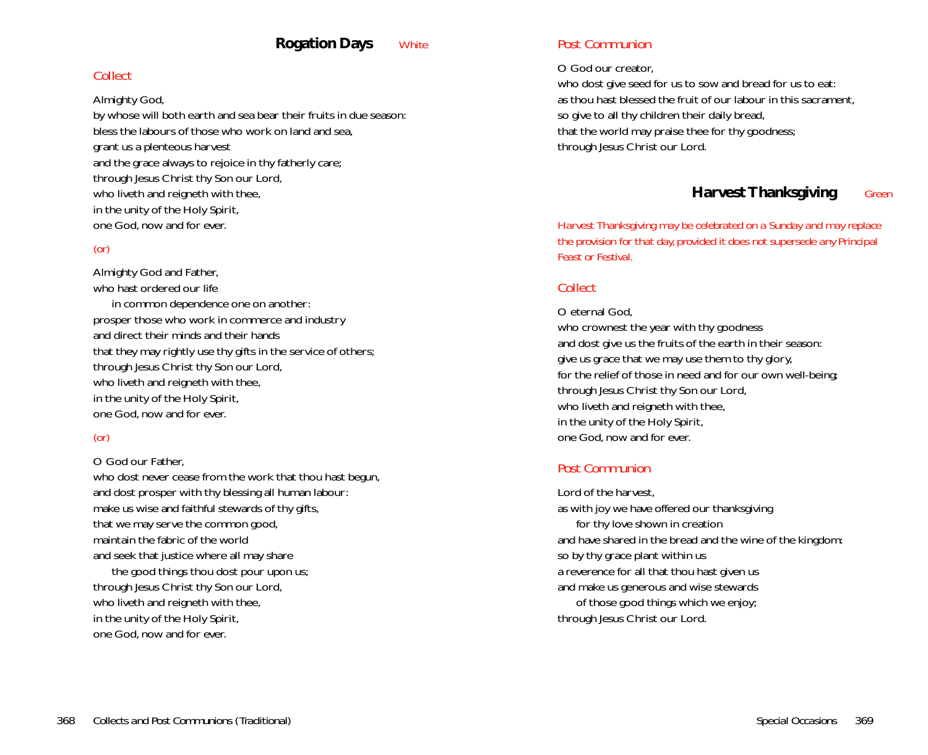#### Almighty God,

by whose will both earth and sea bear their fruits in due season: bless the labours of those who work on land and sea, grant us a plenteous harvest and the grace always to rejoice in thy fatherly care; through Jesus Christ thy Son our Lord, who liveth and reigneth with thee, in the unity of the Holy Spirit, one God, now and for ever.

### *(or)*

Almighty God and Father, who hast ordered our life in common dependence one on another: prosper those who work in commerce and industry and direct their minds and their hands that they may rightly use thy gifts in the service of others; through Jesus Christ thy Son our Lord, who liveth and reigneth with thee, in the unity of the Holy Spirit, one God, now and for ever.

### *(or)*

O God our Father, who dost never cease from the work that thou hast begun, and dost prosper with thy blessing all human labour: make us wise and faithful stewards of thy gifts, that we may serve the common good, maintain the fabric of the world and seek that justice where all may share the good things thou dost pour upon us;

through Jesus Christ thy Son our Lord, who liveth and reigneth with thee, in the unity of the Holy Spirit, one God, now and for ever.

#### *Post Communion*

#### O God our creator,

who dost give seed for us to sow and bread for us to eat: as thou hast blessed the fruit of our labour in this sacrament, so give to all thy children their daily bread, that the world may praise thee for thy goodness; through Jesus Christ our Lord.

### **Harvest Thanksgiving** *Green*

*Harvest Thanksgiving may be celebrated on a Sunday and may replace the provision for that day, provided it does not supersede any Principal Feast or Festival.*

### *Collect*

#### O eternal God, who crownest the year with thy goodness and dost give us the fruits of the earth in their season: give us grace that we may use them to thy glory, for the relief of those in need and for our own well-being; through Jesus Christ thy Son our Lord, who liveth and reigneth with thee, in the unity of the Holy Spirit, one God, now and for ever.

### *Post Communion*

Lord of the harvest, as with joy we have offered our thanksgiving for thy love shown in creation and have shared in the bread and the wine of the kingdom: so by thy grace plant within us a reverence for all that thou hast given us and make us generous and wise stewards of those good things which we enjoy; through Jesus Christ our Lord.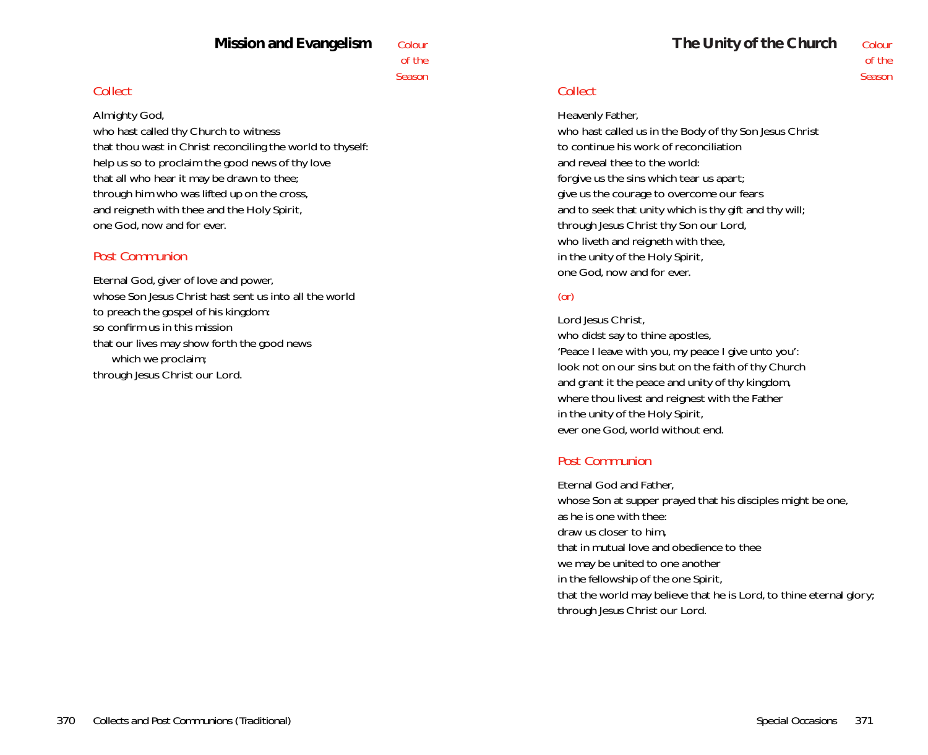### **Mission and Evangelism** *Colour*

*of the* 

*Season*

### *Collect*

#### Almighty God,

who hast called thy Church to witness that thou wast in Christ reconciling the world to thyself: help us so to proclaim the good news of thy love that all who hear it may be drawn to thee; through him who was lifted up on the cross, and reigneth with thee and the Holy Spirit, one God, now and for ever.

#### *Post Communion*

Eternal God, giver of love and power, whose Son Jesus Christ hast sent us into all the world to preach the gospel of his kingdom: so confirm us in this mission that our lives may show forth the good news which we proclaim; through Jesus Christ our Lord.

### *Collect*

Heavenly Father,

who hast called us in the Body of thy Son Jesus Christ to continue his work of reconciliation and reveal thee to the world: forgive us the sins which tear us apart; give us the courage to overcome our fears and to seek that unity which is thy gift and thy will; through Jesus Christ thy Son our Lord, who liveth and reigneth with thee, in the unity of the Holy Spirit, one God, now and for ever.

### *(or)*

Lord Jesus Christ, who didst say to thine apostles, 'Peace I leave with you, my peace I give unto you': look not on our sins but on the faith of thy Church and grant it the peace and unity of thy kingdom, where thou livest and reignest with the Father in the unity of the Holy Spirit, ever one God, world without end.

### *Post Communion*

Eternal God and Father, whose Son at supper prayed that his disciples might be one, as he is one with thee: draw us closer to him, that in mutual love and obedience to thee we may be united to one another in the fellowship of the one Spirit, that the world may believe that he is Lord, to thine eternal glory; through Jesus Christ our Lord.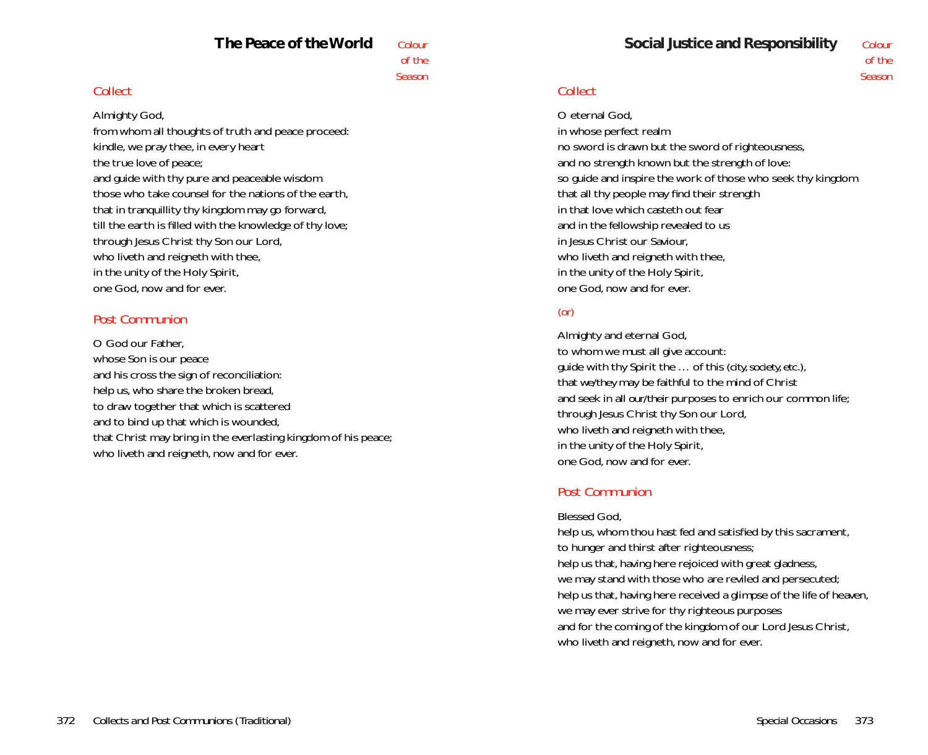*of the* 

*Season*

### *Collect*

#### Almighty God,

from whom all thoughts of truth and peace proceed: kindle, we pray thee, in every heart the true love of peace; and guide with thy pure and peaceable wisdom those who take counsel for the nations of the earth, that in tranquillity thy kingdom may go forward, till the earth is filled with the knowledge of thy love; through Jesus Christ thy Son our Lord, who liveth and reigneth with thee, in the unity of the Holy Spirit, one God, now and for ever.

#### *Post Communion*

O God our Father, whose Son is our peace and his cross the sign of reconciliation: help us, who share the broken bread. to draw together that which is scattered and to bind up that which is wounded, that Christ may bring in the everlasting kingdom of his peace; who liveth and reigneth, now and for ever.

*of the Season*

### *Collect*

O eternal God, in whose perfect realm no sword is drawn but the sword of righteousness, and no strength known but the strength of love: so guide and inspire the work of those who seek thy kingdom that all thy people may find their strength in that love which casteth out fear and in the fellowship revealed to us in Jesus Christ our Saviour, who liveth and reigneth with thee, in the unity of the Holy Spirit, one God, now and for ever.

### *(or)*

Almighty and eternal God, to whom we must all give account: guide with thy Spirit the … of this *(city, society, etc.),* that *we/they* may be faithful to the mind of Christ and seek in all *our/their* purposes to enrich our common life; through Jesus Christ thy Son our Lord, who liveth and reigneth with thee, in the unity of the Holy Spirit, one God, now and for ever.

### *Post Communion*

#### Blessed God,

help us, whom thou hast fed and satisfied by this sacrament, to hunger and thirst after righteousness; help us that, having here rejoiced with great gladness, we may stand with those who are reviled and persecuted; help us that, having here received a glimpse of the life of heaven, we may ever strive for thy righteous purposes and for the coming of the kingdom of our Lord Jesus Christ, who liveth and reigneth, now and for ever.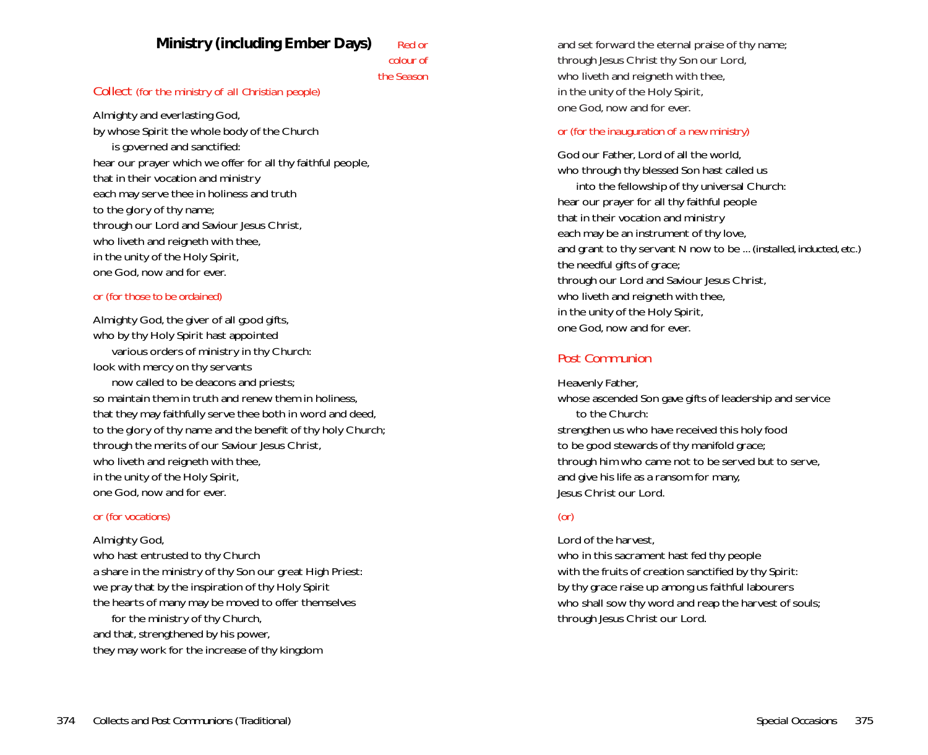### **Ministry (including Ember Days)** *Red or*

*colour of*

*the Season*

#### *Collect (for the ministry of all Christian people)*

Almighty and everlasting God, by whose Spirit the whole body of the Church is governed and sanctified: hear our prayer which we offer for all thy faithful people, that in their vocation and ministry each may serve thee in holiness and truth to the glory of thy name; through our Lord and Saviour Jesus Christ, who liveth and reigneth with thee, in the unity of the Holy Spirit, one God, now and for ever.

#### *or (for those to be ordained)*

Almighty God, the giver of all good gifts, who by thy Holy Spirit hast appointed various orders of ministry in thy Church: look with mercy on thy servants now called to be deacons and priests; so maintain them in truth and renew them in holiness, that they may faithfully serve thee both in word and deed, to the glory of thy name and the benefit of thy holy Church; through the merits of our Saviour Jesus Christ, who liveth and reigneth with thee, in the unity of the Holy Spirit, one God, now and for ever.

#### *or (for vocations)*

Almighty God, who hast entrusted to thy Church a share in the ministry of thy Son our great High Priest: we pray that by the inspiration of thy Holy Spirit the hearts of many may be moved to offer themselves for the ministry of thy Church, and that, strengthened by his power, they may work for the increase of thy kingdom

and set forward the eternal praise of thy name; through Jesus Christ thy Son our Lord, who liveth and reigneth with thee, in the unity of the Holy Spirit, one God, now and for ever.

#### *or (for the inauguration of a new ministry)*

God our Father, Lord of all the world, who through thy blessed Son hast called us into the fellowship of thy universal Church: hear our prayer for all thy faithful people that in their vocation and ministry each may be an instrument of thy love, and grant to thy servant *N* now to be ... *(installed, inducted, etc.)* the needful gifts of grace; through our Lord and Saviour Jesus Christ, who liveth and reigneth with thee, in the unity of the Holy Spirit, one God, now and for ever.

#### *Post Communion*

Heavenly Father, whose ascended Son gave gifts of leadership and service to the Church: strengthen us who have received this holy food to be good stewards of thy manifold grace; through him who came not to be served but to serve, and give his life as a ransom for many, Jesus Christ our Lord.

#### *(or)*

Lord of the harvest, who in this sacrament hast fed thy people with the fruits of creation sanctified by thy Spirit: by thy grace raise up among us faithful labourers who shall sow thy word and reap the harvest of souls; through Jesus Christ our Lord.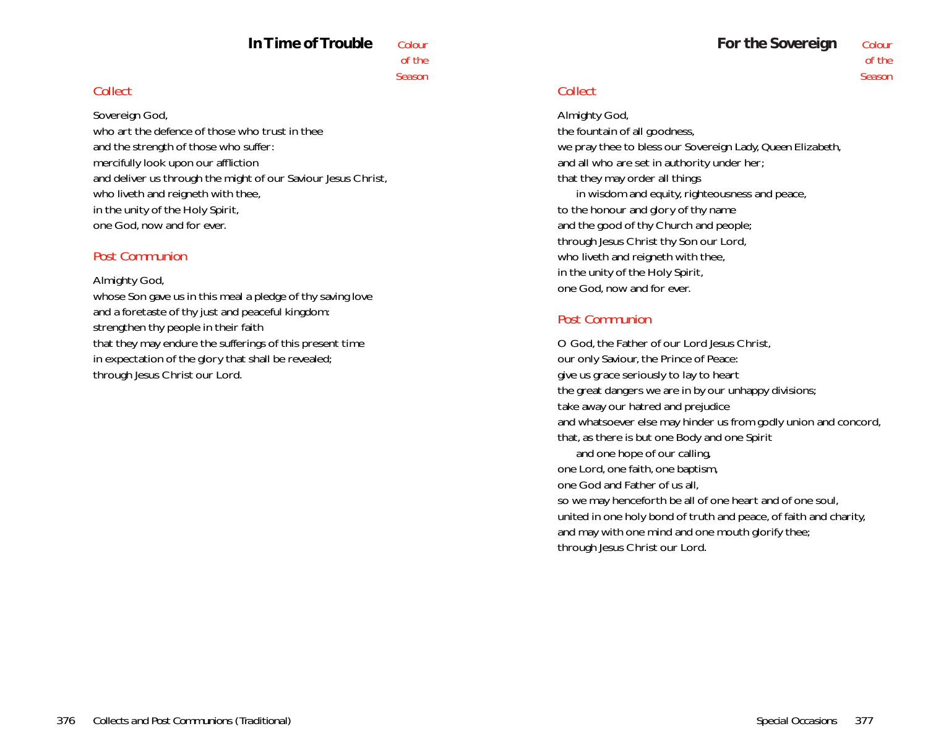#### **In Time of Trouble** *Colour*

*of the* 

*Season*

### *Collect*

Sovereign God,

who art the defence of those who trust in thee and the strength of those who suffer: mercifully look upon our affliction and deliver us through the might of our Saviour Jesus Christ, who liveth and reigneth with thee, in the unity of the Holy Spirit, one God, now and for ever.

### *Post Communion*

Almighty God, whose Son gave us in this meal a pledge of thy saving love and a foretaste of thy just and peaceful kingdom: strengthen thy people in their faith that they may endure the sufferings of this present time in expectation of the glory that shall be revealed; through Jesus Christ our Lord.

### *Collect*

Almighty God, the fountain of all goodness, we pray thee to bless our Sovereign Lady, *Queen Elizabeth*, and all who are set in authority under her; that they may order all things in wisdom and equity, righteousness and peace, to the honour and glory of thy name and the good of thy Church and people; through Jesus Christ thy Son our Lord, who liveth and reigneth with thee, in the unity of the Holy Spirit, one God, now and for ever.

### *Post Communion*

O God, the Father of our Lord Jesus Christ, our only Saviour, the Prince of Peace: give us grace seriously to lay to heart the great dangers we are in by our unhappy divisions; take away our hatred and prejudice and whatsoever else may hinder us from godly union and concord, that, as there is but one Body and one Spirit and one hope of our calling, one Lord, one faith, one baptism, one God and Father of us all, so we may henceforth be all of one heart and of one soul, united in one holy bond of truth and peace, of faith and charity, and may with one mind and one mouth glorify thee; through Jesus Christ our Lord.